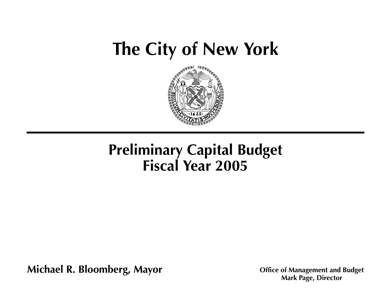# **[The City of New York](#page-1-0)**



# **Preliminary Capital Budget Fiscal Year 2005**

**Michael R. Bloomberg, Mayor Office of Management and Budget Michael R. Bloomberg, Mayor Mark Page, Director**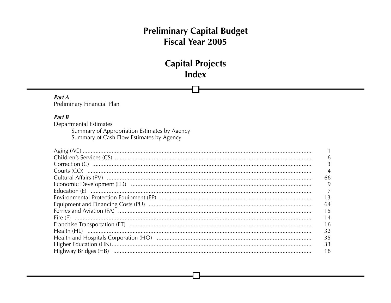### **Capital Projects** Index

<span id="page-1-0"></span>Part A Preliminary Financial Plan

### Part B

**Departmental Estimates** Summary of Appropriation Estimates by Agency Summary of Cash Flow Estimates by Agency

| 6              |
|----------------|
|                |
| $\overline{4}$ |
| 66             |
| 9              |
|                |
| 13             |
| 64             |
| 15             |
| 14             |
| 16             |
| 32             |
| 35             |
| 33             |
| 18             |
|                |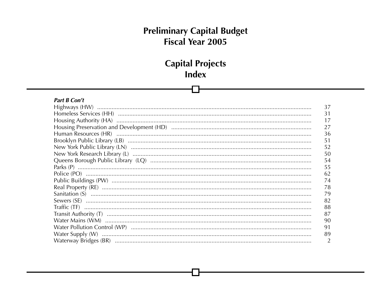### **Capital Projects** Index

### Part B Con't

|                                                                                                                                                                     | 37             |
|---------------------------------------------------------------------------------------------------------------------------------------------------------------------|----------------|
|                                                                                                                                                                     | 31             |
|                                                                                                                                                                     | 17             |
|                                                                                                                                                                     | 27             |
|                                                                                                                                                                     | 36             |
|                                                                                                                                                                     | 51             |
|                                                                                                                                                                     | 52             |
|                                                                                                                                                                     | 50             |
|                                                                                                                                                                     | 54             |
|                                                                                                                                                                     | 55             |
|                                                                                                                                                                     | 62             |
|                                                                                                                                                                     | 74             |
|                                                                                                                                                                     | 78             |
|                                                                                                                                                                     | 79             |
|                                                                                                                                                                     | 82             |
|                                                                                                                                                                     | 88             |
| $\begin{minipage}[c]{0.9\linewidth} \textbf{Transit Authority (T)} \end{minipage} \begin{minipage}[c]{0.9\linewidth} \textbf{Transit Authority (T)} \end{minipage}$ | 87             |
|                                                                                                                                                                     | 90             |
|                                                                                                                                                                     | 91             |
|                                                                                                                                                                     | 89             |
|                                                                                                                                                                     | $\overline{2}$ |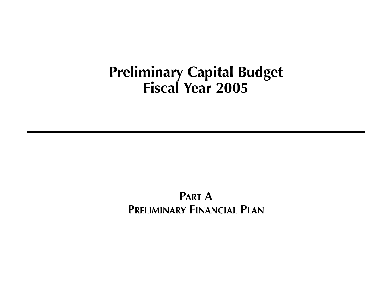### **PART A PRELIMINARY FINANCIAL PLAN**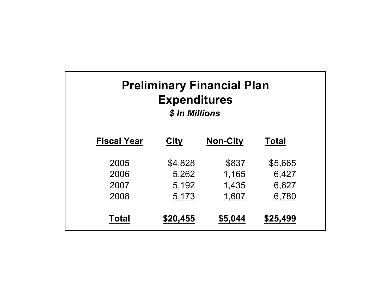<span id="page-4-0"></span>

| <b>Preliminary Financial Plan</b><br><b>Expenditures</b><br>\$ In Millions |          |                 |              |  |  |  |
|----------------------------------------------------------------------------|----------|-----------------|--------------|--|--|--|
| <b>Fiscal Year</b>                                                         | City     | <b>Non-City</b> | <b>Total</b> |  |  |  |
| 2005                                                                       | \$4,828  | \$837           | \$5,665      |  |  |  |
| 2006                                                                       | 5,262    | 1,165           | 6,427        |  |  |  |
| 2007                                                                       | 5,192    | 1,435           | 6,627        |  |  |  |
| 2008                                                                       | 5,173    | 1,607           | 6,780        |  |  |  |
| Total                                                                      | \$20,455 | \$5,044         | \$25,499     |  |  |  |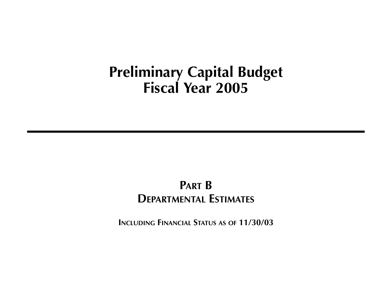### **PART B DEPARTMENTAL ESTIMATES**

**INCLUDING FINANCIAL STATUS AS OF 11/30/03**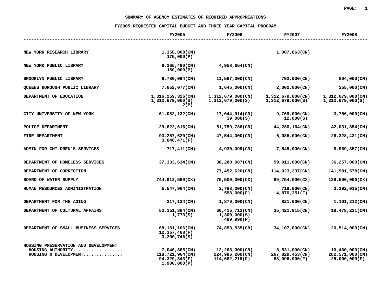#### SUMMARY OF AGENCY ESTIMATES OF REQUIRED APPROPRIATIONS

<span id="page-6-0"></span>

| SUMMARY OF AGENCY ESTIMATES OF REQUIRED APPROPRIATIONS                             |                                                                   |                                                     |                                                   |                                                    |  |  |
|------------------------------------------------------------------------------------|-------------------------------------------------------------------|-----------------------------------------------------|---------------------------------------------------|----------------------------------------------------|--|--|
|                                                                                    | FY2005 REQUESTED CAPITAL BUDGET AND THREE YEAR CAPITAL PROGRAM    |                                                     |                                                   |                                                    |  |  |
|                                                                                    | <b>FY2005</b>                                                     | <b>FY2006</b>                                       | <b>FY2007</b>                                     | <b>FY2008</b>                                      |  |  |
|                                                                                    |                                                                   |                                                     |                                                   |                                                    |  |  |
| NEW YORK RESEARCH LIBRARY                                                          | $1,358,008$ (CN)<br>175,000(P)                                    |                                                     | $1,007,863$ (CN)                                  |                                                    |  |  |
| NEW YORK PUBLIC LIBRARY                                                            | $9,265,490$ (CN)<br>150,000(P)                                    | $4,958,654$ (CN)                                    |                                                   |                                                    |  |  |
| BROOKLYN PUBLIC LIBRARY                                                            | $9,780,094$ (CN)                                                  | 11,567,000(CN)                                      | 792,000(CN)                                       | 804,000(CN)                                        |  |  |
| QUEENS BOROUGH PUBLIC LIBRARY                                                      | 7,652,077(CN)                                                     | $1,645,000$ (CN)                                    | $2,002,000$ (CN)                                  | 255,000(CN)                                        |  |  |
| DEPARTMENT OF EDUCATION                                                            | $1,316,259,326$ (CN)<br>1,312,679,000(S)<br>2(P)                  | $1,312,679,000$ (CN)<br>1,312,679,000(S)            | $1,312,679,000$ (CN)<br>1,312,679,000(S)          | $1,312,679,000$ (CN)<br>1,312,679,000(S)           |  |  |
| CITY UNIVERSITY OF NEW YORK                                                        | $61,082,132$ (CN)                                                 | 17,044,914(CN)<br>39,000(S)                         | $9,769,000$ (CN)<br>12,000(S)                     | $3,756,000$ (CN)                                   |  |  |
| POLICE DEPARTMENT                                                                  | 29,622,616(CN)                                                    | 51,759,786(CN)                                      | 44,280,164(CN)                                    | 42,031,854(CN)                                     |  |  |
| FIRE DEPARTMENT                                                                    | $90, 257, 620$ (CN)<br>3,046,471(F)                               | 47,544,000(CN)                                      | $6,085,000$ (CN)                                  | 26,328,431(CN)                                     |  |  |
| ADMIN FOR CHILDREN'S SERVICES                                                      | $717,411$ (CN)                                                    | 4,930,099(CN)                                       | $7,545,000$ (CN)                                  | 9,969,357(CN)                                      |  |  |
| DEPARTMENT OF HOMELESS SERVICES                                                    | 37, 333, 634 (CN)                                                 | 38,280,087(CN)                                      | 59,911,000(CN)                                    | 36,257,000(CN)                                     |  |  |
| DEPARTMENT OF CORRECTION                                                           |                                                                   | 77,452,620(CN)                                      | 114,023,237(CN)                                   | 141,981,578(CN)                                    |  |  |
| BOARD OF WATER SUPPLY                                                              | 744,612,599(CX)                                                   | 75,500,000(CX)                                      | 99,754,000(CX)                                    | 139,500,000(CX)                                    |  |  |
| HUMAN RESOURCES ADMINISTRATION                                                     | $5,547,964$ (CN)                                                  | $2,788,000$ (CN)<br>558,000(F)                      | 718,000(CN)<br>4,870,351(F)                       | $3,392,015$ (CN)                                   |  |  |
| DEPARTMENT FOR THE AGING                                                           | 217,124(CN)                                                       | $1,879,000$ (CN)                                    | 821,000(CN)                                       | $1,101,212$ (CN)                                   |  |  |
| DEPARTMENT OF CULTURAL AFFAIRS                                                     | 53,151,884(CN)<br>1,773(S)                                        | 66,415,713(CN)<br>1,300,000(S)<br>489,999(P)        | 35,421,915(CN)                                    | 18,478,221(CN)                                     |  |  |
| DEPARTMENT OF SMALL BUSINESS SERVICES                                              | 68,181,106(CN)<br>12,357,468(F)<br>3,200,746(S)                   | 74,853,535(CN)                                      | 34,107,000(CN)                                    | 20,514,000(CN)                                     |  |  |
| HOUSING PRESERVATION AND DEVELOPMENT<br>HOUSING AUTHORITY<br>HOUSING & DEVELOPMENT | 7,046,885(CN)<br>118,721,964(CN)<br>94,329,343(F)<br>1,900,000(P) | 12,268,000(CN)<br>224,986,200(CN)<br>114,682,219(F) | 8,831,000(CN)<br>267,829,453(CN)<br>58,096,000(F) | 10,460,000(CN)<br>282,571,000(CN)<br>25,000,000(F) |  |  |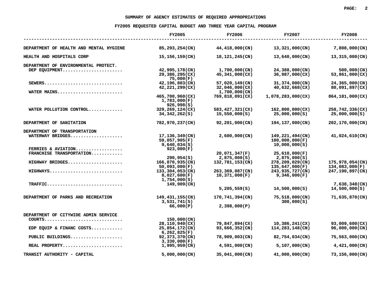|                                                | FY2005 REQUESTED CAPITAL BUDGET AND THREE YEAR CAPITAL PROGRAM |                                  |                                                    |                                   |
|------------------------------------------------|----------------------------------------------------------------|----------------------------------|----------------------------------------------------|-----------------------------------|
|                                                | <b>FY2005</b>                                                  | <b>FY2006</b>                    | <b>FY2007</b>                                      | <b>FY2008</b>                     |
| DEPARTMENT OF HEALTH AND MENTAL HYGIENE        | 85,293,254(CN)                                                 | 44,418,000(CN)                   | 13,321,000(CN)                                     | $7,808,000$ (CN)                  |
| HEALTH AND HOSPITALS CORP                      | 15,156,159(CN)                                                 | 18,121,245(CN)                   | 13,640,000(CN)                                     | 13,315,000(CN)                    |
| DEPARTMENT OF ENVIRONMENTAL PROTECT.           |                                                                |                                  |                                                    |                                   |
| DEP EQUIPMENT                                  | 42,995,178(CN)<br>29,386,295(CX)<br>75,000(F)                  | 1,700,000(CN)<br>45,341,000(CX)  | 24,388,000(CN)<br>36,987,000(CX)                   | 500,000(CN)<br>53,861,000(CX)     |
| $SEWERS$<br>WATER MAINS                        | 42,196,803(CN)<br>42,221,299(CX)                               | 57,020,149(CN)<br>32,046,000(CX) | 31,374,000(CN)<br>40,632,668(CX)                   | 24,365,000(CN)<br>80,091,897(CX)  |
|                                                | 465,700,960(CX)<br>1,783,000(F)                                | 1,700,000(CN)<br>769,818,091(CX) | 1,078,283,000(CX)                                  | 864,181,000(CX)                   |
| WATER POLLUTION CONTROL                        | 926,998(S)<br>329,269,124(CX)<br>34,342,262(S)                 | 583,427,321(CX)<br>15,550,000(S) | 162,800,000(CX)<br>25,000,000(S)                   | 258,742,336(CX)<br>25,000,000(S)  |
| DEPARTMENT OF SANITATION                       | 782,970,237(CN)                                                | 92,201,000(CN)                   | 194,137,000(CN)                                    | 202,170,000(CN)                   |
| DEPARTMENT OF TRANSPORTATION                   |                                                                |                                  |                                                    |                                   |
| WATERWAY BRIDGES                               | 17,136,349(CN)<br>59,057,905(F)<br>9,640,034(S)                | 2,600,000(CN)                    | 149,221,494(CN)<br>100,000,000(F)<br>10,000,000(S) | 41,024,610(CN)                    |
| FERRIES & AVIATION<br>FRANCHISE TRANSPORTATION | 923,000(F)                                                     | 20,071,347(F)                    | 25,610,000(F)                                      |                                   |
|                                                | 290, 954(S)                                                    | 2,875,000(S)                     | 2,875,000(S)                                       |                                   |
| HIGHWAY BRIDGES                                | 166,870,935(CN)<br>50,093,000(F)                               | 132,781,153(CN)                  | 278,209,029(CN)<br>135,647,000(F)                  | 175,978,054(CN)<br>134,083,000(F) |
| HIGHWAYS                                       | 133,304,053(CN)<br>8,027,600(F)<br>1,754,000(S)                | 263,369,087(CN)<br>10,371,000(F) | 243,935,727(CN)<br>9,346,000(F)                    | 247,190,897(CN)                   |
| TRAFFIC                                        | 149,909(CN)                                                    |                                  |                                                    | 7,638,348(CN)                     |
|                                                |                                                                | 5,205,559(S)                     | 14,500,000(S)                                      | 14,500,000(S)                     |
| DEPARTMENT OF PARKS AND RECREATION             | 149,431,155(CN)<br>3,531,741(S)                                | 170,741,394(CN)                  | 75,518,000(CN)<br>300,000(S)                       | 71,635,870(CN)                    |
|                                                | 66,000(P)                                                      | 2,398,000(P)                     |                                                    |                                   |
| DEPARTMENT OF CITYWIDE ADMIN SERVICE           |                                                                |                                  |                                                    |                                   |
| $COUTTS$                                       | 150,000(CN)                                                    |                                  |                                                    |                                   |
| EDP EQUIP & FINANC COSTS                       | 28,110,940(CX)<br>25,854,172(CN)<br>6,262,825(F)               | 79,847,894(CX)<br>93,666,352(CN) | 10,386,241(CX)<br>114,283,148(CN)                  | 93,009,600(CX)<br>96,000,000(CN)  |
| PUBLIC BUILDINGS                               | 92,373,370(CN)<br>3,330,000(F)                                 | 78,909,003(CN)                   | 82,754,034(CN)                                     | 75,563,000(CN)                    |
| REAL PROPERTY                                  | 1,995,959(CN)                                                  | $4,591,000$ (CN)                 | $5,107,000$ (CN)                                   | $4,421,000$ (CN)                  |
| TRANSIT AUTHORITY - CAPITAL                    | $5,000,000$ (CN)                                               | 35,041,000(CN)                   | 41,000,000(CN)                                     | 73,156,000(CN)                    |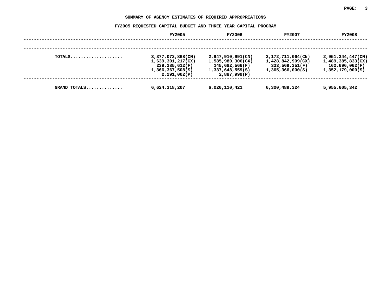#### SUMMARY OF AGENCY ESTIMATES OF REQUIRED APPROPRIATIONS

| SUMMARY OF AGENCY ESTIMATES OF REQUIRED APPROPRIATIONS |                                                                                              |                                                                                              |                                                                              |                                                                                 |  |  |
|--------------------------------------------------------|----------------------------------------------------------------------------------------------|----------------------------------------------------------------------------------------------|------------------------------------------------------------------------------|---------------------------------------------------------------------------------|--|--|
|                                                        | FY2005 REQUESTED CAPITAL BUDGET AND THREE YEAR CAPITAL PROGRAM                               |                                                                                              |                                                                              |                                                                                 |  |  |
|                                                        | <b>FY2005</b>                                                                                | FY2006                                                                                       | <b>FY2007</b>                                                                | <b>FY2008</b>                                                                   |  |  |
|                                                        |                                                                                              |                                                                                              |                                                                              |                                                                                 |  |  |
| TOTALS                                                 | 3,377,072,868(CN)<br>1,639,301,217(CX)<br>239,285,612(F)<br>1,366,367,508(S)<br>2,291,002(P) | 2,947,910,991(CN)<br>1,585,980,306(CX)<br>145,682,566(F)<br>1,337,648,559(S)<br>2,887,999(P) | 3,172,711,064(CN)<br>1,428,842,909(CX)<br>333,569,351(F)<br>1,365,366,000(S) | $2,951,344,447$ (CN)<br>1,489,385,833(CX)<br>162,696,062(F)<br>1,352,179,000(S) |  |  |
| GRAND TOTALS                                           | 6,624,318,207                                                                                | 6,020,110,421                                                                                | 6,300,489,324                                                                | 5,955,605,342                                                                   |  |  |
|                                                        |                                                                                              |                                                                                              |                                                                              |                                                                                 |  |  |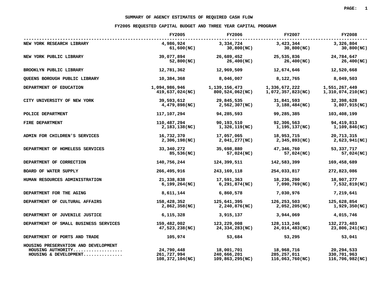|                                       | SUMMARY OF AGENCY ESTIMATES OF REQUIRED CASH FLOW              |                 |                   |                   |
|---------------------------------------|----------------------------------------------------------------|-----------------|-------------------|-------------------|
|                                       | FY2005 REQUESTED CAPITAL BUDGET AND THREE YEAR CAPITAL PROGRAM |                 |                   |                   |
|                                       | <b>FY2005</b>                                                  | FY2006          | <b>FY2007</b>     | <b>FY2008</b>     |
| NEW YORK RESEARCH LIBRARY             | 4,986,924                                                      | 3,334,724       | 3,423,344         | 3,326,804         |
|                                       | 61,600(NC)                                                     | 30,800(NC)      | 30,800(NC)        | 30,800(NC)        |
| NEW YORK PUBLIC LIBRARY               | 39,077,894                                                     | 26,689,452      | 25,535,836        | 24,784,647        |
|                                       | 52,800(NC)                                                     | 26,400(NC)      | 26,400(NC)        | 26,400(NC)        |
| BROOKLYN PUBLIC LIBRARY               | 12,781,362                                                     | 12,969,509      | 12,674,646        | 12,520,668        |
| QUEENS BOROUGH PUBLIC LIBRARY         | 10,384,368                                                     | 8,046,007       | 8,122,765         | 8,049,503         |
| DEPARTMENT OF EDUCATION               | 1,094,986,946                                                  | 1,139,156,473   | 1,336,672,222     | 1,551,267,449     |
|                                       | 419,637,024(NC)                                                | 800,524,062(NC) | 1,072,357,823(NC) | 1,310,074,210(NC) |
| CITY UNIVERSITY OF NEW YORK           | 39,593,612                                                     | 29,845,535      | 31,841,593        | 32,398,628        |
|                                       | 4,479,898(NC)                                                  | 2,562,307(NC)   | 3,188,484(NC)     | 3,807,915(NC)     |
| POLICE DEPARTMENT                     | 117,107,294                                                    | 94,285,593      | 99,285,385        | 103,408,199       |
| FIRE DEPARTMENT                       | 110,487,294                                                    | 90,193,510      | 92,306,563        | 94,419,813        |
|                                       | 2,183,138(NC)                                                  | 1,326,119(NC)   | 1,195,137(NC)     | 1,109,846(NC)     |
| ADMIN FOR CHILDREN'S SERVICES         | 16,732,370                                                     | 17,057,065      | 18,953,715        | 20,713,315        |
|                                       | 2,306,198(NC)                                                  | 2,041,277(NC)   | 2,345,893(NC)     | 2,623,941(NC)     |
| DEPARTMENT OF HOMELESS SERVICES       | 33,340,272                                                     | 35,698,880      | 47,346,760        | 53,337,717        |
|                                       | 85,536(NC)                                                     | 57,024(NC)      | 57,024(NC)        | 57,024(NC)        |
| DEPARTMENT OF CORRECTION              | 140,756,244                                                    | 124,399,511     | 142,583,399       | 169,458,689       |
| BOARD OF WATER SUPPLY                 | 266,495,916                                                    | 243, 169, 118   | 254,033,817       | 272,823,086       |
| HUMAN RESOURCES ADMINISTRATION        | 21,338,838                                                     | 17,591,363      | 18,236,290        | 18,907,277        |
|                                       | 6,199,264(NC)                                                  | 6,291,874(NC)   | 7,090,769(NC)     | 7,532,819(NC)     |
| DEPARTMENT FOR THE AGING              | 8,611,144                                                      | 6,860,578       | 7,030,976         | 7,219,641         |
| DEPARTMENT OF CULTURAL AFFAIRS        | 158,428,352                                                    | 125,641,395     | 126,253,503       | 125,628,854       |
|                                       | 2,862,358(NC)                                                  | 2,240,876(NC)   | 2,052,205(NC)     | 1,929,350(NC)     |
| DEPARTMENT OF JUVENILE JUSTICE        | 6,115,328                                                      | 3,915,137       | 3,944,069         | 4,015,746         |
| DEPARTMENT OF SMALL BUSINESS SERVICES | 159,482,002                                                    | 123,229,008     | 128, 113, 246     | 132, 273, 403     |
|                                       | 47,523,238(NC)                                                 | 24,334,283(NC)  | 24,014,483(NC)    | 23,806,241(NC)    |
| DEPARTMENT OF PORTS AND TRADE         | 105,974                                                        | 53,684          | 53,295            | 53,041            |
| HOUSING PRESERVATION AND DEVELOPMENT  | 24,790,448                                                     | 18,001,701      | 18,968,716        | 20,294,533        |
| HOUSING AUTHORITY                     | 261,727,994                                                    | 240,666,201     | 285, 257, 011     | 330,701,963       |
| HOUSING & DEVELOPMENT                 | 108,372,104(NC)                                                | 109,863,295(NC) | 116,063,760(NC)   | 116,706,982(NC)   |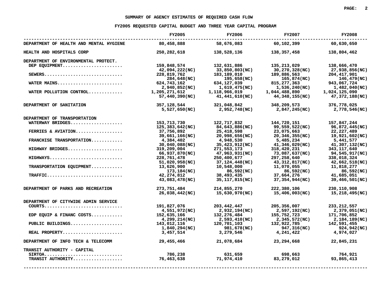|                                                                                     | SUMMARY OF AGENCY ESTIMATES OF REQUIRED CASH FLOW              |                                                                               |                                                                                                                                                                                                                  |                              |
|-------------------------------------------------------------------------------------|----------------------------------------------------------------|-------------------------------------------------------------------------------|------------------------------------------------------------------------------------------------------------------------------------------------------------------------------------------------------------------|------------------------------|
|                                                                                     | FY2005 REOUESTED CAPITAL BUDGET AND THREE YEAR CAPITAL PROGRAM |                                                                               |                                                                                                                                                                                                                  |                              |
|                                                                                     | <b>FY2005</b>                                                  | FY2006                                                                        | FY2007                                                                                                                                                                                                           | <b>FY2008</b>                |
| DEPARTMENT OF HEALTH AND MENTAL HYGIENE 80,458,888 58,676,083 60,102,399 60,630,650 |                                                                |                                                                               |                                                                                                                                                                                                                  |                              |
| HEALTH AND HOSPITALS CORP                                                           |                                                                | 250, 282, 618 138, 528, 136                                                   | 138,357,458                                                                                                                                                                                                      | 138,804,462                  |
| DEPARTMENT OF ENVIRONMENTAL PROTECT.                                                |                                                                |                                                                               |                                                                                                                                                                                                                  |                              |
| DEP EQUIPMENT                                                                       | 159,848,574 132,631,886                                        |                                                                               | 135,213,029                                                                                                                                                                                                      | 138,666,470                  |
|                                                                                     | 42,094,222(NC)                                                 | 33,850,803(NC)                                                                |                                                                                                                                                                                                                  | 27,938,856(NC)               |
|                                                                                     |                                                                | $33,23$<br>183,189,010<br>195,658(NC)<br>634,127,039<br>1.619,475(NC)         | $W(C)$ $30,270,328(NC)$ $189,886,563$ $189,886,563$ $204,417,901$ $165,874(NC)$ $146,479(NC)$ $146,479(NC)$ $1,536,240(NC)$ $1,044,488,890$ $1,049,479(NC)$ $1,044,488,155(NC)$ $47,372,188(NC)$ $1,024,125,090$ |                              |
|                                                                                     | 284,648(NC)                                                    |                                                                               |                                                                                                                                                                                                                  | 146,479(NC)                  |
| 184,048<br>624,743,162 624,743,162                                                  |                                                                |                                                                               |                                                                                                                                                                                                                  |                              |
|                                                                                     | 2,940,852(NC)                                                  |                                                                               |                                                                                                                                                                                                                  | 1,482,040(NC)                |
|                                                                                     |                                                                | 1,118,966,019                                                                 |                                                                                                                                                                                                                  |                              |
|                                                                                     | 57,440,390(NC)                                                 | 41,441,610(NC)                                                                | 44,348,155(NC)                                                                                                                                                                                                   | 47,372,188(NC)               |
| DEPARTMENT OF SANITATION                                                            |                                                                |                                                                               |                                                                                                                                                                                                                  |                              |
|                                                                                     |                                                                |                                                                               |                                                                                                                                                                                                                  | 2,778,546(NC)                |
| DEPARTMENT OF TRANSPORTATION                                                        |                                                                |                                                                               |                                                                                                                                                                                                                  |                              |
|                                                                                     |                                                                |                                                                               | $122, 717, 832$ $144, 720, 151$ $157, 847, 244$                                                                                                                                                                  |                              |
|                                                                                     | 125,383,642(NC)                                                | 84,643,886(NC)                                                                | 99,559,522(NC)                                                                                                                                                                                                   | 96,872,445(NC)               |
| FERRIES & AVIATION                                                                  | 37,756,892                                                     |                                                                               | 23,075,663                                                                                                                                                                                                       |                              |
|                                                                                     | 39,661,166(NC)                                                 |                                                                               | $25,418,598$<br>20,998,656(NC)<br>20,346,355(NC)                                                                                                                                                                 | 22,227,489<br>19,921,602(NC) |
| FRANCHISE TRANSPORTATION                                                            | 4,384,402                                                      | 4,948,530                                                                     | 5,485,234                                                                                                                                                                                                        | 5,441,577                    |
|                                                                                     | 30,040,088(NC)                                                 | 35,423,912(NC)                                                                | 41,346,029(NC)                                                                                                                                                                                                   | 41,307,132(NC)               |
| HIGHWAY BRIDGES                                                                     | 319,209,004                                                    | $4,948,530$<br>35,423,912(NC)<br>271,553,173<br>47,963,931(NC)<br>250,400,677 | 318,420,231                                                                                                                                                                                                      | 343,117,640                  |
|                                                                                     | 66,937,870(NC)                                                 |                                                                               | 73,087,637(NC)                                                                                                                                                                                                   | 94,545,917(NC)               |
| HIGHWAYS                                                                            | 228,761,478                                                    | 250,400,677                                                                   | 297,258,640                                                                                                                                                                                                      |                              |
|                                                                                     | 51,020,958(NC)                                                 | 37,124,448(NC)<br>10,548,000                                                  |                                                                                                                                                                                                                  |                              |
| TRANSPORTATION EQUIPMENT                                                            | 13,626,900                                                     |                                                                               |                                                                                                                                                                                                                  |                              |
|                                                                                     |                                                                |                                                                               |                                                                                                                                                                                                                  | 86,592(NC)                   |
| $\texttt{TRAFFIC} \dots \dots \dots \dots \dots \dots \dots \dots \dots$            | 42,274,812                                                     |                                                                               |                                                                                                                                                                                                                  | ، ∠دد, ەە<br>41,685,051      |
|                                                                                     | $173,184(NC)$<br>$42,274,812$<br>$43,083,478(NC)$              |                                                                               | $297,238,640$<br>$37,124,448$ (NC)<br>$10,548,400$<br>$86,592$ (NC)<br>$38,493,435$<br>$37,664,276$<br>$35,117,815$ (NC)<br>$37,354,944$ (NC)                                                                    | 39,466,501(NC)               |
| DEPARTMENT OF PARKS AND RECREATION                                                  | 273,751,484                                                    |                                                                               | 222,380,106<br>15 406.003(NC)                                                                                                                                                                                    | 230,110,908                  |
|                                                                                     | 26,038,442(NC)                                                 | 214,855,270 222,380,106<br>(15,630,970(NC) 15,406,003(NC)                     |                                                                                                                                                                                                                  | 15,218,495(NC)               |
| DEPARTMENT OF CITYWIDE ADMIN SERVICE                                                |                                                                |                                                                               |                                                                                                                                                                                                                  |                              |
| $COUTTS$                                                                            | 191,827,076                                                    | 203, 442, 447                                                                 | 205, 356, 007<br>2, 597, 192(NC)<br>155, 752, 723<br>2, 345, 572(NC)<br>132, 922, 785<br>947, 316(NC)                                                                                                            | 233, 212, 557                |
|                                                                                     | 4,551,972(NC)                                                  |                                                                               |                                                                                                                                                                                                                  | 2,379,051(NC)                |
| EDP EQUIP & FINANC COSTS                                                            | 152,635,166                                                    |                                                                               |                                                                                                                                                                                                                  | 171,706,852                  |
|                                                                                     | 4,299,214(NC)                                                  |                                                                               |                                                                                                                                                                                                                  | 2,184,189(NC)                |
|                                                                                     |                                                                |                                                                               |                                                                                                                                                                                                                  | 142,591,455                  |
|                                                                                     | 1,840,294(NC)                                                  |                                                                               |                                                                                                                                                                                                                  | 924,942(NC)                  |
| REAL PROPERTY                                                                       | 3,457,514                                                      | $132,276,484$ 2,593,410(NC)<br>120,701,103<br>981,678(NC)<br>3,279,546        | 4,241,422                                                                                                                                                                                                        | 4,974,027                    |
| DEPARTMENT OF INFO TECH & TELECOMM                                                  | 29,455,466                                                     |                                                                               | 21,078,684 23,294,668                                                                                                                                                                                            | 22,845,231                   |
| TRANSIT AUTHORITY - CAPITAL                                                         |                                                                |                                                                               |                                                                                                                                                                                                                  |                              |
|                                                                                     | 786,238                                                        |                                                                               | 631,659 698,663 764,921<br>71,974,410 83,279,012 93,865,413                                                                                                                                                      |                              |
| TRANSIT AUTHORITY                                                                   | 76,463,638                                                     |                                                                               |                                                                                                                                                                                                                  |                              |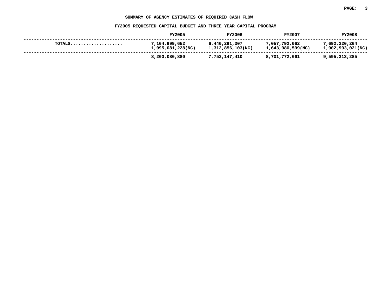#### SUMMARY OF AGENCY ESTIMATES OF REQUIRED CASH FLOW

|                                                             | SUMMARY OF AGENCY ESTIMATES OF REQUIRED CASH FLOW              |                                    |                                    |                                    |
|-------------------------------------------------------------|----------------------------------------------------------------|------------------------------------|------------------------------------|------------------------------------|
|                                                             | FY2005 REQUESTED CAPITAL BUDGET AND THREE YEAR CAPITAL PROGRAM |                                    |                                    |                                    |
|                                                             | FY2005                                                         | <b>FY2006</b>                      | FY2007                             | <b>FY2008</b>                      |
| $\texttt{TOTALS} \dots \dots \dots \dots \dots \dots \dots$ | 7,104,999,652<br>1,095,081,228(NC)                             | 6,440,291,307<br>1,312,856,103(NC) | 7,057,792,062<br>1,643,980,599(NC) | 7,692,320,264<br>1,902,993,021(NC) |
|                                                             | 8,200,080,880                                                  | 7,753,147,410                      | 8,701,772,661                      | 9,595,313,285                      |
|                                                             |                                                                |                                    |                                    |                                    |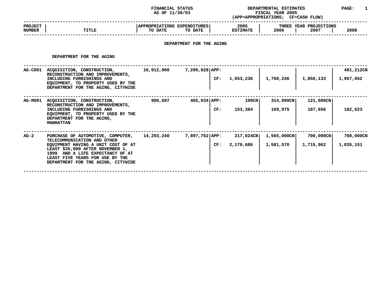### **STATUS DEPARTMENTAL ESTIMATES PAGE: <sup>1</sup> (APP=APPROPRIATIONS;**

|                                 |              | AS OF 11/30/03                                                                   | (APP=APPROPRIATIONS;    | <b>FISCAL YEAR 2005</b><br><b>CF=CASH FLOW)</b> |      |
|---------------------------------|--------------|----------------------------------------------------------------------------------|-------------------------|-------------------------------------------------|------|
| <b>PROJECT</b><br><b>NUMBER</b> | <b>TITLE</b> | APPROPRIATIONS EXPENDITURES!<br>TO DATE<br>TO DATE                               | 2005<br><b>ESTIMATE</b> | THREE YEAR PROJECTIONS<br>2006<br>2007          | 2008 |
|                                 |              | ,但是我们的人们都会有些不同的。""我们的人们都会有什么?""我们的人们都会有什么?""我们的人们都会有什么?""我们的人们都会有什么?""我们的人们的人们,我 |                         |                                                 |      |

# **DEPARTMENT FOR THE AGING**

DEPARTMENT FOR THE AGING

|                | DEPARTMENT FOR THE AGING                                                                                                                                                                                                                                |            |                           |                        |                          |                        |                        |
|----------------|---------------------------------------------------------------------------------------------------------------------------------------------------------------------------------------------------------------------------------------------------------|------------|---------------------------|------------------------|--------------------------|------------------------|------------------------|
| <b>AG-C001</b> | ACQUISITION, CONSTRUCTION,<br>RECONSTRUCTION AND IMPROVEMENTS,<br>INCLUDING FURNISHINGS AND<br>EQUIPMENT, TO PROPERTY USED BY THE<br>DEPARTMENT FOR THE AGING, CITYWIDE                                                                                 | 16,912,000 | $7,290,028$ $APP:$<br>CF: | 1,653,236              | 1,760,246                | 1,850,133              | 401,212CN<br>1,957,662 |
| <b>AG-M001</b> | ACQUISITION, CONSTRUCTION,<br>RECONSTRUCTION AND IMPROVEMENTS,<br>INCLUDING FURNISHINGS AND<br>EQUIPMENT, TO PROPERTY USED BY THE<br>DEPARTMENT FOR THE AGING,<br><b>MANHATTAN</b>                                                                      | 900,687    | $465,034$ $APP:$<br>CF:   | $100$ CN<br>153,384    | 314,000CN<br>169,975     | 121,000CN<br>187,656   | 182,623                |
| AG-2           | PURCHASE OF AUTOMOTIVE, COMPUTER,<br>TELECOMMUNICATION AND OTHER<br>EQUIPMENT HAVING A UNIT COST OF AT<br>LEAST \$35,000 AFTER NOVEMBER 1,<br>1999 AND A LIFE EXPECTANCY OF AT<br>LEAST FIVE YEARS FOR USE BY THE<br>DEPARTMENT FOR THE AGING, CITYWIDE | 14,293,240 | $7,897,762$ APP:<br>CF:   | 217,024CN<br>2,170,686 | 1,565,000CN<br>1,581,570 | 700,000CN<br>1,715,962 | 700,000CN<br>1,835,151 |
|                |                                                                                                                                                                                                                                                         |            |                           |                        |                          |                        |                        |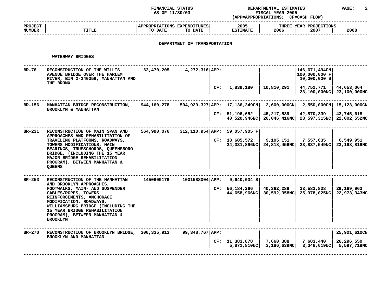## **STATUS DEPARTMENTAL ESTIMATES PAGE: <sup>2</sup>**

|                                 |                                                                                                                                                                                                                                                                       | AS OF 11/30/03                         |                              |     |                                                   | FISCAL YEAR 2005<br>(APP=APPROPRIATIONS; CF=CASH FLOW) |                                                                         |                                       |
|---------------------------------|-----------------------------------------------------------------------------------------------------------------------------------------------------------------------------------------------------------------------------------------------------------------------|----------------------------------------|------------------------------|-----|---------------------------------------------------|--------------------------------------------------------|-------------------------------------------------------------------------|---------------------------------------|
| <b>PROJECT</b><br><b>NUMBER</b> | <b>TITLE</b>                                                                                                                                                                                                                                                          | APPROPRIATIONS EXPENDITURES<br>TO DATE | TO DATE                      |     | 2005<br><b>ESTIMATE</b>                           | 2006                                                   | THREE YEAR PROJECTIONS<br>2007                                          | 2008                                  |
|                                 |                                                                                                                                                                                                                                                                       |                                        | DEPARTMENT OF TRANSPORTATION |     |                                                   |                                                        |                                                                         |                                       |
|                                 | <b>WATERWAY BRIDGES</b>                                                                                                                                                                                                                                               |                                        |                              |     |                                                   |                                                        |                                                                         |                                       |
| BR-76                           | RECONSTRUCTION OF THE WILLIS<br>AVENUE BRIDGE OVER THE HARLEM<br>RIVER, BIN 2-240059, MANHATTAN AND<br>THE BRONX                                                                                                                                                      | 63,470,205                             | $4,272,316$ APP:             |     |                                                   |                                                        | 146,671,494CN <br>100,000,000 F<br>10,000,000 S                         |                                       |
|                                 |                                                                                                                                                                                                                                                                       |                                        |                              | CF: | 1,839,180                                         | 10,810,291                                             | 44,752,771<br>23,100,000NC 23,100,000NC                                 | 44,653,064                            |
| BR-156                          | MANHATTAN BRIDGE RECONSTRUCTION,                                                                                                                                                                                                                                      | 944,160,278                            |                              |     | $504,929,327   APP: 17,136,349CN   2,600,000CN  $ |                                                        |                                                                         | 2,550,000CN   15,123,000CN            |
|                                 | BROOKLYN & MANHATTAN                                                                                                                                                                                                                                                  |                                        |                              |     | CF: 51,196,652                                    | 45,217,539                                             | 42,870,339<br>40,520,946NC   26,046,416NC   23,597,315NC   22,002,552NC | 43,745,618                            |
| BR-231                          | RECONSTRUCTION OF MAIN SPAN AND<br>APPROACHES AND REHABILITATION OF                                                                                                                                                                                                   | 564,990,076                            |                              |     | 312,110,954 APP: 59,057,905 F                     |                                                        |                                                                         |                                       |
|                                 | TRAVELING PLATFORMS, ROADWAYS,<br>TOWERS MODIFICATIONS, MAIN<br>BEARINGS, TRUSSCHORDS, QUEENSBORO<br>BRIDGE, (INCLUDING THE 15 YEAR<br>MAJOR BRIDGE REHABILITATION<br>PROGRAM), BETWEEN MANHATTAN &<br><b>QUEENS</b>                                                  |                                        |                              |     | CF: 18,605,572<br>34,331,896NC                    | 9,105,151                                              | 7,557,635<br>24,818,456NC   23,837,549NC   23,198,819NC                 | 6,549,951                             |
| BR-253                          | RECONSTRUCTION OF THE MANHATTAN                                                                                                                                                                                                                                       | 1450609176                             | 1001588004 APP:              |     | $9,640,034$ S                                     |                                                        |                                                                         |                                       |
|                                 | AND BROOKLYN APPROACHES,<br>FOOTWALKS, MAIN- AND SUSPENDER<br>CABLES/ROPES, TOWERS<br>REINFORCEMENTS, ANCHORAGE<br>MODIFICATION, ROADWAYS,<br>WILLIAMSBURG BRIDGE (INCLUDING THE<br>15 YEAR BRIDGE REHABILITATION<br>PROGRAM), BETWEEN MANHATTAN &<br><b>BROOKLYN</b> |                                        |                              |     | CF: 56,184,266                                    | 40,362,289<br>44,658,966NC 30,592,358NC                | 33,583,838<br>25,978,025NC                                              | 29,169,963<br>22,973,343NC            |
| BR-270                          | RECONSTRUCTION OF BROOKLYN BRIDGE, 300,335,913<br>BROOKLYN AND MANHATTAN                                                                                                                                                                                              |                                        | 99,348,767 APP:              |     |                                                   |                                                        |                                                                         | 25,901,610CN                          |
|                                 |                                                                                                                                                                                                                                                                       |                                        |                              |     | CF: 11,383,878<br>5,871,810NC                     | 7,660,388<br>3,186,639NC                               | 7,683,440                                                               | 26,296,550<br>3,046,619NC 5,597,719NC |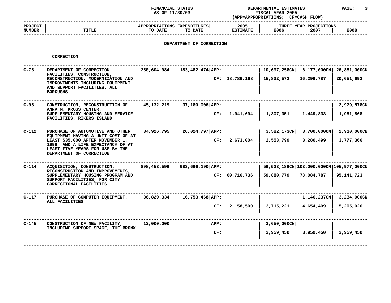### **STATUS DEPARTMENTAL ESTIMATES PAGE: <sup>3</sup> (APP=APPROPRIATIONS;**

|                                 |              | AS OF 11/30/03                                                     | (APP=APPROPRIATIONS;    | <b>FISCAL YEAR 2005</b><br><b>CF=CASH FLOW)</b> |      |
|---------------------------------|--------------|--------------------------------------------------------------------|-------------------------|-------------------------------------------------|------|
| <b>PROJECT</b><br><b>NUMBER</b> | <b>TITLE</b> | <b>APPROPRIATIONS</b><br><b>EXPENDITURES</b><br>TO DATE<br>TO DATE | 2005<br><b>ESTIMATE</b> | THREE YEAR PROJECTIONS<br>2006<br>2007          | 2008 |
|                                 |              |                                                                    |                         |                                                 |      |

# **DEPARTMENT OF CORRECTION**

#### **CORRECTION**

| $C-75$  | DEPARTMENT OF CORRECTION<br>FACILITIES, CONSTRUCTION,                                                                                                                     | 250,604,984                     | 183,482,474 APP: |      |                  | 10,697,258CN   | $6,177,000$ CN                               | 26,881,000CN |
|---------|---------------------------------------------------------------------------------------------------------------------------------------------------------------------------|---------------------------------|------------------|------|------------------|----------------|----------------------------------------------|--------------|
|         | RECONSTRUCTION, MODERNIZATION AND<br>IMPROVEMENTS INCLUDING EQUIPMENT<br>AND SUPPORT FACILITIES, ALL<br><b>BOROUGHS</b>                                                   |                                 |                  |      | CF: 18,786,168   | 15,832,572     | 16,299,787                                   | 20,651,692   |
| $C-95$  | CONSTRUCTION, RECONSTRUCTION OF                                                                                                                                           | 45,132,219                      | 37,180,006 APP:  |      |                  |                |                                              | 2,979,578CN  |
|         | ANNA M. KROSS CENTER,<br>SUPPLEMENTARY HOUSING AND SERVICE<br>FACILITIES, RIKERS ISLAND                                                                                   |                                 |                  | CF:  | 1,941,694        | 1,307,351      | 1,449,833                                    | 1,951,868    |
| $C-112$ | PURCHASE OF AUTOMOTIVE AND OTHER                                                                                                                                          | 34,926,795<br>$26,024,797$ APP: |                  |      |                  | $3,582,173$ CN | $3,700,000$ CN                               | 2,910,000CN  |
|         | EQUIPMENT HAVING A UNIT COST OF AT<br>LEAST \$35,000 AFTER NOVEMBER 1,<br>1999 AND A LIFE EXPECTANCY OF AT<br>LEAST FIVE YEARS FOR USE BY THE<br>DEPARTMENT OF CORRECTION |                                 |                  | CF:  | 2,673,004        | 2,553,799      | 3,280,499                                    | 3,777,366    |
| $C-114$ | ACQUISITION, CONSTRUCTION,                                                                                                                                                | 898,453,599<br>683,696,190 APP: |                  |      |                  |                | 59,523,189CN   103,000,000CN   105,977,000CN |              |
|         | RECONSTRUCTION AND IMPROVEMENTS,<br>SUPPLEMENTARY HOUSING PROGRAM AND<br>SUPPORT FACILITIES, FOR CITY<br>CORRECTIONAL FACILITIES                                          |                                 |                  |      | CF: 60, 716, 736 | 59,880,779     | 78,084,787                                   | 95,141,723   |
| $C-117$ | PURCHASE OF COMPUTER EQUIPMENT,                                                                                                                                           | 36,829,334                      | 16,753,468 APP:  |      |                  |                | 1,146,237CN                                  | 3,234,000CN  |
|         | ALL FACILITIES                                                                                                                                                            |                                 |                  | CF:  | 2,158,500        | 3,715,221      | 4,654,409                                    | 5,205,026    |
| $C-145$ | CONSTRUCTION OF NEW FACILITY,<br>INCLUDING SUPPORT SPACE, THE BRONX                                                                                                       | 12,000,000                      |                  | APP: |                  | $3,650,000$ CN |                                              |              |
|         |                                                                                                                                                                           |                                 |                  | CF:  |                  | 3,959,450      | 3,959,450                                    | 3,959,450    |
|         |                                                                                                                                                                           |                                 |                  |      |                  |                |                                              |              |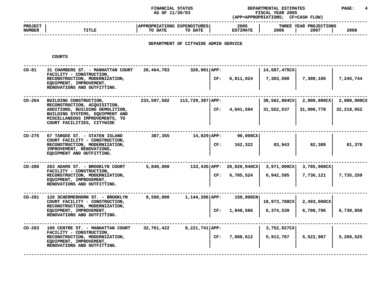### **STATUS DEPARTMENTAL ESTIMATES PAGE: <sup>4</sup> (APP=APPROPRIATIONS;**

|                                 |              | AS OF 11/30/03                                                                   | (APP=APPROPRIATIONS:    | FISCAL YEAR 2005<br><b>CF=CASH FLOW)</b> |      |
|---------------------------------|--------------|----------------------------------------------------------------------------------|-------------------------|------------------------------------------|------|
| <b>PROJECT</b><br><b>NUMBER</b> | <b>TITLE</b> | <b>APPROPRIATIONS EXPENDITURES!</b><br>TO DATE<br>TO DATE                        | 2005<br><b>ESTIMATE</b> | THREE YEAR PROJECTIONS<br>2007<br>2006   | 2008 |
|                                 |              | ,但是,我们的人们都会不会不会。""我们的人们,我们的人们都会不会不会不会。""我们的人们,我们的人们就会不会不会不会不会。""我们的人们,我们的人们就会不会不 |                         |                                          |      |

# **DEPARTMENT OF CITYWIDE ADMIN SERVICE**

**COURTS**

| $CO-81$  | 31 CHAMBERS ST. - MANHATTAN COURT<br>FACILITY - CONSTRUCTION,<br>RECONSTRUCTION, MODERNIZATION,<br>EQUIPMENT, IMPROVEMENT,<br>RENOVATIONS AND OUTFITTING.                                    | 20,464,783  | $320,901$ APP:<br>CF:   | 6,811,024                 | 14,587,475CX<br>7,383,590          | 7,300,106                 | 7,245,744                 |
|----------|----------------------------------------------------------------------------------------------------------------------------------------------------------------------------------------------|-------------|-------------------------|---------------------------|------------------------------------|---------------------------|---------------------------|
| CO-264   | BUILDING CONSTRUCTION,<br>RECONSTRUCTION, ACQUISITION,<br>ADDITIONS, BUILDING DEMOLITION,<br>BUILDING SYSTEMS, EQUIPMENT AND<br>MISCELLANEOUS IMPROVEMENTS, TO<br>COURT FACILITIES, CITYWIDE | 233,597,582 | 113,729,387 APP:<br>CF: | 4,041,594                 | 38,562,804CX<br>31,552,537         | 2,000,000CX<br>31,900,778 | 2,000,000CX<br>32,218,052 |
| CO-275   | 67 TARGEE ST. - STATEN ISLAND<br>COURT FACILITY - CONSTRUCTION,<br>RECONSTRUCTION, MODERNIZATION,<br>IMPROVEMENT, RENOVATIONS,<br>EQUIPMENT AND OUTFITTING.                                  | 387,355     | $14,829$ $APP:$<br>CF:  | $90,000$ CX<br>162,322    | 83,943                             | 82,389                    | 81,378                    |
| CO-280   | 283 ADAMS ST. - BROOKLYN COURT<br>FACILITY - CONSTRUCTION,<br>RECONSTRUCTION, MODERNIZATION,<br>EQUIPMENT, IMPROVEMENT,<br>RENOVATIONS AND OUTFITTING.                                       | 5,840,000   | 133,435 APP:<br>CF:     | 28,020,940CX<br>6,705,524 | $3,971,000 \text{CX}$<br>6,942,595 | 3,785,000CX<br>7,736,121  | 7,735,259                 |
| $CO-281$ | 120 SCHERMERHORN ST. - BROOKLYN<br>COURT FACILITY - CONSTRUCTION,<br>RECONSTRUCTION, MODERNIZATION,<br>EQUIPMENT, IMPROVEMENT,<br>RENOVATIONS AND OUTFITTING.                                | 8,590,000   | $1,144,206$ APP:<br>CF: | 150,000CN<br>1,948,566    | 18,973,788CX<br>6,374,539          | 2,493,000CX<br>6,796,796  | 6,730,850                 |
| CO-283   | 100 CENTRE ST. - MANHATTAN COURT<br>FACILITY - CONSTRUCTION,<br>RECONSTRUCTION, MODERNIZATION,<br>EQUIPMENT, IMPROVEMENT,<br>RENOVATIONS AND OUTFITTING.                                     | 32,761,422  | $8,221,741$ APP:<br>CF: | 7,988,612                 | 3,752,827CX<br>5,913,767           | 5,522,987                 | 5,268,525                 |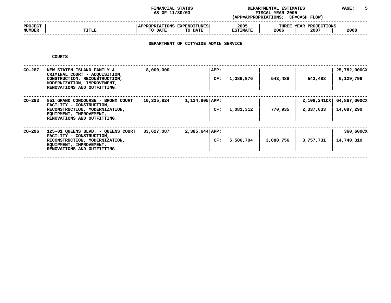### **STATUS DEPARTMENTAL ESTIMATES PAGE: <sup>5</sup> (APP=APPROPRIATIONS;**

|                                 |              | AS OF 11/30/03                                                                   | (APP=APPROPRIATIONS;    | <b>FISCAL YEAR 2005</b><br>CF=CASH FLOW) |      |
|---------------------------------|--------------|----------------------------------------------------------------------------------|-------------------------|------------------------------------------|------|
| <b>PROJECT</b><br><b>NUMBER</b> | <b>TITLE</b> | APPROPRIATIONS EXPENDITURES<br>TO DATE<br>TO DATE                                | 2005<br><b>ESTIMATE</b> | THREE YEAR PROJECTIONS<br>2006<br>2007   | 2008 |
|                                 |              | ,但是,我们的人们都会不会不会。""我们,我们的人们,我们的人们,我们的人们,我们的人们,我们的人们,我们的人们,我们的人们,我们的人们,我们的人们,我们的人们 |                         |                                          |      |

# **DEPARTMENT OF CITYWIDE ADMIN SERVICE**

**COURTS**

| CO-287 | NEW STATEN ISLAND FAMILY &<br>CRIMINAL COURT - ACQUISITION,                                                          | 8,000,000  | APP:             |           |           |             | 25,782,000CX |
|--------|----------------------------------------------------------------------------------------------------------------------|------------|------------------|-----------|-----------|-------------|--------------|
|        | CONSTRUCTION, RECONSTRUCTION,<br>MODERNIZATION, IMPROVEMENT,<br>RENOVATIONS AND OUTFITTING.                          |            | CF:              | 1,086,976 | 543,488   | 543,488     | 6,129,796    |
| CO-293 | 851 GRAND CONCOURSE - BRONX COURT                                                                                    | 10,325,824 | $1,134,805$ APP: |           |           | 2,108,241CX | 64,867,000CX |
|        | FACILITY - CONSTRUCTION,<br>RECONSTRUCTION, MODERNIZATION,<br>EQUIPMENT, IMPROVEMENT,<br>RENOVATIONS AND OUTFITTING. |            | CF:              | 1,081,312 | 770,935   | 2,337,633   | 14,087,290   |
| CO-296 | 125-01 QUEENS BLVD. - QUEENS COURT<br>FACILITY - CONSTRUCTION,                                                       | 83,627,087 | $2,385,644$ APP: |           |           |             | 360,600CX    |
|        | RECONSTRUCTION, MODERNIZATION,<br>EQUIPMENT, IMPROVEMENT,<br>RENOVATIONS AND OUTFITTING.                             |            | CF:              | 5,506,704 | 3,880,756 | 3,757,731   | 14,740,310   |
|        |                                                                                                                      |            |                  |           |           |             |              |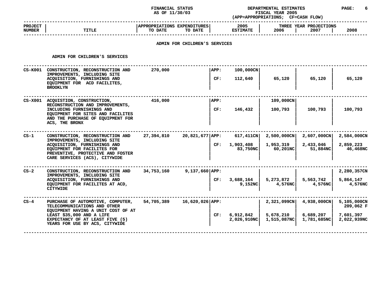# **STATUS DEPARTMENTAL ESTIMATES PAGE: <sup>6</sup>**

|                                                                                                                                   | AS OF 11/30/03                                                                                                                   |                                    |     | FISCAL YEAR 2005<br>(APP=APPROPRIATIONS; CF=CASH FLOW)                                                       |                                                               |                       |                                                                                              |
|-----------------------------------------------------------------------------------------------------------------------------------|----------------------------------------------------------------------------------------------------------------------------------|------------------------------------|-----|--------------------------------------------------------------------------------------------------------------|---------------------------------------------------------------|-----------------------|----------------------------------------------------------------------------------------------|
| <b>TITLE</b>                                                                                                                      | TO DATE                                                                                                                          | TO DATE                            |     | 2005<br><b>ESTIMATE</b>                                                                                      | 2006                                                          | 2007                  | 2008                                                                                         |
|                                                                                                                                   |                                                                                                                                  |                                    |     |                                                                                                              |                                                               |                       |                                                                                              |
| ADMIN FOR CHILDREN'S SERVICES                                                                                                     |                                                                                                                                  |                                    |     |                                                                                                              |                                                               |                       |                                                                                              |
| CS-K001 CONSTRUCTION, RECONSTRUCTION AND<br>IMPROVEMENTS, INCLUDING SITE                                                          | 270,000                                                                                                                          |                                    |     | 100,000CN                                                                                                    |                                                               |                       |                                                                                              |
| EQUIPMENT FOR ACD FACILITES,<br><b>BROOKLYN</b>                                                                                   |                                                                                                                                  |                                    |     |                                                                                                              |                                                               |                       | 65,120                                                                                       |
| CS-X001 ACQUISTION, CONSTRUCTION,                                                                                                 | 416,000                                                                                                                          |                                    |     |                                                                                                              | 109,000CN                                                     |                       |                                                                                              |
| INCLUDING FURNISHINGS AND<br>EQUIPMENT FOR SITES AND FACILITES<br>AND THE PURCHASE OF EQUIPMENT FOR<br>ACS, THE BRONX             |                                                                                                                                  |                                    | CF: | 146,432                                                                                                      | 100,793                                                       | 100,793               | 100,793                                                                                      |
| CONSTRUCTION, RECONSTRUCTION AND                                                                                                  | 27,394,810                                                                                                                       |                                    |     |                                                                                                              |                                                               | 2,607,000CN           | 2,584,000CN                                                                                  |
| ACQUISITION, FURNISHINGS AND<br>EQUIPMENT FOR FACILITES FOR<br>PREVENTIVE, PROTECTIVE AND FOSTER<br>CARE SERVICES (ACS), CITYWIDE |                                                                                                                                  |                                    |     | 1,903,408<br>83,750NC                                                                                        | 1,953,319<br>60,201NCl                                        | 2,433,046<br>51,884NC | 2,859,223<br>46,468NC                                                                        |
| CONSTRUCTION, RECONSTRUCTION AND                                                                                                  | 34,753,160                                                                                                                       |                                    |     |                                                                                                              |                                                               |                       | 2,280,357CN                                                                                  |
| ACQUISITION, FURNISHINGS AND<br>EQUIPMENT FOR FACILITES AT ACD,<br>CITYWIDE                                                       |                                                                                                                                  |                                    |     | 3,688,164<br>9,152NC                                                                                         | 5,273,872<br>4,576NC                                          | 5,563,742<br>4,576NC  | 5,864,147<br>4,576NC                                                                         |
| PURCHASE OF AUTOMOTIVE, COMPUTER,<br>TELECOMMUNICATIONS AND OTHER                                                                 | 54,705,389                                                                                                                       |                                    |     |                                                                                                              |                                                               | 4,938,000CN           | 5,105,000CN<br>209,062 F                                                                     |
| LEAST \$35,000 AND A LIFE<br>EXPECTANCY OF AT LEAST FIVE (5)<br>YEARS FOR USE BY ACS, CITYWIDE                                    |                                                                                                                                  |                                    |     | 6,912,842<br>2,026,910NC                                                                                     | 5,678,210                                                     | 6,689,207             | 7,601,397<br>2,022,939NC                                                                     |
|                                                                                                                                   | ACQUISITION, FURNISHINGS AND<br>RECONSTRUCTION AND IMPROVEMENTS,<br>IMPROVEMENTS, INCLUDING SITE<br>IMPROVEMENTS, INCLUDING SITE | EQUIPMENT HAVING A UNIT COST OF AT |     | APPROPRIATIONS EXPENDITURES<br>APP:<br>CF:<br>APP:<br>20,821,677 APP:<br>$9,137,660$ APP:<br>16,620,026 APP: | ADMIN FOR CHILDREN'S SERVICES<br>112,640<br>CF:<br>CF:<br>CF: | 65,120<br>617,411CN   | THREE YEAR PROJECTIONS<br>65,120<br>2,500,000CN<br>2,321,099CN<br>1,515,087NC<br>1,781,685NC |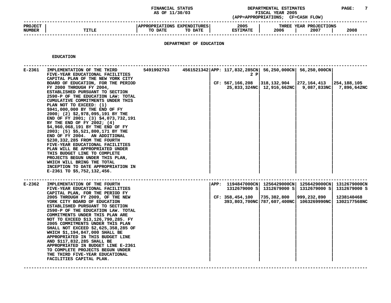### **STATUS DEPARTMENTAL ESTIMATES PAGE: <sup>7</sup> (APP=APPROPRIATIONS;**

|                                 |              | AS OF 11/30/03                                                                   |                         | <b>FISCAL YEAR 2005</b><br><b>CF=CASH FLOW)</b><br>(APP=APPROPRIATIONS ; |      |  |
|---------------------------------|--------------|----------------------------------------------------------------------------------|-------------------------|--------------------------------------------------------------------------|------|--|
| <b>PROJECT</b><br><b>NUMBER</b> | <b>TITLE</b> | APPROPRIATIONS EXPENDITURES<br>TO DATE<br>TO DATE                                | 2005<br><b>ESTIMATE</b> | THREE YEAR PROJECTIONS<br>2006<br>2007                                   | 2008 |  |
|                                 |              | ,但是我们的人们都会不会不会。""我们的人们都会不会不会不会。""我们的人们都会不会不会不会。""我们的人们就会不会不会不会不会不会不会不会不会不会不会不会不会 |                         |                                                                          |      |  |

# **DEPARTMENT OF EDUCATION**

**EDUCATION**

| E-2361 | IMPLEMENTATION OF THE THIRD<br>FIVE-YEAR EDUCATIONAL FACILITIES<br>CAPITAL PLAN OF THE NEW YORK CITY<br>BOARD OF EDUCATION, FOR THE PERIOD<br>FY 2000 THROUGH FY 2004,<br>ESTABLISHED PURSUANT TO SECTION<br>2590-P OF THE EDUCATION LAW: TOTAL<br>CUMULATIVE COMMITMENTS UNDER THIS<br>PLAN NOT TO EXCEED: (1)<br>\$941,000,000 BY THE END OF FY<br>2000; (2) \$2,978,095,191 BY THE<br>END OF FY 2001; (3) \$4,073,732,191<br>BY THE END OF FY 2002; $(4)$<br>\$4,960,068,191 BY THE END OF FY<br>2003; (5) \$5,521,800,171 BY THE<br>END OF FY 2004. AN ADDITIONAL<br>\$230,332,285 FROM THE FOURTH<br>FIVE-YEAR EDUCATIONAL FACILITIES<br>PLAN WILL BE APPROPRIATED UNDER<br>THIS BUDGET LINE TO COMPLETE<br>PROJECTS BEGUN UNDER THIS PLAN,<br>WHICH WILL BRING THE TOTAL<br>INCEPTION TO DATE APPROPRIATION IN<br>E-2361 TO \$5,752,132,456. | 5491992763        4561521342 APP: 117,832,285CN  56,250,000CN  56,250,000CN | 2 P<br>CF: 567,166,208                                                  | $ 318, 132, 904 272, 164, 413 254, 188, 105$<br>25,833,324NC 12,916,662NC 9,087,833NC                                 | 7,896,642NC                                                       |
|--------|----------------------------------------------------------------------------------------------------------------------------------------------------------------------------------------------------------------------------------------------------------------------------------------------------------------------------------------------------------------------------------------------------------------------------------------------------------------------------------------------------------------------------------------------------------------------------------------------------------------------------------------------------------------------------------------------------------------------------------------------------------------------------------------------------------------------------------------------------|-----------------------------------------------------------------------------|-------------------------------------------------------------------------|-----------------------------------------------------------------------------------------------------------------------|-------------------------------------------------------------------|
| E-2362 | IMPLEMENTATION OF THE FOURTH<br>FIVE-YEAR EDUCATIONAL FACILITIES<br>CAPITAL PLAN, FOR THE PERIOD FY<br>2005 THROUGH FY 2009, OF THE NEW<br>YORK CITY BOARD OF EDUCATION<br>ESTABLISHED PURSUANT TO SECTION<br>2590-P OF THE EDUCATION LAW. TOTAL<br>COMMITMENTS UNDER THIS PLAN ARE<br>NOT TO EXCEED \$13,126,790,285. FY<br>2005 COMMITMENTS UNDER THIS PLAN<br>SHALL NOT EXCEED \$2,625,358,285 OF<br>WHICH \$1,194,847,000 SHALL BE<br>APPROPRIATED IN THIS BUDGET LINE<br>AND \$117,832,285 SHALL BE<br>APPROPRIATED IN BUDGET LINE E-2361<br>TO COMPLETE PROJECTS BEGUN UNDER<br>THE THIRD FIVE-YEAR EDUCATIONAL<br>FACILITIES CAPITAL PLAN.                                                                                                                                                                                                  |                                                                             | $ APP: 1194847000CN   1256429000CN   1256429000CN  $<br>CF: 358,454,100 | 1312679000 S 1312679000 S 1312679000 S<br>$ 735,382,800 $ $ 999,232,890 $<br>393,803,700NC 787,607,400NC 1063269990NC | <b>1312679000CN</b><br>1312679000 S<br>1238140468<br>1302177568NC |

**CAPITAL PLAN. <sup>|</sup> <sup>|</sup> <sup>|</sup> <sup>|</sup> ------------------------------------------------------------------------------------------------------------------------------------**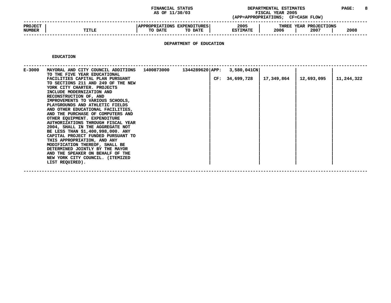### **STATUS DEPARTMENTAL ESTIMATES PAGE: <sup>8</sup> (APP=APPROPRIATIONS;**

|                                 |              | AS OF 11/30/03                                                     | (APP=APPROPRIATIONS;    | <b>FISCAL YEAR 2005</b> | <b>CF=CASH FLOW)</b>           |      |
|---------------------------------|--------------|--------------------------------------------------------------------|-------------------------|-------------------------|--------------------------------|------|
| <b>PROJECT</b><br><b>NUMBER</b> | <b>TITLE</b> | <b>APPROPRIATIONS</b><br><b>EXPENDITURES</b><br>TO DATE<br>TO DATE | 2005<br><b>ESTIMATE</b> | 2006                    | THREE YEAR PROJECTIONS<br>2007 | 2008 |
|                                 |              |                                                                    |                         |                         |                                |      |

# **DEPARTMENT OF EDUCATION**

**EDUCATION**

| E-3000 | MAYORAL AND CITY COUNCIL ADDITIONS<br>TO THE FIVE YEAR EDUCATIONAL<br>FACILITIES CAPITAL PLAN PURSUANT<br>TO SECTIONS 211 AND 249 OF THE NEW<br>YORK CITY CHARTER. PROJECTS<br>INCLUDE MODERNIZATION AND<br>RECONSTRUCTION OF, AND<br>IMPROVEMENTS TO VARIOUS SCHOOLS, | 1400873000 | CF: | 1344289620 APP: 3,580,041CN<br>34,699,728 | 17,349,864 | 12,693,095 | 11,244,322 |
|--------|------------------------------------------------------------------------------------------------------------------------------------------------------------------------------------------------------------------------------------------------------------------------|------------|-----|-------------------------------------------|------------|------------|------------|
|        | PLAYGROUNDS AND ATHLETIC FIELDS<br>AND OTHER EDUCATIONAL FACILITIES,                                                                                                                                                                                                   |            |     |                                           |            |            |            |
|        | AND THE PURCHASE OF COMPUTERS AND                                                                                                                                                                                                                                      |            |     |                                           |            |            |            |
|        | OTHER EQUIPMENT. EXPENDITURE<br>AUTHORIZATIONS THROUGH FISCAL YEAR                                                                                                                                                                                                     |            |     |                                           |            |            |            |
|        | 2004, SHALL IN THE AGGREGATE NOT<br>BE LESS THAN \$1,400,998,000. ANY                                                                                                                                                                                                  |            |     |                                           |            |            |            |
|        | CAPITAL PROJECT FUNDED PURSUANT TO                                                                                                                                                                                                                                     |            |     |                                           |            |            |            |
|        | THIS APPROPRIATION, AND ANY<br>MODIFICATION THEREOF, SHALL BE                                                                                                                                                                                                          |            |     |                                           |            |            |            |
|        | DETERMINED JOINTLY BY THE MAYOR                                                                                                                                                                                                                                        |            |     |                                           |            |            |            |
|        | AND THE SPEAKER ON BEHALF OF THE<br>NEW YORK CITY COUNCIL. (ITEMIZED                                                                                                                                                                                                   |            |     |                                           |            |            |            |
|        | LIST REQUIRED).                                                                                                                                                                                                                                                        |            |     |                                           |            |            |            |
|        |                                                                                                                                                                                                                                                                        |            |     |                                           |            |            |            |

**REQUIRED). <sup>|</sup> <sup>|</sup> <sup>|</sup> <sup>|</sup> ------------------------------------------------------------------------------------------------------------------------------------**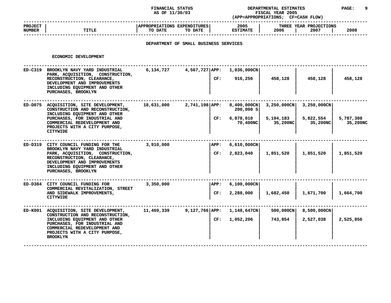### **STATUS DEPARTMENTAL ESTIMATES PAGE: <sup>9</sup> (APP=APPROPRIATIONS;**

|                                 |              | AS OF 11/30/03                                            | (APP=APPROPRIATIONS;    | <b>FISCAL YEAR 2005</b><br><b>CF=CASH FLOW)</b> |      |
|---------------------------------|--------------|-----------------------------------------------------------|-------------------------|-------------------------------------------------|------|
| <b>PROJECT</b><br><b>NUMBER</b> | <b>TITLE</b> | <b>APPROPRIATIONS EXPENDITURES!</b><br>TO DATE<br>TO DATE | 2005<br><b>ESTIMATE</b> | THREE YEAR PROJECTIONS<br>2007<br>2006          | 2008 |
|                                 |              |                                                           |                         |                                                 |      |

# **DEPARTMENT OF SMALL BUSINESS SERVICES**

| ECONOMIC DEVELOPMENT                                                                                                                                                                                                             |            |                                   |                                                   |                                      |                                      |                       |
|----------------------------------------------------------------------------------------------------------------------------------------------------------------------------------------------------------------------------------|------------|-----------------------------------|---------------------------------------------------|--------------------------------------|--------------------------------------|-----------------------|
| ED-C319 BROOKLYN NAVY YARD INDUSTRIAL<br>PARK, ACQUISITION, CONSTRUCTION,<br>RECONSTRUCTION, CLEARANCE,<br>DEVELOPMENT AND IMPROVEMENTS<br>INCLUDING EQUIPMENT AND OTHER<br>PURCHASES, BROOKLYN                                  | 6,134,727  | 4,567,727 APP: 1,036,000CN<br>CF: | 916,256                                           | 458,128                              | 458,128                              | 458,128               |
| ED-D075 ACQUISITION, SITE DEVELOPMENT,<br>CONSTRUCTION AND RECONSTRUCTION,<br>INCLUDING EQUIPMENT AND OTHER<br>PURCHASES, FOR INDUSTRIAL AND<br>COMMERCIAL REDEVELOPMENT AND<br>PROJECTS WITH A CITY PURPOSE,<br><b>CITYWIDE</b> | 18,631,000 | 2,741,198 APP:<br>CF:             | 8,400,000CN<br>200,000 S<br>6,878,010<br>70,400NC | 3,250,000CN<br>5,194,183<br>35,200NC | 3,250,000CN<br>5,822,554<br>35,200NC | 5,787,308<br>35,200NC |
| ED-D319 CITY COUNCIL FUNDING FOR THE<br>BROOKLYN NAVY YARD INDUSTRIAL<br>PARK, ACQUISITION, CONSTRUCTION,<br>RECONSTRUCTION, CLEARANCE,<br>DEVELOPMENT AND IMPROVEMENTS<br>INCLUDING EQUIPMENT AND OTHER<br>PURCHASES, BROOKLYN  | 3,910,000  | APP:<br>CF:                       | $6,610,000$ CN<br>2,823,040                       | 1,851,520                            | 1,851,520                            | 1,851,520             |
| ED-D384 CITY COUNCIL FUNDING FOR<br>COMMERCIAL REVITALIZATION, STREET<br>AND SIDEWALK IMPROVEMENTS,<br><b>CITYWIDE</b>                                                                                                           | 3,350,000  | APP:<br>CF:                       | 6,100,000CN<br>2,288,000                          | 1,682,450                            | 1,671,700                            | 1,664,700             |
| ED-K001 ACQUISITION, SITE DEVELOPMENT,<br>CONSTRUCTION AND RECONSTRUCTION,<br>INCLUDING EOUIPMENT AND OTHER<br>PURCHASES, FOR INDUSTRIAL AND<br>COMMERCIAL REDEVELOPMENT AND<br>PROJECTS WITH A CITY PURPOSE,<br><b>BROOKLYN</b> | 11,469,339 | 9,127,766 APP:<br>CF:             | 1,148,647CN<br>1,052,206                          | 500,000CN<br>743,854                 | 8,500,000CN<br>2,527,038             | 2,525,856             |
|                                                                                                                                                                                                                                  |            |                                   |                                                   |                                      |                                      |                       |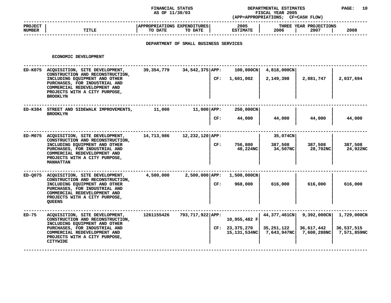### **STATUS DEPARTMENTAL ESTIMATES PAGE: <sup>10</sup> (APP=APPROPRIATIONS;**

|                          |       | AS OF 11/30/03                                                     | <b>FISCAL YEAR 2005</b><br>(APP=APPROPRIATIONS; |                                        |      |
|--------------------------|-------|--------------------------------------------------------------------|-------------------------------------------------|----------------------------------------|------|
| <b>PROJECT</b><br>NUMBER | TITLE | <b>APPROPRIATIONS</b><br><b>EXPENDITURES</b><br>TO DATE<br>TO DATE | 2005<br><b>ESTIMATE</b>                         | THREE YEAR PROJECTIONS<br>2006<br>2007 | 2008 |
|                          |       |                                                                    |                                                 |                                        |      |

# **DEPARTMENT OF SMALL BUSINESS SERVICES**

|         | ECONOMIC DEVELOPMENT                                                                                                                                                                                                      |              |                  |     |                                |                                                        |                                             |                                          |
|---------|---------------------------------------------------------------------------------------------------------------------------------------------------------------------------------------------------------------------------|--------------|------------------|-----|--------------------------------|--------------------------------------------------------|---------------------------------------------|------------------------------------------|
| ED-K075 | ACQUISITION, SITE DEVELOPMENT,<br>CONSTRUCTION AND RECONSTRUCTION,<br>INCLUDING EQUIPMENT AND OTHER<br>PURCHASES, FOR INDUSTRIAL AND<br>COMMERCIAL REDEVELOPMENT AND<br>PROJECTS WITH A CITY PURPOSE,<br><b>BROOKLYN</b>  | 39, 354, 779 | 34,542,375 APP:  | CF: | $100,000$ CN<br>1,601,002      | 4,818,000CN<br>2,149,398                               | 2,081,747                                   | 2,037,694                                |
| ED-K384 | STREET AND SIDEWALK IMPROVEMENTS,<br><b>BROOKLYN</b>                                                                                                                                                                      | 11,000       | $11,000$ $APP:$  | CF: | 250,000CN<br>44,000            | 44,000                                                 | 44,000                                      | 44,000                                   |
| ED-M075 | ACQUISITION, SITE DEVELOPMENT,<br>CONSTRUCTION AND RECONSTRUCTION,<br>INCLUDING EQUIPMENT AND OTHER<br>PURCHASES, FOR INDUSTRIAL AND<br>COMMERCIAL REDEVELOPMENT AND<br>PROJECTS WITH A CITY PURPOSE,<br><b>MANHATTAN</b> | 14,713,986   | 12,232,120 APP:  | CF: | 756,800<br>48,224NC            | 35,074CN<br>387,508<br>34,507NC                        | 387,508<br>28,702NC                         | 387,508<br>24,922NC                      |
| ED-0075 | ACQUISITION, SITE DEVELOPMENT,<br>CONSTRUCTION AND RECONSTRUCTION,<br>INCLUDING EQUIPMENT AND OTHER<br>PURCHASES, FOR INDUSTRIAL AND<br>COMMERCIAL REDEVELOPMENT AND<br>PROJECTS WITH A CITY PURPOSE,<br><b>QUEENS</b>    | 4,500,000    | 2,500,000 APP:   | CF: | 1,500,000CN<br>968,000         | 616,000                                                | 616,000                                     | 616,000                                  |
| ED-75   | ACQUISITION, SITE DEVELOPMENT,<br>CONSTRUCTION AND RECONSTRUCTION,<br>INCLUDING EQUIPMENT AND OTHER<br>PURCHASES, FOR INDUSTRIAL AND<br>COMMERCIAL REDEVELOPMENT AND<br>PROJECTS WITH A CITY PURPOSE,<br>CITYWIDE         | 1261155426   | 793,717,922 APP: |     | 10,955,482 F<br>CF: 23,375,270 | 44,377,461CN<br>35,251,122<br>15,131,534NC 7,643,947NC | $9,392,000$ CN<br>36,617,442<br>7,600,288NC | 1,729,000CN<br>36,537,515<br>7,571,859NC |
|         |                                                                                                                                                                                                                           |              |                  |     |                                |                                                        |                                             |                                          |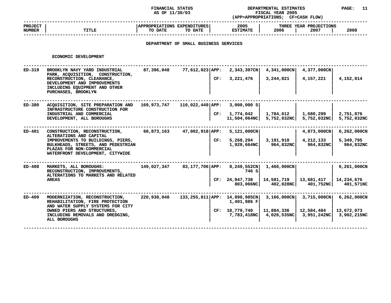### **STATUS DEPARTMENTAL ESTIMATES PAGE: <sup>11</sup> (APP=APPROPRIATIONS;**

|                                 |              | AS OF 11/30/03                                                       | (APP=APPROPRIATIONS;    | FISCAL YEAR 2005<br><b>CF=CASH FLOW)</b> |      |
|---------------------------------|--------------|----------------------------------------------------------------------|-------------------------|------------------------------------------|------|
| <b>PROJECT</b><br><b>NUMBER</b> | <b>TITLE</b> | <b>APPROPRIATIONS</b><br><b>EXPENDITURES  </b><br>TO DATE<br>TO DATE | 2005<br><b>ESTIMATE</b> | THREE YEAR PROJECTIONS<br>2006<br>2007   | 2008 |
|                                 |              |                                                                      |                         |                                          |      |

# **DEPARTMENT OF SMALL BUSINESS SERVICES**

| ECONOMIC DEVELOPMENT                                                                                                                                                                                 |             |     |                                                              |                                                                                             |                                          |                                                                                                                             |
|------------------------------------------------------------------------------------------------------------------------------------------------------------------------------------------------------|-------------|-----|--------------------------------------------------------------|---------------------------------------------------------------------------------------------|------------------------------------------|-----------------------------------------------------------------------------------------------------------------------------|
| BROOKLYN NAVY YARD INDUSTRIAL<br>PARK, ACQUISITION, CONSTRUCTION,<br>RECONSTRUCTION, CLEARANCE,<br>DEVELOPMENT AND IMPROVEMENTS<br>INCLUDING EQUIPMENT AND OTHER<br>PURCHASES, BROOKLYN              | 87,396,048  | CF: | 2,343,397CN<br>3,221,476                                     | 4,341,000CN<br>3,244,821                                                                    | 4,157,221                                | 4,152,814                                                                                                                   |
| ACQUISITION, SITE PREPARATION AND<br>INFRASTRUCTURE CONSTRUCTION FOR<br>INDUSTRIAL AND COMMERCIAL<br>DEVELOPMENT, ALL BOROUGHS                                                                       | 169,973,747 |     | 3,000,000 S<br>1,774,042                                     | 1,784,612                                                                                   | 1,680,299                                | 2,751,876<br>5,752,032NC                                                                                                    |
| CONSTRUCTION, RECONSTRUCTION,<br>ALTERATIONS AND CAPITAL<br>IMPROVEMENTS TO BUILDINGS, PIERS,<br>BULKHEADS, STREETS, AND PEDESTRIAN<br>PLAZAS FOR NON-COMMERCIAL<br>WATERFRONT DEVELOPMENT, CITYWIDE | 68,873,163  | CF: | 5,121,000CN<br>5,268,294<br>$1,929,664$ NC                   | 3,191,910<br>964,832NC                                                                      | 4,212,133<br>964,832NC                   | $6,262,000$ CN<br>5,349,795<br>964,832NC                                                                                    |
| MARKETS, ALL BOROUGHS:<br>RECONSTRUCTION, IMPROVEMENTS,<br>ALTERATIONS TO MARKETS AND RELATED<br><b>AREAS</b>                                                                                        | 149,027,347 |     | 8,249,552CN<br>746 S                                         | $1,466,000$ CN<br>14,581,719                                                                | 13,681,417                               | 6,261,000CN<br>14,234,676<br>401,571NC                                                                                      |
| MODERNIZATION, RECONSTRUCTION,<br>REHABILITATION, FIRE PROTECTION<br>AND WATER SUPPLY SYSTEMS FOR CITY<br>OWNED PIERS AND STRUCTURES,<br>INCLUDING REMOVALS AND DREDGING,<br>ALL BOROUGHS            | 220,938,048 |     | 1,401,986 F                                                  | 11,884,336<br>4,026,535NC                                                                   | 12,584,484<br>3,951,242NC                | 6,262,000CN<br>13,672,073<br>3,902,215NC                                                                                    |
|                                                                                                                                                                                                      |             |     | $77,612,023$ APP:<br>$110,022,449$ $APP:$<br>47,002,918 APP: | CF:<br>83,177,706 APP:<br>CF: 24,947,738<br>133,255,811 APP: 14,890,985CN<br>CF: 18,779,740 | 11,504,064NC<br>803,066NC<br>7,783,418NC | 4,377,000CN<br>5,752,032NC<br>5,752,032NCl<br>4,873,000CN<br>402,028NC<br>401,752NC<br>$3,715,000 \text{CN}$<br>3,166,000CN |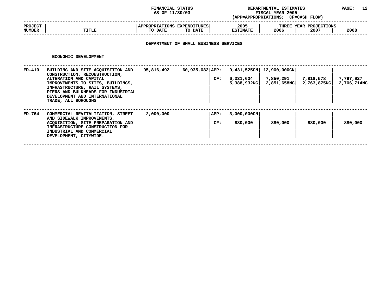### **STATUS DEPARTMENTAL ESTIMATES PAGE: <sup>12</sup> (APP=APPROPRIATIONS;**

|                                 |       | AS OF 11/30/03                                           | <b>FISCAL YEAR 2005</b><br>(APP=APPROPRIATIONS; |                                        |      |
|---------------------------------|-------|----------------------------------------------------------|-------------------------------------------------|----------------------------------------|------|
| <b>PROJECT</b><br><b>NUMBER</b> | TITLE | <b>APPROPRIATIONS EXPENDITURES</b><br>TO DATE<br>TO DATE | 2005<br><b>ESTIMATE</b>                         | THREE YEAR PROJECTIONS<br>2006<br>2007 | 2008 |
|                                 |       |                                                          |                                                 |                                        |      |

# **DEPARTMENT OF SMALL BUSINESS SERVICES**

| ED-410 | BUILDING AND SITE ACQUISITION AND                                                                                                                                                                                           | 95,816,492 |                          |                                         |                                          |                          |                          |
|--------|-----------------------------------------------------------------------------------------------------------------------------------------------------------------------------------------------------------------------------|------------|--------------------------|-----------------------------------------|------------------------------------------|--------------------------|--------------------------|
|        | CONSTRUCTION, RECONSTRUCTION,<br>ALTERATION AND CAPITAL<br>IMPROVEMENTS TO SITES, BUILDINGS,<br>INFRASTRUCTURE, RAIL SYSTEMS,<br>PIERS AND BULKHEADS FOR INDUSTRIAL<br>DEVELOPMENT AND INTERNATIONAL<br>TRADE, ALL BOROUGHS |            | $60,935,082$ APP:<br>CF: | 9,431,525CN<br>6,331,604<br>5,388,932NC | 12,900,000CN<br>7,850,291<br>2,851,658NC | 7,818,578<br>2,763,875NC | 7,797,927<br>2,706,714NC |
| ED-764 | COMMERCIAL REVITALIZATION, STREET<br>AND SIDEWALK IMPROVEMENTS,<br>ACOUISITION, SITE PREPARATION AND<br>INFRASTRUCTURE CONSTRUCTION FOR<br>INDUSTRIAL AND COMMERCIAL<br>DEVELOPMENT, CITYWIDE.                              | 2,000,000  | APP:<br>CF:              | 3,000,000CN<br>880,000                  | 880,000                                  | 880,000                  | 880,000                  |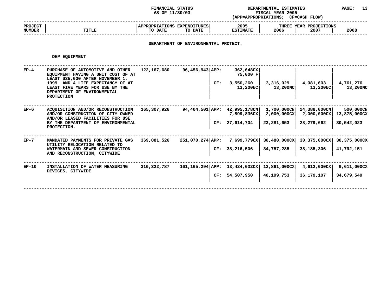**STATUS DEPARTMENTAL ESTIMATES PAGE: <sup>13</sup> (APP=APPROPRIATIONS;**

|                          |              | AS OF 11/30/03                                    | <b>FISCAL YEAR 2005</b><br>(APP=APPROPRIATIONS; |                                        |      |
|--------------------------|--------------|---------------------------------------------------|-------------------------------------------------|----------------------------------------|------|
| <b>PROJECT</b><br>NUMBER | <b>TITLE</b> | APPROPRIATIONS EXPENDITURES<br>TO DATE<br>TO DATE | 2005<br><b>ESTIMATE</b>                         | THREE YEAR PROJECTIONS<br>2006<br>2007 | 2008 |
|                          |              |                                                   |                                                 |                                        |      |

**DEPARTMENT OF ENVIRONMENTAL PROTECT.**

#### **DEP**

|         | DEP EQUIPMENT                                                                                                                                                                                                                         |             |                                     |                                                |                            |                                                       |                                         |
|---------|---------------------------------------------------------------------------------------------------------------------------------------------------------------------------------------------------------------------------------------|-------------|-------------------------------------|------------------------------------------------|----------------------------|-------------------------------------------------------|-----------------------------------------|
| $EP-4$  | PURCHASE OF AUTOMOTIVE AND OTHER<br>EQUIPMENT HAVING A UNIT COST OF AT<br>LEAST \$35,000 AFTER NOVEMBER 1,<br>1999 AND A LIFE EXPECTANCY OF AT<br>LEAST FIVE YEARS FOR USE BY THE<br>DEPARTMENT OF ENVIRONMENTAL<br><b>PROTECTION</b> | 122,167,680 | $96,456,943$ APP:<br>CF:            | 362,648CX<br>75,000 F<br>3,550,260<br>13,200NC | 3,316,029<br>13,200NC      | 4,081,603<br>13,200NC                                 | 4,761,276<br>13,200NC                   |
| $EP-6$  | ACOUISITION AND/OR RECONSTRUCTION<br>AND/OR CONSTRUCTION OF CITY OWNED<br>AND/OR LEASED FACILITIES FOR USE<br>BY THE DEPARTMENT OF ENVIRONMENTAL<br>PROTECTION.                                                                       | 165,307,926 | 94,404,501 APP: 42,995,178CN        | 7,899,836CX<br>CF: 27,614,704                  | 2,000,000CX<br>23,281,653  | 1,700,000CN 24,388,000CN<br>2,000,000CX<br>28,279,662 | 500,000CN<br>13,875,000CX<br>30,542,023 |
| $EP-7$  | MANDATED PAYMENTS FOR PRIVATE GAS<br>UTILITY RELOCATION RELATED TO<br>WATERMAIN AND SEWER CONSTRUCTION<br>AND RECONSTRUCTION, CITYWIDE                                                                                                | 369,881,526 | $251,070,274$ $APP:$                | 7,699,779CX<br>CF: 38, 216, 506                | 30,480,000CX<br>34,757,285 | 30,375,000CX<br>38,185,306                            | 30,375,000CX<br>41,792,151              |
| $EP-10$ | INSTALLATION OF WATER MEASURING<br>DEVICES, CITYWIDE                                                                                                                                                                                  | 310,322,787 | 161, 165, 294   APP: 13, 424, 032CX | CF: 54,507,950                                 | 12,861,000CX<br>40,199,753 | $4,612,000$ CX<br>36,179,107                          | 9,611,000CX<br>34,679,549               |
|         |                                                                                                                                                                                                                                       |             |                                     |                                                |                            |                                                       |                                         |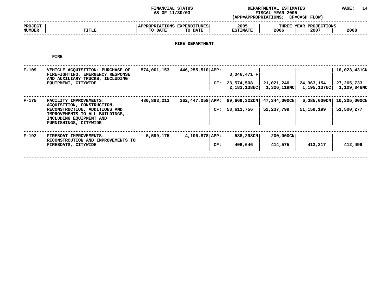### **STATUS DEPARTMENTAL ESTIMATES PAGE: <sup>14</sup> (APP=APPROPRIATIONS;**

|                                 |       | AS OF 11/30/03                                                     | (APP=APPROPRIATIONS;    | <b>FISCAL YEAR 2005</b><br>CF=CASH FLOW) |      |
|---------------------------------|-------|--------------------------------------------------------------------|-------------------------|------------------------------------------|------|
| <b>PROJECT</b><br><b>NUMBER</b> | TITLE | <b>APPROPRIATIONS</b><br><b>EXPENDITURES</b><br>TO DATE<br>TO DATE | 2005<br><b>ESTIMATE</b> | THREE YEAR PROJECTIONS<br>2006<br>2007   | 2008 |
|                                 |       |                                                                    |                         |                                          |      |

# **FIRE DEPARTMENT**

**FIRE**

| $F-109$ | VEHICLE ACQUISITION: PURCHASE OF<br>FIREFIGHTING, EMERGENCY RESPONSE<br>AND AUXILIARY TRUCKS, INCLUDING<br>EQUIPMENT, CITYWIDE                                              | 574,001,153 | $446, 255, 510$ APP:      | 3,046,471 F<br>CF: 23,574,508                      | 21,021,240<br>2,183,138NC 1,326,119NC 1,195,137NC | 24,963,154                   | 16,023,431CN<br>27,265,733<br>1,109,846NC |
|---------|-----------------------------------------------------------------------------------------------------------------------------------------------------------------------------|-------------|---------------------------|----------------------------------------------------|---------------------------------------------------|------------------------------|-------------------------------------------|
| $F-175$ | FACILITY IMPROVEMENTS:<br>ACQUISITION, CONSTRUCTION,<br>RECONSTRUCTION, ADDITIONS AND<br>IMPROVEMENTS TO ALL BUILDINGS,<br>INCLUDING EQUIPMENT AND<br>FURNISHINGS, CITYWIDE | 480,883,213 |                           | 362,447,058 APP: 89,669,322CN<br>58,611,756<br>CF: | 47,344,000CN<br>52,237,799                        | $6,085,000$ CN<br>51,159,199 | 10,305,000CN<br>51,500,277                |
| $F-192$ | FIREBOAT IMPROVEMENTS:<br>RECONSTRCUTION AND IMPROVEMENTS TO<br>FIREBOATS, CITYWIDE                                                                                         | 5,599,175   | $4,106,878$ $APP:$<br>CF: | 588,298CN<br>406,646                               | 200,000CN<br>414,575                              | 413,317                      | 412,499                                   |
|         |                                                                                                                                                                             |             |                           |                                                    |                                                   |                              |                                           |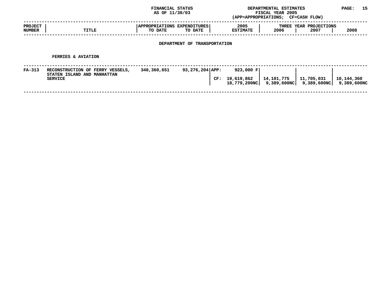|                                 |                                                                                   | FINANCIAL STATUS<br>AS OF 11/30/03     |                              |                             | DEPARTMENTAL ESTIMATES<br>FISCAL YEAR 2005<br>(APP=APPROPRIATIONS; CF=CASH FLOW) |                                                                               |            |  |
|---------------------------------|-----------------------------------------------------------------------------------|----------------------------------------|------------------------------|-----------------------------|----------------------------------------------------------------------------------|-------------------------------------------------------------------------------|------------|--|
| <b>PROJECT</b><br><b>NUMBER</b> | TITLE                                                                             | APPROPRIATIONS EXPENDITURES<br>TO DATE | TO DATE                      | 2005<br><b>ESTIMATE</b>     | 2006                                                                             | THREE YEAR PROJECTIONS<br>2007                                                | 2008       |  |
|                                 |                                                                                   |                                        | DEPARTMENT OF TRANSPORTATION |                             |                                                                                  |                                                                               |            |  |
|                                 | <b>FERRIES &amp; AVIATION</b>                                                     |                                        |                              |                             |                                                                                  |                                                                               |            |  |
| $FA-313$                        | RECONSTRUCTION OF FERRY VESSELS,<br>STATEN ISLAND AND MANHATTAN<br><b>SERVICE</b> | 340,360,651                            | 93,276,204 APP:              | 923,000 F<br>CF: 19,619,862 | 14,101,775                                                                       | 11,705,031<br>$18,779,200\text{NC}$   9,389,600NC   9,389,600NC   9,389,600NC | 10,144,360 |  |
|                                 |                                                                                   |                                        |                              |                             |                                                                                  |                                                                               |            |  |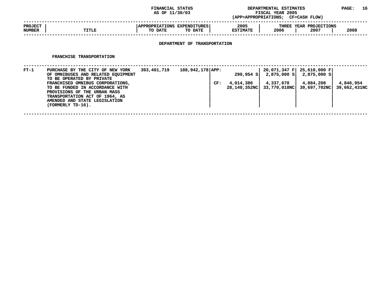### **STATUS DEPARTMENTAL ESTIMATES PAGE: <sup>16</sup> (APP=APPROPRIATIONS;**

|                          |              | AS OF 11/30/03                                                     | (APP=APPROPRIATIONS;    | <b>FISCAL YEAR 2005</b><br><b>CF=CASH FLOW)</b> |                                |      |
|--------------------------|--------------|--------------------------------------------------------------------|-------------------------|-------------------------------------------------|--------------------------------|------|
| <b>PROJECT</b><br>NUMBER | <b>TITLE</b> | <b>APPROPRIATIONS</b><br><b>EXPENDITURES</b><br>TO DATE<br>TO DATE | 2005<br><b>ESTIMATE</b> | 2006                                            | THREE YEAR PROJECTIONS<br>2007 | 2008 |
|                          |              |                                                                    |                         |                                                 |                                |      |

# **DEPARTMENT OF TRANSPORTATION**

#### **FRANCHISE**

|        | FRANCHISE TRANSPORTATION                                                                                                                                                                                                                                                                           |             |                  |     |                           |                                                                |                                                        |                           |
|--------|----------------------------------------------------------------------------------------------------------------------------------------------------------------------------------------------------------------------------------------------------------------------------------------------------|-------------|------------------|-----|---------------------------|----------------------------------------------------------------|--------------------------------------------------------|---------------------------|
| $FT-1$ | PURCHASE BY THE CITY OF NEW YORK<br>OF OMNIBUSES AND RELATED EQUIPMENT<br>TO BE OPERATED BY PRIVATE<br>FRANCHISED OMNIBUS CORPORATIONS,<br>TO BE FUNDED IN ACCORDANCE WITH<br>PROVISIONS OF THE URBAN MASS<br>TRANSPORTATION ACT OF 1964, AS<br>AMENDED AND STATE LEGISLATION<br>(FORMERLY TD-16). | 393,401,719 | 188,942,178 APP: | CF: | 4,014,386<br>28,140,352NC | 290,954 S 2,875,000 S 2,875,000 S<br>4,337,670<br>33,770,018NC | 20,071,347 F 25,610,000 F<br>4,884,208<br>39,697,702NC | 4,846,954<br>39,662,431NC |
|        |                                                                                                                                                                                                                                                                                                    |             |                  |     |                           |                                                                |                                                        |                           |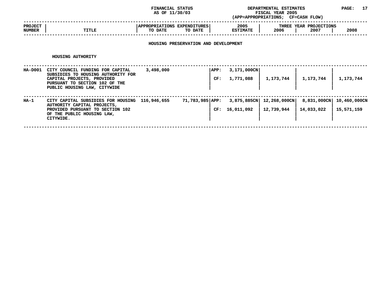### **STATUS DEPARTMENTAL ESTIMATES PAGE: <sup>17</sup> (APP=APPROPRIATIONS;**

|                                 |       | AS OF 11/30/03                                                     | (APP=APPROPRIATIONS;    | <b>FISCAL YEAR 2005</b><br>CF=CASH FLOW)       |
|---------------------------------|-------|--------------------------------------------------------------------|-------------------------|------------------------------------------------|
| <b>PROJECT</b><br><b>NUMBER</b> | TITLE | <b>APPROPRIATIONS</b><br><b>EXPENDITURES</b><br>TO DATE<br>TO DATE | 2005<br><b>ESTIMATE</b> | THREE YEAR PROJECTIONS<br>2008<br>2006<br>2007 |
|                                 |       |                                                                    |                         |                                                |

# **HOUSING PRESERVATION AND DEVELOPMENT**

#### **HOUSING**

|         | HOUSING AUTHORITY                                                                                                                                                      |             |                        |                          |                                          |                           |                            |
|---------|------------------------------------------------------------------------------------------------------------------------------------------------------------------------|-------------|------------------------|--------------------------|------------------------------------------|---------------------------|----------------------------|
| HA-D001 | CITY COUNCIL FUNDING FOR CAPITAL<br>SUBSIDIES TO HOUSING AUTHORITY FOR<br>CAPITAL PROJECTS, PROVIDED<br>PURSUANT TO SECTION 102 OF THE<br>PUBLIC HOUSING LAW, CITYWIDE | 3,498,000   | APP:<br>CF:            | 3,171,000CN<br>1,771,088 | 1,173,744                                | 1,173,744                 | 1,173,744                  |
| HA-1    | CITY CAPITAL SUBSIDIES FOR HOUSING<br>AUTHORITY CAPITAL PROJECTS,<br>PROVIDED PURSUANT TO SECTION 102<br>OF THE PUBLIC HOUSING LAW,<br>CITYWIDE.                       | 116,946,655 | 71,783,985 APP:<br>CF: | 16,011,092               | 3,875,885CN   12,268,000CN<br>12,739,944 | 8,831,000CN<br>14,033,022 | 10,460,000CN<br>15,571,159 |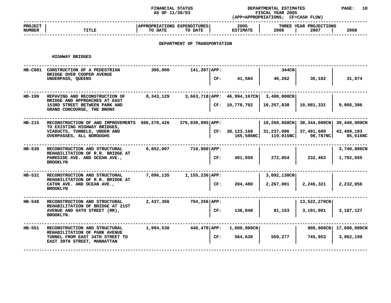## **FINANCIAL STATUS DEPARTMENTAL ESTIMATES PAGE: <sup>18</sup>**

|                          |                                                                                   | AS OF 11/30/03                         |                              |     | FISCAL YEAR 2005<br>(APP=APPROPRIATIONS; CF=CASH FLOW) |                         |                                            |                        |  |  |
|--------------------------|-----------------------------------------------------------------------------------|----------------------------------------|------------------------------|-----|--------------------------------------------------------|-------------------------|--------------------------------------------|------------------------|--|--|
| <b>PROJECT</b><br>NUMBER | TITLE                                                                             | APPROPRIATIONS EXPENDITURES<br>TO DATE | TO DATE                      |     | 2005<br><b>ESTIMATE</b>                                | 2006                    | THREE YEAR PROJECTIONS<br>2007             | 2008                   |  |  |
|                          |                                                                                   |                                        | DEPARTMENT OF TRANSPORTATION |     |                                                        |                         |                                            |                        |  |  |
|                          | <b>HIGHWAY BRIDGES</b>                                                            |                                        |                              |     |                                                        |                         |                                            |                        |  |  |
|                          | HB-C001 CONSTRUCTION OF A PEDESTRIAN<br>BRIDGE OVER COOPER AVENUE                 | 300,000                                | 141,207 APP:                 |     |                                                        | 344CN                   |                                            |                        |  |  |
|                          | UNDERPASS, QUEENS                                                                 |                                        |                              | CF: | 41,584                                                 | 40,262                  | 35,182                                     | 31,874                 |  |  |
| HB-199                   | REPAVING AND RECONSTRUCTION OF<br>BRIDGE AND APPROACHES AT EAST                   | 8,343,129                              |                              |     | $3,663,718$ APP: $46,994,167$ CN                       | 3,400,000CN             |                                            |                        |  |  |
|                          | 153RD STREET BETWEEN PARK AND<br>GRAND CONCOURSE, THE BRONX                       |                                        |                              |     | CF: 10,778,702                                         | 10,257,838              | 10,081,331                                 | 9,966,396              |  |  |
| HB-215                   | RECONSTRUCTION OF AND IMPROVEMENTS 586,270,426<br>TO EXISTING HIGHWAY BRIDGES,    |                                        | 376,039,095   APP:           |     |                                                        |                         | 10,260,668CN   38,344,000CN   39,440,000CN |                        |  |  |
|                          | VIADUCTS, TUNNELS, UNDER AND<br>OVERPASSES, ALL BOROUGHS                          |                                        |                              | CF: | 38,123,168<br>165,586NC                                | 31,237,096<br>119,015NC | 37,491,680<br>98,787NC                     | 43,499,193<br>85,616NC |  |  |
| HB-530                   | RECONSTRUCTION AND STRUCTURAL<br>REHABILITATION OF R.R. BRIDGE AT                 | 6,852,007                              | 716,960   APP:               |     |                                                        |                         |                                            | 3,740,886CN            |  |  |
|                          | PARKSIDE AVE. AND OCEAN AVE.,<br><b>BROOKLYN</b>                                  |                                        |                              | CF: | 401,050                                                | 272,854                 | 232,463                                    | 1,792,655              |  |  |
| HB-531                   | RECONSTRUCTION AND STRUCTURAL                                                     | 7,096,135                              | $1,155,236$ APP:             |     |                                                        | 3,092,130CN             |                                            |                        |  |  |
|                          | REHABILITATION OF R.R. BRIDGE AT<br>CATON AVE. AND OCEAN AVE.,<br><b>BROOKLYN</b> |                                        |                              | CF: | 204,480                                                | 2,267,001               | 2,246,321                                  | 2,232,856              |  |  |
| HB-548                   | RECONSTRUCTION AND STRUCTURAL<br>REHABILITATION OF BRIDGE AT 21ST                 | 2,437,366                              | $704,256$ $APP:$             |     |                                                        |                         | 13,522,270CN                               |                        |  |  |
|                          | AVENUE AND 64TH STREET (RR),<br><b>BROOKLYN.</b>                                  |                                        |                              | CF: | 136,048                                                | 81,153                  | 3,191,901                                  | 3,187,127              |  |  |
| HB-551                   | RECONSTRUCTION AND STRUCTURAL<br>REHABILITATION OF PARK AVENUE                    | 1,994,530                              | 440,470 APP:                 |     | 1,600,000CN                                            |                         |                                            | 900,000CN 17,680,000CN |  |  |
|                          | TUNNEL FROM EAST 34TH STREET TO<br>EAST 39TH STREET, MANHATTAN                    |                                        |                              | CF: | 564,630                                                | 559,277                 | 745,953                                    | 3,962,199              |  |  |
|                          |                                                                                   |                                        |                              |     |                                                        |                         |                                            |                        |  |  |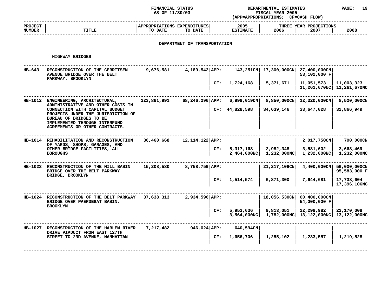# **FINANCIAL STATUS DEPARTMENTAL ESTIMATES PAGE: <sup>19</sup>**

|                                 |                                                                                                                                                                    | AS OF 11/30/03                         |                              |     | FISCAL YEAR 2005<br>(APP=APPROPRIATIONS; CF=CASH FLOW) |                          |                                                         |                              |  |
|---------------------------------|--------------------------------------------------------------------------------------------------------------------------------------------------------------------|----------------------------------------|------------------------------|-----|--------------------------------------------------------|--------------------------|---------------------------------------------------------|------------------------------|--|
| <b>PROJECT</b><br><b>NUMBER</b> | <b>TITLE</b>                                                                                                                                                       | APPROPRIATIONS EXPENDITURES<br>TO DATE | TO DATE                      |     | 2005<br><b>ESTIMATE</b>                                | 2006                     | THREE YEAR PROJECTIONS<br>2007                          | 2008                         |  |
|                                 |                                                                                                                                                                    |                                        | DEPARTMENT OF TRANSPORTATION |     |                                                        |                          |                                                         |                              |  |
|                                 | HIGHWAY BRIDGES                                                                                                                                                    |                                        |                              |     |                                                        |                          |                                                         |                              |  |
| HB-643                          | RECONSTRUCTION OF THE GERRITSEN<br>AVENUE BRIDGE OVER THE BELT                                                                                                     | 9,676,581                              | $4,189,542$ APP:             |     | 143,251CN                                              | 17,300,000CN             | 27,400,000CN<br>53,102,000 F                            |                              |  |
|                                 | PARKWAY, BROOKLYN                                                                                                                                                  |                                        |                              | CF: | 1,724,168                                              | 5,371,671                | 11,051,573<br>11,261,670NC                              | 11,003,323<br>11,261,670NC   |  |
|                                 | HB-1012 ENGINEERING, ARCHITECTURAL,<br>ADMINISTRATIVE AND OTHER COSTS IN                                                                                           | 223,861,991                            | $68, 246, 296  $ APP:        |     | $6,998,019$ CN                                         | $8,850,000$ CN           | 12,320,000CN                                            | 8,520,000CN                  |  |
|                                 | CONNECTION WITH CAPITAL BUDGET<br>PROJECTS UNDER THE JURISDICTION OF<br>BUREAU OF BRIDGES TO BE<br>IMPLEMENTED THROUGH INTERFUND<br>AGREEMENTS OR OTHER CONTRACTS. |                                        |                              |     | CF: 44,828,598                                         | 34,639,146               | 33,647,028                                              | 32,866,949                   |  |
| HB-1014                         | REHABILITATION AND RECONSTRUCTION<br>OF YARDS, SHOPS, GARAGES, AND                                                                                                 | 36,460,668                             | $12,114,122$ APP:            |     |                                                        |                          | 2,017,750CN                                             | 700,000CN                    |  |
|                                 | OTHER BRIDGE FACILITIES, ALL<br><b>BOROUGHS</b>                                                                                                                    |                                        |                              | CF: | 5,317,168<br>2,464,000NC                               | 2,982,348<br>1,232,000NC | 3,581,602<br>1,232,000NC                                | 3,668,469<br>1,232,000NC     |  |
| HB-1023                         | RECONSTRUCTION OF THE MILL BASIN<br>BRIDGE OVER THE BELT PARKWAY<br>BRIDGE, BROOKLYN                                                                               | 15,208,580                             | $8,758,759$ $APP:$           |     |                                                        | 21, 217, 106CN           | $4,400,000 \text{CN}$                                   | 56,000,000CN<br>95,583,000 F |  |
|                                 |                                                                                                                                                                    |                                        |                              | CF: | 1,514,574                                              | 6,871,300                | 7,644,681                                               | 17,738,604<br>17,396,106NC   |  |
|                                 | HB-1024 RECONSTRUCTION OF THE BELT PARKWAY<br>BRIDGE OVER PAERDEGAT BASIN,<br><b>BROOKLYN</b>                                                                      | 37,638,313                             | 2,934,596 APP:               |     |                                                        |                          | 18,056,530CN   60,400,000CN<br>54,000,000 F             |                              |  |
|                                 |                                                                                                                                                                    |                                        |                              | CF: | 5,953,636<br>3,564,000NCl                              | 9,813,051                | 22,298,982<br>1,782,000NC   13,122,000NC   13,122,000NC | 22,170,008                   |  |
| HB-1027                         | RECONSTRUCTION OF THE HARLEM RIVER<br>DRIVE VIADUCT FROM EAST 127TH                                                                                                | 7,217,482                              | $946,024$ $APP:$             |     | 640,594CN                                              |                          |                                                         |                              |  |
|                                 | STREET TO 2ND AVENUE, MANHATTAN                                                                                                                                    |                                        |                              | CF: | 1,656,706                                              | 1,255,102                | 1,233,557                                               | 1,219,528                    |  |
|                                 |                                                                                                                                                                    |                                        |                              |     |                                                        |                          |                                                         |                              |  |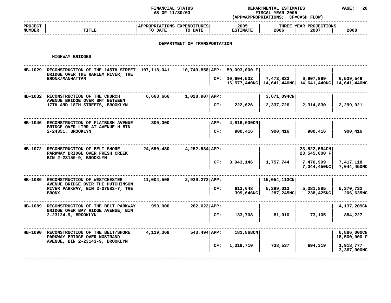# **STATUS DEPARTMENTAL ESTIMATES PAGE: <sup>20</sup>**

|                          |                                                                                                                          | AS OF 11/30/03                         |                              |     | FISCAL YEAR 2005<br>(APP=APPROPRIATIONS; CF=CASH FLOW) |                        |                                                     |                                        |  |  |
|--------------------------|--------------------------------------------------------------------------------------------------------------------------|----------------------------------------|------------------------------|-----|--------------------------------------------------------|------------------------|-----------------------------------------------------|----------------------------------------|--|--|
| <b>PROJECT</b><br>NUMBER | <b>TITLE</b>                                                                                                             | APPROPRIATIONS EXPENDITURES<br>TO DATE | TO DATE                      |     | 2005<br><b>ESTIMATE</b>                                | $2006$                 | THREE YEAR PROJECTIONS<br>2007                      | 2008                                   |  |  |
|                          |                                                                                                                          |                                        | DEPARTMENT OF TRANSPORTATION |     |                                                        |                        |                                                     |                                        |  |  |
|                          | HIGHWAY BRIDGES                                                                                                          |                                        |                              |     |                                                        |                        |                                                     |                                        |  |  |
|                          | HB-1029 RECONSTRUCTION OF THE 145TH STREET 107,118,041 10,749,858 APP: 50,093,000 F<br>BRIDGE OVER THE HARLEM RIVER, THE |                                        |                              |     |                                                        |                        |                                                     |                                        |  |  |
|                          | BRONX/MANHATTAN                                                                                                          |                                        |                              |     | CF: $10,604,502$   7,473,833   6,907,999               |                        | 16,577,440NC 14,641,440NC 14,641,440NC 14,641,440NC | 6,539,549                              |  |  |
|                          | HB-1032 RECONSTRUCTION OF THE CHURCH                                                                                     |                                        | $6,668,666$ 1,028,907 APP:   |     |                                                        | $3,671,094$ CN         |                                                     |                                        |  |  |
|                          | AVENUE BRIDGE OVER BMT BETWEEN<br>17TH AND 18TH STREETS, BROOKLYN                                                        |                                        |                              |     | CF: 222,626                                            | 2,337,726              | 2,314,830                                           | 2,299,921                              |  |  |
|                          | HB-1046 RECONSTRUCTION OF FLATBUSH AVENUE<br>BRIDGE OVER LIRR AT AVENUE H BIN<br>2-24351, BROOKLYN                       | 300,000                                |                              |     | APP: 4, 816, 000CN                                     |                        |                                                     |                                        |  |  |
|                          |                                                                                                                          |                                        |                              | CF: | 900,416                                                | 900,416                | 900,416                                             | 900,416                                |  |  |
|                          | HB-1072 RECONSTRUCTION OF BELT SHORE<br>PARKWAY BRIDGE OVER FRESH CREEK                                                  | 24,650,480 4,252,584 APP:              |                              |     |                                                        |                        | 23,522,554CN<br>28,545,000 F                        |                                        |  |  |
|                          | BIN 2-23150-9, BROOKLYN                                                                                                  |                                        |                              | CF: |                                                        | $3,043,146$ 1,757,744  | 7,470,999                                           | 7,417,118<br>$7,044,450NC$ 7,044,450NC |  |  |
|                          | HB-1086 RECONSTRUCTION OF WESTCHESTER                                                                                    | $11,004,508$ 2,929,272 APP:            |                              |     |                                                        | 15,054,113CN           |                                                     |                                        |  |  |
|                          | AVENUE BRIDGE OVER THE HUTCHINSON<br>RIVER PARKWAY, BIN 2-07583-7, THE<br><b>BRONX</b>                                   |                                        |                              | CF: | 613,648<br>399,646NC                                   | 5,399,013<br>287,245NC | 5,381,885<br>238,425NC                              | 5,370,732<br>206,635NC                 |  |  |
|                          | HB-1089 RECONSTRUCTION OF THE BELT PARKWAY                                                                               |                                        | 999,000 262,022 APP:         |     |                                                        |                        |                                                     | 4,137,209CN                            |  |  |
|                          | BRIDGE OVER BAY RIDGE AVENUE, BIN<br>2-23124-9, BROOKLYN                                                                 |                                        |                              | CF: | 133,708                                                | 81,010                 | 73,105                                              | 884,227                                |  |  |
|                          | HB-1090 RECONSTRUCTION OF THE BELT/SHORE<br>PARKWAY BRIDGE OVER NOSTRAND                                                 |                                        |                              |     | 4,119,368 543,494 APP: 181,868CN                       |                        |                                                     | $6,886,000$ CN<br>18,500,000 F         |  |  |
|                          | AVENUE, BIN 2-23143-9, BROOKLYN                                                                                          |                                        |                              | CF: | 1,318,710                                              | 738,537                | 694,319                                             | 1,918,777<br>3,367,000NC               |  |  |

**<sup>|</sup> <sup>|</sup> <sup>|</sup> 3,367,000NC ------------------------------------------------------------------------------------------------------------------------------------**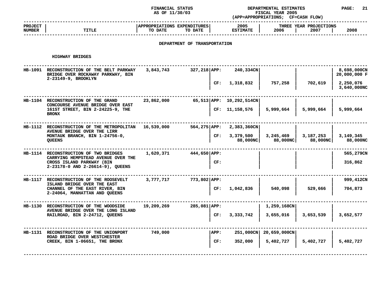**FINANCIAL STATUS DEPARTMENTAL ESTIMATES PAGE: <sup>21</sup>**

|                                                  |                                                                                                                  | AS OF 11/30/03                         |                              |                | FISCAL YEAR 2005<br>(APP=APPROPRIATIONS; CF=CASH FLOW) |                         |                                |                             |  |  |
|--------------------------------------------------|------------------------------------------------------------------------------------------------------------------|----------------------------------------|------------------------------|----------------|--------------------------------------------------------|-------------------------|--------------------------------|-----------------------------|--|--|
| <b>PROJECT</b><br>NUMBER                         | <b>TITLE</b>                                                                                                     | APPROPRIATIONS EXPENDITURES<br>TO DATE | TO DATE                      |                | 2005<br><b>ESTIMATE</b>                                | 2006                    | THREE YEAR PROJECTIONS<br>2007 | 2008                        |  |  |
|                                                  |                                                                                                                  |                                        | DEPARTMENT OF TRANSPORTATION |                |                                                        |                         |                                |                             |  |  |
|                                                  | HIGHWAY BRIDGES                                                                                                  |                                        |                              |                |                                                        |                         |                                |                             |  |  |
|                                                  | HB-1091 RECONSTRUCTION OF THE BELT PARKWAY 3,843,743<br>BRIDGE OVER ROCKAWAY PARKWAY, BIN<br>2-23149-9, BROOKLYN |                                        |                              |                | 327,218 APP: 240,334CN                                 |                         |                                | 8,698,000CN<br>20,000,000 F |  |  |
|                                                  |                                                                                                                  |                                        |                              |                | CF: 1,318,832                                          | 757,258                 | 702,619                        | 2,250,076<br>3,640,000NC    |  |  |
|                                                  | HB-1104 RECONSTRUCTION OF THE GRAND<br>CONCOURSE AVENUE BRIDGE OVER EAST                                         | 23,862,000                             |                              |                | 65,513 APP: 10,292,514CN                               |                         |                                |                             |  |  |
| 161ST STREET, BIN 2-24225-9, THE<br><b>BRONX</b> |                                                                                                                  |                                        |                              | CF: 11,158,576 | 5,999,664                                              | 5,999,664               | 5,999,664                      |                             |  |  |
|                                                  | HB-1112 RECONSTRUCTION OF THE METROPOLITAN $16,539,000$ 564,275 APP: 2,383,360CN                                 |                                        |                              |                |                                                        |                         |                                |                             |  |  |
|                                                  | AVENUE BRIDGE OVER THE LIRR<br>MONTAUK BRANCH, BIN 1-24756-0,<br><b>OUEENS</b>                                   |                                        |                              | CF:            | 3,379,500<br>88,000NC                                  | 3, 245, 469<br>88,000NC | 3,187,253<br>88,000NC          | 3,149,345<br>88,000NC       |  |  |
|                                                  | HB-1114 RECONSTRUCTION OF TWO BRIDGES<br>CARRYING HEMPSTEAD AVENUE OVER THE                                      |                                        | $1,620,371$ $444,650$ $APP:$ |                |                                                        |                         |                                | 565,279CN                   |  |  |
|                                                  | CROSS ISLAND PARKWAY (BIN<br>2-23178-0 AND 2-26614-9), QUEENS                                                    |                                        |                              | CF:            |                                                        |                         |                                | 316,862                     |  |  |
|                                                  | HB-1117 RECONSTRUCTION OF THE ROOSEVELT                                                                          |                                        | 3,777,717 773,802 APP:       |                |                                                        |                         |                                | 999,412CN                   |  |  |
|                                                  | ISLAND BRIDGE OVER THE EAST<br>CHANNEL OF THE EAST RIVER, BIN<br>2-24064, MANHATTAN AND QUEENS                   |                                        |                              |                | CF: 1,042,836                                          | 540,098                 | 529,666                        | 704,873                     |  |  |
|                                                  | HB-1130 RECONSTRUCTION OF THE WOODSIDE                                                                           |                                        | 19,209,269 285,081 APP:      |                |                                                        | 1,259,168CN             |                                |                             |  |  |
|                                                  | AVENUE BRIDGE OVER THE LONG ISLAND<br>RAILROAD, BIN 2-24712, QUEENS                                              |                                        |                              |                | CF: 3,333,742                                          | 3,655,016               | 3,653,539                      | 3,652,577                   |  |  |
|                                                  | HB-1131 RECONSTRUCTION OF THE UNIONPORT<br>ROAD BRIDGE OVER WESTCHESTER                                          | 749,000                                |                              | APP:           |                                                        | 251,000CN 20,659,000CN  |                                |                             |  |  |
|                                                  | CREEK, BIN 1-06651, THE BRONX                                                                                    |                                        |                              | CF:            | 352,000                                                | 5,402,727               | 5,402,727                      | 5,402,727                   |  |  |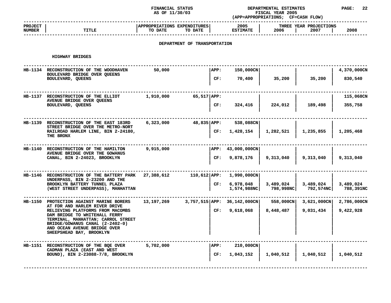### **STATUS DEPARTMENTAL ESTIMATES PAGE: <sup>22</sup> (APP=APPROPRIATIONS;**

|                          |                                                                                                                                   | AS OF 11/30/03                         |                              |      | FISCAL YEAR 2005<br>(APP=APPROPRIATIONS; CF=CASH FLOW) |                                                |                                |                        |
|--------------------------|-----------------------------------------------------------------------------------------------------------------------------------|----------------------------------------|------------------------------|------|--------------------------------------------------------|------------------------------------------------|--------------------------------|------------------------|
| <b>PROJECT</b><br>NUMBER | <b>TITLE</b>                                                                                                                      | APPROPRIATIONS EXPENDITURES<br>TO DATE | TO DATE                      |      | 2005<br><b>ESTIMATE</b>                                | 2006                                           | THREE YEAR PROJECTIONS<br>2007 | 2008                   |
|                          |                                                                                                                                   |                                        | DEPARTMENT OF TRANSPORTATION |      |                                                        |                                                |                                |                        |
|                          | HIGHWAY BRIDGES                                                                                                                   |                                        |                              |      |                                                        |                                                |                                |                        |
|                          | HB-1134 RECONSTRUCTION OF THE WOODHAVEN<br>BOULEVARD BRIDGE OVER QUEENS                                                           | 50,000                                 |                              | APP: | 150,000CN                                              |                                                |                                | 4,370,000CN            |
|                          | BOULEVARD, QUEENS                                                                                                                 |                                        |                              | CF:  | 70,400                                                 | 35,200                                         | 35,200                         | 830,540                |
|                          | HB-1137 RECONSTRUCTION OF THE ELLIOT<br>AVENUE BRIDGE OVER QUEENS                                                                 | 1,910,000                              | 65,517 APP:                  |      |                                                        |                                                |                                | 115,068CN              |
|                          | BOULEVARD, QUEENS                                                                                                                 |                                        |                              | CF:  | 324,416                                                | 224,012                                        | 189,498                        | 355,758                |
|                          | HB-1139 RECONSTRUCTION OF THE EAST 183RD<br>STREET BRIDGE OVER THE METRO-NORT                                                     | 6,323,000                              | 48,835 APP:                  |      | 538,088CN                                              |                                                |                                |                        |
|                          | RAILROAD HARLEM LINE, BIN 2-24180,<br>THE BRONX                                                                                   |                                        |                              | CF:  | 1,428,154                                              | 1,282,521                                      | 1,235,855                      | 1,205,468              |
|                          | HB-1140 RECONSTRUCTION OF THE HAMILTON<br>AVENUE BRIDGE OVER THE GOWANUS                                                          | 9,915,000                              |                              |      | APP: 43,000,000CN                                      |                                                |                                |                        |
|                          | CANAL, BIN 2-24023, BROOKLYN                                                                                                      |                                        |                              | CF:  | 9,878,176                                              | 9,313,040                                      | 9,313,040                      | 9,313,040              |
|                          | HB-1146 RECONSTRUCTION OF THE BATTERY PARK 27,388,612<br>UNDERPASS, BIN 2-23200 AND THE                                           |                                        |                              |      | 110,612 APP: 1,990,000CN                               |                                                |                                |                        |
|                          | BROOKLYN BATTERY TUNNEL PLAZA<br>(WEST STREET UNDERPASS), MANHATTAN                                                               |                                        |                              |      | CF: 6,978,048                                          | 3,489,024<br>$1,574,988NC$ 798,998NC 792,574NC | 3,489,024                      | 3,489,024<br>788,391NC |
|                          | HB-1150 PROTECTION AGAINST MARINE BORERS<br>AT FDR AND HARLEM RIVER DRIVE                                                         | 13,197,269                             |                              |      | 3,757,515 APP: 36,142,000CN                            | 558,000CN                                      | $3,621,000$ CN                 | 2,786,000CN            |
|                          | RELIEVING PLATFORMS FROM MACOMBS<br>DAM BRIDGE TO WHITEHALL FERRY                                                                 |                                        |                              | CF:  | 9,618,068                                              | 8,448,487                                      | 9,031,434                      | 9,422,928              |
|                          | TERMINAL, MANHATTAN; CARROL STREET<br>BRIDGE/GOWANUS CANAL (2-2402-0)<br>AND OCEAN AVENUE BRIDGE OVER<br>SHEEPSHEAD BAY, BROOKLYN |                                        |                              |      |                                                        |                                                |                                |                        |
|                          | HB-1151 RECONSTRUCTION OF THE BOE OVER<br>CADMAN PLAZA (EAST AND WEST                                                             | 5,702,000                              |                              | APP: | 210,000CN                                              |                                                |                                |                        |
|                          | BOUND), BIN 2-23088-7/8, BROOKLYN                                                                                                 |                                        |                              | CF:  | 1,043,152                                              | 1,040,512                                      | 1,040,512                      | 1,040,512              |
|                          |                                                                                                                                   |                                        |                              |      |                                                        |                                                |                                |                        |

**<sup>|</sup> <sup>|</sup> <sup>|</sup> ------------------------------------------------------------------------------------------------------------------------------------**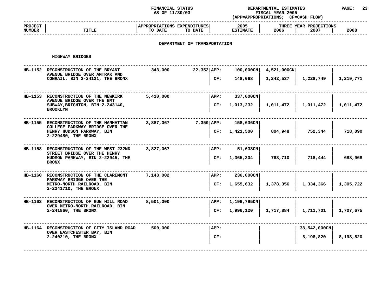### **STATUS DEPARTMENTAL ESTIMATES PAGE: <sup>23</sup> (APP=APPROPRIATIONS;**

|                                 | AS OF 11/30/03                                                             |                                        |                              |      | FISCAL YEAR 2005<br>(APP=APPROPRIATIONS; CF=CASH FLOW) |             |                                |           |  |  |
|---------------------------------|----------------------------------------------------------------------------|----------------------------------------|------------------------------|------|--------------------------------------------------------|-------------|--------------------------------|-----------|--|--|
| <b>PROJECT</b><br><b>NUMBER</b> | <b>TITLE</b>                                                               | APPROPRIATIONS EXPENDITURES<br>TO DATE | TO DATE                      |      | 2005<br><b>ESTIMATE</b>                                | 2006        | THREE YEAR PROJECTIONS<br>2007 | 2008      |  |  |
|                                 |                                                                            |                                        | DEPARTMENT OF TRANSPORTATION |      |                                                        |             |                                |           |  |  |
|                                 | HIGHWAY BRIDGES                                                            |                                        |                              |      |                                                        |             |                                |           |  |  |
|                                 | HB-1152 RECONSTRUCTION OF THE BRYANT<br>AVENUE BRIDGE OVER AMTRAK AND      | 343,000                                | $22,352$ APP:                |      | 100,000CN                                              | 4,521,000CN |                                |           |  |  |
|                                 | CONRAIL, BIN 2-24121, THE BRONX                                            |                                        |                              | CF:  | 148,068                                                | 1,242,537   | 1,228,749                      | 1,219,771 |  |  |
|                                 | HB-1153 RECONSTRUCTION OF THE NEWKIRK<br>AVENUE BRIDGE OVER THE BMT        | 5,410,000                              |                              | APP: | 337,000CN                                              |             |                                |           |  |  |
|                                 | SUBWAY, BRIGHTON, BIN 2-243140,<br><b>BROOKLYN</b>                         |                                        |                              | CF:  | 1,013,232                                              | 1,011,472   | 1,011,472                      | 1,011,472 |  |  |
|                                 | HB-1155 RECONSTRUCTION OF THE MANHATTAN<br>COLLEGE PARKWAY BRIDGE OVER THE | 3,887,067                              | 7,350   APP:                 |      | 158,636CN                                              |             |                                |           |  |  |
|                                 | HENRY HUDSON PARKWAY, BIN<br>2-229480, THE BRONX                           |                                        |                              | CF:  | 1,421,500                                              | 804,948     | 752,344                        | 718,090   |  |  |
|                                 | HB-1158 RECONSTRUCTION OF THE WEST 232ND<br>STREET BRIDGE OVER THE HENRY   | 3,827,067                              |                              | APP: | 51,638CN                                               |             |                                |           |  |  |
|                                 | HUDSON PARKWAY, BIN 2-22945, THE<br><b>BRONX</b>                           |                                        |                              | CF:  | 1,365,304                                              | 763,710     | 718,444                        | 688,968   |  |  |
|                                 | HB-1160 RECONSTRUCTION OF THE CLAREMONT<br>PARKWAY BRIDGE OVER THE         | 7,148,002                              |                              | APP: | 236,000CN                                              |             |                                |           |  |  |
|                                 | METRO-NORTH RAILROAD, BIN<br>2-2241710, THE BRONX                          |                                        |                              | CF:  | 1,655,632                                              | 1,378,356   | 1,334,366                      | 1,305,722 |  |  |
|                                 | HB-1163 RECONSTRUCTION OF GUN HILL ROAD<br>OVER METRO-NORTH RAILROAD, BIN  | 8,501,000                              |                              | APP: | 1,196,795CN                                            |             |                                |           |  |  |
|                                 | 2-241860, THE BRONX                                                        |                                        |                              | CF:  | 1,996,120                                              | 1,717,884   | 1,711,701                      | 1,707,675 |  |  |
|                                 | HB-1164 RECONSTRUCTION OF CITY ISLAND ROAD<br>OVER EASTCHESTER BAY, BIN    | 500,000                                |                              | APP: |                                                        |             | 38,542,000CN                   |           |  |  |
|                                 | 2-240210, THE BRONX                                                        |                                        |                              | CF:  |                                                        |             | 8,198,820                      | 8,198,820 |  |  |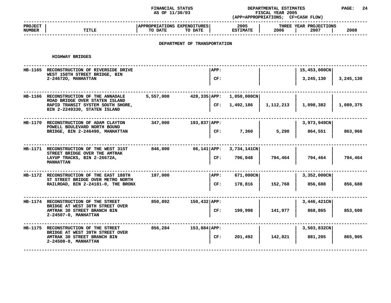### **STATUS DEPARTMENTAL ESTIMATES PAGE: <sup>24</sup> (APP=APPROPRIATIONS;**

|                                                                         | AS OF 11/30/03                                                                                                                                                                                           |                                    | FISCAL YEAR 2005<br>(APP=APPROPRIATIONS; CF=CASH FLOW)                                         |                                              |              |                        |  |
|-------------------------------------------------------------------------|----------------------------------------------------------------------------------------------------------------------------------------------------------------------------------------------------------|------------------------------------|------------------------------------------------------------------------------------------------|----------------------------------------------|--------------|------------------------|--|
| <b>TITLE</b>                                                            | TO DATE<br>TO DATE                                                                                                                                                                                       |                                    | 2005<br><b>ESTIMATE</b>                                                                        | 2006                                         | 2007         | 2008                   |  |
|                                                                         |                                                                                                                                                                                                          |                                    |                                                                                                |                                              |              |                        |  |
| HIGHWAY BRIDGES                                                         |                                                                                                                                                                                                          |                                    |                                                                                                |                                              |              |                        |  |
| HB-1165 RECONSTRUCTION OF RIVERSIDE DRIVE                               |                                                                                                                                                                                                          | APP:                               |                                                                                                |                                              | 15,453,000CN |                        |  |
| 2-246720, MANHATTAN                                                     |                                                                                                                                                                                                          | CF:                                |                                                                                                |                                              | 3,245,130    | 3,245,130              |  |
| HB-1166 RECONSTRUCTION OF THE ANNADALE                                  | 5,557,000                                                                                                                                                                                                |                                    | 1,050,000CN                                                                                    |                                              |              |                        |  |
| RAPID TRANSIT SYSTEM SOUTH SHORE,<br>BIN 2-2249330, STATEN ISLAND       |                                                                                                                                                                                                          | CF:                                | 1,492,186                                                                                      | 1,112,213                                    | 1,098,382    | 1,089,375              |  |
| HB-1170 RECONSTRUCTION OF ADAM CLAYTON                                  | 347,000                                                                                                                                                                                                  |                                    |                                                                                                |                                              | 3,973,949CN  |                        |  |
| BRIDGE, BIN 2-246490, MANHATTAN                                         |                                                                                                                                                                                                          | CF:                                | 7,360                                                                                          | 5,290                                        | 864,551      | 863,966                |  |
| HB-1171 RECONSTRUCTION OF THE WEST 31ST                                 | 846,000                                                                                                                                                                                                  |                                    | 3,734,141CN                                                                                    |                                              |              |                        |  |
| LAYUP TRACKS, BIN 2-26672A,<br><b>MANHATTAN</b>                         |                                                                                                                                                                                                          | CF:                                | 796,048                                                                                        | 794,464                                      | 794,464      | 794,464                |  |
| HB-1172 RECONSTRUCTION OF THE EAST 188TH                                | 197,000                                                                                                                                                                                                  | APP:                               | 671,000CN                                                                                      |                                              | 3,352,000CN  |                        |  |
|                                                                         |                                                                                                                                                                                                          | CF:                                | 178,816                                                                                        | 152,768                                      | 856,688      | 856,688                |  |
| HB-1174 RECONSTRUCTION OF THE STREET                                    | 850,892                                                                                                                                                                                                  |                                    |                                                                                                |                                              | 3,446,421CN  |                        |  |
| AMTRAK 30 STREET BRANCH BIN<br>2-24507-0, MANHATTAN                     |                                                                                                                                                                                                          | CF:                                | 199,998                                                                                        | 141,977                                      | 868,865      | 853,600                |  |
| HB-1175 RECONSTRUCTION OF THE STREET<br>BRIDGE AT WEST 39TH STREET OVER | 856,284                                                                                                                                                                                                  |                                    |                                                                                                |                                              | 3,503,832CN  |                        |  |
| AMTRAK 30 STREET BRANCH BIN<br>2-24508-0, MANHATTAN                     |                                                                                                                                                                                                          | CF:                                | 201,492                                                                                        | 142,821                                      | 881,205      | 865,905                |  |
|                                                                         | WEST 158TH STREET BRIDGE, BIN<br>ROAD BRIDGE OVER STATEN ISLAND<br>POWELL BOULEVARD NORTH BOUND<br>STREET BRIDGE OVER THE AMTRAK<br>ST STREET BRIDGE OVER METRO NORTH<br>BRIDGE AT WEST 38TH STREET OVER | RAILROAD, BIN 2-24181-0, THE BRONX | APPROPRIATIONS EXPENDITURES<br>193,837 APP:<br>66,141 APP:<br>150,432 APP:<br>$153,884$ $APP:$ | DEPARTMENT OF TRANSPORTATION<br>428,335 APP: |              | THREE YEAR PROJECTIONS |  |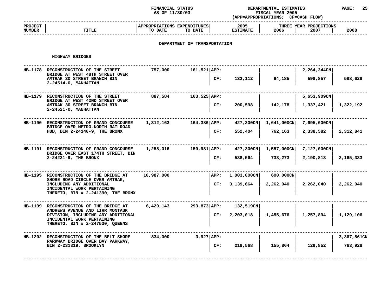### **STATUS DEPARTMENTAL ESTIMATES PAGE: <sup>25</sup> (APP=APPROPRIATIONS;**

|                                 |                                                                                                        | AS OF 11/30/03                         |                              |      | FISCAL YEAR 2005<br>(APP=APPROPRIATIONS; CF=CASH FLOW) |             |                                |             |  |
|---------------------------------|--------------------------------------------------------------------------------------------------------|----------------------------------------|------------------------------|------|--------------------------------------------------------|-------------|--------------------------------|-------------|--|
| <b>PROJECT</b><br><b>NUMBER</b> | TITLE                                                                                                  | APPROPRIATIONS EXPENDITURES<br>TO DATE | TO DATE                      |      | 2005<br><b>ESTIMATE</b>                                | 2006        | THREE YEAR PROJECTIONS<br>2007 | 2008        |  |
|                                 |                                                                                                        |                                        | DEPARTMENT OF TRANSPORTATION |      |                                                        |             |                                |             |  |
|                                 | HIGHWAY BRIDGES                                                                                        |                                        |                              |      |                                                        |             |                                |             |  |
|                                 | HB-1178 RECONSTRUCTION OF THE STREET<br>BRIDGE AT WEST 48TH STREET OVER<br>AMTRAK 30 STREET BRANCH BIN | 757,000                                | $161,521$ $APP:$             | CF:  | 132,112                                                | 94,185      | 2,264,344CN<br>598,857         | 588,628     |  |
|                                 | 2-24514-0, MANHATTAN                                                                                   |                                        |                              |      |                                                        |             |                                |             |  |
|                                 | HB-1179 RECONSTRUCTION OF THE STREET<br>BRIDGE AT WEST 42ND STREET OVER                                | 887,584                                | 163,525   APP:               |      |                                                        |             | 5,653,909CN                    |             |  |
|                                 | AMTRAK 30 STREET BRANCH BIN<br>$2 - 24521 - 0$ , MANHATTAN                                             |                                        |                              | CF:  | 200,598                                                | 142,178     | 1,337,421                      | 1,322,192   |  |
|                                 | HB-1190 RECONSTRUCTION OF GRAND CONCOURSE<br>BRIDGE OVER METRO-NORTH RAILROAD                          | 1,312,163                              | 164,386   APP:               |      | 427,300CN                                              | 1,641,000CN | 7,695,000CN                    |             |  |
|                                 | HUD, BIN 2-24140-9, THE BRONX                                                                          |                                        |                              | CF:  | 552,404                                                | 762,163     | 2,338,582                      | 2,312,841   |  |
|                                 | HB-1191 RECONSTRUCTION OF GRAND CONCOURSE<br>BRIDGE OVER EAST 174TH STREET, BIN                        | 1,258,016                              | 150,981 APP:                 |      | 427,300CN                                              | 1,557,000CN | 7,127,000CN                    |             |  |
|                                 | 2-24231-9, THE BRONX                                                                                   |                                        |                              | CF:  | 538,564                                                | 733,273     | 2,190,813                      | 2,165,333   |  |
|                                 | HB-1195 RECONSTRUCTION OF THE BRIDGE AT<br>SHORE ROAD CIRCLE OVER AMTRAK,                              | 10,987,000                             |                              | APP: | $1,003,000$ CN                                         | 600,000CN   |                                |             |  |
|                                 | INCLUDING ANY ADDITIONAL<br>INCIDENTAL WORK PERTAINING<br>THERETO, BIN # 2-241390, THE BRONX           |                                        |                              | CF:  | 3,139,664                                              | 2,262,040   | 2,262,040                      | 2,262,040   |  |
|                                 | <b>HB-1199 RECONSTRUCTION OF THE BRIDGE AT</b><br>ANDREWS AVENUE AND LIRR MONTAUK                      | 6,429,143                              | $293,873$ APP:               |      | 132,519CN                                              |             |                                |             |  |
|                                 | DIVISION, INCLUDING ANY ADDITIONAL<br>INCIDENTAL WORK PERTAINING<br>THERETO, BIN # 2-247530, QUEENS    |                                        |                              | CF:  | 2,203,018                                              | 1,455,676   | 1,257,894                      | 1,129,106   |  |
|                                 | HB-1202 RECONSTRUCTION OF THE BELT SHORE<br>PARKWAY BRIDGE OVER BAY PARKWAY,                           | 834,000                                | 3,927   APP:                 |      |                                                        |             |                                | 3,367,861CN |  |
|                                 | BIN 2-231319, BROOKLYN                                                                                 |                                        |                              | CF:  | 218,568                                                | 155,864     | 129,852                        | 763,928     |  |

**<sup>|</sup> <sup>|</sup> <sup>|</sup> ------------------------------------------------------------------------------------------------------------------------------------**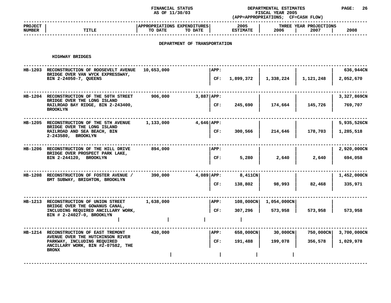### **STATUS DEPARTMENTAL ESTIMATES PAGE: <sup>26</sup> (APP=APPROPRIATIONS;**

|                          |                                                                                                                                                                | AS OF 11/30/03                                    | FISCAL YEAR 2005<br>(APP=APPROPRIATIONS; CF=CASH FLOW) |                         |                           |                                |                          |
|--------------------------|----------------------------------------------------------------------------------------------------------------------------------------------------------------|---------------------------------------------------|--------------------------------------------------------|-------------------------|---------------------------|--------------------------------|--------------------------|
| <b>PROJECT</b><br>NUMBER | TITLE                                                                                                                                                          | APPROPRIATIONS EXPENDITURES<br>TO DATE<br>TO DATE |                                                        | 2005<br><b>ESTIMATE</b> | 2006                      | THREE YEAR PROJECTIONS<br>2007 | 2008                     |
|                          |                                                                                                                                                                | DEPARTMENT OF TRANSPORTATION                      |                                                        |                         |                           |                                |                          |
|                          | HIGHWAY BRIDGES                                                                                                                                                |                                                   |                                                        |                         |                           |                                |                          |
|                          | HB-1203 RECONSTRUCTION OF ROOSEVELT AVENUE<br>BRIDGE OVER VAN WYCK EXPRESSWAY,<br>BIN 2-24050-7, QUEENS                                                        | 10,653,000                                        | APP:<br>CF:                                            | 1,899,372               | 1,338,224                 | 1,121,248                      | 636,944CN<br>2,052,670   |
|                          | HB-1204 RECONSTRUCTION OF THE 50TH STREET<br>BRIDGE OVER THE LONG ISLAND<br>RAILROAD BAY RIDGE, BIN 2-243400,<br><b>BROOKLYN</b>                               | 906,000                                           | $3,887  $ APP:<br>CF:                                  | 245,690                 | 174,664                   | 145,726                        | 3,327,869CN<br>769,707   |
|                          | HB-1205 RECONSTRUCTION OF THE 5TH AVENUE<br>BRIDGE OVER THE LONG ISLAND<br>RAILROAD AND SEA BEACH, BIN<br>2-243580, BROOKLYN                                   | 1,133,000                                         | 4,646 APP:<br>CF:                                      | 300,566                 | 214,646                   | 178,703                        | 5,935,526CN<br>1,285,518 |
|                          | HB-1206 RECONSTRUCTION OF THE HILL DRIVE<br>BRIDGE OVER PROSPECT PARK LAKE,<br>BIN 2-244120, BROOKLYN                                                          | 894,000                                           | APP:<br>CF:                                            | 5,280                   | 2,640                     | 2,640                          | 2,920,000CN<br>694,058   |
|                          | HB-1208 RECONSTRUCTION OF FOSTER AVENUE /<br>BMT SUBWAY, BRIGHTON, BROOKLYN                                                                                    | 390,000                                           | $4,089$ $APP:$<br>CF:                                  | 8,411CN<br>138,802      | 98,993                    | 82,468                         | 1,452,000CN<br>335,971   |
|                          | HB-1213 RECONSTRUCTION OF UNION STREET<br>BRIDGE OVER THE GOWANUS CANAL,<br>INCLUDING REQUIRED ANCILLARY WORK,<br>BIN # 2-24027-0, BROOKLYN                    | 1,638,000                                         | APP:<br>CF:                                            | 108,000CN<br>307,296    | $1,054,000$ CN<br>573,958 | 573,958                        | 573,958                  |
|                          | HB-1214 RECONSTRUCTION OF EAST TREMONT<br>AVENUE OVER THE HUTCHINSON RIVER<br>PARKWAY, INCLUDING REQUIRED<br>ANCILLARY WORK, BIN #2-07582, THE<br><b>BRONX</b> | 430,000                                           | APP:<br>CF:                                            | 658,000CN<br>191,488    | 30,000CN<br>199,078       | 750,000CN<br>356,578           | 3,700,000CN<br>1,029,978 |
|                          |                                                                                                                                                                |                                                   |                                                        |                         |                           |                                |                          |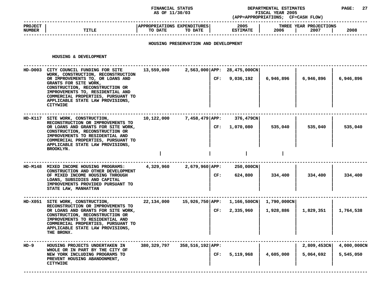#### **STATUS DEPARTMENTAL ESTIMATES PAGE: <sup>27</sup> (APP=APPROPRIATIONS;**

|                                 |       | AS OF 11/30/03                                    | (APP=APPROPRIATIONS;    | <b>FISCAL YEAR 2005</b><br><b>CF=CASH FLOW)</b> |      |
|---------------------------------|-------|---------------------------------------------------|-------------------------|-------------------------------------------------|------|
| <b>PROJECT</b><br><b>NUMBER</b> | TITLE | APPROPRIATIONS EXPENDITURES<br>TO DATE<br>TO DATE | 2005<br><b>ESTIMATE</b> | THREE YEAR PROJECTIONS<br>2006<br>2007          | 2008 |
|                                 |       |                                                   |                         |                                                 |      |

# **HOUSING PRESERVATION AND DEVELOPMENT**

#### **HOUSING**

|        | HOUSING & DEVELOPMENT                                                                                                                                                                                                                                                                                        |             |                                         |                            |           |                          |                          |
|--------|--------------------------------------------------------------------------------------------------------------------------------------------------------------------------------------------------------------------------------------------------------------------------------------------------------------|-------------|-----------------------------------------|----------------------------|-----------|--------------------------|--------------------------|
|        | HD-D003 CITY COUNCIL FUNDING FOR SITE<br>WORK, CONSTRUCTION, RECONSTRUCTION<br>OR IMPROVEMENTS TO, OR LOANS AND<br>GRANTS FOR SITE WORK,<br>CONSTRUCTION, RECONSTRUCTION OR<br>IMPROVEMENTS TO, RESIDENTIAL AND<br>COMMERCIAL PROPERTIES, PURSUANT TO<br>APPLICABLE STATE LAW PROVISIONS,<br><b>CITYWIDE</b> | 13,559,000  | 2,563,000 APP: 28,475,000CN<br>CF:      | 9,036,192                  | 6,946,896 | 6,946,896                | 6,946,896                |
|        | HD-K117 SITE WORK, CONSTRUCTION,<br>RECONSTRUCTION OR IMPROVEMENTS TO<br>OR LOANS AND GRANTS FOR SITE WORK,<br>CONSTRUCTION, RECONSTRUCTION OR<br>IMPROVEMENTS TO RESIDENTIAL AND<br>COMMERCIAL PROPERTIES, PURSUANT TO<br>APPLICABLE STATE LAW PROVISIONS,<br>BROOKLYN.                                     | 10,122,000  | 7,458,479 APP:                          | 376,479CN<br>CF: 1,070,080 | 535,040   | 535,040                  | 535,040                  |
|        |                                                                                                                                                                                                                                                                                                              |             |                                         |                            |           |                          |                          |
|        | HD-M148 MIXED INCOME HOUSING PROGRAMS:<br>CONSTRUCTION AND OTHER DEVELOPMENT<br>OF MIXED INCOME HOUSING THROUGH<br>LOANS, SUBSIDIES AND CAPITAL<br>IMPROVEMENTS PROVIDED PURSUANT TO<br>STATE LAW, MANHATTAN                                                                                                 | 4,329,960   | $2,679,960$ $APP:$<br>CF:               | 250,000CN<br>624,800       | 334,400   | 334,400                  | 334,400                  |
|        | HD-X051 SITE WORK, CONSTRUCTION,<br>RECONSTRUCTION OR IMPROVEMENTS TO<br>OR LOANS AND GRANTS FOR SITE WORK,<br>CONSTRUCTION, RECONSTRUCTION OR<br>IMPROVEMENTS TO RESIDENTIAL AND<br>COMMERCIAL PROPERTIES, PURSUANT TO<br>APPLICABLE STATE LAW PROVISIONS,<br>THE BRONX.                                    | 22,134,000  | 15,926,750 APP: 1,166,500CN 1,790,000CN | CF: 2,335,960              | 1,928,886 | 1,829,351                | 1,764,538                |
| $HD-9$ | HOUSING PROJECTS UNDERTAKEN IN<br>WHOLE OR IN PART BY THE CITY OF<br>NEW YORK INCLUDING PROGRAMS TO<br>PREVENT HOUSING ABANDONMENT,<br><b>CITYWIDE</b>                                                                                                                                                       | 380,329,797 | 358,516,192 APP:<br>CF:                 | 5,119,968                  | 4,605,000 | 2,809,453CN<br>5,064,692 | 4,000,000CN<br>5,545,050 |

**<sup>|</sup> <sup>|</sup> <sup>|</sup> <sup>|</sup> ------------------------------------------------------------------------------------------------------------------------------------**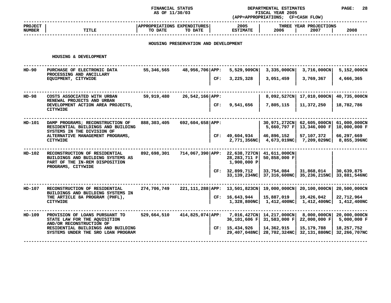### **STATUS DEPARTMENTAL ESTIMATES PAGE: <sup>28</sup>**

|                                 |                                                                                                      | AS OF 11/30/03                         |                                      |     | FISCAL YEAR 2005<br>(APP=APPROPRIATIONS; CF=CASH FLOW) |                              |                                |                              |  |
|---------------------------------|------------------------------------------------------------------------------------------------------|----------------------------------------|--------------------------------------|-----|--------------------------------------------------------|------------------------------|--------------------------------|------------------------------|--|
| <b>PROJECT</b><br><b>NUMBER</b> | TITLE                                                                                                | APPROPRIATIONS EXPENDITURES<br>TO DATE | TO DATE                              |     | 2005<br><b>ESTIMATE</b>                                | 2006                         | THREE YEAR PROJECTIONS<br>2007 | 2008                         |  |
|                                 |                                                                                                      |                                        | HOUSING PRESERVATION AND DEVELOPMENT |     |                                                        |                              |                                |                              |  |
|                                 | HOUSING & DEVELOPMENT                                                                                |                                        |                                      |     |                                                        |                              |                                |                              |  |
| $HD-90$                         | PURCHASE OF ELECTRONIC DATA<br>PROCESSING AND ANCILLARY                                              | 55,346,565                             | 48,956,706 APP:                      |     | 5,529,909CN                                            | 3,335,000CN                  | 3,716,000CN                    | 5,152,000CN                  |  |
|                                 | EQUIPMENT, CITYWIDE                                                                                  |                                        |                                      | CF: | 3,225,328                                              | 3,051,459                    | 3,769,367                      | 4,666,365                    |  |
| $HD-98$                         | COSTS ASSOCIATED WITH URBAN                                                                          | 59,919,480                             | 26,542,166 APP:                      |     |                                                        | 8,092,527CN                  | 17,010,000CN                   | 40,735,000CN                 |  |
|                                 | RENEWAL PROJECTS AND URBAN<br>DEVELOPMENT ACTION AREA PROJECTS,<br><b>CITYWIDE</b>                   |                                        |                                      | CF: | 9,541,656                                              | 7,805,115                    | 11,372,250                     | 18,782,786                   |  |
| $HD-101$                        | DAMP PROGRAMS; RECONSTRUCTION OF<br>RESIDENTIAL BUILDINGS AND BUILDING                               | 888,303,405                            | 692,604,658 APP:                     |     |                                                        | 30,971,272CN<br>5,660,797 F  | 62,605,000CN<br>13,346,000 F   | 61,000,000CN<br>10,000,000 F |  |
|                                 | SYSTEMS IN THE DIVISION OF<br>ALTERNATIVE MANAGEMENT PROGRAMS,<br><b>CITYWIDE</b>                    |                                        |                                      |     | CF: 49,604,934<br>2,771,356NC                          | 46,896,152<br>4,673,019NC    | 57,107,372<br>7,209,029NC      | 66,297,669<br>8,855,396NC    |  |
| $HD-102$                        | RECONSTRUCTION OF RESIDENTIAL<br>BUILDINGS AND BUILDING SYSTEMS AS<br>PART OF THE IN-REM DISPOSITION | 892,698,301                            | 714,067,390 APP:                     |     | 22,638,727CN<br>28,283,711 F<br>1,900,000 P            | 41,611,000CN<br>50,858,000 F |                                |                              |  |
|                                 | PROGRAMS, CITYWIDE                                                                                   |                                        |                                      | CF: | 32,899,712<br>33,139,234NC                             | 33,754,084<br>37,316,600NC   | 31,868,014<br>35,236,215NC     | 30,639,875<br>33,881,546NC   |  |
| HD-107                          | RECONSTRUCTION OF RESIDENTIAL<br>BUILDINGS AND BUILDING SYSTEMS IN                                   | 274,706,749                            |                                      |     | 221, 111, 288 APP: 13, 501, 823CN                      | 19,000,000CN                 | 20,100,000CN                   | 20,500,000CN                 |  |
|                                 | THE ARTICLE 8A PROGRAM (PHFL),<br><b>CITYWIDE</b>                                                    |                                        |                                      |     | CF: 16,643,944<br>1,328,800NC                          | 15,887,019<br>1,412,400NC    | 19,426,042<br>1,412,400NCI     | 22,712,964<br>1,412,400NC    |  |
| HD-109                          | PROVISION OF LOANS PURSUANT TO<br>STATE LAW FOR THE AQUISITION<br>AND/OR RECONSTRUCTION OF           | 529,664,510                            | $414,825,074$ $APP:$                 |     | 7,016,427CN<br>36,101,606 F                            | 14,217,000CN<br>31,583,000 F | 8,000,000CN<br>22,000,000 F    | 20,000,000CN<br>5,000,000 F  |  |
|                                 | RESIDENTIAL BUILDINGS AND BUILDING<br>SYSTEMS UNDER THE SRO LOAN PROGRAM                             |                                        |                                      |     | CF: 15,434,926<br>29,407,048NC                         | 14,362,915<br>28,702,324NC   | 15, 179, 788<br>32,131,880NC   | 18,257,752<br>32,266,707NC   |  |
|                                 |                                                                                                      |                                        |                                      |     |                                                        |                              |                                |                              |  |

**UNDER THE SRO LOAN PROGRAM <sup>|</sup> 29,407,048NC| 28,702,324NC| 32,131,880NC| 32,266,707NC ------------------------------------------------------------------------------------------------------------------------------------**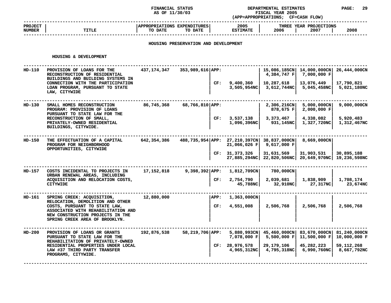### **STATUS DEPARTMENTAL ESTIMATES PAGE: <sup>29</sup> (APP=APPROPRIATIONS;**

|                                 |       | AS OF 11/30/03                                           | (APP=APPROPRIATIONS;    | <b>FISCAL YEAR 2005</b><br><b>CF=CASH FLOW)</b> |      |
|---------------------------------|-------|----------------------------------------------------------|-------------------------|-------------------------------------------------|------|
| <b>PROJECT</b><br><b>NUMBER</b> | TITLE | <b>APPROPRIATIONS EXPENDITURES</b><br>TO DATE<br>TO DATE | 2005<br><b>ESTIMATE</b> | THREE YEAR PROJECTIONS<br>2006<br>2007          | 2008 |
|                                 |       |                                                          |                         |                                                 |      |

# **HOUSING PRESERVATION AND DEVELOPMENT**

#### **HOUSING**

|        | HOUSING & DEVELOPMENT                                                                                                                     |              |                  |      |                                                     |                                         |                              |                              |
|--------|-------------------------------------------------------------------------------------------------------------------------------------------|--------------|------------------|------|-----------------------------------------------------|-----------------------------------------|------------------------------|------------------------------|
| HD-110 | PROVISION OF LOANS FOR THE<br>RECONSTRUCTION OF RESIDENTIAL<br>BUILDINGS AND BUILDING SYSTEMS IN                                          | 437,174,347  | 353,989,616 APP: |      |                                                     | 15,086,185CN<br>4,384,747 F             | 14,000,000CN<br>7,000,000 F  | 26,444,000CN                 |
|        | CONNECTION WITH THE PARTICIPATION<br>LOAN PROGRAM, PURSUANT TO STATE<br>LAW, CITYWIDE                                                     |              |                  | CF:  | 9,400,360<br>3,505,954NC                            | 10,287,618<br>3,612,744NC               | 13,076,449<br>5,045,458NC    | 17,790,821<br>5,021,180NC    |
| HD-130 | SMALL HOMES RECONSTRUCTION<br>PROGRAM: PROVISION OF LOANS<br>PURSUANT TO STATE LAW FOR THE                                                | 86,745,368   | 68,766,810 APP:  |      |                                                     | $2,306,216$ CN<br>878,675 F             | 5,000,000CN<br>2,000,000 F   | 9,000,000CN                  |
|        | RECONSTRUCTION OF SMALL,<br>PRIVATELY-OWNED RESIDENTIAL<br>BUILDINGS, CITYWIDE.                                                           |              |                  | CF:  | 3,537,138<br>1,096,396NC                            | 3,373,467<br>931,145NC                  | 4,338,082<br>1,327,720NC     | 5,920,483<br>1,312,467NC     |
| HD-150 | THE EFFECTUATION OF A CAPITAL<br>PROGRAM FOR NEIGHBORHOOD<br>OPPORTUNITIES, CITYWIDE                                                      | 642,354,386  |                  |      | 488,735,954   APP: 27,210,397CN  <br>$21,066,026$ F | 38,837,000CN<br>9,617,000 F             | 8,669,000CN                  |                              |
|        |                                                                                                                                           |              |                  |      | CF: 31,373,326                                      | 31,631,569<br>27,885,294NC 22,820,506NC | 31,903,531<br>20,649,970NC   | 30,895,188<br>19,236,598NC   |
| HD-157 | COSTS INCIDENTAL TO PROJECTS IN<br>URBAN RENEWAL AREAS, INCLUDING                                                                         | 17, 152, 818 | $9,398,392$ APP: |      | 1,812,709CN                                         | 780,000CN                               |                              |                              |
|        | ACQUISITION AND RELOCATION COSTS,<br><b>CITYWIDE</b>                                                                                      |              |                  | CF:  | 2,754,790<br>45,788NC                               | 2,039,681<br>32,910NC                   | 1,838,909<br>27,317NC        | 1,708,174<br>23,674NC        |
| HD-161 | SPRING CREEK: ACQUISITION,<br>RELOCATION, DEMOLITION AND OTHER                                                                            | 12,880,000   |                  | APP: | 1,363,000CN                                         |                                         |                              |                              |
|        | COSTS, PURSUANT TO STATE LAW,<br>ASSOCIATED WITH REHABILITATION AND<br>NEW CONSTRUCTION PROJECTS IN THE<br>SPRING CREEK AREA OF BROOKLYN. |              |                  | CF:  | 4,551,008                                           | 2,506,768                               | 2,506,768                    | 2,506,768                    |
| HD-200 | PROVISION OF LOANS OR GRANTS<br>PURSUANT TO STATE LAW FOR THE                                                                             | 192,876,538  | 58,219,706 APP:  |      | $5,880,993$ CN<br>7,078,000 F                       | 45,460,000CN<br>5,500,000 F             | 83,670,000CN<br>11,500,000 F | 81,240,000CN<br>10,000,000 F |
|        | REHABILITATION OF PRIVATELY-OWNED<br>RESIDENTIAL PROPERTIES UNDER LOCAL<br>LAW #37 THIRD PARTY TRANSFER<br>PROGRAMS, CITYWIDE.            |              |                  | CF:  | 28,976,578<br>4,965,312NC                           | 29, 179, 106<br>4,795,318NC             | 45,282,223<br>6,990,760NC    | 59,112,268<br>8,667,792NC    |
|        |                                                                                                                                           |              |                  |      |                                                     |                                         |                              |                              |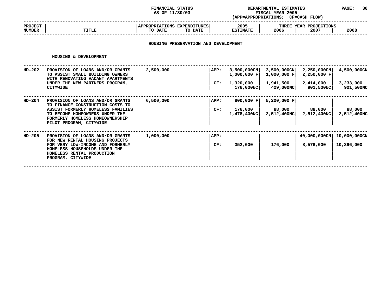### **FINANCIAL STATUS DEPARTMENTAL ESTIMATES PAGE: <sup>30</sup> (APP=APPROPRIATIONS;**

**AS OF 11/30/03 FISCAL YEAR <sup>2005</sup> CF=CASH FLOW) ------------------------------------------------------------------------------------------------------------------------------------ PROJECT <sup>|</sup> |APPROPRIATIONS EXPENDITURES| <sup>2005</sup> <sup>|</sup> THREE YEAR PROJECTIONS NUMBER<sup>|</sup> TITLE <sup>|</sup> TO DATE TO DATE <sup>|</sup> ESTIMATE <sup>|</sup> <sup>2006</sup> <sup>|</sup> <sup>2007</sup> <sup>|</sup> <sup>2008</sup> ------------------------------------------------------------------------------------------------------------------------------------**

# **HOUSING PRESERVATION AND DEVELOPMENT**

#### **HOUSING**

|          | HOUSING & DEVELOPMENT                                                                                                                                   |           |      |                                 |                                        |                               |                        |
|----------|---------------------------------------------------------------------------------------------------------------------------------------------------------|-----------|------|---------------------------------|----------------------------------------|-------------------------------|------------------------|
| $HD-202$ | PROVISION OF LOANS AND/OR GRANTS<br>TO ASSIST SMALL BUILDING OWNERS<br>WITH RENOVATING VACANT APARTMENTS<br>UNDER THE NEW PARTNERS PROGRAM,<br>CITYWIDE | 2,500,000 | APP: | $3,500,000$ CN<br>$1,000,000$ F | $3,500,000 \text{CN}$<br>$1,000,000$ F | $2,250,000$ CN<br>2,250,000 F | 4,500,000CN            |
|          |                                                                                                                                                         |           | CF:  | 1,320,000<br>176,000NC          | 1,941,500<br>429,000NC                 | 2,414,000<br>901,500NC        | 3,233,000<br>901,500NC |
| HD-204   | PROVISION OF LOANS AND/OR GRANTS<br>TO FINANCE CONSTRUCTION COSTS TO                                                                                    | 6,500,000 | APP: | 800,000 $F$                     | 5,200,000 F                            |                               |                        |
|          | ASSIST FORMERLY HOMELESS FAMILIES<br>TO BECOME HOMEOWNERS UNDER THE<br>FORMERLY HOMELESS HOMEOWNERSHIP<br>PILOT PROGRAM, CITYWIDE                       |           | CF:  | 176,000<br>1,478,400NCI         | 88,000<br>2,512,400NC                  | 88,000<br>2,512,400NC         | 88,000<br>2,512,400NC  |
| HD-205   | PROVISION OF LOANS AND/OR GRANTS<br>FOR NEW RENTAL HOUSING PROJECTS                                                                                     | 1,000,000 | APP: |                                 |                                        | 40,000,000CN                  | 10,000,000CN           |
|          | FOR VERY LOW-INCOME AND FORMERLY<br>HOMELESS HOUSEHOLDS UNDER THE<br>HOMELESS RENTAL PRODUCTION<br>PROGRAM, CITYWIDE                                    |           | CF:  | 352,000                         | 176,000                                | 8,576,000                     | 10,396,000             |
|          |                                                                                                                                                         |           |      |                                 |                                        |                               |                        |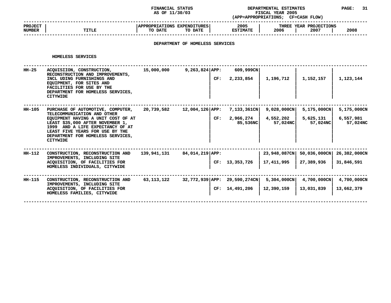#### **STATUS DEPARTMENTAL ESTIMATES PAGE: <sup>31</sup> (APP=APPROPRIATIONS;**

|                                 |              | AS OF 11/30/03                                      | (APP=APPROPRIATIONS;    | <b>FISCAL YEAR 2005</b><br><b>CF=CASH FLOW)</b> |  |
|---------------------------------|--------------|-----------------------------------------------------|-------------------------|-------------------------------------------------|--|
| <b>PROJECT</b><br><b>NUMBER</b> | <b>TITLE</b> | APPROPRIATIONS EXPENDITURES  <br>TO DATE<br>TO DATE | 2005<br><b>ESTIMATE</b> | THREE YEAR PROJECTIONS<br>2008<br>2006<br>2007  |  |
|                                 |              |                                                     |                         |                                                 |  |

# **DEPARTMENT OF HOMELESS SERVICES**

#### **HOMELESS**

|        | HOMELESS SERVICES                                                                                                                                                                                     |             |                   |     |                                                |                                     |                           |                           |
|--------|-------------------------------------------------------------------------------------------------------------------------------------------------------------------------------------------------------|-------------|-------------------|-----|------------------------------------------------|-------------------------------------|---------------------------|---------------------------|
| HH-25  | ACQUISIION, CONSTRUCTION,<br>RECONSTRUCTION AND IMPROVEMENTS,<br>INCL UDING FURNISHINGS AND<br>EQUIPMENT, FOR SITES AND<br>FACILITIES FOR USE BY THE<br>DEPARTMENT FOR HOMELESS SERVICES,             | 15,000,000  | $9,263,824$ APP:  | CF: | 609,999CN<br>2,233,854                         | 1,196,712                           | 1,152,157                 | 1,123,144                 |
|        | <b>CITYWIDE</b>                                                                                                                                                                                       |             |                   |     |                                                |                                     |                           |                           |
| HH-105 | PURCHASE OF AUTOMOTIVE, COMPUTER,<br>TELECOMMUNICATION AND OTHER                                                                                                                                      | 20,739,582  | 12,004,126   APP: |     | 7,133,361CN                                    | $9,028,000$ CN                      | 5,175,000CN               | 5,175,000CN               |
|        | EQUIPMENT HAVING A UNIT COST OF AT<br>LEAST \$35,000 AFTER NOVEMBER 1,<br>1999 AND A LIFE EXPECTANCY OF AT<br>LEAST FIVE YEARS FOR USE BY THE<br>DEPARTMENT FOR HOMELESS SERVICES,<br><b>CITYWIDE</b> |             |                   | CF: | 2,966,274<br>85,536NC                          | 4,552,202<br>57,024NC               | 5,625,131<br>57,024NC     | 6,557,981<br>57,024NC     |
| HH-112 | CONSTRUCTION, RECONSTRUCTION AND                                                                                                                                                                      | 139,941,131 | 84,014,219 APP:   |     |                                                | 23,948,087CN                        | 50,036,000CN              | 26,382,000CN              |
|        | IMPROVEMENTS, INCLUDING SITE<br>ACQUISITION, OF FACILITIES FOR<br>HOMELESS INDIVIDUALS, CITYWIDE                                                                                                      |             |                   |     | CF: 13,353,726                                 | 17,411,995                          | 27,389,936                | 31,846,591                |
| HH-115 | CONSTRUCTION, RECONSTRUCTION AND<br>IMPROVEMENTS, INCLUDING SITE<br>ACQUISITION, OF FACILITIES FOR<br>HOMELESS FAMILIES, CITYWIDE                                                                     | 63,113,122  |                   |     | 32,772,939 APP: 29,590,274CN<br>CF: 14,491,206 | $5,304,000 \text{CN}$<br>12,390,159 | 4,700,000CN<br>13,031,839 | 4,700,000CN<br>13,662,379 |
|        |                                                                                                                                                                                                       |             |                   |     |                                                |                                     |                           |                           |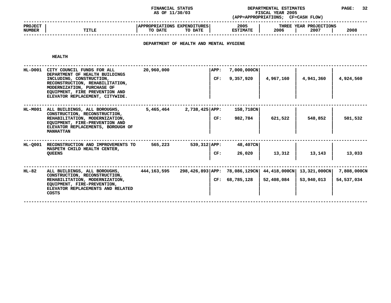**STATUS DEPARTMENTAL ESTIMATES PAGE: <sup>32</sup> (APP=APPROPRIATIONS;**

|                                 |       | AS OF 11/30/03                                    | (APP=APPROPRIATIONS;    | <b>FISCAL YEAR 2005</b><br><b>CF=CASH FLOW)</b> |      |
|---------------------------------|-------|---------------------------------------------------|-------------------------|-------------------------------------------------|------|
| <b>PROJECT</b><br><b>NUMBER</b> | TITLE | APPROPRIATIONS EXPENDITURES<br>TO DATE<br>TO DATE | 2005<br><b>ESTIMATE</b> | THREE YEAR PROJECTIONS<br>2006<br>2007          | 2008 |
|                                 |       |                                                   |                         |                                                 |      |

# **DEPARTMENT OF HEALTH AND MENTAL HYGIENE**

#### **HEALTH**

| HL-D001        | CITY COUNCIL FUNDS FOR ALL<br>DEPARTMENT OF HEALTH BUILDINGS<br>INCLUDING, CONSTRUCTION,<br>RECONSTRUCTION, REHABILITATION,<br>MODERNIZATION, PURCHASE OF<br>EQUIPMENT, FIRE PREVENTION AND<br>ELEVATOR REPLACEMENT, CITYWIDE. | 20,960,000  | <b>APP:</b>                   | CF: | $7,000,000$ CN<br>9,357,920 | 4,967,160                  | 4,941,360                  | 4,924,560                   |
|----------------|--------------------------------------------------------------------------------------------------------------------------------------------------------------------------------------------------------------------------------|-------------|-------------------------------|-----|-----------------------------|----------------------------|----------------------------|-----------------------------|
| <b>HL-M001</b> | ALL BUILDINGS, ALL BOROUGHS,<br>CONSTRUCTION, RECONSTRUCTION,<br>REHABILITATION, MODERNIZATION,<br>EQUIPMENT, FIRE-PREVENTION AND<br>ELEVATOR REPLACEMENTS, BOROUGH OF<br><b>MANHATTAN</b>                                     | 5,465,464   | $2,738,425$ APP:              | CF: | 158,718CN<br>982,784        | 621,522                    | 548,852                    | 501,532                     |
| HL-0001        | RECONSTRUCTION AND IMPROVEMENTS TO<br>MASPETH CHILD HEALTH CENTER,<br><b>QUEENS</b>                                                                                                                                            | 565,223     | $539,312$ $APP:$              | CF: | 48,407CN<br>26,020          | 13,312                     | 13,143                     | 13,033                      |
| HL-82          | ALL BUILDINGS, ALL BOROUGHS,<br>CONSTRUCTION, RECONSTRUCTION,<br>REHABILITATION, MODERNIZATION,<br>EQUIPMENT, FIRE-PREVENTION,<br>ELEVATOR REPLACEMENTS AND RELATED<br>COSTS                                                   | 444,163,595 | 298,426,893 APP: 78,086,129CN |     | CF: 68,785,128              | 44,418,000CN<br>52,408,084 | 13,321,000CN<br>53,940,013 | 7,808,000CN<br>54, 537, 034 |
|                |                                                                                                                                                                                                                                |             |                               |     |                             |                            |                            |                             |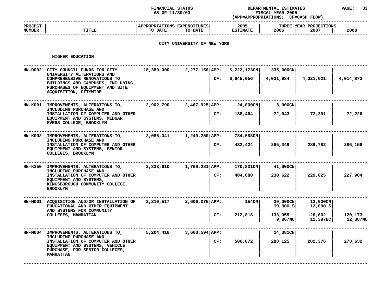#### **STATUS DEPARTMENTAL ESTIMATES PAGE: <sup>33</sup> (APP=APPROPRIATIONS;**

|                                 |       | AS OF 11/30/03                                            | (APP=APPROPRIATIONS;    | <b>FISCAL YEAR 2005</b><br><b>CF=CASH FLOW)</b> |      |
|---------------------------------|-------|-----------------------------------------------------------|-------------------------|-------------------------------------------------|------|
| <b>PROJECT</b><br><b>NUMBER</b> | TITLE | <b>APPROPRIATIONS EXPENDITURES!</b><br>TO DATE<br>TO DATE | 2005<br><b>ESTIMATE</b> | THREE YEAR PROJECTIONS<br>2006<br>2007          | 2008 |
|                                 |       |                                                           |                         |                                                 |      |

# **CITY UNIVERSITY OF NEW YORK**

#### **HIGHER**

| HIGHER EDUCATION                                                                                                                                                                                   |            |                                 |                          |                        |                      |                     |
|----------------------------------------------------------------------------------------------------------------------------------------------------------------------------------------------------|------------|---------------------------------|--------------------------|------------------------|----------------------|---------------------|
| HN-D002 CITY COUNCIL FUNDS FOR CITY<br>UNIVERSITY ALTERATIONS AND<br>COMPREHENSIVE RENOVATIONS TO<br>BUILDINGS AND CAMPUSES, INCLUDING<br>PURCHASES OF EQUIPMENT AND SITE<br>ACQUISITION, CITYWIDE | 18,380,000 | 2,277,156 APP:<br>CF:           | 6,222,173CN<br>6,645,056 | 335,000CN<br>4,031,984 | 4,021,621            | 4,014,873           |
| HN-K001 IMPROVEMENTS, ALTERATIONS TO,<br>INCLUDING PURCHASE AND<br>INSTALLATION OF COMPUTER AND OTHER<br>EQUIPMENT AND SYSTEMS, MEDGAR<br>EVERS COLLEGE, BROOKLYN                                  | 2,902,790  | 2,467,925 APP:<br>CF:           | 24,000CN<br>138,464      | 3,000CN<br>72,643      | 72,391               | 72,226              |
| HN-K002 IMPROVEMENTS, ALTERATIONS TO,<br>INCLUDING PURCHASE AND<br>INSTALLATION OF COMPUTER AND OTHER<br>EQUIPMENT AND SYSTEMS, SENIOR<br>COLLEGES, BROOKLYN                                       | 2,086,041  | 1,249,259 APP:<br>CF:           | 784,693CN<br>432,424     | 295,349                | 289,782              | 286,156             |
| HN-K250 IMPROVEMENTS, ALTERATIONS TO,<br>INCLUDING PURCHASE AND<br>INSTALLATION OF COMPUTER AND OTHER<br>EQUIPMENT AND SYSTEMS,<br>KINGSBOROUGH COMMUNITY COLLEGE,<br><b>BROOKLYN</b>              | 2,833,610  | 1,769,281 APP:<br>CF:           | 170,831CN<br>404,680     | 41,000CN<br>230,622    | 229,025              | 227,984             |
| HN-M001 ACQUISITION AND/OR INSTALLATION OF<br>EDUCATIONAL AND OTHER EQUIPMENT<br>AND SYSTEMS FOR COMMUNITY                                                                                         |            | $3,210,517$ 2,606,075 APP:      | 154CN                    | 39,000CN<br>39,000 s   | 12,000CN<br>12,000 S |                     |
| COLLEGES, MANHATTAN                                                                                                                                                                                |            | CF:                             | 212,818                  | 133,955<br>9,867NC     | 126,602<br>12,387NC  | 120,173<br>12,387NC |
| HN-M004 IMPROVEMENTS, ALTERATIONS TO,<br>INCLUDING PURCHASE AND<br>INSTALLATION OF COMPUTER AND OTHER<br>EQUIPMENT AND SYSTEMS, VEHICLE<br>PURCHASE, FOR SENIOR COLLEGES,<br><b>MANHATTAN</b>      |            | 5,204,416 3,660,594 APP:<br>CF: | 506,072                  | 14,381CN<br>288,125    | 282,376              | 278,632             |
|                                                                                                                                                                                                    |            |                                 |                          |                        |                      |                     |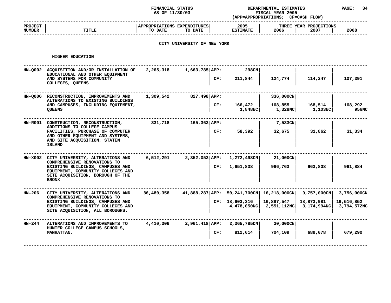|                          |                                                                                                                           | DEPARTMENTAL ESTIMATES<br>FISCAL YEAR 2005<br>(APP=APPROPRIATIONS; CF=CASH FLOW) |                             |     |                                                                      | <b>PAGE:</b>       |                                       |                           |
|--------------------------|---------------------------------------------------------------------------------------------------------------------------|----------------------------------------------------------------------------------|-----------------------------|-----|----------------------------------------------------------------------|--------------------|---------------------------------------|---------------------------|
| <b>PROJECT</b><br>NUMBER | <b>TITLE</b>                                                                                                              | APPROPRIATIONS EXPENDITURES<br>TO DATE                                           | TO DATE                     |     | 2005<br><b>ESTIMATE</b>                                              | 2006               | THREE YEAR PROJECTIONS<br>2007        | 2008                      |
|                          |                                                                                                                           |                                                                                  | CITY UNIVERSITY OF NEW YORK |     |                                                                      |                    |                                       |                           |
|                          | HIGHER EDUCATION                                                                                                          |                                                                                  |                             |     |                                                                      |                    |                                       |                           |
|                          | HN-Q002 ACQUISITION AND/OR INSTALLATION OF 2,265,318 1,663,785   APP:<br>EDUCATIONAL AND OTHER EQUIPMENT                  |                                                                                  |                             |     | 298CN                                                                |                    |                                       |                           |
|                          | AND SYSTEMS FOR COMMUNITY<br>COLLEGES, QUEENS                                                                             |                                                                                  |                             | CF: | 211,844                                                              | 124,774            | 114,247                               | 107,391                   |
|                          | HN-Q006 RECONSTRUCTION, IMPROVEMENTS AND<br>ALTERATIONS TO EXISTING BUILDINGS                                             | 1,309,542                                                                        | 827,498 APP:                |     |                                                                      | 336,000CN          |                                       |                           |
|                          | AND CAMPUSES, INCLUDING EQUIPMENT,<br><b>OUEENS</b>                                                                       |                                                                                  |                             | CF: | $166,472$  <br>1,848NC                                               | 168,855<br>1,328NC | $168,514$  <br>1,103NC                | 168,292<br><b>956NC</b>   |
|                          | HN-R001 CONSTRUCTION, RECONSTRUCTION,<br>ADDITIONS TO COLLEGE CAMPUS                                                      |                                                                                  |                             |     |                                                                      | 7,533CN            |                                       |                           |
|                          | FACILITIES, PURCHASE OF COMPUTER<br>AND OTHER EQUIPMENT AND SYSTEMS,<br>AND SITE ACQUISITION, STATEN<br><b>ISLAND</b>     |                                                                                  |                             |     | CF:<br>58,392                                                        | 32,675             | 31,862                                | 31,334                    |
|                          | HN-X002 CITY UNIVERSITY, ALTERATIONS AND<br>COMPREHENSIVE RENOVATIONS TO                                                  |                                                                                  |                             |     | $6,512,291$ 2,352,053 APP: 1,272,498CN                               | 21,000CN           |                                       |                           |
|                          | EXISTING BUILDINGS, CAMPUSES AND<br>EQUIPMENT, COMMUNITY COLLEGES AND<br>SITE ACQUISITION, BOROUGH OF THE<br><b>BRONX</b> |                                                                                  |                             |     | CF: 1,651,838                                                        | 966,763            | 963,808                               | 961,884                   |
| HN-206                   | CITY UNIVERSITY, ALTERATIONS AND<br>COMPREHENSIVE RENOVATIONS TO                                                          |                                                                                  |                             |     | 86,480,358 41,888,287 APP: 50,241,700CN   16,218,000CN   9,757,000CN |                    |                                       | 3,756,000CN               |
|                          | EXISTING BUILDINGS, CAMPUSES AND<br>EQUIPMENT, COMMUNITY COLLEGES AND<br>SITE ACQUISITION, ALL BOROUGHS.                  |                                                                                  |                             |     | CF: 18,603,316<br>4,478,050NC                                        | 16,887,547         | 18,873,981<br>2,551,112NC 3,174,994NC | 19,516,852<br>3,794,572NC |
| HN-244                   | ALTERATIONS AND IMPROVEMENTS TO<br>HUNTER COLLEGE CAMPUS SCHOOLS,                                                         | 4,410,306                                                                        |                             |     | 2,961,418 APP: 2,365,785CN                                           | 30,000CN           |                                       |                           |
|                          | MANHATTAN.                                                                                                                |                                                                                  |                             | CF: | 812,614                                                              | 704,109            | 689,078                               | 679,290                   |
|                          |                                                                                                                           |                                                                                  |                             |     |                                                                      |                    |                                       |                           |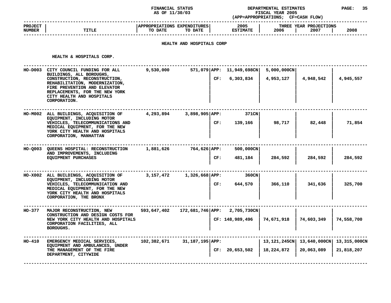#### **STATUS DEPARTMENTAL ESTIMATES PAGE: <sup>35</sup> (APP=APPROPRIATIONS;**

|                                 |              | AS OF 11/30/03                                                                   | <b>FISCAL YEAR 2005</b><br><b>CF=CASH FLOW)</b><br>(APP=APPROPRIATIONS; |                                        |      |  |
|---------------------------------|--------------|----------------------------------------------------------------------------------|-------------------------------------------------------------------------|----------------------------------------|------|--|
| <b>PROJECT</b><br><b>NUMBER</b> | <b>TITLE</b> | <b>APPROPRIATIONS</b><br><b>EXPENDITURES</b><br>TO DATE<br>TO DATE               | 2005<br><b>ESTIMATE</b>                                                 | THREE YEAR PROJECTIONS<br>2006<br>2007 | 2008 |  |
|                                 |              | ,我们也不会有什么?""我们的人,我们也不会有什么?""我们的人,我们也不会有什么?""我们的人,我们也不会有什么?""我们的人,我们也不会有什么?""我们的人 |                                                                         |                                        |      |  |

# **HEALTH AND HOSPITALS CORP**

HEALTH & HOSPITALS CORP.

|               | HEALTH & HOSPITALS CORP.                                                                                                                                                                                                                           |             |                              |                                                 |                                    |                                                          |            |
|---------------|----------------------------------------------------------------------------------------------------------------------------------------------------------------------------------------------------------------------------------------------------|-------------|------------------------------|-------------------------------------------------|------------------------------------|----------------------------------------------------------|------------|
|               | HO-D003 CITY COUNCIL FUNDING FOR ALL<br>BUILDINGS, ALL BOROUGHS,<br>CONSTRUCTION, RECONSTRUCTION,<br>REHABILITATION, MODERNIZATION,<br>FIRE PREVENTION AND ELEVATOR<br>REPLACEMENTS, FOR THE NEW YORK<br>CITY HEALTH AND HOSPITALS<br>CORPORATION. | 9,530,000   |                              | $571,079$ APP: 11,949,698CN<br>6,303,834<br>CF: | $5,000,000 \text{CN}$<br>4,953,127 | 4,948,542                                                | 4,945,557  |
|               | HO-M002 ALL BUILDINGS, ACQUISITION OF<br>EQUIPMENT, INCLUDING MOTOR<br>VEHICLES, TELECOMMUNICATIONS AND<br>MEDICAL EQUIPMENT, FOR THE NEW<br>YORK CITY HEALTH AND HOSPITALS<br>CORPORATION, MANHATTAN                                              | 4,293,894   | $3,898,905$ APP:<br>CF:      | 371CN<br>139,166                                | 98,717                             | 82,448                                                   | 71,854     |
|               | HO-Q003 QUEENS HOSPITAL: RECONSTRUCTION<br>AND IMPROVEMENTS, INCLUDING<br>EQUIPMENT PURCHASES                                                                                                                                                      | 1,881,626   | 764,626 APP:<br>CF:          | 500,000CN<br>481,184                            | 284,592                            | 284,592                                                  | 284,592    |
|               | HO-X002 ALL BUILDINGS, ACQUISITION OF<br>EQUIPMENT, INCLUDING MOTOR<br>VEHICLES, TELECOMMUNICATION AND<br>MEDICAL EQUIPMENT, FOR THE NEW<br>YORK CITY HEALTH AND HOSPITALS<br>CORPORATION, THE BRONX                                               | 3,157,472   | $1,326,668$ $APP:$<br>CF:    | 360CN<br>644,570                                | 366,110                            | 341,636                                                  | 325,700    |
| <b>HO-377</b> | MAJOR RECONSTRUCTION, NEW<br>CONSTRUCTION AND DESIGN COSTS FOR<br>NEW YORK CITY HEALTH AND HOSPITALS<br>CORPORATION FACILITIES, ALL<br><b>BOROUGHS.</b>                                                                                            | 593,647,402 | 172,681,746 APP: 2,705,730CN | CF: 148,989,496                                 | 74,671,918                         | 74,603,349                                               | 74,558,700 |
| HO-410        | EMERGENCY MEDICAL SERVICES,<br>EQUIPMENT AND AMBULANCES, UNDER<br>THE MANAGEMENT OF THE FIRE<br>DEPARTMENT, CITYWIDE                                                                                                                               | 102,382,671 | 31,187,195 APP:              | CF: 20,653,502                                  | 18,224,872                         | 13,121,245CN   13,640,000CN   13,315,000CN<br>20,063,089 | 21,818,207 |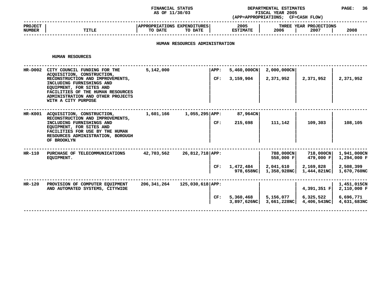#### **STATUS DEPARTMENTAL ESTIMATES PAGE: <sup>36</sup> (APP=APPROPRIATIONS;**

|                                 |              | AS OF 11/30/03                                    | <b>FISCAL YEAR 2005</b><br><b>CF=CASH FLOW)</b><br>(APP=APPROPRIATIONS; |                                                |  |  |  |
|---------------------------------|--------------|---------------------------------------------------|-------------------------------------------------------------------------|------------------------------------------------|--|--|--|
| <b>PROJECT</b><br><b>NUMBER</b> | <b>TITLE</b> | APPROPRIATIONS EXPENDITURES<br>TO DATE<br>TO DATE | 2005<br><b>ESTIMATE</b>                                                 | THREE YEAR PROJECTIONS<br>2008<br>2006<br>2007 |  |  |  |
|                                 |              |                                                   |                                                                         |                                                |  |  |  |

# **HUMAN RESOURCES ADMINISTRATION**

#### **HUMAN**

|           | HUMAN RESOURCES                                                                                                                                                                                                                                          |             |                    |     |                             |                                                    |                                                    |                                                        |
|-----------|----------------------------------------------------------------------------------------------------------------------------------------------------------------------------------------------------------------------------------------------------------|-------------|--------------------|-----|-----------------------------|----------------------------------------------------|----------------------------------------------------|--------------------------------------------------------|
| $HR-DOO2$ | CITY COUNCIL FUNDING FOR THE<br>ACQUISITION, CONSTRUCTION,<br>RECONSTRUCTION AND IMPROVEMENTS,<br>INCLUDING FURNISHINGS AND<br>EQUIPMENT, FOR SITES AND<br>FACILITIES OF THE HUMAN RESOURCES<br>ADMINISTRATION AND OTHER PROJECTS<br>WITH A CITY PURPOSE | 5,142,000   | APP:               | CF: | $5,460,000$ CN<br>3,159,904 | 2,000,000CN<br>2,371,952                           | 2,371,952                                          | 2,371,952                                              |
| HR-K001   | ACQUISITION, CONSTRUCTION,<br>RECONSTRUCTION AND IMPROVEMENTS,<br>INCLUDING FURNISHINGS AND<br>EQUIPMENT, FOR SITES AND<br>FACILITIES FOR USE BY THE HUMAN<br>RESOURCES ADMINISTRATION, BOROUGH<br>OF BROOKLYN                                           | 1,601,166   | $1,055,295$ APP:   | CF: | 87,964CN<br>215,698         | 111,142                                            | 109,303                                            | 108,105                                                |
| $HR-110$  | PURCHASE OF TELECOMMUNICATIONS<br>EQUIPMENT.                                                                                                                                                                                                             | 42,703,562  | 26,812,718 APP:    | CF: | 1,472,484<br>978,658NC      | 788,000CN<br>558,000 F<br>2,041,610<br>1,358,928NC | 718,000CN<br>479,000 F<br>2,169,828<br>1,444,821NC | 1,941,000CN<br>1,294,000 F<br>2,508,399<br>1,670,760NC |
| $HR-120$  | PROVISION OF COMPUTER EQUIPMENT<br>AND AUTOMATED SYSTEMS, CITYWIDE                                                                                                                                                                                       | 206,341,264 | $125,030,618$ APP: | CF: | 5,360,468<br>3,897,626NC    | 5,156,077<br>3,661,228NCl                          | 4,391,351 F<br>6,325,522<br>4,406,543NC            | 1,451,015CN<br>2,110,000 F<br>6,696,771<br>4,631,683NC |
|           |                                                                                                                                                                                                                                                          |             |                    |     |                             |                                                    |                                                    |                                                        |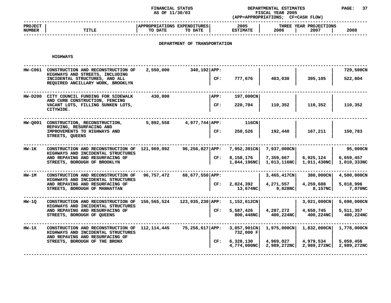### **STATUS DEPARTMENTAL ESTIMATES PAGE: <sup>37</sup> (APP=APPROPRIATIONS;**

|                                 |              | AS OF 11/30/03                                    | <b>FISCAL YEAR 2005</b><br>(APP=APPROPRIATIONS;<br><b>CF=CASH FLOW)</b> |                                        |      |
|---------------------------------|--------------|---------------------------------------------------|-------------------------------------------------------------------------|----------------------------------------|------|
| <b>PROJECT</b><br><b>NUMBER</b> | <b>TITLE</b> | APPROPRIATIONS EXPENDITURES<br>TO DATE<br>TO DATE | 2005<br><b>ESTIMATE</b>                                                 | THREE YEAR PROJECTIONS<br>2006<br>2007 | 2008 |
|                                 |              |                                                   |                                                                         |                                        |      |

# **DEPARTMENT OF TRANSPORTATION**

**HIGHWAYS**

| <b>HW-C061</b> | CONSTRUCTION AND RECONSTRUCTION OF<br>HIGHWAYS AND STREETS, INCLUDING<br>INCIDENTAL STRUCTURES, AND ALL<br>REQUIRED ANCILLARY WORK, BROOKLYN | 2,550,000   | $340,192$ APP:<br>CF:    | 777,676                                                 | 403,030                                           | 395,105                                       | 729,500CN<br>522,804                    |
|----------------|----------------------------------------------------------------------------------------------------------------------------------------------|-------------|--------------------------|---------------------------------------------------------|---------------------------------------------------|-----------------------------------------------|-----------------------------------------|
|                | HW-D200 CITY COUNCIL FUNDING FOR SIDEWALK<br>AND CURB CONSTRUCTION, FENCING<br>VACANT LOTS, FILLING SUNKEN LOTS,<br>CITYWIDE.                | 430,000     | APP:<br>CF:              | 197,000CN<br>220,704                                    | 110,352                                           | 110,352                                       | 110,352                                 |
|                | HW-0001 CONSTRUCTION, RECONSTRUCTION,<br>REPAVING, RESURFACING AND<br>IMPROVEMENTS TO HIGHWAYS AND<br>STREETS, QUEENS                        | 5,892,558   | 4,977,744 APP:<br>CF:    | 116CN<br>250,526                                        | 192,440                                           | 167,211                                       | 150,783                                 |
| HW-1K          | CONSTRUCTION AND RECONSTRUCTION OF<br>HIGHWAYS AND INCIDENTAL STRUCTURES<br>AND REPAVING AND RESURFACING OF<br>STREETS, BOROUGH OF BROOKLYN  | 121,969,992 | 96,256,827   APP:<br>CF: | 7,952,391CN<br>8,158,176<br>1,844,196NC                 | 7,937,000CN<br>7,359,667<br>1,013,116NC           | 6,925,124<br>1,011,430NC                      | 95,000CN<br>6,659,457<br>1,010,333NC    |
| <b>HW-1M</b>   | CONSTRUCTION AND RECONSTRUCTION OF<br>HIGHWAYS AND INCIDENTAL STRUCTURES<br>AND REPAVING AND RESURFACING OF<br>STREETS, BOROUGH OF MANHATTAN | 96,757,472  | 68,677,550 APP:<br>CF:   | 2,824,392<br>13,674NC                                   | $3,465,417$ CN<br>4,271,557<br>9,828NC            | 380,000CN<br>4,259,688<br>8,157 <sub>NC</sub> | 4,500,000CN<br>5,018,996<br>7,070NC     |
| <b>HW-10</b>   | CONSTRUCTION AND RECONSTRUCTION OF<br>HIGHWAYS AND INCIDENTAL STRUCTURES<br>AND REPAVING AND RESURFACING OF<br>STREETS, BOROUGH OF QUEENS    | 156,565,524 | 123,935,230 APP:<br>CF:  | $1,152,612$ CN<br>5,587,426<br>800,448NC                | 4,287,272<br>400,224NC                            | 3,021,000CN<br>4,650,745<br>400,224NC         | 5,698,000CN<br>5,511,357<br>400,224NC   |
| HW-1X          | CONSTRUCTION AND RECONSTRUCTION OF<br>HIGHWAYS AND INCIDENTAL STRUCTURES<br>AND REPAVING AND RESURFACING OF<br>STREETS, BOROUGH OF THE BRONX | 112,114,445 | 75,256,617 APP:<br>CF:   | $3,057,901$ CN<br>732,000 F<br>6,328,130<br>4,774,000NC | $1,975,000 \text{CN}$<br>4,969,027<br>2,989,272NC | 1,832,000CN<br>4,979,534<br>2,989,272NC       | 1,778,000CN<br>5,059,456<br>2,989,272NC |

**4,774,000NC| 2,989,272NC| 2,989,272NC| 2,989,272NC ------------------------------------------------------------------------------------------------------------------------------------**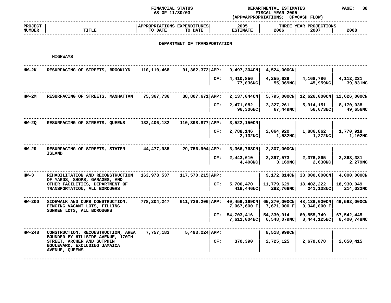**STATUS DEPARTMENTAL ESTIMATES PAGE: <sup>38</sup> (APP=APPROPRIATIONS;**

|                                 |              | AS OF 11/30/03                                    | <b>FISCAL YEAR 2005</b><br>(APP=APPROPRIATIONS;<br>CF=CASH FLOW) |                                        |      |
|---------------------------------|--------------|---------------------------------------------------|------------------------------------------------------------------|----------------------------------------|------|
| <b>PROJECT</b><br><b>NUMBER</b> | <b>TITLE</b> | APPROPRIATIONS EXPENDITURES<br>TO DATE<br>TO DATE | 2005<br><b>ESTIMATE</b>                                          | THREE YEAR PROJECTIONS<br>2006<br>2007 | 2008 |
|                                 |              |                                                   |                                                                  |                                        |      |

### **DEPARTMENT OF TRANSPORTATION**

| <b>HW-2K</b> | RESURFACING OF STREETS, BROOKLYN                                                                                  | 110,110,468 | $91,362,372$ APP:             | $9,497,304$ CN                   | 4,524,000CN                           |                             |                           |
|--------------|-------------------------------------------------------------------------------------------------------------------|-------------|-------------------------------|----------------------------------|---------------------------------------|-----------------------------|---------------------------|
|              |                                                                                                                   |             | CF:                           | 4,410,856<br>77,036NC            | 4,255,639<br>55,369NC                 | 4,168,786<br>45,959NC       | 4,112,231<br>39,831NC     |
| <b>HW-2M</b> | RESURFACING OF STREETS, MANHATTAN                                                                                 | 75,367,736  | 38,807,671 APP:               | 2,137,044CN                      | 5,795,000CN                           | 12,626,000CN                | 12,626,000CN              |
|              |                                                                                                                   |             | CF:                           | 2,471,082<br>96,306NC            | 3,327,261<br>67,449NC                 | 5,914,151<br>56,673NC       | 8,170,038<br>49,656NC     |
| $HW-2Q$      | RESURFACING OF STREETS, QUEENS                                                                                    | 132,406,182 | $110,398,877$ APP:            | 3,522,150CN                      |                                       |                             |                           |
|              |                                                                                                                   |             | CF:                           | 2,788,146<br>2,132NC             | 2,064,920<br>1,532NC                  | 1,886,862<br>1,272NC        | 1,770,918<br>1,102NC      |
| $HW-2R$      | RESURFACING OF STREETS, STATEN                                                                                    | 44,477,985  | 29,756,904 APP:               | 3,366,763CN                      | 2,307,000CN                           |                             |                           |
|              | <b>ISLAND</b>                                                                                                     |             | CF:                           | 2,443,610<br>4,408NC             | 2,397,573<br>3,169NC                  | 2,376,865<br>2,630NC        | 2,363,381<br>2,279NC      |
| $HW-3$       | REHABILITATION AND RECONSTRUCTION<br>OF YARDS, SHOPS, GARAGES, AND                                                | 163,978,537 | 117,570,215 APP:              |                                  | 9,172,814CN                           | 33,000,000CN                | 4,000,000CN               |
|              | OTHER FACILITIES, DEPARTMENT OF<br>TRANSPORTATION, ALL BOROUGHS                                                   |             | CF:                           | 5,700,470<br>416,446NC           | 11,779,629<br>282,766NC               | 18,402,222<br>241,138NC     | 18,930,049<br>214,032NC   |
| HW-200       | SIDEWALK AND CURB CONSTRUCTION,<br>FENCING VACANT LOTS, FILLING<br>SUNKEN LOTS, ALL BOROUGHS                      | 778,204,247 | 611,726,206 APP: 40,459,169CN | 7,067,600 F                      | 65,270,000CN<br>7,671,000 F           | 48,136,000CN<br>9,346,000 F | 49,562,000CN              |
|              |                                                                                                                   |             |                               | CF: 54,703,416<br>$7,611,004$ NC | 54,330,914<br>6,548,079 <sup>nc</sup> | 60,855,749<br>8,444,125NC   | 67,542,445<br>8,400,748NC |
| HW-248       | CONSTRUCTION, RECONSTRUCTION, AREA                                                                                | 7,757,183   | $5,493,224$ APP:              |                                  | 8,518,999CN                           |                             |                           |
|              | BOUNDED BY HILLSIDE AVENUE, 170TH<br>STREET, ARCHER AND SUTPHIN<br>BOULEVARD, EXCLUDING JAMAICA<br>AVENUE, QUEENS |             | CF:                           | 370,390                          | 2,725,125                             | 2,679,878                   | 2,650,415                 |
|              |                                                                                                                   |             |                               |                                  |                                       |                             |                           |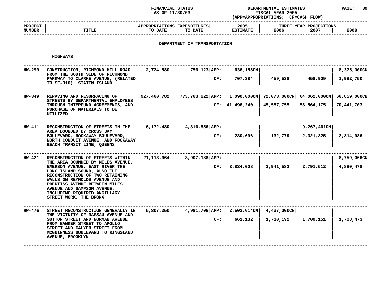### **FINANCIAL STATUS DEPARTMENTAL ESTIMATES PAGE: <sup>39</sup> (APP=APPROPRIATIONS;**

**AS OF 11/30/03 FISCAL YEAR <sup>2005</sup> CF=CASH FLOW) ------------------------------------------------------------------------------------------------------------------------------------ PROJECT <sup>|</sup> |APPROPRIATIONS EXPENDITURES| <sup>2005</sup> <sup>|</sup> THREE YEAR PROJECTIONS NUMBER<sup>|</sup> TITLE <sup>|</sup> TO DATE TO DATE <sup>|</sup> ESTIMATE <sup>|</sup> <sup>2006</sup> <sup>|</sup> <sup>2007</sup> <sup>|</sup> <sup>2008</sup> ------------------------------------------------------------------------------------------------------------------------------------**

# **DEPARTMENT OF TRANSPORTATION**

| HW-299 | CONSTRUCTION, RICHMOND HILL ROAD<br>FROM THE SOUTH SIDE OF RICHMOND<br>PARKWAY TO CLARKE AVENUE, (RELATED<br>TO SE-310), STATEN ISLAND                                                                                                                                                                                             | 2,724,580   | 756,123 APP:                                                        | CF: | 636,158CN<br>707,384 | 459,538                  | 458,909                  | 8,375,000CN<br>1,982,750 |
|--------|------------------------------------------------------------------------------------------------------------------------------------------------------------------------------------------------------------------------------------------------------------------------------------------------------------------------------------|-------------|---------------------------------------------------------------------|-----|----------------------|--------------------------|--------------------------|--------------------------|
| HW-349 | REPAVING AND RESURFACING OF<br>STREETS BY DEPARTMENTAL EMPLOYEES<br>THROUGH INTERFUND AGREEMENTS, AND<br>PURCHASE OF MATERIALS TO BE<br>UTILIZED                                                                                                                                                                                   | 927,460,782 | 773,763,622 APP: 1,090,000CN 72,073,000CN 64,062,000CN 66,859,000CN |     | CF: 41,496,240       | 45,557,755               | 58,564,175               | 70,441,703               |
| HW-411 | RECONSTRUCTION OF STREETS IN THE<br>AREA BOUNDED BY CROSS BAY<br>BOULEVARD, ROCKAWAY BOULEVARD,<br>NORTH CONDUIT AVENUE, AND ROCKAWAY<br>BEACH TRANSIT LINE, QUEENS                                                                                                                                                                | 6,172,480   | 4,316,556 APP:                                                      | CF: | 230,696              | 132,779                  | 9,267,461CN<br>2,321,325 | 2,314,986                |
| HW-421 | RECONSTRUCTION OF STREETS WITHIN<br>THE AREA BOUNDED BY MILES AVENUE,<br>EMERSON AVENUE, EAST RIVER THE<br>LONG ISLAND SOUND, ALSO THE<br>RECONSTRUCTION OF TWO RETAINING<br>WALLS ON REYNOLDS AVENUE AND<br>PRENTISS AVENUE BETWEEN MILES<br>AVENUE AND SAMPSON AVENUE,<br>INCLUDING REQUIRED ANCILLARY<br>STREET WORK, THE BRONX |             | 21, 113, 964 3, 907, 188 APP:                                       | CF: | 3,834,008            | 2,941,582                | 2,791,512                | 8,759,066CN<br>4,880,478 |
| HW-476 | STREET RECONSTRUCTION GENERALLY IN<br>THE VICINITY OF NASSAU AVENUE AND<br>SUTTON STREET AND NORMAN AVENUE<br>FROM BANKER STREET TO APOLLO<br>STREET AND CALYER STREET FROM<br>MCGUINNESS BOULEVARD TO KINGSLAND<br>AVENUE, BROOKLYN                                                                                               | 5,807,350   | 4,981,706 APP: 2,502,614CN                                          | CF: | 661,132              | 4,437,000CN<br>1,710,192 | 1,709,151                | 1,708,473                |
|        |                                                                                                                                                                                                                                                                                                                                    |             |                                                                     |     |                      |                          |                          |                          |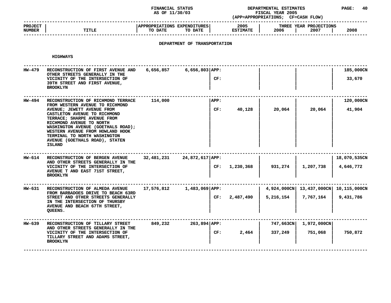### **STATUS DEPARTMENTAL ESTIMATES PAGE: <sup>40</sup> (APP=APPROPRIATIONS;**

|                                 |              | AS OF 11/30/03                                            | (APP=APPROPRIATIONS;    | <b>FISCAL YEAR 2005</b><br><b>CF=CASH FLOW)</b> |      |
|---------------------------------|--------------|-----------------------------------------------------------|-------------------------|-------------------------------------------------|------|
| <b>PROJECT</b><br><b>NUMBER</b> | <b>TITLE</b> | <b>APPROPRIATIONS EXPENDITURES!</b><br>TO DATE<br>TO DATE | 2005<br><b>ESTIMATE</b> | THREE YEAR PROJECTIONS<br>2006<br>2007          | 2008 |
|                                 |              |                                                           |                         |                                                 |      |

# **DEPARTMENT OF TRANSPORTATION**

| HW-479 | RECONSTRUCTION OF FIRST AVENUE AND<br>OTHER STREETS GENERALLY IN THE<br>VICINITY OF THE INTERSECTION OF<br>39TH STREET AND FIRST AVENUE,<br><b>BROOKLYN</b>                                                                                                                                                                                          | 6,656,857  | 6,656,803 APP:   | CF:         |               |           |                                                        | 185,000CN<br>33,670       |
|--------|------------------------------------------------------------------------------------------------------------------------------------------------------------------------------------------------------------------------------------------------------------------------------------------------------------------------------------------------------|------------|------------------|-------------|---------------|-----------|--------------------------------------------------------|---------------------------|
| HW-494 | RECONSTRUCTION OF RICHMOND TERRACE<br>FROM WESTERN AVENUE TO RICHMOND<br>AVENUE; JEWETT AVENUE FROM<br>CASTLETON AVENUE TO RICHMOND<br>TERRACE; SHARPE AVENUE FROM<br>RICHMOND AVENUE TO NORTH<br>WASHINGTON AVENUE (GOETHALS ROAD);<br>WESTERN AVENUE FROM HOWLAND HOOK<br>TERMINAL TO NORTH WASHINGTON<br>AVENUE (GOETHALS ROAD), STATEN<br>ISLAND | 114,000    |                  | APP:<br>CF: | 40,128        | 20,064    | 20,064                                                 | 120,000CN<br>41,904       |
| HW-614 | RECONSTRUCTION OF BERGEN AVENUE<br>AND OTHER STREETS GENERALLY IN THE<br>VICINITY OF THE INTERSECTION OF<br>AVENUE T AND EAST 71ST STREET,<br><b>BROOKLYN</b>                                                                                                                                                                                        | 32,481,231 | 24,872,617 APP:  |             | CF: 1,230,368 | 931,274   | 1,207,738                                              | 18,070,535CN<br>4,646,772 |
| HW-631 | RECONSTRUCTION OF ALMEDA AVENUE<br>FROM BARBADOES DRIVE TO BEACH 63RD<br>STREET AND OTHER STREETS GENERALLY<br>IN THE INTERSECTION OF THURSBY<br>AVENUE AND BEACH 67TH STREET,<br>QUEENS.                                                                                                                                                            | 17,576,812 | 1,483,069 APP:   |             | CF: 2,487,490 | 5,216,154 | 4,924,000CN   13,437,000CN   10,115,000CN<br>7,767,164 | 9,431,786                 |
| HW-639 | RECONSTRUCTION OF TILLARY STREET<br>AND OTHER STREETS GENERALLY IN THE<br>VICINITY OF THE INTERSECTION OF<br>TILLARY STREET AND ADAMS STREET,<br><b>BROOKLYN</b>                                                                                                                                                                                     | 849,232    | $263,894$ $APP:$ | CF:         | 2,464         | 337,249   | 747,663CN 1,972,000CN<br>751,068                       | 750,872                   |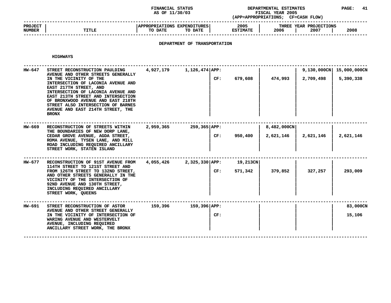#### **STATUS DEPARTMENTAL ESTIMATES PAGE: <sup>41</sup> (APP=APPROPRIATIONS;**

|                                 |              | AS OF 11/30/03                                                       | (APP=APPROPRIATIONS;    | <b>FISCAL YEAR 2005</b><br><b>CF=CASH FLOW)</b> |      |
|---------------------------------|--------------|----------------------------------------------------------------------|-------------------------|-------------------------------------------------|------|
| <b>PROJECT</b><br><b>NUMBER</b> | <b>TITLE</b> | <b>APPROPRIATIONS</b><br><b>EXPENDITURES  </b><br>TO DATE<br>TO DATE | 2005<br><b>ESTIMATE</b> | THREE YEAR PROJECTIONS<br>2006<br>2007          | 2008 |
|                                 |              |                                                                      |                         |                                                 |      |

# **DEPARTMENT OF TRANSPORTATION**

| HW-647 | STREET RECONSTRUCTION PAULDING<br>AVENUE AND OTHER STREETS GENERALLY<br>IN THE VICINITY OF THE<br>INTERSECTION OF LACONIA AVENUE AND<br>EAST 217TH STREET, AND<br>INTERSECTION OF LACONIA AVENUE AND<br>EAST 213TH STREET AND INTERSECTION<br>OF BRONXWOOD AVENUE AND EAST 218TH<br>STREET ALSO INTERSECTION OF BARNES<br>AVENUE AND EAST 214TH STREET, THE | 4,927,179 | 1,126,474 APP: | CF: | 679,608  | 474,993     | 2,709,498 | 9,130,000CN 15,000,000CN<br>5,390,338 |
|--------|-------------------------------------------------------------------------------------------------------------------------------------------------------------------------------------------------------------------------------------------------------------------------------------------------------------------------------------------------------------|-----------|----------------|-----|----------|-------------|-----------|---------------------------------------|
|        | <b>BRONX</b>                                                                                                                                                                                                                                                                                                                                                |           |                |     |          |             |           |                                       |
| HW-669 | RECONSTRUCTION OF STREETS WITHIN<br>THE BOUNDARIES OF NEW DORP LANE,<br>CEDAR GROVE AVENUE, AGDA STREET,<br>ROMA AVENUE, TYSEN LANE, AND MILL<br>ROAD INCLUDING REQUIRED ANCILLARY<br>STREET WORK, STATEN ISLAND                                                                                                                                            | 2,959,365 | 259,365 APP:   |     |          | 8,482,000CN |           |                                       |
|        |                                                                                                                                                                                                                                                                                                                                                             |           |                | CF: | 950,400  | 2,621,146   | 2,621,146 | 2,621,146                             |
| HW-677 | RECONSTRUCTION OF 91ST AVENUE FROM                                                                                                                                                                                                                                                                                                                          | 4,055,426 | 2,325,330 APP: |     | 19,213CN |             |           |                                       |
|        | 114TH STREET TO 121ST STREET AND<br>FROM 126TH STREET TO 132ND STREET,<br>AND OTHER STREETS GENERALLY IN THE<br>VICINITY OF THE INTERSECTION OF<br>92ND AVENUE AND 130TH STREET,<br>INCLUDING REQUIRED ANCILLARY<br>STREET WORK, QUEENS                                                                                                                     |           |                | CF: | 571,342  | 379,852     | 327,257   | 293,009                               |
| HW-691 | STREET RECONSTRUCTION OF ASTOR                                                                                                                                                                                                                                                                                                                              | 159,396   | 159,396 APP:   |     |          |             |           | 83,000CN                              |
|        | AVENUE AND OTHER STREET GENERALLY<br>IN THE VICINITY OF INTERSECTION OF<br>WARING AVENUE AND WESTERVELT<br>AVENUE, INCLUDING REQUIRED<br>ANCILLARY STREET WORK, THE BRONX                                                                                                                                                                                   |           |                | CF: |          |             |           | 15,106                                |
|        |                                                                                                                                                                                                                                                                                                                                                             |           |                |     |          |             |           |                                       |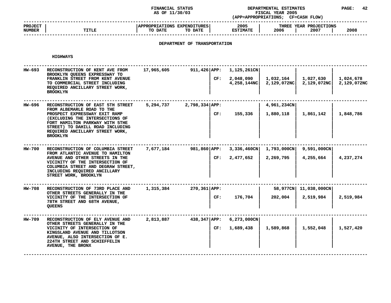#### **STATUS DEPARTMENTAL ESTIMATES PAGE: <sup>42</sup> (APP=APPROPRIATIONS;**

|                          |              | AS OF 11/30/03                                    | (APP=APPROPRIATIONS;    | <b>FISCAL YEAR 2005</b><br>CF=CASH FLOW) |      |
|--------------------------|--------------|---------------------------------------------------|-------------------------|------------------------------------------|------|
| <b>PROJECT</b><br>NUMBER | <b>TITLE</b> | APPROPRIATIONS EXPENDITURES<br>TO DATE<br>TO DATE | 2005<br><b>ESTIMATE</b> | THREE YEAR PROJECTIONS<br>2006<br>2007   | 2008 |
|                          |              |                                                   |                         |                                          |      |

# **DEPARTMENT OF TRANSPORTATION**

| 17,965,605<br>911,426 APP:<br>$1,125,261$ CN<br>HW-693<br>RECONSTRUCTION OF KENT AVE FROM<br>BROOKLYN QUEENS EXPRESSWAY TO<br>1,027,630<br>CF:<br>2,048,090<br>1,032,164<br>FRANKLIN STREET FROM KENT AVENUE<br>2,129,072NC<br>4,258,144NC<br>2,129,072NC<br>TO COMMERCIAL STREET INCLUDING<br>REQUIRED ANCILLARY STREET WORK,<br><b>BROOKLYN</b><br>5,294,737<br>2,798,334 APP:<br>4,961,234CN<br>HW-696<br>RECONSTRUCTION OF EAST 5TH STREET<br>FROM ALBEMARLE ROAD TO THE<br>155,336<br>1,880,118<br>1,861,142<br>CF:<br>PROSPECT EXPRESSWAY EXIT RAMP<br>(EXCLUDING THE INTERSECTIONS OF<br>FORT HAMILTON PARKWAY WITH 5THE<br>STREET) TO DAHILL ROAD INCLUDING<br>REQUIRED ANCILLARY STREET WORK,<br><b>BROOKLYN</b><br>7,677,184<br>981,860 APP:<br>$3,336,460$ CN<br>1,793,000CN<br>9,591,000CN<br>HW-700<br>RECONSTRUCTION OF COLUMBIA STREET<br>FROM ATLANTIC AVENUE TO HAMILTON<br>2,477,652<br>CF:<br>2,269,795<br>4,255,664<br>AVENUE AND OTHER STREETS IN THE<br>VICINITY OF THE INTERSECTION OF<br>COLUMBIA STREET AND DEGRAW STREET,<br>INCLUDING REQUIRED ANCILLARY<br>STREET WORK, BROOKLYN<br>$270,361$ $APP:$<br>58,977CN 11,038,000CN<br>HW-708<br>RECONSTRUCTION OF 73RD PLACE AND<br>1,315,384<br>OTHER STREETS GENERALLY IN THE<br>176,704<br>202,004<br>2,519,984<br>VICINITY OF THE INTERSECTION OF<br>CF:<br>78TH STREET AND 68TH AVENUE,<br><b>QUEENS</b><br>$6,273,000$ CN<br>HW-709<br>2,813,887<br>438,347 APP:<br>RECONSTRUCTION OF ELY AVENUE AND<br>OTHER STREETS GENERALLY IN THE<br>1,689,438<br>1,589,868<br>1,552,048<br>VICINITY OF INTERSECTION OF<br>CF:<br>KINGSLAND AVENUE AND TILLOTSON<br>AVENUE, ALSO INTERSECTION OF E.<br>224TH STREET AND SCHIEFFELIN<br>AVENUE, THE BRONX |  |  |  |                          |
|----------------------------------------------------------------------------------------------------------------------------------------------------------------------------------------------------------------------------------------------------------------------------------------------------------------------------------------------------------------------------------------------------------------------------------------------------------------------------------------------------------------------------------------------------------------------------------------------------------------------------------------------------------------------------------------------------------------------------------------------------------------------------------------------------------------------------------------------------------------------------------------------------------------------------------------------------------------------------------------------------------------------------------------------------------------------------------------------------------------------------------------------------------------------------------------------------------------------------------------------------------------------------------------------------------------------------------------------------------------------------------------------------------------------------------------------------------------------------------------------------------------------------------------------------------------------------------------------------------------------------------------------------------------------------------------------------------------------------|--|--|--|--------------------------|
|                                                                                                                                                                                                                                                                                                                                                                                                                                                                                                                                                                                                                                                                                                                                                                                                                                                                                                                                                                                                                                                                                                                                                                                                                                                                                                                                                                                                                                                                                                                                                                                                                                                                                                                            |  |  |  | 1,024,678<br>2,129,072NC |
|                                                                                                                                                                                                                                                                                                                                                                                                                                                                                                                                                                                                                                                                                                                                                                                                                                                                                                                                                                                                                                                                                                                                                                                                                                                                                                                                                                                                                                                                                                                                                                                                                                                                                                                            |  |  |  | 1,848,786                |
|                                                                                                                                                                                                                                                                                                                                                                                                                                                                                                                                                                                                                                                                                                                                                                                                                                                                                                                                                                                                                                                                                                                                                                                                                                                                                                                                                                                                                                                                                                                                                                                                                                                                                                                            |  |  |  | 4,237,274                |
|                                                                                                                                                                                                                                                                                                                                                                                                                                                                                                                                                                                                                                                                                                                                                                                                                                                                                                                                                                                                                                                                                                                                                                                                                                                                                                                                                                                                                                                                                                                                                                                                                                                                                                                            |  |  |  | 2,519,984                |
|                                                                                                                                                                                                                                                                                                                                                                                                                                                                                                                                                                                                                                                                                                                                                                                                                                                                                                                                                                                                                                                                                                                                                                                                                                                                                                                                                                                                                                                                                                                                                                                                                                                                                                                            |  |  |  | 1,527,420                |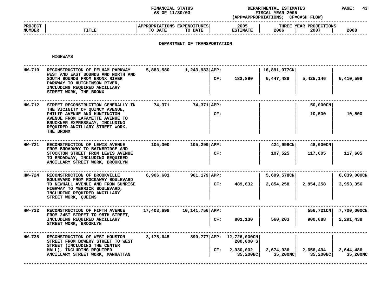#### **STATUS DEPARTMENTAL ESTIMATES PAGE: <sup>43</sup> (APP=APPROPRIATIONS;**

|                                 |       | AS OF 11/30/03                                           | (APP=APPROPRIATIONS;    | <b>FISCAL YEAR 2005</b><br><b>CF=CASH FLOW)</b> |      |
|---------------------------------|-------|----------------------------------------------------------|-------------------------|-------------------------------------------------|------|
| <b>PROJECT</b><br><b>NUMBER</b> | TITLE | <b>APPROPRIATIONS EXPENDITURES</b><br>TO DATE<br>TO DATE | 2005<br><b>ESTIMATE</b> | THREE YEAR PROJECTIONS<br>2006<br>2007          | 2008 |
|                                 |       |                                                          |                         |                                                 |      |

# **DEPARTMENT OF TRANSPORTATION**

| 16,891,977CN<br>5,447,488 | 5,425,146<br>50,000CN<br>10,500 | 5,410,598<br>10,500                  |
|---------------------------|---------------------------------|--------------------------------------|
|                           |                                 |                                      |
|                           |                                 |                                      |
| 107,525                   | 48,000CN<br>117,605             | 117,605                              |
| 2,854,258                 | 2,854,258                       | 6,039,000CN<br>3,953,356             |
| 560,203                   | 556,721CN<br>900,088            | 7,700,000CN<br>2,291,438             |
| 2,674,936<br>35,200NC     | 2,656,494<br>35,200NC           | 2,644,486<br>35,200NC                |
|                           |                                 | 424,999CN<br>5,699,578CN<br>35,200NC |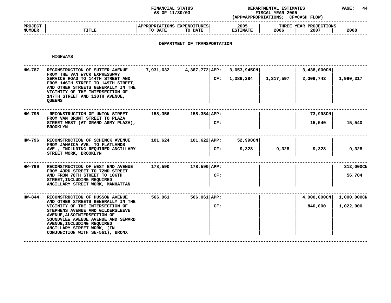#### **STATUS DEPARTMENTAL ESTIMATES PAGE: <sup>44</sup> (APP=APPROPRIATIONS;**

|                                 |              | AS OF 11/30/03                                            | (APP=APPROPRIATIONS;    | <b>FISCAL YEAR 2005</b><br><b>CF=CASH FLOW)</b> |      |
|---------------------------------|--------------|-----------------------------------------------------------|-------------------------|-------------------------------------------------|------|
| <b>PROJECT</b><br><b>NUMBER</b> | <b>TITLE</b> | <b>APPROPRIATIONS EXPENDITURES!</b><br>TO DATE<br>TO DATE | 2005<br><b>ESTIMATE</b> | THREE YEAR PROJECTIONS<br>2006<br>2007          | 2008 |
|                                 |              |                                                           |                         |                                                 |      |

# **DEPARTMENT OF TRANSPORTATION**

**HIGHWAYS**

| RECONSTRUCTION OF SUTTER AVENUE<br>FROM THE VAN WYCK EXPRESSWAY                                                                                                                                                                         |                                                                                                                                             |         |                      |                                                      |                     | 3,438,000CN                |             |
|-----------------------------------------------------------------------------------------------------------------------------------------------------------------------------------------------------------------------------------------|---------------------------------------------------------------------------------------------------------------------------------------------|---------|----------------------|------------------------------------------------------|---------------------|----------------------------|-------------|
| FROM 146TH STREET TO 149TH STREET,<br>AND OTHER STREETS GENERALLY IN THE<br>VICINITY OF THE INTERSECTION OF<br>147TH STREET AND 130TH AVENUE,<br><b>QUEENS</b>                                                                          |                                                                                                                                             |         |                      | 1,386,284                                            | 1,317,597           | 2,009,743                  | 1,990,317   |
|                                                                                                                                                                                                                                         |                                                                                                                                             |         |                      |                                                      |                     |                            |             |
| FROM VAN BRUNT STREET TO PLAZA<br>STREET WEST (AT GRAND ARMY PLAZA),<br><b>BROOKLYN</b>                                                                                                                                                 |                                                                                                                                             |         | CF:                  |                                                      |                     | 15,540                     | 15,540      |
| RECONSTRUCTION OF SCHENCK AVENUE<br>FROM JAMAICA AVE. TO FLATLANDS<br>AVE., INCLUDING REQUIRED ANCILLARY<br>STREET WORK, BROOKLYN                                                                                                       |                                                                                                                                             |         |                      | 52,998CN                                             |                     |                            |             |
|                                                                                                                                                                                                                                         |                                                                                                                                             |         | CF:                  | 9,328                                                | 9,328               | 9,328                      | 9,328       |
| RECONSTRUCTION OF WEST END AVENUE                                                                                                                                                                                                       | 178,590                                                                                                                                     |         |                      |                                                      |                     |                            | 312,000CN   |
| AND FROM 78TH STREET TO 106TH<br>STREET, INCLUDING REQUIRED<br>ANCILLARY STREET WORK, MANHATTAN                                                                                                                                         |                                                                                                                                             |         | CF:                  |                                                      |                     |                            | 56,784      |
| RECONSTRUCTION OF HUSSON AVENUE                                                                                                                                                                                                         | 566,061                                                                                                                                     |         |                      |                                                      |                     | $4,000,000 \text{CN}$      | 1,000,000CN |
| VICINITY OF THE INTERSECTION OF<br>STEPHENS AVENUE AND GILDERSLEEVE<br>AVENUE, ALSOINTERSECTION OF<br>SOUNDVIEW AVENUE AVENUE AND SEWARD<br>AVENUE, INCLUDING REQUIRED<br>ANCILLARY STREET WORK, (IN<br>CONJUNCTION WITH SE-561), BRONX |                                                                                                                                             |         | CF:                  |                                                      |                     | 840,000                    | 1,022,000   |
|                                                                                                                                                                                                                                         | SERVICE ROAD TO 144TH STREET AND<br>RECONSTRUCTION OF UNION STREET<br>FROM 43RD STREET TO 72ND STREET<br>AND OTHER STREETS GENERALLY IN THE | 158,356 | 7,931,632<br>101,624 | $158,354$ $APP:$<br>$178,590$ $APP:$<br>566,061 APP: | CF:<br>101,622 APP: | 4,387,772 APP: 3,653,945CN | 73,998CN    |

**WITH SE-561), BRONX <sup>|</sup> <sup>|</sup> <sup>|</sup> <sup>|</sup> ------------------------------------------------------------------------------------------------------------------------------------**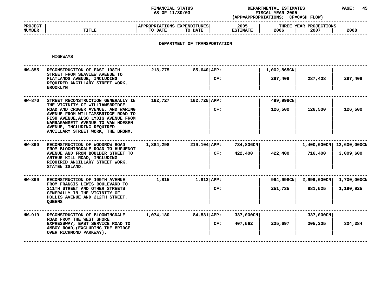### **STATUS DEPARTMENTAL ESTIMATES PAGE: <sup>45</sup> (APP=APPROPRIATIONS;**

|                          |              | AS OF 11/30/03                                     | (APP=APPROPRIATIONS;    | <b>FISCAL YEAR 2005</b><br><b>CF=CASH FLOW)</b> |      |
|--------------------------|--------------|----------------------------------------------------|-------------------------|-------------------------------------------------|------|
| <b>PROJECT</b><br>NUMBER | <b>TITLE</b> | APPROPRIATIONS EXPENDITURES!<br>TO DATE<br>TO DATE | 2005<br><b>ESTIMATE</b> | THREE YEAR PROJECTIONS<br>2006<br>2007          | 2008 |
|                          |              |                                                    |                         |                                                 |      |

# **DEPARTMENT OF TRANSPORTATION**

| HW-855 | RECONSTRUCTION OF EAST 108TH<br>STREET FROM SEAVIEW AVENUE TO<br>FLATLANDS AVENUE, INCLUDING<br>REQUIRED ANCILLARY STREET WORK,<br><b>BROOKLYN</b>                                                                                                                                              | 218,775   | $85,640$ $APP:$  | CF: |                      | 1,002,865CN<br>287,408 | 287,408                | 287,408                               |
|--------|-------------------------------------------------------------------------------------------------------------------------------------------------------------------------------------------------------------------------------------------------------------------------------------------------|-----------|------------------|-----|----------------------|------------------------|------------------------|---------------------------------------|
| HW-870 | STREET RECONSTRUCTION GENERALLY IN<br>THE VICINITY OF WILLIAMSBRIDGE<br>ROAD AND CRUGER AVENUE, AND WARING<br>AVENUE FROM WILLIAMSBRIDGE ROAD TO<br>FISH AVENUE, ALSO LYDIG AVENUE FROM<br>NARRAGANSETT AVENUE TO VAN HOESEN<br>AVENUE, INCLUDING REQUIRED<br>ANCILLARY STREET WORK, THE BRONX. | 162,727   | $162,725$ APP:   | CF: |                      | 499,998CN<br>126,500   | 126,500                | 126,500                               |
| HW-890 | RECONSTRUCTION OF WOODROW ROAD<br>FROM BLOOMINGDALE ROAD TO HUGUENOT<br>AVENUE AND FROM BOULDER STREET TO<br>ARTHUR KILL ROAD, INCLUDING<br>REQUIRED ANCILLARY STREET WORK,<br>STATEN ISLAND.                                                                                                   | 1,884,298 | $219,104$ $APP:$ | CF: | 734,806CN<br>422,400 | 422,400                | 716,400                | 1,400,000CN 12,600,000CN<br>3,009,600 |
| HW-899 | RECONSTRUCTION OF 109TH AVENUE<br>FROM FRANCIS LEWIS BOULEVARD TO<br>211TH STREET AND OTHER STREETS<br>GENERALLY IN THE VICINITY OF<br>HOLLIS AVENUE AND 212TH STREET,<br><b>QUEENS</b>                                                                                                         | 1,815     | 1,813 APP:       | CF: |                      | 994,998CN<br>251,735   | 2,999,000CN<br>881,525 | 1,700,000CN<br>1,190,925              |
| HW-919 | RECONSTRUCTION OF BLOOMINGDALE<br>ROAD FROM THE WEST SHORE<br>EXPRESSWAY, EAST SERVICE ROAD TO<br>AMBOY ROAD, (EXCLUDING THE BRIDGE<br>OVER RICHMOND PARKWAY).                                                                                                                                  | 1,074,180 | 84,831 APP:      | CF: | 337,000CN<br>407,562 | 235,697                | 337,000CN<br>305,205   | 304,384                               |
|        |                                                                                                                                                                                                                                                                                                 |           |                  |     |                      |                        |                        |                                       |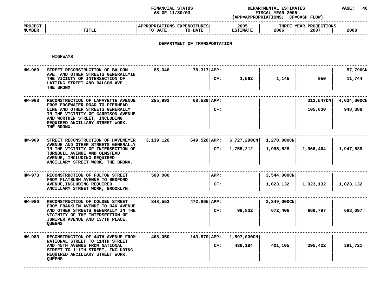### **STATUS DEPARTMENTAL ESTIMATES PAGE: <sup>46</sup> (APP=APPROPRIATIONS;**

|                                 |              | AS OF 11/30/03                                            | (APP=APPROPRIATIONS;    | <b>FISCAL YEAR 2005</b><br><b>CF=CASH FLOW)</b> |      |
|---------------------------------|--------------|-----------------------------------------------------------|-------------------------|-------------------------------------------------|------|
| <b>PROJECT</b><br><b>NUMBER</b> | <b>TITLE</b> | <b>APPROPRIATIONS EXPENDITURES!</b><br>TO DATE<br>TO DATE | 2005<br><b>ESTIMATE</b> | THREE YEAR PROJECTIONS<br>2006<br>2007          | 2008 |
|                                 |              |                                                           |                         |                                                 |      |

# **DEPARTMENT OF TRANSPORTATION**

| HW-960 | STREET RECONSTRUCTION OF BALCOM<br>AVE. AND OTHER STREETS GENERALLYIN<br>THE VICINTY OF INTERSECTION OF<br>LATTING STREET AND BALCOM AVE.,<br>THE BRONX                                                                           | 85,046    | 78,317 APP:      | CF: | 1,592                    | 1,145                    | 950                  | 57,796CN<br>11,744     |
|--------|-----------------------------------------------------------------------------------------------------------------------------------------------------------------------------------------------------------------------------------|-----------|------------------|-----|--------------------------|--------------------------|----------------------|------------------------|
| HW-968 | RECONSTRUCTION OF LAFAYETTE AVENUE<br>FROM EDGEWATER ROAD TO PIERHEAD<br>LINE AND OTHER STREETS GENERALLY<br>IN THE VICINITY OF GARRISON AVENUE<br>AND WORTHEN STREET, INCLUDING<br>REQUIRED ANCILLARY STREET WORK,<br>THE BRONX. | 255,992   | 68,539 APP:      | CF: |                          |                          | 312,547CN<br>105,000 | 4,634,000CN<br>948,388 |
| HW-969 | STREET RECONSTRUCTION OF HAVEMEYER<br>AVENUE AND OTHER STREETS GENERALLY<br>IN THE VICINITY OF INTERSECTION OF<br>TURNBULL AVENUE AND OLMSTEAD<br>AVENUE, INCLUDING REQUIRED<br>ANCILLARY STREET WORK, THE BRONX.                 | 3,139,126 | 649,520   APP:   | CF: | 6,727,290CN<br>1,755,212 | 1,270,000CN<br>1,995,528 | 1,966,464            | 1,947,539              |
| HW-973 | RECONSTRUCTION OF FULTON STREET<br>FROM FLATBUSH AVENUE TO BEDFORD<br>AVENUE, INCLUDING REQUIRED<br>ANCILLARY STREET WORK, BROOKLYN.                                                                                              | 500,000   | APP:             | CF: |                          | 3,544,000CN<br>1,023,132 | 1,023,132            | 1,023,132              |
| HW-980 | RECONSTRUCTION OF COLDEN STREET<br>FROM FRANKLIN AVENUE TO OAK AVENUE<br>AND OTHER STREETS GENERALLY IN THE<br>VICINITY OF THE INTERSECTION OF<br>JUNIPER AVENUE AND 137TH PLACE,<br><b>QUEENS</b>                                | 848,553   | 472,865 APP:     | CF: | 98,802                   | 2,349,000CN<br>672,406   | 669,797              | 668,097                |
| HW-983 | RECONSTRUCTION OF 44TH AVENUE FROM<br>NATIONAL STREET TO 114TH STREET<br>AND 45TH AVENUE FROM NATIONAL<br>STREET TO 111TH STREET, INCLUDING<br>REQUIRED ANCILLARY STREET WORK,<br><b>QUEENS</b>                                   | 468,050   | $143,870$ $APP:$ | CF: | 1,897,000CN<br>439,184   | 401,105                  | 395,422              | 391,721                |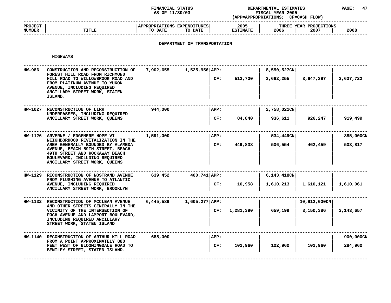#### **STATUS DEPARTMENTAL ESTIMATES PAGE: <sup>47</sup> (APP=APPROPRIATIONS;**

|                                 |              | AS OF 11/30/03                                      | (APP=APPROPRIATIONS;    | <b>FISCAL YEAR 2005</b><br><b>CF=CASH FLOW)</b> |      |
|---------------------------------|--------------|-----------------------------------------------------|-------------------------|-------------------------------------------------|------|
| <b>PROJECT</b><br><b>NUMBER</b> | <b>TITLE</b> | APPROPRIATIONS EXPENDITURES  <br>TO DATE<br>TO DATE | 2005<br><b>ESTIMATE</b> | THREE YEAR PROJECTIONS<br>2006<br>2007          | 2008 |
|                                 |              |                                                     |                         |                                                 |      |

# **DEPARTMENT OF TRANSPORTATION**

| HW-986 | CONSTRUCTION AND RECONSTRUCTION OF<br>FOREST HILL ROAD FROM RICHMOND<br>HILL ROAD TO WILLOWBROOK ROAD AND<br>FROM PLATINUM AVENUE TO YUKON<br>AVENUE, INCLUDING REQUIRED<br>ANCILLARY STREET WORK, STATEN<br>ISLAND.                                  | 7,902,655 | 1,525,956 APP:<br>CF:   | 512,700   | 8,550,527CN<br>3,662,255  | 3,647,397                 | 3,637,722            |
|--------|-------------------------------------------------------------------------------------------------------------------------------------------------------------------------------------------------------------------------------------------------------|-----------|-------------------------|-----------|---------------------------|---------------------------|----------------------|
|        | HW-1027 RECONSTRUCTION OF LIRR<br>UNDERPASSES, INCLUDING REQUIRED<br>ANCILLARY STREET WORK, QUEENS                                                                                                                                                    | 944,000   | APP:<br>CF:             | 84,840    | $2,758,021$ CN<br>936,611 | 926,247                   | 919,499              |
|        | HW-1126 ARVERNE / EDGEMERE HOPE VI<br>NEIGHBORHOOD REVITALIZATION IN THE<br>AREA GENERALLY BOUNDED BY ALAMEDA<br>AVENUE, BEACH 59TH STREET, BEACH<br>49TH STREET AND ROCKAWAY BEACH<br>BOULEVARD, INCLUDING REQUIRED<br>ANCILLARY STREET WORK, QUEENS | 1,591,000 | APP:<br>CF:             | 449,838   | 534,449CN<br>506,554      | 462,459                   | 385,000CN<br>503,817 |
|        | HW-1129 RECONSTRUCTION OF NOSTRAND AVENUE<br>FROM FLUSHING AVENUE TO ATLANTIC<br>AVENUE, INCLUDING REQUIRED<br>ANCILLARY STREET WORK, BROOKLYN                                                                                                        | 639,452   | $400,741$ $APP:$<br>CF: | 10,958    | 6,143,418CN<br>1,610,213  | 1,610,121                 | 1,610,061            |
|        | HW-1132 RECONSTRUCTION OF MCCLEAN AVENUE<br>AND OTHER STREETS GENERALLY IN THE<br>VICINITY OF THE INTERSECTION OF<br>FOCH AVENUE AND LAMPORT BOULEVARD,<br>INCLUDING REQUIRED ANCILLARY<br>STREET WORK, STATEN ISLAND                                 | 6,445,589 | 1,605,277 APP:<br>CF:   | 1,281,390 | 659,199                   | 10,912,000CN<br>3,150,386 | 3, 143, 657          |
|        | HW-1140 RECONSTRUCTION OF ARTHUR KILL ROAD<br>FROM A POINT APPROXIMATELY 880<br>FEET WEST OF BLOOMINGDALE ROAD TO<br>BENTLEY STREET, STATEN ISLAND.                                                                                                   | 685,000   | APP:<br>CF:             | 102,960   | 102,960                   | 102,960                   | 900,000CN<br>284,960 |
|        |                                                                                                                                                                                                                                                       |           |                         |           |                           |                           |                      |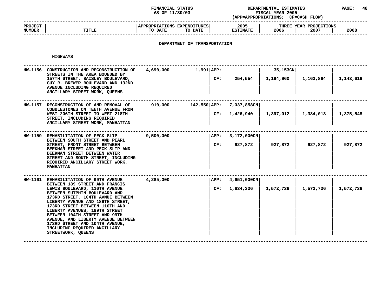### **STATUS DEPARTMENTAL ESTIMATES PAGE: <sup>48</sup> (APP=APPROPRIATIONS;**

|                                 |              | AS OF 11/30/03                                    | (APP=APPROPRIATIONS;    | FISCAL YEAR 2005<br><b>CF=CASH FLOW)</b> |      |
|---------------------------------|--------------|---------------------------------------------------|-------------------------|------------------------------------------|------|
| <b>PROJECT</b><br><b>NUMBER</b> | <b>TITLE</b> | APPROPRIATIONS EXPENDITURES<br>TO DATE<br>TO DATE | 2005<br><b>ESTIMATE</b> | THREE YEAR PROJECTIONS<br>2006<br>2007   | 2008 |
|                                 |              |                                                   |                         |                                          |      |

# **DEPARTMENT OF TRANSPORTATION**

**HIGHWAYS**

| HW-1156        | CONSTRUCTION AND RECONSTRUCTION OF<br>STREETS IN THE AREA BOUNDED BY<br>157TH STREET, BAISLEY BOULEVARD,<br>GUY R. BREWER BOULEVARD AND 132ND<br>AVENUE INCLUDING REQUIRED<br>ANCILLARY STREET WORK, QUEENS                                                                                                                                                                                                                                          | 4,690,000 | $1,991$ $APP:$           |             | CF: 254,554                     | 35,153CN<br>1,194,960 | 1,163,864 | 1,143,616 |
|----------------|------------------------------------------------------------------------------------------------------------------------------------------------------------------------------------------------------------------------------------------------------------------------------------------------------------------------------------------------------------------------------------------------------------------------------------------------------|-----------|--------------------------|-------------|---------------------------------|-----------------------|-----------|-----------|
|                | HW-1157 RECONSTRUCTION OF AND REMOVAL OF<br>COBBLESTONES ON TENTH AVENUE FROM<br>WEST 206TH STREET TO WEST 218TH<br>STREET, INCLUDING REQUIRED<br>ANCILLARY STREET WORK, MANHATTAN                                                                                                                                                                                                                                                                   | 910,000   | 142,550 APP: 7,037,858CN |             | CF: 1,426,940                   | 1,397,012             | 1,384,013 | 1,375,548 |
| <b>HW-1159</b> | REHABILITATION OF PECK SLIP<br>BETWEEN SOUTH STREET AND PEARL<br>STREET, FRONT STREET BETWEEN<br>BEEKMAN STREET AND PECK SLIP AND<br>BEEKMAN STREET BETWEEN WATER<br>STREET AND SOUTH STREET, INCLUDING<br>REQUIRED ANCILLARY STREET WORK,<br><b>MANHATTAN</b>                                                                                                                                                                                       | 9,500,000 |                          | APP:<br>CF: | 3,172,000CN<br>927,872          | 927,872               | 927,872   | 927,872   |
|                | HW-1161 REHABILITATION OF 99TH AVENUE<br>BETWEEN 189 STREET AND FRANCIS<br>LEWIS BOULEVARD, 110TH AVENUE<br>BETWEEN SUTPHIN BOULEVARD AND<br>173RD STREET, 104TH AVNUE BETWEEN<br>LIBERTY AVENUE AND 189TH STREET,<br>173RD STREET BETWEEN 110TH AND<br>LIBERTY AVENUES, 189TH STREET<br>BETWEEN 104TH STREET AND 99TH<br>AVENUE, AND LIBERTY AVENUE BETWEEN<br>173RD STREET AND 104TH AVENUE,<br>INCLUDING REQUIRED ANCILLARY<br>STREETWORK, QUEENS | 4,285,000 |                          | APP:        | $4,651,000$ CN<br>CF: 1,634,336 | 1,572,736             | 1,572,736 | 1,572,736 |

**QUEENS <sup>|</sup> <sup>|</sup> <sup>|</sup> <sup>|</sup> ------------------------------------------------------------------------------------------------------------------------------------**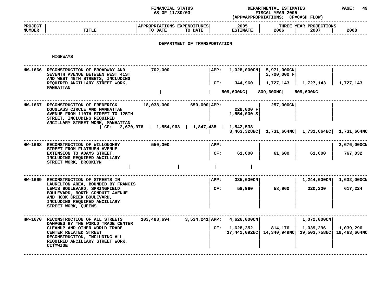### **STATUS DEPARTMENTAL ESTIMATES PAGE: <sup>49</sup> (APP=APPROPRIATIONS;**

|                          |              | AS OF 11/30/03                                     | <b>FISCAL YEAR 2005</b><br>(APP=APPROPRIATIONS;<br><b>CF=CASH FLOW)</b> |                                        |      |  |
|--------------------------|--------------|----------------------------------------------------|-------------------------------------------------------------------------|----------------------------------------|------|--|
| <b>PROJECT</b><br>NUMBER | <b>TITLE</b> | APPROPRIATIONS EXPENDITURES!<br>TO DATE<br>TO DATE | 2005<br><b>ESTIMATE</b>                                                 | THREE YEAR PROJECTIONS<br>2006<br>2007 | 2008 |  |
|                          |              |                                                    |                                                                         |                                        |      |  |

# **DEPARTMENT OF TRANSPORTATION**

| <b>HW-1666</b> | RECONSTRUCTION OF BROADWAY AND<br>SEVENTH AVENUE BETWEEN WEST 41ST<br>AND WEST 49TH STREETS, INCLUDING                                                                                    | 702,000                                                   | APP:         |                          | $1,028,000 \text{CN}$ 5,971,000CN<br>2,700,000 F      |                       |                           |
|----------------|-------------------------------------------------------------------------------------------------------------------------------------------------------------------------------------------|-----------------------------------------------------------|--------------|--------------------------|-------------------------------------------------------|-----------------------|---------------------------|
|                | REQUIRED ANCILLARY STREET WORK,<br><b>MANHATTAN</b>                                                                                                                                       |                                                           | CF:          | 344,960                  | 1,727,143                                             | 1,727,143             | 1,727,143                 |
|                |                                                                                                                                                                                           |                                                           |              | 809,600NC                | 809,600NC                                             | 809,600NC             |                           |
|                | HW-1667 RECONSTRUCTION OF FREDERICK<br>DOUGLASS CIRCLE AND MANHATTAN<br>AVENUE FROM 110TH STREET TO 125TH<br>STREET, INCLUDING REQUIRED<br>ANCILLARY STREET WORK, MANHATTAN               | 18,038,000                                                | 650,000 APP: | 228,000 F<br>1,554,000 S | 257,000CN                                             |                       |                           |
|                |                                                                                                                                                                                           | CF: $2,670,976$   $1,854,963$   $1,847,438$   $1,842,538$ |              |                          | 3,463,328NC   1,731,664NC   1,731,664NC   1,731,664NC |                       |                           |
| <b>HW-1668</b> | RECONSTRUCTION OF WILLOUGHBY                                                                                                                                                              | 550,000                                                   | APP:         |                          |                                                       |                       | 3,676,000CN               |
|                | STREET FROM FLATBUSH AVENUE<br>EXTENSION TO ADAMS STREET,<br>INCLUDING REQUIRED ANCILLARY                                                                                                 |                                                           | CF:          | 61,600                   | 61,600                                                | 61,600                | 767,032                   |
|                | STREET WORK, BROOKLYN                                                                                                                                                                     |                                                           |              |                          |                                                       |                       |                           |
| <b>HW-1669</b> | RECONSTRUCTION OF STREETS IN                                                                                                                                                              |                                                           | APP:         | 335,000CN                |                                                       | $1,244,000 \text{CN}$ | 1,632,000CN               |
|                | LAURELTON AREA, BOUNDED BY FRANCIS<br>LEWIS BOULEVARD, SPRINGFIELD<br>BOULEVARD, NORTH CONDUIT AVENUE<br>AND HOOK CREEK BOULEVARD,<br>INCLUDING REQUIRED ANCILLARY<br>STREET WORK, QUEENS |                                                           | CF:          | 58,960                   | 58,960                                                | 320,200               | 617,224                   |
| <b>HW-1670</b> | RECONSTRUCTION OF ALL STREETS                                                                                                                                                             | $103,488,694$ 3,534,241 APP: 4,626,000CN                  |              |                          |                                                       | 1,072,000CN           |                           |
|                | DAMAGED BY THE WORLD TRADE CENTER<br>CLEANUP AND OTHER WORLD TRADE<br>CENTER RELATED STREET<br>RECONSTRUCTION, INCLUDING ALL<br>REQUIRED ANCILLARY STREET WORK,<br><b>CITYWIDE</b>        |                                                           |              | CF: 1,628,352            | 814,176<br>17,442,092NC 14,340,949NC 19,503,758NC     | 1,039,296             | 1,039,296<br>19,463,664NC |
|                |                                                                                                                                                                                           |                                                           |              |                          |                                                       |                       |                           |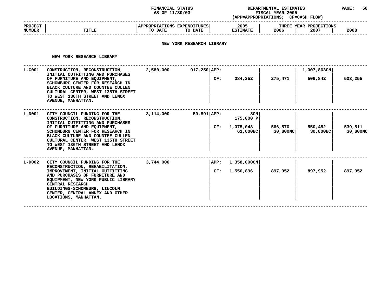#### **STATUS DEPARTMENTAL ESTIMATES PAGE: <sup>50</sup> (APP=APPROPRIATIONS;**

|                                 |       | AS OF 11/30/03                                                                   | (APP=APPROPRIATIONS;    | <b>FISCAL YEAR 2005</b><br>CF=CASH FLOW)       |  |
|---------------------------------|-------|----------------------------------------------------------------------------------|-------------------------|------------------------------------------------|--|
| <b>PROJECT</b><br><b>NUMBER</b> | TITLE | APPROPRIATIONS EXPENDITURES<br>TO DATE<br>TO DATE                                | 2005<br><b>ESTIMATE</b> | THREE YEAR PROJECTIONS<br>2008<br>2006<br>2007 |  |
|                                 |       | ,但是,我们的人们都会不会不会。""我们,我们的人们,我们的人们,我们的人们,我们的人们,我们的人们,我们的人们,我们的人们,我们的人们,我们的人们,我们的人们 |                         |                                                |  |

# **NEW YORK RESEARCH LIBRARY**

**NEW YORK RESEARCH LIBRARY** 

| NEW YORK RESEARCH LIBRARY                                                                                                                                                                                                                                                                              |                                  |  |     |                                           |                     |                     |                     |
|--------------------------------------------------------------------------------------------------------------------------------------------------------------------------------------------------------------------------------------------------------------------------------------------------------|----------------------------------|--|-----|-------------------------------------------|---------------------|---------------------|---------------------|
| CONSTRUCTION, RECONSTRUCTION,                                                                                                                                                                                                                                                                          | 2,580,000                        |  |     |                                           | 1,007,863CN         |                     |                     |
| OF FURNITURE AND EQUIPMENT,<br>SCHOMBURG CENTER FOR RESEARCH IN<br>BLACK CULTURE AND COUNTEE CULLEN<br>CULTURAL CENTER, WEST 135TH STREET<br>TO WEST 136TH STREET AND LENOX<br>AVENUE, MANHATTAN.                                                                                                      |                                  |  | CF: | 384,252                                   | 275,471             | 506,842             | 503,255             |
| CITY COUNCIL FUNDING FOR THE<br>CONSTRUCTION, RECONSTRUCTION,<br>INITIAL OUTFITTING AND PURCHASES<br>OF FURNITURE AND EQUIPMENT,<br>SCHOMBURG CENTER FOR RESEARCH IN<br>BLACK CULTURE AND COUNTEE CULLEN<br>CULTURAL CENTER, WEST 135TH STREET<br>TO WEST 136TH STREET AND LENOX<br>AVENUE, MANHATTAN. | 3,114,000                        |  | CF: | 8CN<br>175,000 P<br>1,075,048<br>61,600NC | 566,870<br>30,800NC | 550,482<br>30,800NC | 539,811<br>30,800NC |
| CITY COUNCIL FUNDING FOR THE<br>RECONSTRUCTION, REHABILITATION,<br>IMPROVEMENT, INITIAL OUTFITTING<br>AND PURCHASES OF FURNITURE AND<br>EQUIPMENT, NEW YORK PUBLIC LIBRARY<br>CENTRAL RESEARCH<br>BUILDINGS-SCHOMBURG, LINCOLN<br>CENTER, CENTRAL ANNEX AND OTHER<br>LOCATIONS, MANHATTAN.             | 3,744,000                        |  | CF: | 1,358,000CN<br>1,556,896                  | 897,952             | 897,952             | 897,952             |
|                                                                                                                                                                                                                                                                                                        | INITIAL OUTFITTING AND PURCHASES |  |     | $917,250$ APP:<br>59,891 APP:<br>APP:     |                     |                     |                     |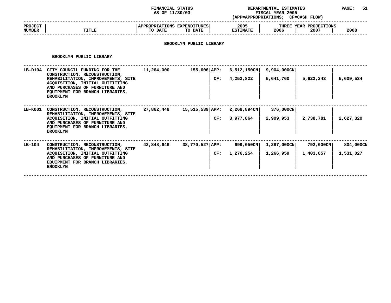#### **STATUS DEPARTMENTAL ESTIMATES PAGE: <sup>51</sup> (APP=APPROPRIATIONS;**

|                                 |       | AS OF 11/30/03                                    | (APP=APPROPRIATIONS;    | <b>FISCAL YEAR 2005</b><br>CF=CASH FLOW)       |  |
|---------------------------------|-------|---------------------------------------------------|-------------------------|------------------------------------------------|--|
| <b>PROJECT</b><br><b>NUMBER</b> | TITLE | APPROPRIATIONS EXPENDITURES<br>TO DATE<br>TO DATE | 2005<br><b>ESTIMATE</b> | THREE YEAR PROJECTIONS<br>2008<br>2006<br>2007 |  |
|                                 |       |                                                   |                         |                                                |  |

# **BROOKLYN PUBLIC LIBRARY**

#### **BROOKLYN**

|         | BROOKLYN PUBLIC LIBRARY                                                                                                                                                                                                        |            |                      |     |                             |                          |                        |                        |
|---------|--------------------------------------------------------------------------------------------------------------------------------------------------------------------------------------------------------------------------------|------------|----------------------|-----|-----------------------------|--------------------------|------------------------|------------------------|
| LB-D104 | CITY COUNCIL FUNDING FOR THE<br>CONSTRUCTION, RECONSTRUCTION,<br>REHABILITATION, IMPROVEMENTS, SITE<br>ACQUISITION, INITIAL OUTFITTING<br>AND PURCHASES OF FURNITURE AND<br>EQUIPMENT FOR BRANCH LIBRARIES,<br><b>BROOKLYN</b> | 11,264,000 | $155,606 {\rm APP:}$ | CF: | $6,512,150$ CN<br>4,252,822 | 9,904,000CN<br>5,641,760 | 5,622,243              | 5,609,534              |
| LB-K001 | CONSTRUCTION, RECONSTRUCTION,<br>REHABILITATION, IMPROVEMENTS, SITE<br>ACQUISITION, INITIAL OUTFITTING<br>AND PURCHASES OF FURNITURE AND<br>EQUIPMENT FOR BRANCH LIBRARIES,<br><b>BROOKLYN</b>                                 | 27,862,448 | 15,515,539 APP:      | CF: | 2,268,894CN<br>3,977,864    | 376,000CN<br>2,909,953   | 2,738,781              | 2,627,320              |
| LB-104  | CONSTRUCTION, RECONSTRUCTION,<br>REHABILITATION, IMPROVEMENTS, SITE<br>ACQUISITION, INITIAL OUTFITTING<br>AND PURCHASES OF FURNITURE AND<br>EQUIPMENT FOR BRANCH LIBRARIES,<br><b>BROOKLYN</b>                                 | 42,848,646 | 38,770,527 APP:      | CF: | 999,050CN<br>1,276,254      | 1,287,000CN<br>1,266,959 | 792,000CN<br>1,403,857 | 804,000CN<br>1,531,027 |
|         |                                                                                                                                                                                                                                |            |                      |     |                             |                          |                        |                        |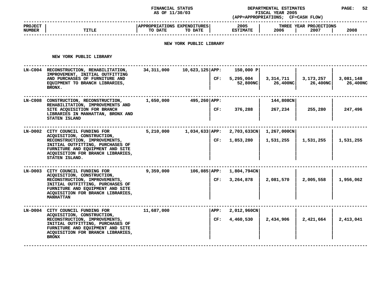#### **STATUS DEPARTMENTAL ESTIMATES PAGE: <sup>52</sup> (APP=APPROPRIATIONS;**

|                                 |       | AS OF 11/30/03                                    | (APP=APPROPRIATIONS;    | <b>FISCAL YEAR 2005</b><br><b>CF=CASH FLOW)</b> |      |
|---------------------------------|-------|---------------------------------------------------|-------------------------|-------------------------------------------------|------|
| <b>PROJECT</b><br><b>NUMBER</b> | TITLE | APPROPRIATIONS EXPENDITURES<br>TO DATE<br>TO DATE | 2005<br><b>ESTIMATE</b> | THREE YEAR PROJECTIONS<br>2006<br>2007          | 2008 |
|                                 |       |                                                   |                         |                                                 |      |

### **NEW YORK PUBLIC LIBRARY**

**NEW YORK PUBLIC LIBRARY** 

|           | NEW YORK PUBLIC LIBRARY                                                                                                                                                                                                        |            |                          |                                    |                          |                       |                       |
|-----------|--------------------------------------------------------------------------------------------------------------------------------------------------------------------------------------------------------------------------------|------------|--------------------------|------------------------------------|--------------------------|-----------------------|-----------------------|
| LN-C004   | RECONSTRUCTION, REHABILITATION,<br>IMPROVEMENT, INITIAL OUTFITTING<br>AND PURCHASES OF FURNITURE AND<br>EQUIPMENT TO BRANCH LIBRARIES,<br>BRONX.                                                                               | 34,311,000 | $10,623,125$ APP:<br>CF: | 150,000 P<br>5,295,004<br>52,800NC | 3,314,711<br>26,400NC    | 3,173,257<br>26,400NC | 3,081,148<br>26,400NC |
| LN-C008   | CONSTRUCTION, RECONSTRUCTION,<br>REHABILITATION, IMPROVEMENTS AND<br>SITE ACQUISITION FOR BRANCH<br>LIBRARIES IN MANHATTAN, BRONX AND<br>STATEN ISLAND                                                                         | 1,650,000  | 495,260 APP:<br>CF:      | 376,288                            | 144,808CN<br>267,234     | 255,280               | 247,496               |
|           | LN-D002 CITY COUNCIL FUNDING FOR<br>ACQUISITION, CONSTRUCTION,<br>RECONSTRUCTION, IMPROVEMENTS,<br>INITIAL OUTFITTING, PURCHASES OF<br>FURNITURE AND EQUIPMENT AND SITE<br>ACQUISITION FOR BRANCH LIBRARIES,<br>STATEN ISLAND. | 5,210,000  | $1,034,633 {\rm APP:}$   | 2,703,633CN<br>1,853,280<br>CF:    | 1,267,000CN<br>1,531,255 | 1,531,255             | 1,531,255             |
| $LN-DOO3$ | CITY COUNCIL FUNDING FOR<br>ACQUISITION, CONSTRUCTION,<br>RECONSTRUCTION, IMPROVEMENTS,<br>INITIAL OUTFITTING, PURCHASES OF<br>FURNITURE AND EQUIPMENT AND SITE<br>ACQUISITION FOR BRANCH LIBRARIES,<br><b>MANHATTAN</b>       | 9,359,000  | $106,085$ $APP:$<br>CF:  | 1,804,794CN<br>3,264,878           | 2,081,570                | 2,005,558             | 1,956,062             |
|           | LN-D004 CITY COUNCIL FUNDING FOR<br>ACQUISITION, CONSTRUCTION,<br>RECONSTRUCTION, IMPROVEMENTS,<br>INITIAL OUTFITTING, PURCHASES OF<br>FURNITURE AND EQUIPMENT AND SITE<br>ACQUISITION FOR BRANCH LIBRARIES,<br><b>BRONX</b>   | 11,687,000 | APP:<br>CF:              | 2,012,960CN<br>4,460,530           | 2,434,906                | 2,421,664             | 2,413,041             |
|           |                                                                                                                                                                                                                                |            |                          |                                    |                          |                       |                       |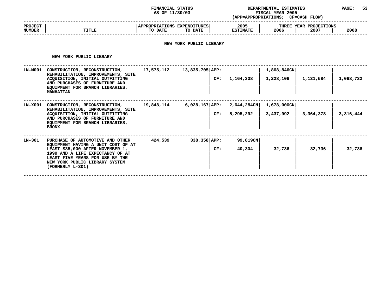#### **STATUS DEPARTMENTAL ESTIMATES PAGE: <sup>53</sup> (APP=APPROPRIATIONS;**

|                          |       | AS OF 11/30/03                                            | (APP=APPROPRIATIONS;    | <b>FISCAL YEAR 2005</b><br>CF=CASH FLOW) |      |
|--------------------------|-------|-----------------------------------------------------------|-------------------------|------------------------------------------|------|
| <b>PROJECT</b><br>NUMBER | TITLE | <b>APPROPRIATIONS EXPENDITURES!</b><br>TO DATE<br>TO DATE | 2005<br><b>ESTIMATE</b> | THREE YEAR PROJECTIONS<br>2006<br>2007   | 2008 |
|                          |       |                                                           |                         |                                          |      |

### **NEW YORK PUBLIC LIBRARY**

**NEW YORK PUBLIC LIBRARY** 

|                | NEW YORK PUBLIC LIBRARY                                                                                                                                                                                                                 |            |                    |     |                             |                          |           |           |
|----------------|-----------------------------------------------------------------------------------------------------------------------------------------------------------------------------------------------------------------------------------------|------------|--------------------|-----|-----------------------------|--------------------------|-----------|-----------|
| <b>LN-M001</b> | CONSTRUCTION, RECONSTRUCTION,<br>REHABILITATION, IMPROVEMENTS, SITE<br>ACQUISITION, INITIAL OUTFITTING<br>AND PURCHASES OF FURNITURE AND<br>EQUIPMENT FOR BRANCH LIBRARIES,<br><b>MANHATTAN</b>                                         | 17,575,112 | 13,835,705 APP:    | CF: | 1,164,308                   | 1,868,846CN<br>1,228,106 | 1,131,584 | 1,068,732 |
| LN-X001        | CONSTRUCTION, RECONSTRUCTION,<br>REHABILITATION, IMPROVEMENTS, SITE<br>ACQUISITION, INITIAL OUTFITTING<br>AND PURCHASES OF FURNITURE AND<br>EQUIPMENT FOR BRANCH LIBRARIES,<br><b>BRONX</b>                                             | 19,848,114 | $6,028,167$ $APP:$ | CF: | $2,644,284$ CN<br>5,295,292 | 1,678,000CN<br>3,437,992 | 3,364,378 | 3,316,444 |
| LN-301         | PURCHASE OF AUTOMOTIVE AND OTHER<br>EQUIPMENT HAVING A UNIT COST OF AT<br>LEAST \$35,000 AFTER NOVEMBER 1,<br>1999 AND A LIFE EXPECTANCY OF AT<br>LEAST FIVE YEARS FOR USE BY THE<br>NEW YORK PUBLIC LIBRARY SYSTEM<br>(FORMERLY L-301) | 424,539    | $338,358$ APP:     | CF: | 99,819CN<br>40,304          | 32,736                   | 32,736    | 32,736    |
|                |                                                                                                                                                                                                                                         |            |                    |     |                             |                          |           |           |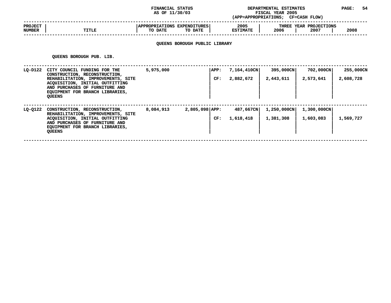#### **STATUS DEPARTMENTAL ESTIMATES PAGE: <sup>54</sup> (APP=APPROPRIATIONS;**

|                                 |              | AS OF 11/30/03                                                                                                                                                                                                                  | (APP=APPROPRIATIONS;    | <b>FISCAL YEAR 2005</b><br><b>CF=CASH FLOW)</b> |      |
|---------------------------------|--------------|---------------------------------------------------------------------------------------------------------------------------------------------------------------------------------------------------------------------------------|-------------------------|-------------------------------------------------|------|
| <b>PROJECT</b><br><b>NUMBER</b> | <b>TITLE</b> | <b>APPROPRIATIONS</b><br><b>EXPENDITURES</b><br>TO DATE<br>TO DATE                                                                                                                                                              | 2005<br><b>ESTIMATE</b> | THREE YEAR PROJECTIONS<br>2006<br>2007          | 2008 |
|                                 |              | $\sim$ . The contract of the contract of the contract of the contract of the contract of the contract of the contract of the contract of the contract of the contract of the contract of the contract of the contract of the co |                         |                                                 |      |

# **QUEENS BOROUGH PUBLIC LIBRARY**

**QUEENS**

|         | <b>QUEENS BOROUGH PUB. LIB.</b>                                                                                                                                                                                              |           |                         |                          |                          |                          |                        |
|---------|------------------------------------------------------------------------------------------------------------------------------------------------------------------------------------------------------------------------------|-----------|-------------------------|--------------------------|--------------------------|--------------------------|------------------------|
| LQ-D122 | CITY COUNCIL FUNDING FOR THE<br>CONSTRUCTION, RECONSTRUCTION,<br>REHABILITATION, IMPROVEMENTS, SITE<br>ACQUISITION, INITIAL OUTFITTING<br>AND PURCHASES OF FURNITURE AND<br>EQUIPMENT FOR BRANCH LIBRARIES,<br><b>QUEENS</b> | 5,975,000 | APP:<br>CF:             | 7,164,410CN<br>2,882,672 | 395,000CN<br>2,443,611   | 702,000CN<br>2,573,641   | 255,000CN<br>2,608,728 |
| LQ-0122 | CONSTRUCTION, RECONSTRUCTION,<br>REHABILITATION, IMPROVEMENTS, SITE<br>ACQUISITION, INITIAL OUTFITTING<br>AND PURCHASES OF FURNITURE AND<br>EQUIPMENT FOR BRANCH LIBRARIES,<br><b>QUEENS</b>                                 | 8,084,913 | $2,805,098$ APP:<br>CF: | 487,667CN<br>1,618,418   | 1,250,000CN<br>1,381,308 | 1,300,000CN<br>1,603,083 | 1,569,727              |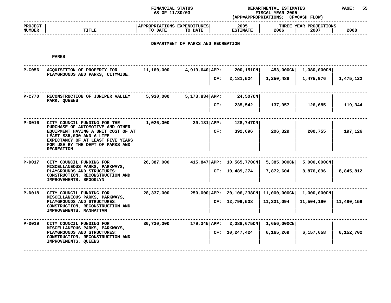#### **STATUS DEPARTMENTAL ESTIMATES PAGE: <sup>55</sup> (APP=APPROPRIATIONS;**

|                                 |              | AS OF 11/30/03                                            | (APP=APPROPRIATIONS;    | <b>FISCAL YEAR 2005</b><br><b>CF=CASH FLOW)</b> |      |
|---------------------------------|--------------|-----------------------------------------------------------|-------------------------|-------------------------------------------------|------|
| <b>PROJECT</b><br><b>NUMBER</b> | <b>TITLE</b> | <b>APPROPRIATIONS EXPENDITURES!</b><br>TO DATE<br>TO DATE | 2005<br><b>ESTIMATE</b> | THREE YEAR PROJECTIONS<br>2006<br>2007          | 2008 |
|                                 |              |                                                           |                         |                                                 |      |

# **DEPARTMENT OF PARKS AND RECREATION**

| P-C056   | ACQUISITION OF PROPERTY FOR<br>PLAYGROUNDS AND PARKS, CITYWIDE.                                                                                               | 11,160,000 | $4,919,640$ APP: | 200,151CN                                | 453,000CN             | 1,080,000CN |            |
|----------|---------------------------------------------------------------------------------------------------------------------------------------------------------------|------------|------------------|------------------------------------------|-----------------------|-------------|------------|
|          |                                                                                                                                                               |            | CF:              | 2,181,524                                | 1,250,488             | 1,475,976   | 1,475,122  |
| P-C770   | RECONSTRUCTION OF JUNIPER VALLEY<br>PARK, QUEENS                                                                                                              | 5,930,000  | $5,173,834$ APP: | 24,507CN                                 |                       |             |            |
|          |                                                                                                                                                               |            | CF:              | 235,542                                  | 137,957               | 126,685     | 119,344    |
| $P-D016$ | CITY COUNCIL FUNDING FOR THE<br>PURCHASE OF AUTOMOTIVE AND OTHER                                                                                              | 1,026,000  | 39,131 APP:      | 128,747CN                                |                       |             |            |
|          | EQUIPMENT HAVING A UNIT COST OF AT<br>LEAST \$35,000 AND A LIFE<br>EXPECTANCY OF AT LEAST FIVE YEARS<br>FOR USE BY THE DEPT OF PARKS AND<br><b>RECREATION</b> |            | CF:              | 392,696                                  | 206,329               | 200,755     | 197,126    |
| $P-D017$ | CITY COUNCIL FUNDING FOR                                                                                                                                      | 26,387,000 |                  | 415,847 APP: 10,565,770CN                | $5,385,000 \text{CN}$ | 5,000,000CN |            |
|          | MISCELLANEOUS PARKS, PARKWAYS,<br>PLAYGROUNDS AND STRUCTURES:<br>CONSTRUCTION, RECONSTRUCTION AND<br>IMPROVEMENTS, BROOKLYN                                   |            |                  | CF: 10,489,274                           | 7,872,604             | 8,876,096   | 8,845,812  |
| $P-D018$ | CITY COUNCIL FUNDING FOR                                                                                                                                      | 28,337,000 |                  | 250,000 APP: 20,106,238CN   11,000,000CN |                       | 1,000,000CN |            |
|          | MISCELLANEOUS PARKS, PARKWAYS,<br>PLAYGROUNDS AND STRUCTURES:<br>CONSTRUCTION, RECONSTRUCTION AND<br>IMPROVEMENTS, MANHATTAN                                  |            |                  | CF: 12,799,508                           | 11,331,094            | 11,504,190  | 11,480,159 |
| P-D019   | CITY COUNCIL FUNDING FOR                                                                                                                                      | 30,730,000 | 179,345   APP:   | 2,088,675CN                              | $1,656,000$ CN        |             |            |
|          | MISCELLANEOUS PARKS, PARKWAYS,<br>PLAYGROUNDS AND STRUCTURES:<br>CONSTRUCTION, RECONSTRUCTION AND<br>IMPROVEMENTS, QUEENS                                     |            |                  | CF: 10, 247, 424                         | 6,165,269             | 6,157,658   | 6,152,702  |
|          |                                                                                                                                                               |            |                  |                                          |                       |             |            |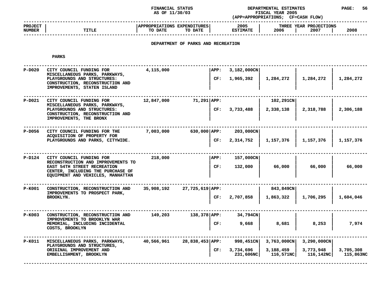### **STATUS DEPARTMENTAL ESTIMATES PAGE: <sup>56</sup> (APP=APPROPRIATIONS;**

|                                 |              | AS OF 11/30/03                                    | (APP=APPROPRIATIONS;    | <b>FISCAL YEAR 2005</b><br><b>CF=CASH FLOW)</b> |      |
|---------------------------------|--------------|---------------------------------------------------|-------------------------|-------------------------------------------------|------|
| <b>PROJECT</b><br><b>NUMBER</b> | <b>TITLE</b> | APPROPRIATIONS EXPENDITURES<br>TO DATE<br>TO DATE | 2005<br><b>ESTIMATE</b> | THREE YEAR PROJECTIONS<br>2006<br>2007          | 2008 |
|                                 |              |                                                   |                         |                                                 |      |

# **DEPARTMENT OF PARKS AND RECREATION**

| $P-D020$ | CITY COUNCIL FUNDING FOR<br>MISCELLANEOUS PARKS, PARKWAYS,<br>PLAYGROUNDS AND STRUCTURES:<br>CONSTRUCTION, RECONSTRUCTION AND<br>IMPROVEMENTS, STATEN ISLAND | 4,115,000  |                  | APP:<br>CF: | 3,182,000CN<br>1,965,392 | 1,284,272              | 1,284,272      | 1,284,272 |
|----------|--------------------------------------------------------------------------------------------------------------------------------------------------------------|------------|------------------|-------------|--------------------------|------------------------|----------------|-----------|
|          |                                                                                                                                                              |            |                  |             |                          |                        |                |           |
| $P-D021$ | CITY COUNCIL FUNDING FOR<br>MISCELLANEOUS PARKS, PARKWAYS,<br>PLAYGROUNDS AND STRUCTURES:<br>CONSTRUCTION, RECONSTRUCTION AND<br>IMPROVEMENTS, THE BRONX     | 12,847,000 | 71,291 APP:      | CF:         | 3,733,488                | 102,291CN<br>2,338,138 | 2,318,788      | 2,306,188 |
| P-D056   | CITY COUNCIL FUNDING FOR THE                                                                                                                                 | 7,003,000  | $630,000$ $APP:$ |             | 203,000CN                |                        |                |           |
|          | ACQUISITION OF PROPERTY FOR                                                                                                                                  |            |                  |             |                          |                        |                |           |
|          | PLAYGROUNDS AND PARKS, CITYWIDE.                                                                                                                             |            |                  | CF:         | 2,314,752                | 1,157,376              | 1,157,376      | 1,157,376 |
|          |                                                                                                                                                              |            |                  |             |                          |                        |                |           |
| P-D124   | CITY COUNCIL FUNDING FOR<br>RECONSTRUCTION AND IMPROVEMENTS TO                                                                                               | 218,000    |                  | APP:        | 157,000CN                |                        |                |           |
|          | EAST 54TH STREET RECREATION<br>CENTER, INCLUDING THE PURCHASE OF<br>EQUIPMENT AND VEHICLES, MANHATTAN                                                        |            |                  | CF:         | 132,000                  | 66,000                 | 66,000         | 66,000    |
|          |                                                                                                                                                              |            |                  |             |                          |                        |                |           |
| P-K001   | CONSTRUCTION, RECONSTRUCTION AND<br>IMPROVEMENTS TO PROSPECT PARK,                                                                                           | 35,908,192 | 27,725,619 APP:  |             |                          | 843,849CN              |                |           |
|          | <b>BROOKLYN.</b>                                                                                                                                             |            |                  | CF:         | 2,707,858                | 1,863,322              | 1,706,295      | 1,604,046 |
| $P-K003$ | CONSTRUCTION, RECONSTRUCTION AND                                                                                                                             | 149,203    | $138,378$ APP:   |             | 34,794CN                 |                        |                |           |
|          | IMPROVEMENTS TO BROOKLYN WAR                                                                                                                                 |            |                  |             |                          |                        |                |           |
|          | MEMORIAL, INCLUDING INCIDENTAL<br>COSTS, BROOKLYN                                                                                                            |            |                  | CF:         | 9,668                    | 8,681                  | 8,253          | 7,974     |
| P-K011   | MISCELLANEOUS PARKS, PARKWAYS,                                                                                                                               | 40,566,961 | 28,838,453 APP:  |             | 998,451CN                | $3,763,000$ CN         | $3,290,000$ CN |           |
|          | PLAYGROUNDS AND STRUCTURES,<br>ORIGINAL IMPROVEMENT AND                                                                                                      |            |                  | CF:         | 3,734,696                | 3,188,459              | 3,773,948      | 3,705,308 |
|          | EMBELLISHMENT, BROOKLYN                                                                                                                                      |            |                  |             | 231,606NC                | 116,571NC              | 116,142NC      | 115,863NC |
|          |                                                                                                                                                              |            |                  |             |                          |                        |                |           |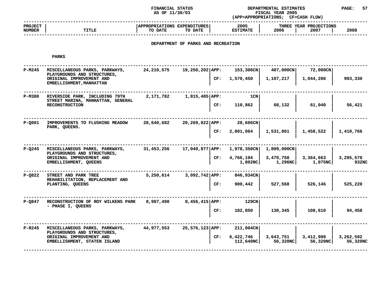#### **STATUS DEPARTMENTAL ESTIMATES PAGE: <sup>57</sup> (APP=APPROPRIATIONS;**

|                                 |              | AS OF 11/30/03                                    | (APP=APPROPRIATIONS;    | <b>FISCAL YEAR 2005</b><br><b>CF=CASH FLOW)</b> |      |
|---------------------------------|--------------|---------------------------------------------------|-------------------------|-------------------------------------------------|------|
| <b>PROJECT</b><br><b>NUMBER</b> | <b>TITLE</b> | APPROPRIATIONS EXPENDITURES<br>TO DATE<br>TO DATE | 2005<br><b>ESTIMATE</b> | THREE YEAR PROJECTIONS<br>2006<br>2007          | 2008 |
|                                 |              |                                                   |                         |                                                 |      |

# **DEPARTMENT OF PARKS AND RECREATION**

| $P-M245$   | MISCELLANEOUS PARKS, PARKWAYS,<br>PLAYGROUNDS AND STRUCTURES,<br>ORIGINAL IMPROVEMENT AND | 24, 210, 575 | 19,250,202 APP:<br>CF: | 153,306CN<br>1,570,450 | 407,000CN<br>1,107,217 | 72,000CN<br>1,044,206 | 993,330               |
|------------|-------------------------------------------------------------------------------------------|--------------|------------------------|------------------------|------------------------|-----------------------|-----------------------|
|            | EMBELLISHMENT, MANHATTAN                                                                  |              |                        |                        |                        |                       |                       |
| P-M380     | RIVERSIDE PARK, INCLUDING 79TH<br>STREET MARINA, MANHATTAN, GENERAL                       | 2,171,782    | $1,815,485$ APP:       | 1CN                    |                        |                       |                       |
|            | <b>RECONSTRUCTION</b>                                                                     |              | CF:                    | 110,862                | 68,132                 | 61,040                | 56,421                |
| $P - Q001$ | IMPROVEMENTS TO FLUSHING MEADOW<br>PARK, QUEENS.                                          | 28,640,682   | 20,269,022 APP:        | 28,606CN               |                        |                       |                       |
|            |                                                                                           |              | CF:                    | 2,801,064              | 1,531,861              | 1,458,522             | 1,410,766             |
| $P-Q245$   | MISCELLANEOUS PARKS, PARKWAYS,                                                            | 31,453,256   | 17,040,877 APP:        | 1,978,350CN            | $1,809,000$ CN         |                       |                       |
|            | PLAYGROUNDS AND STRUCTURES,<br>ORIGINAL IMPROVEMENT AND<br>EMBELLISHMENT, QUEENS          |              | CF:                    | 4,766,194<br>1,802NC   | 3,470,758<br>1,296NC   | 3,364,663<br>1,075NC  | 3,295,578<br>932NC    |
| P-0822     | STREET AND PARK TREE<br>REHABILITATION, REPLACEMENT AND                                   | 5,250,614    | $3,092,742$ APP:       | 846,934CN              |                        |                       |                       |
|            | PLANTING, QUEENS                                                                          |              | CF:                    | 900,442                | 527,568                | 526,146               | 525,220               |
| P-0847     | RECONSTRUCTION OF ROY WILKENS PARK                                                        | 8,987,490    | $8,456,415$ APP:       | 129CN                  |                        |                       |                       |
|            | - PHASE I, QUEENS                                                                         |              | CF:                    | 182,850                | 130,345                | 108,610               | 94,458                |
| P-R245     | MISCELLANEOUS PARKS, PARKWAYS,<br>PLAYGROUNDS AND STRUCTURES,                             | 44,977,553   | 25,576,123 APP:        | $211,004$ CN           |                        |                       |                       |
|            | ORIGINAL IMPROVEMENT AND<br>EMBELLISHMENT, STATEN ISLAND                                  |              | CF:                    | 6,422,746<br>112,640NC | 3,643,751<br>56,320NC  | 3,412,908<br>56,320NC | 3,262,592<br>56,320NC |
|            |                                                                                           |              |                        |                        |                        |                       |                       |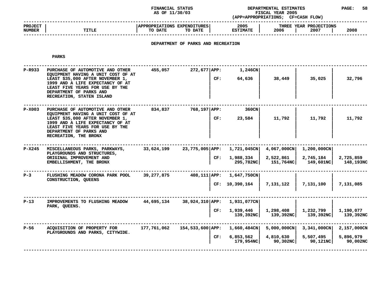#### **STATUS DEPARTMENTAL ESTIMATES PAGE: <sup>58</sup> (APP=APPROPRIATIONS;**

|                                 |              | AS OF 11/30/03<br><b>FISCAL YEAR 2005</b><br>(APP=APPROPRIATIONS;<br><b>CF=CASH FLOW)</b> |                         |                                        |      |
|---------------------------------|--------------|-------------------------------------------------------------------------------------------|-------------------------|----------------------------------------|------|
| <b>PROJECT</b><br><b>NUMBER</b> | <b>TITLE</b> | <b>APPROPRIATIONS EXPENDITURES!</b><br>TO DATE<br>TO DATE                                 | 2005<br><b>ESTIMATE</b> | THREE YEAR PROJECTIONS<br>2006<br>2007 | 2008 |
|                                 |              |                                                                                           |                         |                                        |      |

# **DEPARTMENT OF PARKS AND RECREATION**

| $P-R933$ | PURCHASE OF AUTOMOTIVE AND OTHER<br>EQUIPMENT HAVING A UNIT COST OF AT<br>LEAST \$35,000 AFTER NOVEMBER 1,<br>1999 AND A LIFE EXPECTANCY OF AT<br>LEAST FIVE YEARS FOR USE BY THE<br>DEPARTMENT OF PARKS AND<br>RECREATION, STATEN ISLAND | 455,057     | $272,677$ $APP:$ | CF: | 1,246CN<br>64,636                                      | 38,449                                | 35,025                                | 32,796                               |
|----------|-------------------------------------------------------------------------------------------------------------------------------------------------------------------------------------------------------------------------------------------|-------------|------------------|-----|--------------------------------------------------------|---------------------------------------|---------------------------------------|--------------------------------------|
| $P-X003$ | PURCHASE OF AUTOMOTIVE AND OTHER<br>EQUIPMENT HAVING A UNIT COST OF AT<br>LEAST \$35,000 AFTER NOVEMBER 1,<br>1999 AND A LIFE EXPECTANCY OF AT<br>LEAST FIVE YEARS FOR USE BY THE<br>DEPARTMENT OF PARKS AND<br>RECREATION, THE BRONX     | 834,837     | 768,197 APP:     | CF: | 360CN<br>23,584                                        | 11,792                                | 11,792                                | 11,792                               |
| $P-X245$ | MISCELLANEOUS PARKS, PARKWAYS,<br>PLAYGROUNDS AND STRUCTURES,<br>ORIGINAL IMPROVEMENT AND<br>EMBELLISHMENT, THE BRONX                                                                                                                     | 33,624,199  |                  | CF: | 23,775,005 APP: 1,721,045CN<br>1,988,334<br>295,782NC  | 4,067,000CN<br>2,522,861<br>151,764NC | 1,200,000CN<br>2,745,184<br>149,601NC | 2,725,859<br>148,193NC               |
| $P-3$    | FLUSHING MEADOW CORONA PARK POOL<br>CONSTRUCTION, QUEENS                                                                                                                                                                                  | 39,277,875  |                  |     | 408,111 APP: 1,647,750CN<br>CF: 10,390,164             | 7,131,122                             | 7,131,100                             | 7,131,085                            |
| $P-13$   | IMPROVEMENTS TO FLUSHING MEADOW<br>PARK, QUEENS.                                                                                                                                                                                          | 44,695,134  | 38,924,310 APP:  | CF: | 1,931,077CN<br>1,939,446<br>139,392NC                  | 1,298,408<br>139,392NC                | 1,232,799<br>139,392NC                | 1,190,077<br>139,392NC               |
| $P-56$   | ACQUISITION OF PROPERTY FOR<br>PLAYGROUNDS AND PARKS, CITYWIDE.                                                                                                                                                                           | 177,761,062 |                  | CF: | 154,533,600 APP: 1,660,484CN<br>6,853,562<br>179,954NC | 5,000,000CN<br>4,810,630<br>90,302NC  | 3,341,000CN<br>5,507,495<br>90,121NC  | 2,157,000CN<br>5,896,979<br>90,002NC |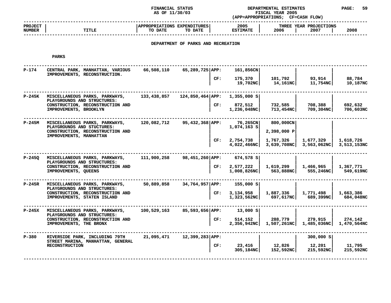### **FINANCIAL STATUS DEPARTMENTAL ESTIMATES PAGE: <sup>59</sup> (APP=APPROPRIATIONS;**

**AS OF 11/30/03 FISCAL YEAR <sup>2005</sup> CF=CASH FLOW) ------------------------------------------------------------------------------------------------------------------------------------ PROJECT <sup>|</sup> |APPROPRIATIONS EXPENDITURES| <sup>2005</sup> <sup>|</sup> THREE YEAR PROJECTIONS NUMBER<sup>|</sup> TITLE <sup>|</sup> TO DATE TO DATE <sup>|</sup> ESTIMATE <sup>|</sup> <sup>2006</sup> <sup>|</sup> <sup>2007</sup> <sup>|</sup> <sup>2008</sup> ------------------------------------------------------------------------------------------------------------------------------------**

# **DEPARTMENT OF PARKS AND RECREATION**

| $P-174$  | CENTRAL PARK, MANHATTAN, VARIOUS<br>IMPROVEMENTS, RECONSTRUCTION. | 66,508,110  | $65,289,725$ APP: | 161,856CN                 |                           |                          |                          |
|----------|-------------------------------------------------------------------|-------------|-------------------|---------------------------|---------------------------|--------------------------|--------------------------|
|          |                                                                   |             | CF:               | 175,370<br>19,702NC       | 101,792<br>14,161NC       | 93,914<br>11,754NC       | 88,784<br>10,187NC       |
| P-245K   | MISCELLANEOUS PARKS, PARKWAYS,<br>PLAYGROUNDS AND STRUCTURES:     | 133,438,857 | 124,850,464 APP:  | $1,355,000$ S             |                           |                          |                          |
|          | CONSTRUCTION, RECONSTRUCTION AND<br>IMPROVEMENTS, BROOKLYN        |             | CF:               | 872,512<br>1,236,048NCl   | 732,585<br>713,454NC      | 708,388<br>709,304NC     | 692,632<br>706,603NC     |
| P-245M   | MISCELLANEOUS PARKS, PARKWAYS,<br>PLAYGROUNDS AND STUCTURES:      | 120,082,712 | 95,432,368 APP:   | 76,265CN<br>1,074,163 S   | 800,000CN                 |                          |                          |
|          | CONSTRUCTION, RECONSTRUCTION AND<br>IMPROVEMENTS, MANHATTAN       |             |                   |                           | 2,398,000 P               |                          |                          |
|          |                                                                   |             | CF:               | 2,754,738<br>4,022,466NC  | 1,767,326<br>3,639,708NCl | 1,677,329<br>3,563,062NC | 1,618,726<br>3,513,153NC |
| P-245Q   | MISCELLANEOUS PARKS, PARKWAYS,<br>PLAYGROUNDS AND STRUCTURES:     | 111,900,258 | 98,451,260 APP:   | $674,578$ S               |                           |                          |                          |
|          | CONSTRUCTION, RECONSTRUCTION AND<br>IMPROVEMENTS, QUEENS          |             | CF:               | 2,577,222<br>1,008,826NCl | 1,619,299<br>563,888NC    | 1,466,965<br>555,246NC   | 1,367,771<br>549,619NC   |
| P-245R   | MISCELLANEOUS PARKS, PARKWAYS,<br>PLAYGROUNDS AND STRUCTURES:     | 50,889,858  | $34,764,957$ APP: | 155,000 S                 |                           |                          |                          |
|          | CONSTRUCTION, RECONSTRUCTION AND<br>IMPROVEMENTS, STATEN ISLAND   |             | CF:               | 3,134,958<br>1,323,562NCl | 1,887,336<br>697,617NC    | 1,771,498<br>689,399NC   | 1,663,386<br>684,048NC   |
| $P-245X$ | MISCELLANEOUS PARKS, PARKWAYS,<br>PLAYGROUNDS AND STRUCTURES:     | 100,529,163 | 85,593,656 APP:   | $13,000$ S                |                           |                          |                          |
|          | CONSTRUCTION, RECONSTRUCTION AND<br>IMPROVEMENTS, THE BRONX       |             | CF:               | 514,152<br>2,356,942NC    | 288,779<br>1,507,261NC    | 279,915<br>1,485,036NC   | 274,142<br>1,470,564NC   |
| $P-380$  | RIVERSIDE PARK, INCLUDING 79TH                                    | 21,095,471  | 12,399,283 APP:   |                           |                           | $300,000$ S              |                          |
|          | STREET MARINA, MANHATTAN, GENERAL<br><b>RECONSTRUCTION</b>        |             | CF:               | 23,416<br>305,184NC       | 12,826<br>152,592NC       | 12,201<br>215,592NC      | 11,795<br>215,592NC      |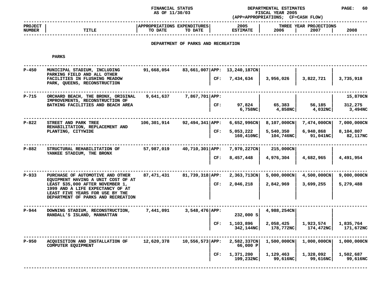#### **STATUS DEPARTMENTAL ESTIMATES PAGE: <sup>60</sup> (APP=APPROPRIATIONS;**

|                                 |       | AS OF 11/30/03<br><b>FISCAL YEAR 2005</b><br>(APP=APPROPRIATIONS:<br><b>CF=CASH FLOW)</b> |                         |                                        |      |
|---------------------------------|-------|-------------------------------------------------------------------------------------------|-------------------------|----------------------------------------|------|
| <b>PROJECT</b><br><b>NUMBER</b> | TITLE | APPROPRIATIONS EXPENDITURES<br>TO DATE<br>TO DATE                                         | 2005<br><b>ESTIMATE</b> | THREE YEAR PROJECTIONS<br>2006<br>2007 | 2008 |
|                                 |       |                                                                                           |                         |                                        |      |

# **DEPARTMENT OF PARKS AND RECREATION**

| $P - 450$ | MUNICIPAL STADIUM, INCLUDING<br>PARKING FIELD AND ALL OTHER<br>FACILITIES IN FLUSHING MEADOW                                                  | 91,668,054  | 83,661,007 APP: 13,240,187CN<br>CF: | 7,434,634               | 3,956,026              | 3,822,721              | 3,735,918              |
|-----------|-----------------------------------------------------------------------------------------------------------------------------------------------|-------------|-------------------------------------|-------------------------|------------------------|------------------------|------------------------|
|           | PARK, QUEENS, RECONSTRUCTION                                                                                                                  |             |                                     |                         |                        |                        |                        |
| P-715     | ORCHARD BEACH, THE BRONX, ORIGINAL<br>IMPROVEMENTS, RECONSTRUCTION OF                                                                         | 9,641,637   | 7,867,701 APP:                      |                         |                        |                        | 15,870CN               |
|           | BATHING FACILITIES AND BEACH AREA                                                                                                             |             | CF:                                 | 97,824<br>6,758NC       | 65,383<br>4,858NC      | 56,185<br>4,032NC      | 312,275<br>3,494NC     |
| $P-822$   | STREET AND PARK TREE                                                                                                                          | 106,301,914 | 92,494,341   APP:                   | $6,652,996$ CN          | $8,107,000$ CN         | $7,474,000$ CN         | 7,000,000CN            |
|           | REHABILITATION, REPLACEMENT AND<br>PLANTING, CITYWIDE                                                                                         |             | CF:                                 | 5,053,222<br>160,410NC  | 5,540,350<br>104,746NC | 6,940,868<br>91,041NC  | 8,104,807<br>82,117NC  |
| $P-882$   | STRUCTURAL REHABILITATION OF                                                                                                                  | 57,987,019  | 40,710,301 APP:                     | 7,970,227CN             | 215,000CN              |                        |                        |
|           | YANKEE STADIUM, THE BRONX                                                                                                                     |             | CF:                                 | 8,457,448               | 4,976,304              | 4,682,965              | 4,491,954              |
| $P-933$   | PURCHASE OF AUTOMOTIVE AND OTHER                                                                                                              | 87,471,431  | 81,739,318 APP:                     | 2,363,713CN             | $5,000,000 \text{CN}$  | 4,500,000CN            | 9,000,000CN            |
|           | EOUIPMENT HAVING A UNIT COST OF AT<br>LEAST \$35,000 AFTER NOVEMBER 1,<br>1999 AND A LIFE EXPECTANCY OF AT<br>LEAST FIVE YEARS FOR USE BY THE |             | CF:                                 | 2,046,218               | 2,842,969              | 3,699,255              | 5,279,488              |
|           | DEPARTMENT OF PARKS AND RECREATION                                                                                                            |             |                                     |                         |                        |                        |                        |
| $P-944$   | DOWNING STADIUM, RECONSTRUCTION,<br>RANDALL'S ISLAND, MANHATTAN                                                                               | 7,441,091   | $3,548,476$ APP:                    | 232,000 S               | 4,988,254CN            |                        |                        |
|           |                                                                                                                                               |             | CF:                                 | 1,103,896<br>342,144NC  | 2,058,425<br>178,772NC | 1,923,574<br>174,472NC | 1,835,764<br>171,672NC |
| $P-950$   | ACQUISITION AND INSTALLATION OF<br>COMPUTER EQUIPMENT                                                                                         | 12,620,378  | 10,556,573 APP:                     | 2,582,337CN<br>66,000 P | 1,500,000CN            | $1,000,000$ CN         | 1,000,000CN            |
|           |                                                                                                                                               |             | CF:                                 | 1,371,200<br>199,232NC  | 1,129,463<br>99,616NC  | 1,328,092<br>99,616NC  | 1,502,687<br>99,616NC  |
|           |                                                                                                                                               |             |                                     |                         |                        |                        |                        |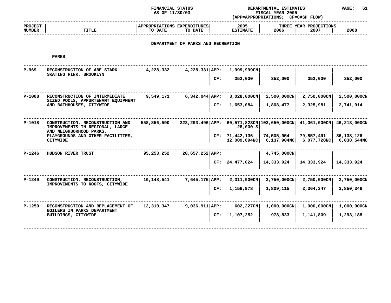**FINANCIALAS OF 11/30/03** 

### **STATUS DEPARTMENTAL ESTIMATES PAGE: <sup>61</sup> (APP=APPROPRIATIONS;**

|                                 |                                                                                                   | AS OF 11/30/03                         |                                    |     |                                    | FISCAL YEAR 2005<br>(APP=APPROPRIATIONS; CF=CASH FLOW) |                          |                          |
|---------------------------------|---------------------------------------------------------------------------------------------------|----------------------------------------|------------------------------------|-----|------------------------------------|--------------------------------------------------------|--------------------------|--------------------------|
| <b>PROJECT</b><br><b>NUMBER</b> | TITLE                                                                                             | APPROPRIATIONS EXPENDITURES<br>TO DATE | TO DATE                            |     | 2005<br><b>ESTIMATE</b>            | THREE<br>2006                                          | YEAR PROJECTIONS<br>2007 | 2008                     |
|                                 |                                                                                                   |                                        | DEPARTMENT OF PARKS AND RECREATION |     |                                    |                                                        |                          |                          |
|                                 | PARKS                                                                                             |                                        |                                    |     |                                    |                                                        |                          |                          |
| $P-969$                         | RECONSTRUCTION OF ABE STARK<br>SKATING RINK, BROOKLYN                                             | 4,228,332                              | $4,228,331$ APP:                   | CF: | 1,999,999CN<br>352,000             | 352,000                                                | 352,000                  | 352,000                  |
| $P-1008$                        | RECONSTRUCTION OF INTERMEDIATE<br>SIZED POOLS, APPURTENANT EQUIPMENT<br>AND BATHHOUSES, CITYWIDE. | 9,549,171                              | $6,342,044$ APP:                   | CF: | $3,028,000 \text{CN}$<br>1,653,084 | $2,500,000$ CN<br>1,808,477                            | 2,750,000CN<br>2,325,981 | 2,500,000CN<br>2,741,914 |
|                                 |                                                                                                   |                                        |                                    |     |                                    |                                                        |                          |                          |

| P-1018   | CONSTRUCTION, RECONSTRUCTION AND<br>IMPROVEMENTS IN REGIONAL, LARGE<br>AND NEIGHBORHOOD PARKS,<br>PLAYGROUNDS AND OTHER FACILITIES,<br>CITYWIDE | 558,856,590 | $323, 293, 496$ APP:<br>CF: | 28,000 SI<br>71,442,136<br>12,009,694NC | 60,571,823CN   103,650,000CN  <br>74,505,954<br>6,137,904 <sub>NC</sub> | 41,061,000CN<br>79,857,491<br>6,077,728NC | 46,213,000CN<br>86,138,126<br>6,038,544NC |
|----------|-------------------------------------------------------------------------------------------------------------------------------------------------|-------------|-----------------------------|-----------------------------------------|-------------------------------------------------------------------------|-------------------------------------------|-------------------------------------------|
| $P-1246$ | HUDSON RIVER TRUST                                                                                                                              | 95,253,252  | 20,657,252 APP:             |                                         | 4,745,000CN                                                             |                                           |                                           |
|          |                                                                                                                                                 |             | CF:                         | 24,477,024                              | 14,333,924                                                              | 14,333,924                                | 14,333,924                                |

|          |                                                                                         |            |                         |             | CF: $24,477,024$   $14,333,924$   $14,333,924$   $14,333,924$    |                       |                          |
|----------|-----------------------------------------------------------------------------------------|------------|-------------------------|-------------|------------------------------------------------------------------|-----------------------|--------------------------|
| P-1249   | CONSTRUCTION, RECONSTRUCTION,<br>IMPROVEMENTS TO ROOFS, CITYWIDE                        | 10,148,541 | 7,645,175 APP:          | 2,311,900CN | 3,750,000CN<br>CF: 1,156,978   1,809,115   2,364,347   2,850,346 | 2,750,000CN           | 2,750,000CN              |
| $P-1250$ | RECONSTRUCTION AND REPLACEMENT OF<br>BOILERS IN PARKS DEPARTMENT<br>BUILDINGS, CITYWIDE | 12,310,347 | $9,036,911$ APP:<br>CF: | 602,227CN   | $1,000,000$ CN<br>$1,107,252$ 978,833 1,141,809                  | $1,000,000 \text{CN}$ | 1,000,000CN<br>1,293,188 |

**<sup>|</sup> <sup>|</sup> <sup>|</sup> ------------------------------------------------------------------------------------------------------------------------------------**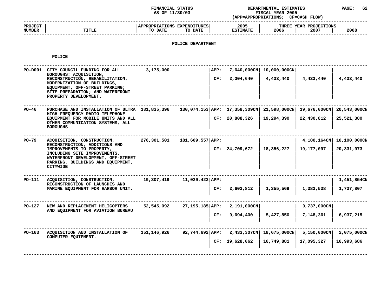**STATUS DEPARTMENTAL ESTIMATES PAGE: <sup>62</sup> (APP=APPROPRIATIONS;**

|                                 |              | AS OF 11/30/03                                           | (APP=APPROPRIATIONS;    | <b>FISCAL YEAR 2005</b><br><b>CF=CASH FLOW)</b> |      |
|---------------------------------|--------------|----------------------------------------------------------|-------------------------|-------------------------------------------------|------|
| <b>PROJECT</b><br><b>NUMBER</b> | <b>TITLE</b> | <b>APPROPRIATIONS EXPENDITURES</b><br>TO DATE<br>TO DATE | 2005<br><b>ESTIMATE</b> | THREE YEAR PROJECTIONS<br>2006<br>2007          | 2008 |
|                                 |              |                                                          |                         |                                                 |      |

## **POLICE DEPARTMENT**

**POLICE**

| PO-D001 | CITY COUNCIL FUNDING FOR ALL<br>BOROUGHS: ACQUISITION,<br>RECONSTRUCTION, REHABILITATION,<br>MODERNIZATION OF BUILDINGS,<br>EQUIPMENT, OFF-STREET PARKING;<br>SITE PREPARATION; AND WATERFRONT<br>PROPERTY DEVELOPMENT. | 3,175,000   |                     | APP:<br>CF: | $7,640,000 \text{CN}$<br>2,004,640                           | 10,000,000CN<br>4,433,440                  | 4,433,440                  | 4,433,440                  |
|---------|-------------------------------------------------------------------------------------------------------------------------------------------------------------------------------------------------------------------------|-------------|---------------------|-------------|--------------------------------------------------------------|--------------------------------------------|----------------------------|----------------------------|
| $PO-46$ | PURCHASE AND INSTALLATION OF ULTRA 181,835,396<br>HIGH FREQUENCY RADIO TELEPHONE<br>EQUIPMENT FOR MOBILE UNITS AND ALL<br>OTHER COMMUNICATION SYSTEMS, ALL<br><b>BOROUGHS</b>                                           |             |                     |             | 130,074,153 APP: 17,358,309CN 21,598,000CN<br>CF: 20,808,326 | 19,294,390                                 | 19,676,000CN<br>22,430,812 | 20,543,000CN<br>25,521,380 |
| PO-79   | ACQUISITION, CONSTRUCTION,<br>RECONSTRUCTION, ADDITIONS AND<br>IMPROVEMENTS TO PROPERTY,<br>INCLUDING SITE IMPROVEMENTS,<br>WATERFRONT DEVELOPMENT, OFF-STREET<br>PARKING, BUILDINGS AND EQUIPMENT,<br><b>CITYWIDE</b>  | 276,301,501 | 181,609,557 APP:    |             | CF: 24,709,672                                               | 18,356,227                                 | 4,180,164CN<br>19,177,097  | 10,100,000CN<br>20,331,973 |
| PO-111  | ACQUISITION, CONSTRUCTION,<br>RECONSTRUCTION OF LAUNCHES AND<br>MARINE EQUIPMENT FOR HARBOR UNIT.                                                                                                                       | 19,307,419  | $11,029,423$ $APP:$ | CF:         | 2,602,812                                                    | 1,355,569                                  | 1,382,538                  | 1,451,854CN<br>1,737,807   |
| PO-127  | NEW AND REPLACEMENT HELICOPTERS<br>AND EQUIPMENT FOR AVIATION BUREAU                                                                                                                                                    | 52,545,092  | 27,195,185 APP:     | CF:         | $2,191,000$ CN<br>9,694,400                                  | 5,427,850                                  | 9,737,000CN<br>7,148,361   | 6,937,215                  |
| PO-163  | ACQUISITION AND INSTALLATION OF<br>COMPUTER EQUIPMENT.                                                                                                                                                                  | 151,146,926 | 92,744,692 APP:     |             | CF: 19,628,062                                               | 2,433,307CN   18,675,000CN  <br>16,749,881 | 5,150,000CN<br>17,095,327  | 2,075,000CN<br>16,993,686  |
|         |                                                                                                                                                                                                                         |             |                     |             |                                                              |                                            |                            |                            |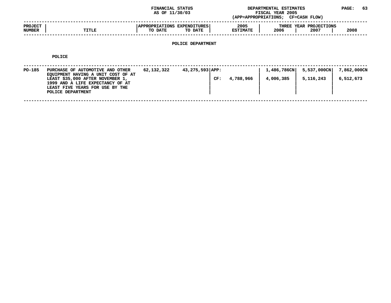### **STATUS DEPARTMENTAL ESTIMATES PAGE: <sup>63</sup> (APP=APPROPRIATIONS;**

|                          |              | AS OF 11/30/03                                                     | (APP=APPROPRIATIONS;    | <b>FISCAL YEAR 2005</b><br><b>CF=CASH FLOW)</b> |      |
|--------------------------|--------------|--------------------------------------------------------------------|-------------------------|-------------------------------------------------|------|
| <b>PROJECT</b><br>NUMBER | <b>TITLE</b> | <b>APPROPRIATIONS</b><br><b>EXPENDITURES</b><br>TO DATE<br>TO DATE | 2005<br><b>ESTIMATE</b> | THREE YEAR PROJECTIONS<br>2006<br>2007          | 2008 |
|                          |              |                                                                    |                         |                                                 |      |

# **POLICE DEPARTMENT**

**POLICE**

| PO-185 | PURCHASE OF AUTOMOTIVE AND OTHER<br>EQUIPMENT HAVING A UNIT COST OF AT<br>LEAST \$35,000 AFTER NOVEMBER 1,<br>1999 AND A LIFE EXPECTANCY OF AT<br>LEAST FIVE YEARS FOR USE BY THE<br>POLICE DEPARTMENT | 62,132,322 | 43,275,593 APP: | CF: | 4,788,966 | 1,486,786CN<br>4,006,385 | 5,537,000CN<br>5,116,243 | 7,862,000CN<br>6,512,673 |
|--------|--------------------------------------------------------------------------------------------------------------------------------------------------------------------------------------------------------|------------|-----------------|-----|-----------|--------------------------|--------------------------|--------------------------|
|        |                                                                                                                                                                                                        |            |                 |     |           |                          |                          |                          |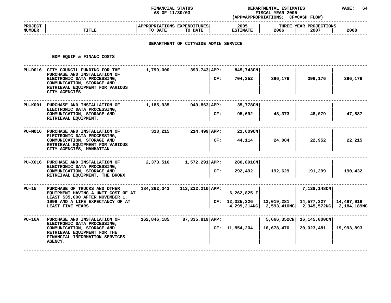### **STATUS DEPARTMENTAL ESTIMATES PAGE: <sup>64</sup> (APP=APPROPRIATIONS;**

|                                 |              | AS OF 11/30/03                                                     | (APP=APPROPRIATIONS;    | <b>FISCAL YEAR 2005</b><br><b>CF=CASH FLOW)</b> |      |
|---------------------------------|--------------|--------------------------------------------------------------------|-------------------------|-------------------------------------------------|------|
| <b>PROJECT</b><br><b>NUMBER</b> | <b>TITLE</b> | <b>APPROPRIATIONS</b><br><b>EXPENDITURES</b><br>TO DATE<br>TO DATE | 2005<br><b>ESTIMATE</b> | THREE YEAR PROJECTIONS<br>2006<br>2007          | 2008 |
|                                 |              |                                                                    |                         |                                                 |      |

## **DEPARTMENT OF CITYWIDE ADMIN SERVICE**

**EDP EQUIP & FINANC COSTS** 

|              | EDP EQUIP & FINANC COSTS                                                                                                                                                             |             |                    |     |                                 |            |                                                                      |                           |
|--------------|--------------------------------------------------------------------------------------------------------------------------------------------------------------------------------------|-------------|--------------------|-----|---------------------------------|------------|----------------------------------------------------------------------|---------------------------|
| PU-D016      | CITY COUNCIL FUNDING FOR THE<br>PURCHASE AND INSTALLATION OF<br>ELECTRONIC DATA PROCESSING,<br>COMMUNICATION, STORAGE AND<br>RETRIEVAL EQUIPMENT FOR VARIOUS<br><b>CITY AGENCIES</b> | 1,799,000   | 393,743 APP:       | CF: | 845,743CN<br>704,352            | 396,176    | 396,176                                                              | 396,176                   |
|              | PU-K001 PURCHASE AND INSTALLATION OF<br>ELECTRONIC DATA PROCESSING,<br>COMMUNICATION, STORAGE AND<br>RETRIEVAL EQUIPMENT.                                                            | 1,185,935   | 949,863 APP:       | CF: | 35,778CN<br>95,692              | 48,373     | 48,079                                                               | 47,887                    |
|              | PU-M016 PURCHASE AND INSTALLATION OF<br>ELECTRONIC DATA PROCESSING,<br>COMMUNICATION, STORAGE AND<br>RETRIEVAL EQUIPMENT FOR VARIOUS<br>CITY AGENCIES, MANHATTAN                     | 318,215     | $214,499$ APP:     | CF: | 21,609CN<br>44,114              | 24,084     | 22,952                                                               | 22,215                    |
|              | PU-X016 PURCHASE AND INSTALLATION OF<br>ELECTRONIC DATA PROCESSING,<br>COMMUNICATION, STORAGE AND<br>RETREIVAL EQUIPMENT, THE BRONX                                                  | 2,373,516   | $1,572,291$ $APP:$ | CF: | 280,891CN<br>292,492            | 192,629    | 191,299                                                              | 190,432                   |
| <b>PU-15</b> | PURCHASE OF TRUCKS AND OTHER<br>EOUIPMENT HAVING A UNIT COST OF AT<br>LEAST \$35,000 AFTER NOVEMBER 1,<br>1999 AND A LIFE EXPECTANCY OF AT<br>LEAST FIVE YEARS.                      | 184,362,043 | $113,222,210$ APP: |     | $6,262,825$ F<br>CF: 12,325,326 | 13,019,281 | 7,138,148CN<br>14,577,327<br>4,299,214NC   2,593,410NC   2,345,572NC | 14,497,916<br>2,184,189NC |
| $PU-16A$     | PURCHASE AND INSTALLATION OF<br>ELECTRONIC DATA PROCESSING,<br>COMMUNICATION, STORAGE AND<br>RETRIEVAL EQUIPMENT FOR THE<br>FINANCIAL INFORMATION SERVICES<br><b>AGENCY.</b>         | 162,846,185 | $87,335,819$ APP:  |     | CF: 11,854,204                  | 16,678,470 | 5,666,352CN   16,145,000CN<br>20,023,481                             | 19,993,893                |
|              |                                                                                                                                                                                      |             |                    |     |                                 |            |                                                                      |                           |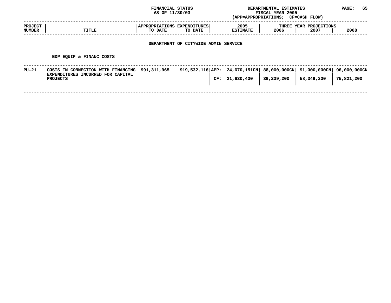|                          |                                                                                            | FINANCIAL STATUS<br>AS OF 11/30/03     |                                      |                                                    | DEPARTMENTAL ESTIMATES<br>FISCAL YEAR 2005<br>(APP=APPROPRIATIONS; CF=CASH FLOW) |                                | PAGE:                      | 65 |
|--------------------------|--------------------------------------------------------------------------------------------|----------------------------------------|--------------------------------------|----------------------------------------------------|----------------------------------------------------------------------------------|--------------------------------|----------------------------|----|
| <b>PROJECT</b><br>NUMBER | TITLE                                                                                      | APPROPRIATIONS EXPENDITURES<br>TO DATE | TO DATE                              | 2005<br><b>ESTIMATE</b>                            | 2006                                                                             | THREE YEAR PROJECTIONS<br>2007 | 2008                       |    |
|                          |                                                                                            |                                        | DEPARTMENT OF CITYWIDE ADMIN SERVICE |                                                    |                                                                                  |                                |                            |    |
|                          | EDP EQUIP & FINANC COSTS                                                                   |                                        |                                      |                                                    |                                                                                  |                                |                            |    |
| PU-21                    | COSTS IN CONNECTION WITH FINANCING<br>EXPENDITURES INCURRED FOR CAPITAL<br><b>PROJECTS</b> | 991,311,965                            |                                      | 919,532,116 APP: $24,670,151$ CN<br>CF: 21,630,400 | 88,000,000CN<br>39,239,200                                                       | 91,000,000CN<br>58,349,200     | 96,000,000CN<br>75,821,200 |    |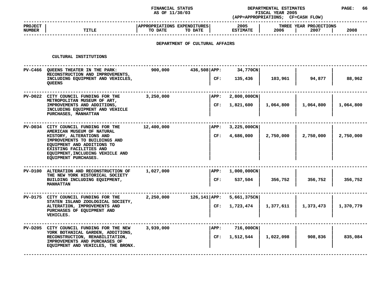### **STATUS DEPARTMENTAL ESTIMATES PAGE: <sup>66</sup> (APP=APPROPRIATIONS;**

|                          |                                                                                                                                                                                | AS OF 11/30/03                         |                                |             |                         | FISCAL YEAR 2005<br>(APP=APPROPRIATIONS; CF=CASH FLOW) |                                |           |
|--------------------------|--------------------------------------------------------------------------------------------------------------------------------------------------------------------------------|----------------------------------------|--------------------------------|-------------|-------------------------|--------------------------------------------------------|--------------------------------|-----------|
| <b>PROJECT</b><br>NUMBER | <b>TITLE</b>                                                                                                                                                                   | APPROPRIATIONS EXPENDITURES<br>TO DATE | TO DATE                        |             | 2005<br><b>ESTIMATE</b> | 2006                                                   | THREE YEAR PROJECTIONS<br>2007 | 2008      |
|                          |                                                                                                                                                                                |                                        | DEPARTMENT OF CULTURAL AFFAIRS |             |                         |                                                        |                                |           |
|                          | CULTURAL INSTITUTIONS                                                                                                                                                          |                                        |                                |             |                         |                                                        |                                |           |
|                          | PV-C466 QUEENS THEATER IN THE PARK:<br>RECONSTRUCTION AND IMPROVEMENTS,                                                                                                        | 900,000                                | 436,508 APP:                   |             | 34,770CN                |                                                        |                                |           |
|                          | INCLUDING EQUIPMENT AND VEHICLES,<br><b>OUEENS</b>                                                                                                                             |                                        |                                | CF:         | 135,436                 | 103,961                                                | 94,877                         | 88,962    |
|                          | PV-D022 CITY COUNCIL FUNDING FOR THE<br>METROPOLITAN MUSEUM OF ART,                                                                                                            | 3,250,000                              |                                | APP:        | $2,800,000 \text{CN}$   |                                                        |                                |           |
|                          | IMPROVEMENTS AND ADDITIONS,<br>INCLUDING EQUIPMENT AND VEHICLE<br>PURCHASES, MANHATTAN                                                                                         |                                        |                                | CF:         | 1,821,600               | 1,064,800                                              | 1,064,800                      | 1,064,800 |
|                          | PV-D034 CITY COUNCIL FUNDING FOR THE<br>AMERICAN MUSEUM OF NATURAL                                                                                                             | 12,400,000                             |                                | APP:        | $3,225,000$ CN          |                                                        |                                |           |
|                          | HISTORY, ALTERATIONS AND<br>IMPROVEMENTS TO BUILDINGS AND<br>EQUIPMENT AND ADDITIONS TO<br>EXISTING FACILITIES AND<br>EQUIPMENT, INCLUDING VEHICLE AND<br>EQUIPMENT PURCHASES. |                                        |                                | CF:         | 4,686,000               | 2,750,000                                              | 2,750,000                      | 2,750,000 |
|                          | PV-D100 ALTERATION AND RECONSTRUCTION OF<br>THE NEW YORK HISTORICAL SOCIETY                                                                                                    | 1,027,000                              |                                | <b>APP:</b> | $1,000,000$ CN          |                                                        |                                |           |
|                          | BUILDING INCLUDING EQUIPMENT,<br><b>MANHATTAN</b>                                                                                                                              |                                        |                                | CF:         | 537,504                 | 356,752                                                | 356,752                        | 356,752   |
|                          | PV-D175 CITY COUNCIL FUNDING FOR THE                                                                                                                                           | 2,250,000                              | $126,141$ $APP:$               |             | 5,661,375CN             |                                                        |                                |           |
|                          | STATEN ISLAND ZOOLOGICAL SOCIETY,<br>ALTERATION, IMPROVEMENTS AND<br>PURCHASES OF EQUIPMENT AND<br>VEHICLES.                                                                   |                                        |                                | CF:         | 1,723,474               | 1,377,611                                              | 1,373,473                      | 1,370,779 |
|                          | PV-D205 CITY COUNCIL FUNDING FOR THE NEW<br>YORK BOTANICAL GARDEN, ADDITIONS,                                                                                                  | 3,939,000                              |                                | APP:        | 716,000CN               |                                                        |                                |           |
|                          | RECONSTRUCTION, REHABILITATION,<br>IMPROVEMENTS AND PURCHASES OF<br>EQUIPMENT AND VEHICLES, THE BRONX.                                                                         |                                        |                                | CF:         | 1,512,544               | 1,022,098                                              | 908,836                        | 835,084   |

**AND VEHICLES, THE BRONX. <sup>|</sup> <sup>|</sup> <sup>|</sup> <sup>|</sup> ------------------------------------------------------------------------------------------------------------------------------------**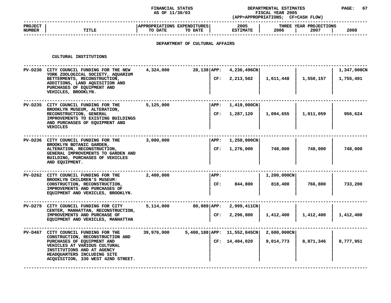### **STATUS DEPARTMENTAL ESTIMATES PAGE: <sup>67</sup> (APP=APPROPRIATIONS;**

|                          |       | AS OF 11/30/03                                      | (APP=APPROPRIATIONS:    | <b>FISCAL YEAR 2005</b><br><b>CF=CASH FLOW)</b> |      |
|--------------------------|-------|-----------------------------------------------------|-------------------------|-------------------------------------------------|------|
| <b>PROJECT</b><br>NUMBER | TITLE | APPROPRIATIONS EXPENDITURES  <br>TO DATE<br>TO DATE | 2005<br><b>ESTIMATE</b> | THREE YEAR PROJECTIONS<br>2006<br>2007          | 2008 |
|                          |       |                                                     |                         |                                                 |      |

## **DEPARTMENT OF CULTURAL AFFAIRS**

| CULTURAL INSTITUTIONS                                                                                                                                                                                                                     |            |                             |                                      |                           |           |                          |
|-------------------------------------------------------------------------------------------------------------------------------------------------------------------------------------------------------------------------------------------|------------|-----------------------------|--------------------------------------|---------------------------|-----------|--------------------------|
| PV-D230 CITY COUNCIL FUNDING FOR THE NEW<br>YORK ZOOLOGICAL SOCIETY, AQUARIUM<br>BETTERMENTS, RECONSTRUCTION,<br>ADDITIONS, LAND AQUISITION AND<br>PURCHASES OF EQUIPMENT AND<br>VEHICLES, BROOKLYN.                                      | 4,324,000  | 28,138 APP:<br>CF:          | 4,236,496CN<br>2,213,502             | 1,611,448                 | 1,550,157 | 1,347,000CN<br>1,755,401 |
| PV-D235 CITY COUNCIL FUNDING FOR THE<br>BROOKLYN MUSEUM, ALTERATION,<br>RECONSTRUCTION, GENERAL<br>IMPROVEMENTS TO EXISTING BUILDINGS<br>AND PURCHASES OF EQUIPMENT AND<br>VEHICLES                                                       | 5,125,000  | APP:<br>CF:                 | $1,419,000$ CN<br>1,287,120          | 1,094,655                 | 1,011,059 | 956,624                  |
| PV-D236 CITY COUNCIL FUNDING FOR THE<br>BROOKLYN BOTANIC GARDEN,<br>ALTERATION, RECONSTRUCTION,<br>GENERAL IMPROVEMENTS TO GARDEN AND<br>BUILDING, PURCHASES OF VEHICLES<br>AND EQUIPMENT.                                                | 3,000,000  |                             | APP: 1,250,000CN <br>CF: 1,276,000   | 748,000                   | 748,000   | 748,000                  |
| PV-D262 CITY COUNCIL FUNDING FOR THE<br>BROOKLYN CHILDREN'S MUSEUM:<br>CONSTRUCTION, RECONSTRUCTION,<br>IMPROVEMENTS AND PURCHASES OF<br>EQUIPMENT AND VEHICLES, BROOKLYN.                                                                | 2,400,000  | APP:<br>CF:                 | 844,800                              | $1,200,000$ CN<br>818,400 | 766,800   | 733,200                  |
| PV-D279 CITY COUNCIL FUNDING FOR CITY<br>CENTER, MANHATTAN, RECONSTRUCTION,<br>IMPROVEMENTS AND PURCHASE OF<br>EQUIPMENT AND VEHICLES, MANHATTAN                                                                                          | 5,114,000  | CF:                         | 80,989 APP: 2,999,411CN<br>2,296,800 | 1,412,400                 | 1,412,400 | 1,412,400                |
| PV-D467 CITY COUNCIL FUNDING FOR THE<br>CONSTRUCTION, RECONSTRUCTION AND<br>PURCHASES OF EQUIPMENT AND<br>VEHICLES AT VARIOUS CULTURAL<br>INSTITUTIONS AND AT AGENCY<br>HEADQUARTERS INCLUDING SITE<br>ACQUISITION, 330 WEST 42ND STREET. | 39,976,000 | 5,400,188 APP: 11,552,845CN | CF: 14,404,020                       | 2,600,000CN<br>9,014,773  | 8,871,346 | 8,777,951                |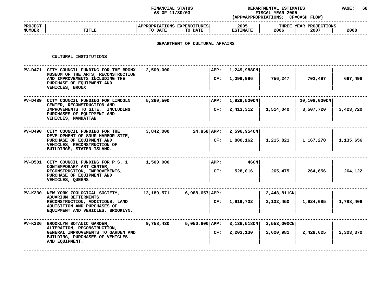## **STATUS DEPARTMENTAL ESTIMATES PAGE: <sup>68</sup>**

| <b>TITLE</b><br>CULTURAL INSTITUTIONS<br>PV-D471 CITY COUNCIL FUNDING FOR THE BRONX<br>MUSEUM OF THE ARTS, RECONSTRUCTION<br>AND IMPROVEMENTS INCLUDING THE<br>PURCHASE OF EQUIPMENT AND | APPROPRIATIONS EXPENDITURES<br>TO DATE<br>TO DATE<br>DEPARTMENT OF CULTURAL AFFAIRS<br>2,500,000                                                   |      | 2005<br><b>ESTIMATE</b>                                   | 2006           | THREE YEAR PROJECTIONS<br>2007 | 2008      |
|------------------------------------------------------------------------------------------------------------------------------------------------------------------------------------------|----------------------------------------------------------------------------------------------------------------------------------------------------|------|-----------------------------------------------------------|----------------|--------------------------------|-----------|
|                                                                                                                                                                                          |                                                                                                                                                    |      |                                                           |                |                                |           |
|                                                                                                                                                                                          |                                                                                                                                                    |      |                                                           |                |                                |           |
|                                                                                                                                                                                          |                                                                                                                                                    |      |                                                           |                |                                |           |
|                                                                                                                                                                                          |                                                                                                                                                    | APP: | 1,249,988CN                                               |                |                                |           |
| VEHICLES, BRONX                                                                                                                                                                          |                                                                                                                                                    | CF:  | 1,099,996                                                 | 756,247        | 702,497                        | 667,498   |
| PV-D489 CITY COUNCIL FUNDING FOR LINCOLN                                                                                                                                                 | 5,360,500                                                                                                                                          | APP: | 1,929,500CN                                               |                | 10,108,000CN                   |           |
| IMPROVEMENTS TO SITE, INCLUDING<br>PURCHASES OF EQUIPMENT AND<br>VEHICLES, MANHATTAN                                                                                                     |                                                                                                                                                    | CF:  | 2,413,312                                                 | 1,514,040      | 3,507,720                      | 3,423,720 |
| PV-D490 CITY COUNCIL FUNDING FOR THE                                                                                                                                                     | 3,842,000                                                                                                                                          |      | 2,596,954CN                                               |                |                                |           |
| PURCHASE OF EQUIPMENT AND<br>VEHICLES, RECONSTRUCTION OF<br>BUILDINGS, STATEN ISLAND.                                                                                                    |                                                                                                                                                    | CF:  | 1,800,162                                                 | 1,215,821      | 1,167,270                      | 1,135,656 |
| PV-D501 CITY COUNCIL FUNDING FOR P.S. 1                                                                                                                                                  | 1,500,000                                                                                                                                          | APP: | 46CN                                                      |                |                                |           |
| RECONSTRUCTION, IMPROVEMENTS,<br>PURCHASE OF EQUIPMENT AND<br>VEHICLES, QUEENS                                                                                                           |                                                                                                                                                    | CF:  | 528,016                                                   | 265,475        | 264,656                        | 264,122   |
| NEW YORK ZOOLOGICAL SOCIETY,                                                                                                                                                             | 13,189,571                                                                                                                                         |      |                                                           | 2,448,811CN    |                                |           |
| RECONSTRUCTION, ADDITIONS, LAND<br>AQUISITION AND PURCHASES OF<br>EQUIPMENT AND VEHICLES, BROOKLYN.                                                                                      |                                                                                                                                                    |      | 1,919,702                                                 | 2,132,450      | 1,924,085                      | 1,788,406 |
| PV-K236 BROOKLYN BOTANIC GARDEN,                                                                                                                                                         | 9,758,430                                                                                                                                          |      | $3,136,518$ CN                                            | $3,553,000$ CN |                                |           |
| GENERAL IMPROVEMENTS TO GARDEN AND<br>BUILDING, PURCHASES OF VEHICLES<br>AND EQUIPMENT.                                                                                                  |                                                                                                                                                    | CF:  | 2,203,130                                                 | 2,620,981      | 2,428,625                      | 2,303,370 |
|                                                                                                                                                                                          | CENTER, RECONSTRUCTION AND<br>DEVELOPMENT OF SNUG HARBOR SITE,<br>CONTEMPORARY ART CENTER,<br>AQUARIUM BETTERMENTS,<br>ALTERATION, RECONSTRUCTION, |      | $24,858$ $APP:$<br>$6,988,657$ APP:<br>$5,050,600$   APP: | CF:            |                                |           |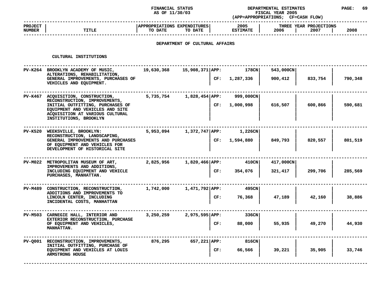|                          |                                                                                                                                  | <b>FINANCIAL STATUS</b><br>AS OF 11/30/03 |                                |     | DEPARTMENTAL ESTIMATES<br>FISCAL YEAR 2005<br>(APP=APPROPRIATIONS; CF=CASH FLOW) | PAGE:     |                                |         |
|--------------------------|----------------------------------------------------------------------------------------------------------------------------------|-------------------------------------------|--------------------------------|-----|----------------------------------------------------------------------------------|-----------|--------------------------------|---------|
| <b>PROJECT</b><br>NUMBER | <b>TITLE</b>                                                                                                                     | APPROPRIATIONS EXPENDITURES<br>TO DATE    | TO DATE                        |     | 2005<br><b>ESTIMATE</b>                                                          | 2006      | THREE YEAR PROJECTIONS<br>2007 | 2008    |
|                          |                                                                                                                                  |                                           | DEPARTMENT OF CULTURAL AFFAIRS |     |                                                                                  |           |                                |         |
|                          | CULTURAL INSTITUTIONS                                                                                                            |                                           |                                |     |                                                                                  |           |                                |         |
|                          | PV-K264 BROOKLYN ACADEMY OF MUSIC,<br>ALTERATIONS, REHABILITATION,                                                               | 19,630,368                                | 15,908,371 APP:                |     | 178CN                                                                            | 543,000CN |                                |         |
|                          | GENERAL IMPROVEMENTS, PURCHASES OF<br>VEHICLES AND EQUIPMENT.                                                                    |                                           |                                | CF: | 1,287,336                                                                        | 900,412   | 833,754                        | 790,348 |
|                          | PV-K467 ACQUISITION, CONSTRUCTION,<br>RECONSTRUCTION, IMPROVEMENTS,                                                              | 5,735,754                                 | $1,828,454$ $APP:$             |     | 999,000CN                                                                        |           |                                |         |
|                          | INITIAL OUTFITTING, PURCHASES OF<br>EQUIPMENT AND VEHICLES AND SITE<br>ACQUISITION AT VARIOUS CULTURAL<br>INSTITUTIONS, BROOKLYN |                                           |                                | CF: | 1,000,998                                                                        | 616,507   | 600,866                        | 590,681 |
| PV-K520                  | WEEKSVILLE, BROOKLYN:<br>RECONSTRUCTION, LANDSCAPING,                                                                            | 5,953,094                                 | $1,372,747$ $APP:$             |     | $1,226$ CN                                                                       |           |                                |         |
|                          | GENERAL IMPROVEMENTS AND PURCHASES<br>OF EQUIPMENT AND VEHICLES FOR<br>DEVELOPMENT OF HISTORICAL SITE                            |                                           |                                | CF: | 1,594,880                                                                        | 849,793   | 820,557                        | 801,519 |
| PV-M022                  | METROPOLITAN MUSEUM OF ART,<br>IMPROVEMENTS AND ADDITIONS,                                                                       | 2,825,956                                 | 1,820,466 APP:                 |     | 410CN                                                                            | 417,000CN |                                |         |
|                          | INCLUDING EQUIPMENT AND VEHICLE<br>PURCHASES, MANHATTAN.                                                                         |                                           |                                | CF: | 354,076                                                                          | 321,417   | 299,706                        | 285,569 |
| PV-M489                  | CONSTRUCTION, RECONSTRUCTION,                                                                                                    | 1,742,000                                 | $1,471,792$ $APP:$             |     | 495CN                                                                            |           |                                |         |
|                          | ADDITIONS AND IMPROVEMENTS TO<br>LINCOLN CENTER, INCLUDING<br>INCIDENTAL COSTS, MANHATTAN                                        |                                           |                                | CF: | 76,368                                                                           | 47,189    | 42,160                         | 38,886  |
| PV-M503                  | CARNEGIE HALL, INTERIOR AND                                                                                                      | 3,250,259                                 | $2,975,595$ $APP:$             |     | 336CN                                                                            |           |                                |         |
|                          | EXTERIOR RECONSTRUCTION, PURCHASE<br>OF EQUIPMENT AND VEHICLES,<br>MANHATTAN.                                                    |                                           |                                | CF: | 88,000                                                                           | 55,935    | 49,270                         | 44,930  |
|                          | PV-Q001 RECONSTRUCTION, IMPROVEMENTS,<br>INITIAL OUTFITTING, PURCHASE OF                                                         | 876,295                                   | $657,221$ $APP:$               |     | 816CN                                                                            |           |                                |         |
|                          | EQUIPMENT AND VEHICLES AT LOUIS<br>ARMSTRONG HOUSE                                                                               |                                           |                                | CF: | 66,566                                                                           | 39,221    | 35,905                         | 33,746  |

**AND VEHICLES AT LOUIS <sup>|</sup> CF: 66,566 <sup>|</sup> 39,221 <sup>|</sup> 35,905 <sup>|</sup> 33,746**

**HOUSE <sup>|</sup> <sup>|</sup> <sup>|</sup> <sup>|</sup> ------------------------------------------------------------------------------------------------------------------------------------**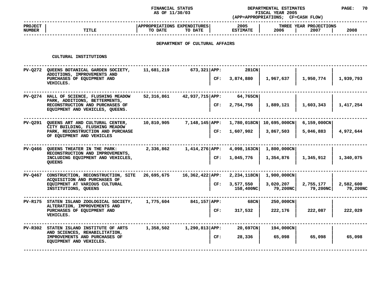### **STATUS DEPARTMENTAL ESTIMATES PAGE: <sup>70</sup> (APP=APPROPRIATIONS;**

|                                 |                                                                                                       | AS OF 11/30/03                         |                                |     | FISCAL YEAR 2005<br>(APP=APPROPRIATIONS; CF=CASH FLOW) |                       |                                |                       |  |
|---------------------------------|-------------------------------------------------------------------------------------------------------|----------------------------------------|--------------------------------|-----|--------------------------------------------------------|-----------------------|--------------------------------|-----------------------|--|
| <b>PROJECT</b><br><b>NUMBER</b> | <b>TITLE</b>                                                                                          | APPROPRIATIONS EXPENDITURES<br>TO DATE | TO DATE                        |     | 2005<br><b>ESTIMATE</b>                                | 2006                  | THREE YEAR PROJECTIONS<br>2007 | 2008                  |  |
|                                 |                                                                                                       |                                        | DEPARTMENT OF CULTURAL AFFAIRS |     |                                                        |                       |                                |                       |  |
|                                 | CULTURAL INSTITUTIONS                                                                                 |                                        |                                |     |                                                        |                       |                                |                       |  |
|                                 | PV-Q272 QUEENS BOTANICAL GARDEN SOCIETY,<br>ADDITIONS, IMPROVEMENTS AND<br>PURCHASES OF EQUIPMENT AND | 11,681,219                             | $673,321$ $APP:$               | CF: | 281CN<br>3,874,880                                     | 1,967,637             | 1,950,774                      | 1,939,793             |  |
|                                 | VEHICLES.                                                                                             |                                        |                                |     |                                                        |                       |                                |                       |  |
|                                 | PV-Q274 HALL OF SCIENCE, FLUSHING MEADOW<br>PARK, ADDITIONS, BETTERMENTS,                             | 52,316,861                             | 42,937,715 APP:                |     | 64,765CN                                               |                       |                                |                       |  |
|                                 | RECONSTRUCTION AND PURCHASES OF<br>EQUIPMENT AND VEHICLES, QUEENS.                                    |                                        |                                | CF: | 2,754,756                                              | 1,889,121             | 1,603,343                      | 1,417,254             |  |
|                                 | PV-0291 QUEENS ART AND CULTURAL CENTER,<br>CITY BUILDING, FLUSHING MEADOW                             | 10,810,905                             | 7,148,145   APP:               |     | 1,780,018CN                                            | 10,695,000CN          | $6,159,000$ CN                 |                       |  |
|                                 | PARK, RECONSTRUCTION AND PURCHASE<br>OF EQUIPMENT AND VEHICLES                                        |                                        |                                | CF: | 1,607,902                                              | 3,867,503             | 5,046,883                      | 4,972,644             |  |
|                                 | PV-Q466 QUEENS THEATER IN THE PARK:<br>RECONSTRUCTION AND IMPROVEMENTS,                               | 2,336,862                              | 1,414,276 APP:                 |     | 4,098,163CN                                            | 1,800,000CN           |                                |                       |  |
|                                 | INCLUDING EQUIPMENT AND VEHICLES,<br><b>OUEENS</b>                                                    |                                        |                                | CF: | 1,045,776                                              | 1,354,876             | 1,345,912                      | 1,340,075             |  |
|                                 | PV-Q467 CONSTRUCTION, RECONSTRUCTION, SITE<br>ACQUISITION AND PURCHASES OF                            | 26,695,675                             | $16,362,422$   APP:            |     | 2,234,118CN                                            | $1,900,000 \text{CN}$ |                                |                       |  |
|                                 | EQUIPMENT AT VARIOUS CULTURAL<br>INSTITUTIONS, QUEENS                                                 |                                        |                                | CF: | 3,577,550<br>158,400NC                                 | 3,020,207<br>79,200NC | 2,755,177<br>79,200NC          | 2,582,600<br>79,200NC |  |
| PV-R175                         | STATEN ISLAND ZOOLOGICAL SOCIETY,<br>ALTERATION, IMPROVEMENTS AND                                     | 1,775,604                              | 841,157   APP:                 |     | 68CN                                                   | 250,000CN             |                                |                       |  |
|                                 | PURCHASES OF EQUIPMENT AND<br>VEHICLES.                                                               |                                        |                                | CF: | 317,532                                                | 222,176               | 222,087                        | 222,029               |  |
| PV-R302                         | STATEN ISLAND INSTITUTE OF ARTS<br>AND SCIENCES, REHABILITATION,                                      | 1,358,502                              | $1,290,813$ $APP:$             |     | 20,697CN                                               | 194,000CN             |                                |                       |  |
|                                 | IMPROVEMENTS AND PURCHASES OF<br>EQUIPMENT AND VEHICLES.                                              |                                        |                                | CF: | 28,336                                                 | 65,098                | 65,098                         | 65,098                |  |
|                                 |                                                                                                       |                                        |                                |     |                                                        |                       |                                |                       |  |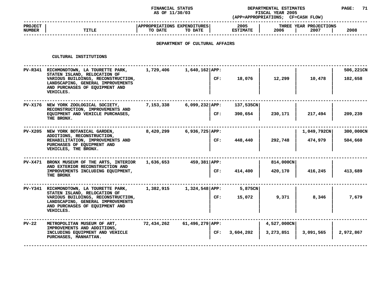### **STATUS DEPARTMENTAL ESTIMATES PAGE: <sup>71</sup> (APP=APPROPRIATIONS;**

|                                 |       | AS OF 11/30/03                                    | (APP=APPROPRIATIONS;    | <b>FISCAL YEAR 2005</b><br><b>CF=CASH FLOW)</b> |      |
|---------------------------------|-------|---------------------------------------------------|-------------------------|-------------------------------------------------|------|
| <b>PROJECT</b><br><b>NUMBER</b> | TITLE | APPROPRIATIONS EXPENDITURES<br>TO DATE<br>TO DATE | 2005<br><b>ESTIMATE</b> | THREE YEAR PROJECTIONS<br>2006<br>2007          | 2008 |
|                                 |       |                                                   |                         |                                                 |      |

## **DEPARTMENT OF CULTURAL AFFAIRS**

| PV-R341 RICHMONDTOWN, LA TOURETTE PARK,<br>STATEN ISLAND, RELOCATION OF<br>VARIOUS BUILDINGS, RECONSTRUCTION,<br>LANDSCAPING, GENERAL IMPROVEMENTS<br>AND PURCHASES OF EQUIPMENT AND<br>VEHICLES. | 1,729,406  | $1,640,162$ APP:   | CF: | 18,076                                                         | 12,299                   | 10,478                 | 506,221CN<br>102,658 |
|---------------------------------------------------------------------------------------------------------------------------------------------------------------------------------------------------|------------|--------------------|-----|----------------------------------------------------------------|--------------------------|------------------------|----------------------|
| PV-X176 NEW YORK ZOOLOGICAL SOCIETY,<br>RECONSTRUCTION, IMPROVEMENTS AND<br>EQUIPMENT AND VEHICLE PURCHASES,<br>THE BRONX.                                                                        | 7,153,338  | $6,099,232$ $APP:$ | CF: | 137,535CN<br>390,654                                           | 230,171                  | 217,494                | 209,239              |
| PV-X205 NEW YORK BOTANICAL GARDEN,<br>ADDITIONS, RECONSTRUCTION,<br>REHABILITATION, IMPROVEMENTS AND<br>PURCHASES OF EQUIPMENT AND<br>VEHICLES, THE BRONX.                                        | 8,420,299  | $6,936,725$ APP:   | CF: | 448,440                                                        | 292,748                  | 1,049,792CN<br>474,979 | 300,000CN<br>504,660 |
| PV-X471 BRONX MUSEUM OF THE ARTS, INTERIOR<br>AND EXTERIOR RECONSTRUCTION AND<br>IMPROVEMENTS INCLUDING EQUIPMENT,<br>THE BRONX                                                                   | 1,636,653  |                    | CF: | 414,400                                                        | 814,000CN<br>420,170     | 416,245                | 413,689              |
| PV-Y341 RICHMONDTOWN, LA TOURETTE PARK,<br>STATEN ISLAND, RELOCATION OF<br>VARIOUS BUILDINGS, RECONSTRUCTION,<br>LANDSCAPING, GENERAL IMPROVEMENTS<br>AND PURCHASES OF EQUIPMENT AND<br>VEHICLES. | 1,382,915  |                    | CF: | 5,875CN<br>15,072                                              | 9,371                    | 8,346                  | 7,679                |
| METROPOLITAN MUSEUM OF ART,<br>IMPROVEMENTS AND ADDITIONS,<br>INCLUDING EQUIPMENT AND VEHICLE<br>PURCHASES, MANHATTAN.                                                                            | 72,434,262 |                    |     | 3,604,202                                                      | 4,527,000CN<br>3,273,851 | 3,091,565              | 2,972,867            |
|                                                                                                                                                                                                   |            |                    |     | $459,381$ APP:<br>$1,324,548$ APP:<br>$61,496,279$ APP:<br>CF: |                          |                        |                      |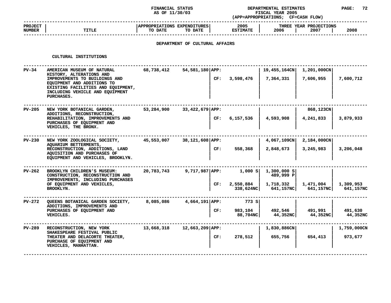### **STATUS DEPARTMENTAL ESTIMATES PAGE: <sup>72</sup> (APP=APPROPRIATIONS;**

|                          |       | AS OF 11/30/03                                    | (APP=APPROPRIATIONS;    | <b>FISCAL YEAR 2005</b><br><b>CF=CASH FLOW)</b> |      |
|--------------------------|-------|---------------------------------------------------|-------------------------|-------------------------------------------------|------|
| <b>PROJECT</b><br>NUMBER | TITLE | APPROPRIATIONS EXPENDITURES<br>TO DATE<br>TO DATE | 2005<br><b>ESTIMATE</b> | THREE YEAR PROJECTIONS<br>2006<br>2007          | 2008 |
|                          |       |                                                   |                         |                                                 |      |

## **DEPARTMENT OF CULTURAL AFFAIRS**

|               | CULTURAL INSTITUTIONS                                                                                                                                                                                        |            |                 |     |                                |                                                                               |                                 |                        |
|---------------|--------------------------------------------------------------------------------------------------------------------------------------------------------------------------------------------------------------|------------|-----------------|-----|--------------------------------|-------------------------------------------------------------------------------|---------------------------------|------------------------|
| $PV-34$       | AMERICAN MUSEUM OF NATURAL<br>HISTORY, ALTERATIONS AND<br>IMPROVEMENTS TO BUILDINGS AND<br>EQUIPMENT AND ADDITIONS TO<br>EXISTING FACILITIES AND EQUIPMENT,<br>INCLUDING VEHICLE AND EQUIPMENT<br>PURCHASES. | 68,738,412 | 54,581,180 APP: |     | CF: 3,598,476                  | 19,455,164CN 1,201,000CN<br>7,364,331                                         | 7,606,955                       | 7,600,712              |
| PV-205        | NEW YORK BOTANICAL GARDEN,<br>ADDITIONS, RECONSTRUCTION,<br>REHABILITATION, IMPROVEMENTS AND<br>PURCHASES OF EQUIPMENT AND<br>VEHICLES, THE BRONX.                                                           | 53,284,900 | 33,422,679 APP: |     | CF: 6,157,536                  | 4,593,908                                                                     | 868,123CN<br>4,241,833          | 3,879,933              |
| <b>PV-230</b> | NEW YORK ZOOLOGICAL SOCIETY,<br>AQUARIUM BETTERMENTS,<br>RECONSTRUCTION, ADDITIONS, LAND<br>AQUISITION AND PURCHASES OF<br>EQUIPMENT AND VEHICLES, BROOKLYN.                                                 | 45,553,007 | 38,121,608 APP: | CF: | 558,368                        | 4,067,109CN<br>2,848,673                                                      | $2,184,000$ CN<br>3,245,983     | 3,206,048              |
| PV-262        | BROOKLYN CHILDREN'S MUSEUM:<br>CONSTRUCTION, RECONSTRUCTION AND<br>IMPROVEMENTS, INCLUDING PURCHASES<br>OF EQUIPMENT AND VEHICLES,<br>BROOKLYN.                                                              | 20,783,743 | 9,717,987 APP:  |     | $CF: 2,550,884 \mid 1,718,332$ | 1,000 s  1,300,000 s <br>489,999 P<br>338,624NC 641,157NC 641,157NC 641,157NC | 1,471,004                       | 1,309,953              |
| PV-272        | QUEENS BOTANICAL GARDEN SOCIETY,<br>ADDITIONS, IMPROVEMENTS AND<br>PURCHASES OF EQUIPMENT AND<br>VEHICLES.                                                                                                   | 8,085,086  | 4,664,191 APP:  | CF: | 773 S<br>983,104  <br>88,704NC | 44,352NC                                                                      | 492,546   491,991  <br>44,352NC | 491,630<br>44,352NC    |
| <b>PV-289</b> | RECONSTRUCTION, NEW YORK<br>SHAKESPEARE FESTIVAL PUBLIC<br>THEATER AND DELACORTE THEATER,<br>PURCHASE OF EQUIPMENT AND<br>VEHICLES, MANHATTAN.                                                               | 13,668,318 | 12,663,209 APP: | CF: | 278,512                        | 1,830,886CN<br>655,756                                                        | 654,413                         | 1,759,000CN<br>973,677 |
|               |                                                                                                                                                                                                              |            |                 |     |                                |                                                                               |                                 |                        |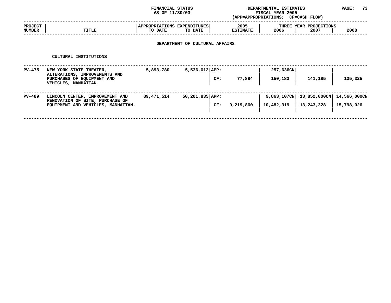### **STATUS DEPARTMENTAL ESTIMATES PAGE: <sup>73</sup> (APP=APPROPRIATIONS;**

|                                 |       | AS OF 11/30/03                                    | (APP=APPROPRIATIONS;    | <b>FISCAL YEAR 2005</b><br><b>CF=CASH FLOW)</b> |      |
|---------------------------------|-------|---------------------------------------------------|-------------------------|-------------------------------------------------|------|
| <b>PROJECT</b><br><b>NUMBER</b> | TITLE | APPROPRIATIONS EXPENDITURES<br>TO DATE<br>TO DATE | 2005<br><b>ESTIMATE</b> | THREE YEAR PROJECTIONS<br>2006<br>2007          | 2008 |
|                                 |       |                                                   |                         |                                                 |      |

# **DEPARTMENT OF CULTURAL AFFAIRS**

|               | CULTURAL INSTITUTIONS                                                                                          |            |                          |           |                           |                            |                            |
|---------------|----------------------------------------------------------------------------------------------------------------|------------|--------------------------|-----------|---------------------------|----------------------------|----------------------------|
| $PV-475$      | NEW YORK STATE THEATER,<br>ALTERATIONS, IMPROVEMENTS AND<br>PURCHASES OF EQUIPMENT AND<br>VEHICLES, MANHATTAN. | 5,893,780  | $5,536,012$ APP:<br>CF:  | 77,884    | 257,636CN<br>150,183      | 141,185                    | 135,325                    |
| <b>PV-489</b> | LINCOLN CENTER, IMPROVEMENT AND<br>RENOVATION OF SITE, PURCHASE OF<br>EQUIPMENT AND VEHICLES, MANHATTAN.       | 89,471,514 | $50,201,835$ APP:<br>CF: | 9,219,860 | 9,863,107CN<br>10,482,319 | 13,852,000CN<br>13,243,328 | 14,566,000CN<br>15,798,026 |
|               |                                                                                                                |            |                          |           |                           |                            |                            |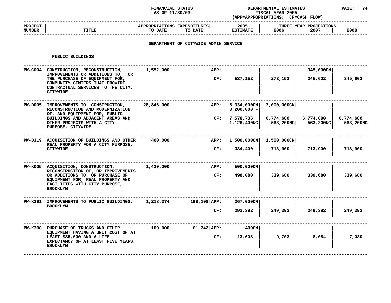### **STATUS DEPARTMENTAL ESTIMATES PAGE: <sup>74</sup> (APP=APPROPRIATIONS;**

|                                 |              | AS OF 11/30/03                                                                   | (APP=APPROPRIATIONS;    | <b>FISCAL YEAR 2005</b><br><b>CF=CASH FLOW)</b> |
|---------------------------------|--------------|----------------------------------------------------------------------------------|-------------------------|-------------------------------------------------|
| <b>PROJECT</b><br><b>NUMBER</b> | <b>TITLE</b> | APPROPRIATIONS EXPENDITURES<br>TO DATE<br>TO DATE                                | 2005<br><b>ESTIMATE</b> | THREE YEAR PROJECTIONS<br>2008<br>2006<br>2007  |
|                                 |              | ,但是,我们的人们都会不会不会。""我们的人们,我们也不会不会不会不会不会。""我们的人们,我们的人们也不会不会不会不会不会。""我们的人们,我们的人们,我们也 |                         |                                                 |

# **DEPARTMENT OF CITYWIDE ADMIN SERVICE**

#### **PUBLIC**

| PUBLIC BUILDINGS                                                                                                                                                                                      |            |                          |                                                        |                                       |                        |                        |
|-------------------------------------------------------------------------------------------------------------------------------------------------------------------------------------------------------|------------|--------------------------|--------------------------------------------------------|---------------------------------------|------------------------|------------------------|
| PW-C004 CONSTRUCTION, RECONSTRUCTION,<br>IMPROVEMENTS OR ADDITIONS TO, OR<br>THE PURCHASE OF EQUIPMENT FOR,<br>COMMUNITY CENTERS THAT PROVIDE<br>CONTRACTUAL SERVICES TO THE CITY,<br><b>CITYWIDE</b> | 1,552,000  | APP:<br>CF:              | 537,152                                                | 273,152                               | 345,000CN<br>345,602   | 345,602                |
| PW-D005 IMPROVEMENTS TO, CONSTRUCTION,<br>RECONSTRUCTION AND MODERNIZATION<br>OF, AND EQUIPMENT FOR, PUBLIC<br>BUILDINGS AND ADJACENT AREAS AND<br>OTHER PROJECTS WITH A CITY<br>PURPOSE, CITYWIDE    | 28,846,000 | APP:<br>CF:              | 5,334,000CN<br>3,200,000 F<br>7,578,736<br>1,126,400NC | 3,000,000CN<br>6,774,680<br>563,200NC | 6,774,680<br>563,200NC | 6,774,680<br>563,200NC |
| PW-D319 ACQUISITION OF BUILDINGS AND OTHER<br>REAL PROPERTY FOR A CITY PURPOSE,<br><b>CITYWIDE</b>                                                                                                    | 400,000    | APP:<br>CF:              | $1,500,000$ CN<br>334,400                              | 1,500,000CN<br>713,900                | 713,900                | 713,900                |
| PW-K005 ACQUISITION, CONSTRUCTION,<br>RECONSTRUCTION OF, OR IMPROVEMENTS<br>OR ADDITIONS TO, OR PURCHASE OF<br>EQUIPMENT FOR, REAL PROPERTY AND<br>FACILITIES WITH CITY PURPOSE,<br><b>BROOKLYN</b>   | 1,430,000  | APP:<br>CF:              | 500,000CN<br>498,080                                   | 339,680                               | 339,680                | 339,680                |
| PW-K291 IMPROVEMENTS TO PUBLIC BUILDINGS,<br><b>BROOKLYN</b>                                                                                                                                          | 1,218,374  | $168, 108$ $APP:$<br>CF: | 367,000CN<br>293,392                                   | 249,392                               | 249,392                | 249,392                |
| PW-K308 PURCHASE OF TRUCKS AND OTHER<br>EOUIPMENT HAVING A UNIT COST OF AT<br>LEAST \$35,000 AND A LIFE<br>EXPECTANCY OF AT LEAST FIVE YEARS,<br><b>BROOKLYN</b>                                      | 100,000    | $61,742$ $APP:$<br>CF:   | 400CN<br>13,608                                        | 9,703                                 | 8,084                  | 7,030                  |
|                                                                                                                                                                                                       |            |                          |                                                        |                                       |                        |                        |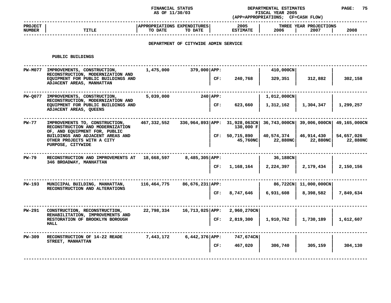### **STATUS DEPARTMENTAL ESTIMATES PAGE: <sup>75</sup> (APP=APPROPRIATIONS;**

|                                                                                                                      | AS OF 11/30/03                                                                                                                                                                              |                                               |                             | FISCAL YEAR 2005<br>(APP=APPROPRIATIONS; CF=CASH FLOW)                                                              |                                                                                         |                        |                                                                              |
|----------------------------------------------------------------------------------------------------------------------|---------------------------------------------------------------------------------------------------------------------------------------------------------------------------------------------|-----------------------------------------------|-----------------------------|---------------------------------------------------------------------------------------------------------------------|-----------------------------------------------------------------------------------------|------------------------|------------------------------------------------------------------------------|
| <b>TITLE</b>                                                                                                         | TO DATE                                                                                                                                                                                     | TO DATE                                       |                             | 2005<br><b>ESTIMATE</b>                                                                                             | 2006                                                                                    | 2007                   | 2008                                                                         |
|                                                                                                                      |                                                                                                                                                                                             |                                               |                             |                                                                                                                     |                                                                                         |                        |                                                                              |
| PUBLIC BUILDINGS                                                                                                     |                                                                                                                                                                                             |                                               |                             |                                                                                                                     |                                                                                         |                        |                                                                              |
| IMPROVEMENTS, CONSTRUCTION,<br>RECONSTRUCTION, MODERNIZATION AND                                                     | 1,475,000                                                                                                                                                                                   |                                               |                             |                                                                                                                     | 410,000CN                                                                               |                        |                                                                              |
| EQUIPMENT FOR PUBLIC BUILDINGS AND<br>ADJACENT AREAS, MANHATTAN                                                      |                                                                                                                                                                                             |                                               | CF:                         | 240,768                                                                                                             | 329,351                                                                                 | 312,882                | 302,158                                                                      |
| IMPROVEMENTS, CONSTRUCTION,                                                                                          | 5,039,000                                                                                                                                                                                   |                                               |                             |                                                                                                                     | 1,012,000CN                                                                             |                        |                                                                              |
| EQUIPMENT FOR PUBLIC BUILDINGS AND<br>ADJACENT AREAS, QUEENS                                                         |                                                                                                                                                                                             |                                               | CF:                         | 623,660                                                                                                             | 1,312,162                                                                               | 1,304,347              | 1,299,257                                                                    |
| IMPROVEMENTS TO, CONSTRUCTION,<br>RECONSTRUCTION AND MODERNIZATION                                                   | 467,332,552                                                                                                                                                                                 |                                               |                             | 130,000 F                                                                                                           |                                                                                         |                        | 49,165,000CN                                                                 |
| OF, AND EQUIPMENT FOR, PUBLIC<br>BUILDINGS AND ADJACENT AREAS AND<br>OTHER PROJECTS WITH A CITY<br>PURPOSE, CITYWIDE |                                                                                                                                                                                             |                                               |                             | 45,760NC                                                                                                            | 40,574,374<br>22,880NC                                                                  | 46,914,430<br>22,880NC | 54,657,026<br>22,880NC                                                       |
|                                                                                                                      |                                                                                                                                                                                             |                                               |                             |                                                                                                                     | 36,188CN                                                                                |                        |                                                                              |
|                                                                                                                      |                                                                                                                                                                                             |                                               | CF:                         | 1,168,164                                                                                                           | 2,224,397                                                                               | 2,179,434              | 2,150,156                                                                    |
| MUNICIPAL BUILDING, MANHATTAN,                                                                                       | 116,464,775                                                                                                                                                                                 |                                               |                             |                                                                                                                     |                                                                                         |                        |                                                                              |
|                                                                                                                      |                                                                                                                                                                                             |                                               | CF:                         | 8,747,646                                                                                                           | 6,931,608                                                                               | 8,398,582              | 7,849,634                                                                    |
| CONSTRUCTION, RECONSTRUCTION,                                                                                        | 22,798,334                                                                                                                                                                                  |                                               |                             | $2,960,270$ CN                                                                                                      |                                                                                         |                        |                                                                              |
| RESTORATION OF BROOKLYN BOROUGH<br><b>HALL</b>                                                                       |                                                                                                                                                                                             |                                               | CF:                         | 2,819,300                                                                                                           | 1,910,762                                                                               | 1,730,189              | 1,612,607                                                                    |
| RECONSTRUCTION OF 14-22 READE                                                                                        | 7,443,172                                                                                                                                                                                   |                                               |                             | 747,674CN                                                                                                           |                                                                                         |                        |                                                                              |
|                                                                                                                      |                                                                                                                                                                                             |                                               | CF:                         | 467,020                                                                                                             | 306,740                                                                                 | 305,159                | 304,130                                                                      |
|                                                                                                                      | <b>PW-M077</b><br><b>PW-0077</b><br>RECONSTRUCTION, MODERNIZATION AND<br>346 BROADWAY, MANHATTAN<br>RECONSTRUCTION AND ALTERATIONS<br>REHABILITATION, IMPROVEMENTS AND<br>STREET, MANHATTAN | RECONSTRUCTION AND IMPROVEMENTS AT 18,668,597 | APPROPRIATIONS EXPENDITURES | $379,000$ $APP:$<br>$240$ APP:<br>$8,485,305 $ APP:<br>$86,676,231$ $APP:$<br>16,713,025 APP:<br>$6,442,376$ $APP:$ | DEPARTMENT OF CITYWIDE ADMIN SERVICE<br>336,964,893 APP: 31,928,063CN<br>CF: 50,715,890 |                        | THREE YEAR PROJECTIONS<br>36,743,000CN 39,006,000CN<br>86,722CN 11,000,000CN |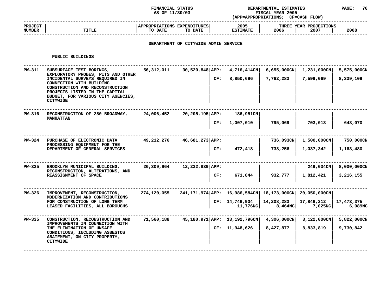### **STATUS DEPARTMENTAL ESTIMATES PAGE: <sup>76</sup> (APP=APPROPRIATIONS;**

|                          |       | AS OF 11/30/03                                                                   | <b>FISCAL YEAR 2005</b><br>(APP=APPROPRIATIONS ; |                                        |      |
|--------------------------|-------|----------------------------------------------------------------------------------|--------------------------------------------------|----------------------------------------|------|
| <b>PROJECT</b><br>NUMBER | TITLE | <b>APPROPRIATIONS</b><br><b>EXPENDITURES</b><br>TO DATE<br>TO DATE               | 2005<br><b>ESTIMATE</b>                          | THREE YEAR PROJECTIONS<br>2006<br>2007 | 2008 |
|                          |       | ,但是,我们的人们就会不会不会。""我们的人们,我们的人们,我们的人们,我们的人们,我们的人们,我们的人们,我们的人们,我们的人们,我们的人们,我们的人们,我们 |                                                  |                                        |      |

## **DEPARTMENT OF CITYWIDE ADMIN SERVICE**

#### **PUBLIC**

|        | PUBLIC BUILDINGS                                                                                                                                                                                                                                           |             |                                                         |                            |                                    |                             |                          |
|--------|------------------------------------------------------------------------------------------------------------------------------------------------------------------------------------------------------------------------------------------------------------|-------------|---------------------------------------------------------|----------------------------|------------------------------------|-----------------------------|--------------------------|
| PW-311 | SUBSURFACE TEST BORINGS,<br>EXPLORATORY PROBES, PITS AND OTHER<br>INCIDENTAL SURVEYS REQUIRED IN<br>CONNECTION WITH BUILDING<br>CONSTRUCTION AND RECONSTRUCTION<br>PROJECTS LISTED IN THE CAPITAL<br>BUDGET, FOR VARIOUS CITY AGENCIES,<br><b>CITYWIDE</b> | 56,312,011  | $30,520,848$ APP:<br>CF:                                | 4,716,414CN<br>8,850,696   | $6,655,000$ CN<br>7,762,283        | 1,231,000CN<br>7,599,069    | 5,575,000CN<br>8,339,109 |
| PW-316 | RECONSTRUCTION OF 280 BROADWAY,<br><b>MANHATTAN</b>                                                                                                                                                                                                        | 24,006,452  | 20,205,195 APP:<br>CF:                                  | 186,951CN<br>1,007,010     | 795,069                            | 703,013                     | 643,070                  |
| PW-324 | PURCHASE OF ELECTRONIC DATA<br>PROCESSING EQUIPMENT FOR THE<br>DEPARTMENT OF GENERAL SERVICES                                                                                                                                                              | 49,212,276  | 46,681,273 APP:<br>CF:                                  | 472,418                    | 736,093CN<br>738,256               | $1,500,000$ CN<br>1,037,342 | 750,000CN<br>1,163,480   |
| PW-325 | BROOKLYN MUNICIPAL BUILDING,<br>RECONSTRUCTION, ALTERATIONS, AND<br>REASSIGNMENT OF SPACE                                                                                                                                                                  | 20,309,964  | 12,232,839 APP:<br>CF:                                  | 671,844                    | 932,777                            | 249,034CN<br>1,812,421      | 8,000,000CN<br>3,216,155 |
| PW-326 | IMPROVEMENT, RECONSTRUCTION,<br>MODERNIZATION AND CONTRIBUTIONS<br>FOR CONSTRUCTION OF LONG TERM<br>LEASED FACILITIES, ALL BOROUGHS                                                                                                                        | 274,120,055 | 241,171,974 APP: 16,986,584CN 18,173,000CN 20,050,000CN | CF: 14,746,904<br>11,776NC | 14,208,283<br>8,464NC              | 17,846,212<br>7,025NC       | 17,473,375<br>6,089NC    |
| PW-335 | CONSTRUCTION, RECONSTRUCTION AND<br>IMPROVEMENTS IN CONNECTION WITH<br>THE ELIMINATION OF UNSAFE<br>CONDITIONS, INCLUDING ASBESTOS<br>ABATEMENT, ON CITY PROPERTY,<br><b>CITYWIDE</b>                                                                      | 71,560,188  | 45,180,971 APP: 13,192,796CN                            | CF: 11,948,626             | $4,306,000 \text{CN}$<br>8,427,877 | 3,122,000CN<br>8,833,819    | 5,822,000CN<br>9,730,842 |
|        |                                                                                                                                                                                                                                                            |             |                                                         |                            |                                    |                             |                          |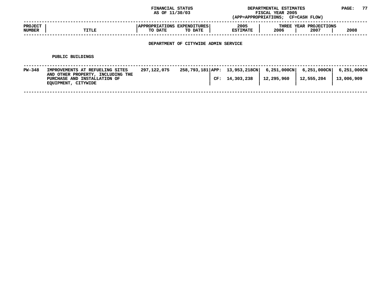|                                 |                                                                                                                             | FINANCIAL STATUS<br>AS OF 11/30/03            |                                      |     |                                             | DEPARTMENTAL ESTIMATES<br>FISCAL YEAR 2005<br>(APP=APPROPRIATIONS; CF=CASH FLOW) |                                | PAGE:                     | 77 |
|---------------------------------|-----------------------------------------------------------------------------------------------------------------------------|-----------------------------------------------|--------------------------------------|-----|---------------------------------------------|----------------------------------------------------------------------------------|--------------------------------|---------------------------|----|
| <b>PROJECT</b><br><b>NUMBER</b> | TITLE                                                                                                                       | <b>APPROPRIATIONS EXPENDITURES</b><br>TO DATE | TO DATE                              |     | 2005<br><b>ESTIMATE</b>                     | 2006                                                                             | THREE YEAR PROJECTIONS<br>2007 | 2008                      |    |
|                                 |                                                                                                                             |                                               | DEPARTMENT OF CITYWIDE ADMIN SERVICE |     |                                             |                                                                                  |                                |                           |    |
|                                 | PUBLIC BUILDINGS                                                                                                            |                                               |                                      |     |                                             |                                                                                  |                                |                           |    |
| PW-348                          | IMPROVEMENTS AT REFUELING SITES<br>AND OTHER PROPERTY, INCLUDING THE<br>PURCHASE AND INSTALLATION OF<br>EQUIPMENT, CITYWIDE | 297,122,075                                   |                                      | CF: | 258,793,181 APP: 13,953,218CN<br>14,303,238 | $6,251,000$ CN<br>12,295,960                                                     | $6,251,000$ CN<br>12,555,204   | 6,251,000CN<br>13,006,909 |    |

**CITYWIDE <sup>|</sup> <sup>|</sup> <sup>|</sup> <sup>|</sup> ------------------------------------------------------------------------------------------------------------------------------------**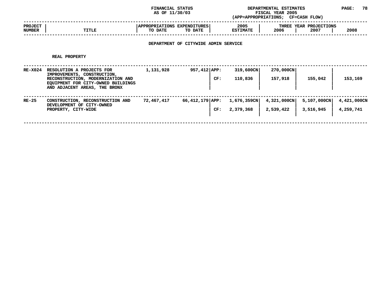**STATUS DEPARTMENTAL ESTIMATES PAGE: <sup>78</sup> (APP=APPROPRIATIONS;**

|                                 |       | AS OF 11/30/03                                                     | (APP=APPROPRIATIONS;    | <b>FISCAL YEAR 2005</b><br>CF=CASH FLOW)       |
|---------------------------------|-------|--------------------------------------------------------------------|-------------------------|------------------------------------------------|
| <b>PROJECT</b><br><b>NUMBER</b> | TITLE | <b>APPROPRIATIONS</b><br><b>EXPENDITURES</b><br>TO DATE<br>TO DATE | 2005<br><b>ESTIMATE</b> | THREE YEAR PROJECTIONS<br>2008<br>2006<br>2007 |
|                                 |       |                                                                    |                         |                                                |

## **DEPARTMENT OF CITYWIDE ADMIN SERVICE**

#### **REAL**

|                | REAL PROPERTY                                                                                                                                                        |            |                        |                             |                          |                          |                          |
|----------------|----------------------------------------------------------------------------------------------------------------------------------------------------------------------|------------|------------------------|-----------------------------|--------------------------|--------------------------|--------------------------|
| <b>RE-X024</b> | RESOLUTION A PROJECTS FOR<br>IMPROVEMENTS, CONSTRUCTION,<br>RECONSTRUCTION, MODERNIZATION AND<br>EOUIPMENT FOR CITY-OWNED BUILDINGS<br>AND ADJACENT AREAS, THE BRONX | 1,131,928  | $957,412$ APP:<br>CF:  | 319,600CN<br>110,836        | 270,000CN<br>157,918     | 155,042                  | 153,169                  |
| RE-25          | CONSTRUCTION, RECONSTRUCTION AND<br>DEVELOPMENT OF CITY-OWNED<br>PROPERTY, CITY-WIDE                                                                                 | 72,467,417 | 66,412,179 APP:<br>CF: | $1,676,359$ CN<br>2,379,368 | 4,321,000CN<br>2,539,422 | 5,107,000CN<br>3,516,945 | 4,421,000CN<br>4,259,741 |
|                |                                                                                                                                                                      |            |                        |                             |                          |                          |                          |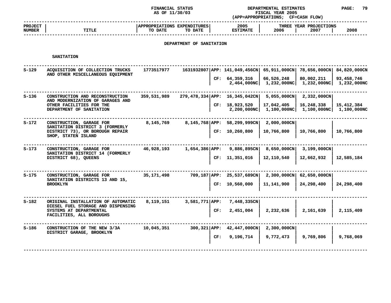### **FINANCIAL STATUS DEPARTMENTAL ESTIMATES PAGE: <sup>79</sup>**

|  | <b>PAGE</b> |  |
|--|-------------|--|
|  |             |  |

|                          |                                                                                                                                 | AS OF 11/30/03                         |                          |     | <b>FISCAL YEAR 2005</b><br>(APP=APPROPRIATIONS; CF=CASH FLOW)                            |                                     |                                |                                           |  |
|--------------------------|---------------------------------------------------------------------------------------------------------------------------------|----------------------------------------|--------------------------|-----|------------------------------------------------------------------------------------------|-------------------------------------|--------------------------------|-------------------------------------------|--|
| <b>PROJECT</b><br>NUMBER | <b>TITLE</b>                                                                                                                    | APPROPRIATIONS EXPENDITURES<br>TO DATE | TO DATE                  |     | 2005<br><b>ESTIMATE</b>                                                                  | 2006                                | THREE YEAR PROJECTIONS<br>2007 | 2008                                      |  |
|                          |                                                                                                                                 |                                        | DEPARTMENT OF SANITATION |     |                                                                                          |                                     |                                |                                           |  |
|                          | <b>SANITATION</b>                                                                                                               |                                        |                          |     |                                                                                          |                                     |                                |                                           |  |
| s-129                    | ACQUISITION OF COLLECTION TRUCKS<br>AND OTHER MISCELLANEOUS EQUIPMENT                                                           | 1773517977                             |                          |     | 1631932807 APP: 141,049,456CN 65,911,000CN 78,656,000CN<br>CF: 64,359,316<br>2,464,000NC | 66,526,248<br>1,232,000NCI          | 80,002,211<br>1,232,000NC      | 84,820,000CN<br>93,458,746<br>1,232,000NC |  |
| s-136                    | CONSTRUCTION AND RECONSTRUCTION                                                                                                 | 359,531,989                            |                          |     | 279,478,334   APP: 16,345,042CN                                                          | $5,055,000$ CN                      | 2,332,000CN                    |                                           |  |
|                          | AND MODERNIZATION OF GARAGES AND<br>OTHER FACILITIES FOR THE<br>DEPARTMENT OF SANITATION                                        |                                        |                          |     | CF: 18,923,520<br>2,200,000NC                                                            | 17,042,405<br>1,100,000NC           | 16,248,338<br>$1$ ,100,000NC   | 15,412,384<br>1,100,000NC                 |  |
| s-172                    | CONSTRUCTION, GARAGE FOR<br>SANITATION DISTRICT 3 (FORMERLY<br>DISTRICT 73), OR BOROUGH REPAIR<br>SHOP, STATEN ISLAND           | 8,145,769                              |                          |     | 8,145,768 APP: 58,299,999CN<br>CF: 10,260,800                                            | $2,000,000 \text{CN}$<br>10,766,800 | 10,766,800                     | 10,766,800                                |  |
| s-173                    | CONSTRUCTION, GARAGE FOR<br>SANITATION DISTRICT 14 (FORMERLY<br>DISTRICT 68), QUEENS                                            | 46,928,193                             | $1,654,386$ $APP:$       |     | 9,886,895CN<br>CF: 11,351,016                                                            | $8,650,000$ CN<br>12,110,540        | 3,199,000CN<br>12,662,932      | 12,585,184                                |  |
| s-175                    | CONSTRUCTION, GARAGE FOR<br>SANITATION DISTRICTS 13 AND 15,<br><b>BROOKLYN</b>                                                  | 35,171,498                             |                          |     | 709,187   APP: 25,537,689CN<br>CF: 10,560,000                                            | $2,300,000 \text{CN}$<br>11,141,900 | 62,650,000CN<br>24,298,400     | 24,298,400                                |  |
| s-182                    | ORIGINAL INSTALLATION OF AUTOMATIC<br>DIESEL FUEL STORAGE AND DISPENSING<br>SYSTEMS AT DEPARTMENTAL<br>FACILITIES, ALL BOROUGHS | 8,119,151                              | $3,581,771$ $APP:$       | CF: | 7,448,335CN<br>2,451,004                                                                 | 2,232,636                           | 2,161,639                      | 2,115,409                                 |  |
| s-186                    | CONSTRUCTION OF THE NEW 3/3A<br>DISTRICT GARAGE, BROOKLYN                                                                       | 10,045,351                             | $300,321$ $APP:$         | CF: | 42,447,000CN<br>9,196,714                                                                | $2,300,000 \text{CN}$<br>9,772,473  | 9,769,806                      | 9,768,069                                 |  |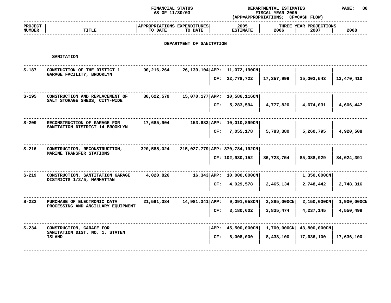### **STATUS DEPARTMENTAL ESTIMATES PAGE: <sup>80</sup> (APP=APPROPRIATIONS;**

|                               |                                                                 | AS OF 11/30/03                         |                          |           | <b>FISCAL YEAR 2005</b><br>(APP=APPROPRIATIONS; CF=CASH FLOW) |             |                                |             |  |
|-------------------------------|-----------------------------------------------------------------|----------------------------------------|--------------------------|-----------|---------------------------------------------------------------|-------------|--------------------------------|-------------|--|
| <b>PROJECT</b><br>NUMBER      | <b>TITLE</b>                                                    | APPROPRIATIONS EXPENDITURES<br>TO DATE | TO DATE                  |           | 2005<br><b>ESTIMATE</b>                                       | 2006        | THREE YEAR PROJECTIONS<br>2007 | 2008        |  |
|                               |                                                                 |                                        | DEPARTMENT OF SANITATION |           |                                                               |             |                                |             |  |
|                               | <b>SANITATION</b>                                               |                                        |                          |           |                                                               |             |                                |             |  |
| $S-187$                       | CONSTUCTION OF THE DISTICT 1<br>GARAGE FACILITY, BROOKLYN       | 90,216,264                             |                          |           | 26,139,104 APP: 11,072,190CN                                  |             |                                |             |  |
|                               |                                                                 |                                        |                          | CF:       | 22,778,722                                                    | 17,357,999  | 15,003,543                     | 13,470,410  |  |
| $S-195$                       | CONSTRUCTION AND REPLACEMENT OF                                 | 30,622,579                             |                          |           | 15,070,177 APP: 10,586,116CN                                  |             |                                |             |  |
| SALT STORAGE SHEDS, CITY-WIDE |                                                                 |                                        | CF:                      | 5,283,594 | 4,777,820                                                     | 4,674,031   | 4,606,447                      |             |  |
| $S - 209$                     | RECONSTRUCTION OF GARAGE FOR<br>SANITATION DISTRICT 14 BROOKLYN | 17,685,904                             | 153,683 APP:             |           | 10,010,899CN                                                  |             |                                |             |  |
|                               |                                                                 |                                        |                          | CF:       | 7,055,178                                                     | 5,783,380   | 5,260,795                      | 4,920,508   |  |
| $S - 216$                     | CONSTRUCTION, RECONSTRUCTION,                                   | 320,585,024                            |                          |           | 215,027,779 APP: 370,784,192CN                                |             |                                |             |  |
|                               | MARINE TRANSFER STATIONS                                        |                                        |                          |           | CF: 102,930,152                                               | 86,723,754  | 85,088,929                     | 84,024,391  |  |
| $S - 219$                     | CONSTRUCTION, SANTITATION GARAGE                                | 4,020,826                              |                          |           | 16,343 APP: 10,000,000CN                                      |             | 1,350,000CN                    |             |  |
|                               | DISTRICTS 1/2/5, MANHATTAN                                      |                                        |                          | CF:       | 4,929,578                                                     | 2,465,134   | 2,748,442                      | 2,748,316   |  |
| $S - 222$                     | PURCHASE OF ELECTRONIC DATA                                     | 21,591,084                             | 14,981,341 APP:          |           | 9,091,058CN                                                   | 3,885,000CN | $2,150,000 \text{CN}$          | 1,900,000CN |  |
|                               | PROCESSING AND ANCILLARY EQUIPMENT                              |                                        |                          | CF:       | 3,180,602                                                     | 3,835,474   | 4,237,145                      | 4,550,499   |  |
| $S - 234$                     | CONSTRUCTION, GARAGE FOR                                        |                                        |                          | APP:      | 45,500,000CN                                                  | 1,700,000CN | 43,800,000CN                   |             |  |
|                               | SANITATION DIST. NO. 1, STATEN<br><b>ISLAND</b>                 |                                        |                          | CF:       | 8,008,000                                                     | 8,438,100   | 17,636,100                     | 17,636,100  |  |
|                               |                                                                 |                                        |                          |           |                                                               |             |                                |             |  |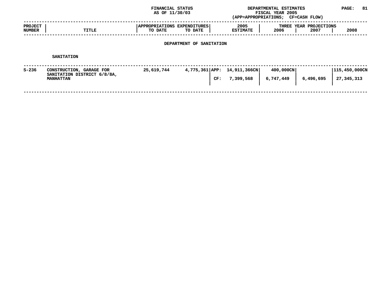|                                 |                                                                             | FINANCIAL STATUS<br>AS OF 11/30/03     |                             |                         | DEPARTMENTAL ESTIMATES<br>FISCAL YEAR 2005<br>(APP=APPROPRIATIONS; CF=CASH FLOW) |                                | PAGE:                             | 81 |  |
|---------------------------------|-----------------------------------------------------------------------------|----------------------------------------|-----------------------------|-------------------------|----------------------------------------------------------------------------------|--------------------------------|-----------------------------------|----|--|
| <b>PROJECT</b><br><b>NUMBER</b> | TITLE                                                                       | APPROPRIATIONS EXPENDITURES<br>TO DATE | TO DATE                     | 2005<br><b>ESTIMATE</b> | 2006                                                                             | THREE YEAR PROJECTIONS<br>2007 | 2008                              |    |  |
| DEPARTMENT OF SANITATION        |                                                                             |                                        |                             |                         |                                                                                  |                                |                                   |    |  |
|                                 | <b>SANITATION</b>                                                           |                                        |                             |                         |                                                                                  |                                |                                   |    |  |
| S-236                           | CONSTRUCTION, GARAGE FOR<br>SANITATION DISTRICT 6/8/8A,<br><b>MANHATTAN</b> | 25,619,744                             | 4,775,361 APP: 14,911,366CN | CF: 7,399,568           | 400,000CN<br>6,747,449                                                           | 6,496,695                      | $ 115, 450, 000$ CN<br>27,345,313 |    |  |
|                                 |                                                                             |                                        |                             |                         |                                                                                  |                                |                                   |    |  |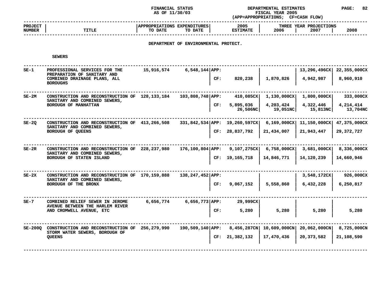**STATUS DEPARTMENTAL ESTIMATES PAGE: <sup>82</sup> (APP=APPROPRIATIONS;**

|                                 |              | AS OF 11/30/03                                    | FISCAL YEAR 2005<br>(APP=APPROPRIATIONS; |                                        |      |
|---------------------------------|--------------|---------------------------------------------------|------------------------------------------|----------------------------------------|------|
| <b>PROJECT</b><br><b>NUMBER</b> | <b>TITLE</b> | APPROPRIATIONS EXPENDITURES<br>TO DATE<br>TO DATE | 2005<br><b>ESTIMATE</b>                  | THREE YEAR PROJECTIONS<br>2006<br>2007 | 2008 |
|                                 |              |                                                   |                                          |                                        |      |

## **DEPARTMENT OF ENVIRONMENTAL PROTECT.**

| <b>SEWERS</b> |  |
|---------------|--|
|               |  |

| $SE-1$  | PROFESSIONAL SERVICES FOR THE<br>PREPARATION OF SANITARY AND                    | 15,916,574  | $6,548,144$ APP:     |     |                               |                       | 13,296,496CX          | 22,355,000CX          |
|---------|---------------------------------------------------------------------------------|-------------|----------------------|-----|-------------------------------|-----------------------|-----------------------|-----------------------|
|         | COMBINED DRAINAGE PLANS, ALL<br><b>BOROUGHS</b>                                 |             |                      | CF: | 820,238                       | 1,870,826             | 4,942,987             | 8,960,910             |
| $SE-2M$ | CONSTRUCTION AND RECONSTRUCTION OF<br>SANITARY AND COMBINED SEWERS,             | 128,133,184 | $103,808,748$ APP:   |     | 410,085CX                     | 1,130,000CX           | 1,800,000CX           | 333,000CX             |
|         | BOROUGH OF MANHATTAN                                                            |             |                      | CF: | 5,895,036<br>26,506NC         | 4,203,424<br>19,051NC | 4,322,446<br>15,813NC | 4,214,414<br>13,704NC |
| $SE-2Q$ | CONSTRUCTION AND RECONSTRUCTION OF<br>SANITARY AND COMBINED SEWERS,             | 413,266,508 |                      |     | 331,842,534 APP: 19,260,597CX | 6,169,000CX           | 11,150,000CX          | 47,375,000CX          |
|         | BOROUGH OF QUEENS                                                               |             |                      |     | CF: 28,837,792                | 21,434,007            | 21,943,447            | 29,372,727            |
| $SE-2R$ | CONSTRUCTION AND RECONSTRUCTION OF<br>SANITARY AND COMBINED SEWERS,             | 228,237,980 | $176, 100, 804$ APP: |     | 9,107,275CX                   | $6,758,000$ CX        | 3,681,000CX           | 8,336,000CX           |
|         | BOROUGH OF STATEN ISLAND                                                        |             |                      |     | CF: 19,165,718                | 14,846,771            | 14,120,239            | 14,660,946            |
| $SE-2X$ | CONSTRUCTION AND RECONSTRUCTION OF 170,159,888<br>SANITARY AND COMBINED SEWERS, |             | 138, 247, 452 APP:   |     |                               |                       | 3,548,172CX           | 926,000CX             |
|         | BOROUGH OF THE BRONX                                                            |             |                      | CF: | 9,067,152                     | 5,558,860             | 6,432,228             | 6,250,817             |
| $SE-7$  | COMBINED RELIEF SEWER IN JEROME<br>AVENUE BETWEEN THE HARLEM RIVER              | 6,656,774   | $6,656,773$ APP:     |     | 29,999CX                      |                       |                       |                       |
|         | AND CROMWELL AVENUE, ETC                                                        |             |                      | CF: | 5,280                         | 5,280                 | 5,280                 | 5,280                 |
| SE-2000 | CONSTRUCTION AND RECONSTRUCTION OF<br>STORM WATER SEWERS, BOROUGH OF            | 256,279,990 | 190,509,140 APP:     |     | 8,456,287CN                   | 10,609,000CN          | 20,062,000CN          | 8,725,000CN           |
|         | <b>QUEENS</b>                                                                   |             |                      | CF: | 21,382,132                    | 17,470,436            | 20,373,582            | 21,108,590            |
|         |                                                                                 |             |                      |     |                               |                       |                       |                       |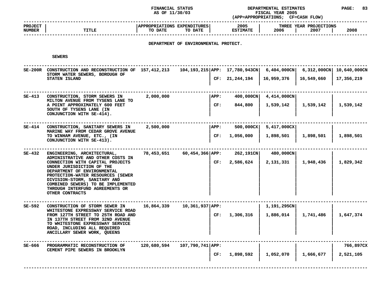**STATUS DEPARTMENTAL ESTIMATES PAGE: <sup>83</sup> (APP=APPROPRIATIONS;**

|                                 |       | AS OF 11/30/03                                    | <b>FISCAL YEAR 2005</b><br>(APP=APPROPRIATIONS;<br>CF=CASH FLOW) |                                        |      |  |
|---------------------------------|-------|---------------------------------------------------|------------------------------------------------------------------|----------------------------------------|------|--|
| <b>PROJECT</b><br><b>NUMBER</b> | TITLE | APPROPRIATIONS EXPENDITURES<br>TO DATE<br>TO DATE | 2005<br><b>ESTIMATE</b>                                          | THREE YEAR PROJECTIONS<br>2006<br>2007 | 2008 |  |
|                                 |       |                                                   |                                                                  |                                        |      |  |

## **DEPARTMENT OF ENVIRONMENTAL PROTECT.**

**SEWERS**

SE-200R CONSTRUCTION AND RECONSTRUCTION OF 157,412,213 104,193,215 APP: 17,780,943CN 6,404,000CN 6,312,000CN 10,640,000CN<br>STORM WATER SEWERS, BOROUGH OF 157,412,213 104,193,215 APP: 17,780,943CN 6,404,000CN 6,312,000CN 10, STORM WATER SEWERS, BOROUGH OF **WATER SEWERS, BOROUGH OF <sup>|</sup> <sup>|</sup> <sup>|</sup> <sup>|</sup> STATEN ISLAND <sup>|</sup> CF: 21,244,194 <sup>|</sup> 16,959,376 <sup>|</sup> 16,549,660 <sup>|</sup> 17,356,219 <sup>|</sup> <sup>|</sup> <sup>|</sup> <sup>|</sup> ------------------------------------------------------------------------------------------------------------------------------------**SE-413 CONSTRUCTION, STORM SEWERS IN 2,000,000 APP: 400,000CN 4,414,000CN<br>MILTON AVENUE FROM TYSENS LANE TO **CONSTRUCTION, STORM SEWERS IN** 2,000,000 **| APP:**  $\begin{array}{|l|l|l|l|}\n\hline\n\text{MLTON AVENT AVENT A PERO MATERO X} & \text{MULTO N} & \text{MERTO} \\
\hline\n\text{MLTON A VERNUE FROM TYSENS LANE TO\n\end{array}$  **| 2,000,000** |  $\begin{array}{|l|l|l|l|}\n\hline\n\text{APP}: & 400,000 \text{CN} & 4,414,000 \text{CN} & 1,539,142 & 1$  **AVENUE FROM TYSENS LANE TO <sup>|</sup> <sup>|</sup> <sup>|</sup> <sup>|</sup>** A POINT APPROXIMATELY 600 FEET **POINT APPROXIMATELY <sup>600</sup> FEET <sup>|</sup> CF: 844,800 <sup>|</sup> 1,539,142 <sup>|</sup> 1,539,142 <sup>|</sup> 1,539,142** SOUTH OF TYSENS LANE (IN **OF** TYSENS LANE (IN<br>
UNCTION WITH SE-414). CONJUNCTION WITH SE-414). **WITH SE-414). <sup>|</sup> <sup>|</sup> <sup>|</sup> <sup>|</sup> ------------------------------------------------------------------------------------------------------------------------------------ SE-414MARINECONSTRUCTION, SANITARY SEWERS IN** 2,500,000<br> **MARINE WAY FROM CEDAR GROVE AVENUE**<br> **TO WINHAM AVENUE, ETC., (IN** CF: 1,056,000 1,898,501 1,898,501 **E** WAY FROM CEDAR GROVE AVENUE<br>NHAM AVENUE, ETC., (IN<br>NCTION WITH SE-413). TO WINHAM AVENUE, ETC., (IN **WINHAM AVENUE, ETC., (IN <sup>|</sup> CF: 1,056,000 <sup>|</sup> 1,898,501 <sup>|</sup> 1,898,501 <sup>|</sup> 1,898,501 CONJUNCTION WITH SE-413). <sup>|</sup> <sup>|</sup> <sup>|</sup> <sup>|</sup> ------------------------------------------------------------------------------------------------------------------------------------ SE-432 ENGINEERING, ARCHITECTURAL, 78,453,651 60,454,366|APP: 262,191CN| 480,000CN| <sup>|</sup> ADMINISTRATIVEE** AND OTHER COSTS IN<br>TH CAPITAL PROJECTS **IN EXECUTE 1.948,436**<br>CTION OF THE **CONNECTION WITH CAPITAL PROJECTS <sup>|</sup> CF: 2,586,624 <sup>|</sup> 2,131,331 <sup>|</sup> 1,948,436 <sup>|</sup> 1,829,342 UNDER JURISDICTION OF THE JURISDICTION OF THE <sup>|</sup> <sup>|</sup> <sup>|</sup> <sup>|</sup>** DEPARTMENT OF ENVIRONMENTAL **OF ENVIRONMENTAL <sup>|</sup> <sup>|</sup> <sup>|</sup> <sup>|</sup> PROTECTION-WATER RESOURCES (SEWER <sup>|</sup> <sup>|</sup> <sup>|</sup> <sup>|</sup> DIVISION-STORM, SANITARY AND <sup>|</sup> <sup>|</sup> <sup>|</sup> <sup>|</sup> COMBINED SEWERS) TO BE IMPLEMENTED <sup>|</sup> <sup>|</sup> <sup>|</sup> <sup>|</sup> THROUGH INTERFUND AGREEMENTS OR <sup>|</sup> <sup>|</sup> <sup>|</sup> <sup>|</sup> OTHER CONTRACTS <sup>|</sup> <sup>|</sup> <sup>|</sup> <sup>|</sup> ------------------------------------------------------------------------------------------------------------------------------------ SE-592 CONSTRUCTION OF STORM SEWER IN 16,864,339 10,361,937|APP: <sup>|</sup> 1,191,295CN| <sup>|</sup>** WHITESTONE EXPRESSWAY SERVICE ROAD **E** EXPRESSWAY SERVICE ROAD<br> **H** STREET TO 25TH ROAD AND<br>
STREET FROM 32ND AVENUE FROM 127TH STREET TO 25TH ROAD AND **127TH STREET TO 25TH ROAD AND <sup>|</sup> CF: 1,306,316 <sup>|</sup> 1,886,014 <sup>|</sup> 1,741,486 <sup>|</sup> 1,647,374** IN 137TH STREET FROM 32ND AVENUE **137TH STREET FROM 32ND AVENUE <sup>|</sup> <sup>|</sup> <sup>|</sup> <sup>|</sup>** TO WHITESTONE EXPRESSWAY SERVICE **WHITESTONE EXPRESSWAY SERVICE <sup>|</sup> <sup>|</sup> <sup>|</sup> <sup>|</sup> ROAD, INCLUDING ALL REQUIRED <sup>|</sup> <sup>|</sup> <sup>|</sup> <sup>|</sup> ANCILLARY SEWER WORK, QUEENS <sup>|</sup> <sup>|</sup> <sup>|</sup> <sup>|</sup> ------------------------------------------------------------------------------------------------------------------------------------**SE-666 PROGRAMMATIC RECONSTRUCTION OF 120,680,594 107,790,741 APP:<br>CEMENT PIPE SEWERS IN BROOKLYN And the service of the service of the service of the service of the service of t **PROGRAMMATIC RECONSTRUCTION OF 120,680,594 107,790,741|APP: <sup>|</sup> <sup>|</sup> <sup>|</sup> 766,897CX PIPE SEWERS IN BROOKLYN <sup>|</sup> <sup>|</sup> <sup>|</sup> <sup>|</sup> <sup>|</sup> CF: 1,898,592 <sup>|</sup> 1,052,070 <sup>|</sup> 1,666,677 <sup>|</sup> 2,521,105 <sup>|</sup><sup>|</sup> <sup>|</sup> <sup>|</sup> ------------------------------------------------------------------------------------------------------------------------------------**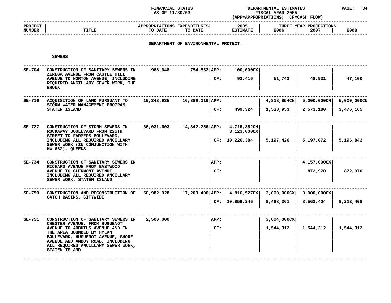**STATUS DEPARTMENTAL ESTIMATES PAGE: <sup>84</sup> (APP=APPROPRIATIONS;**

|                          |              | AS OF 11/30/03                                    | <b>FISCAL YEAR 2005</b><br>(APP=APPROPRIATIONS;<br><b>CF=CASH FLOW)</b> |                                           |      |
|--------------------------|--------------|---------------------------------------------------|-------------------------------------------------------------------------|-------------------------------------------|------|
| <b>PROJECT</b><br>NUMBER | <b>TITLE</b> | APPROPRIATIONS EXPENDITURES<br>TO DATE<br>TO DATE | 2005<br><b>ESTIMATE</b>                                                 | YEAR PROJECTIONS<br>THREE<br>2006<br>2007 | 2008 |
|                          |              |                                                   |                                                                         |                                           |      |

## **DEPARTMENT OF ENVIRONMENTAL PROTECT.**

**SEWERS**

| $SE-704$ | CONSTRUCTION OF SANITARY SEWERS IN<br>ZEREGA AVENUE FROM CASTLE HILL<br>AVENUE TO NORTON AVENUE, INCLUDING<br>REQUIRED ANCILLARY SEWER WORK, THE<br><b>BRONX</b>                                                                                                           | 968,648    | 754,532 APP:<br>CF:         | 100,000CX<br>93,416           | 51,743                   | 48,931                   | 47,100                   |
|----------|----------------------------------------------------------------------------------------------------------------------------------------------------------------------------------------------------------------------------------------------------------------------------|------------|-----------------------------|-------------------------------|--------------------------|--------------------------|--------------------------|
| SE-716   | ACQUISITION OF LAND PURSUANT TO<br>STORM WATER MANAGEMENT PROGRAM,<br>STATEN ISLAND                                                                                                                                                                                        | 19,343,935 | 16,889,116 APP:<br>CF:      | 499,324                       | 4,818,854CN<br>1,533,953 | 5,000,000CN<br>2,573,180 | 5,000,000CN<br>3,476,165 |
| SE-727   | CONSTRUCTION OF STORM SEWERS IN<br>ROCKAWAY BOULEVARD FROM 225TH<br>STREET TO FARMERS BOULEVARD,<br>INCLUDING ALL REQUIRED ANCILLARY<br>SEWER WORK (IN CONJUNCTION WITH<br>$HW-662$ ), QUEENS                                                                              | 36,031,603 | 14,342,756 APP: 4,715,382CN | 3,123,000CX<br>CF: 10,226,384 | 5,197,426                | 5,197,072                | 5,196,842                |
| SE-734   | CONSTRUCTION OF SANITARY SEWERS IN<br>RICHARD AVENUE FROM EASTWOOD<br>AVENUE TO CLERMONT AVENUE,<br>INCLUDING ALL REQUIRED ANCILLARY<br>SEWER WORK, STATEN ISLAND                                                                                                          |            | <b>APP:</b><br>CF:          |                               |                          | 4,157,000CX<br>872,970   | 872,970                  |
| $SE-750$ | CONSTRUCTION AND RECONSTRUCTION OF<br>CATCH BASINS, CITYWIDE                                                                                                                                                                                                               | 50,982,028 | 17,203,406 APP: 4,816,527CX | CF: 10,859,246                | 3,000,000CX<br>8,468,361 | 3,000,000CX<br>8,562,404 | 8,213,408                |
| SE-751   | CONSTRUCTION OF SANITARY SEWERS IN<br>CHESTER AVENUE, FROM HUGUENOT<br>AVENUE TO ARBUTUS AVENUE AND IN<br>THE AREA BOUNDED BY HYLAN<br>BOULEVARD, HUGUENOT AVENUE, SHORE<br>AVENUE AND AMBOY ROAD, INCLUDING<br>ALL REQUIRED ANCILLARY SEWER WORK,<br><b>STATEN ISLAND</b> | 2,500,000  | APP:<br>CF:                 |                               | 3,604,000CX<br>1,544,312 | 1,544,312                | 1,544,312                |
|          |                                                                                                                                                                                                                                                                            |            |                             |                               |                          |                          |                          |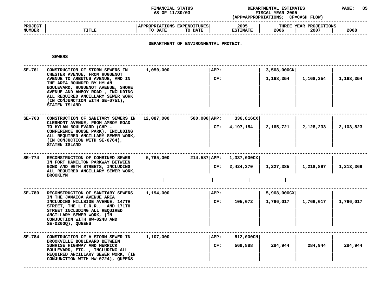### **STATUS DEPARTMENTAL ESTIMATES PAGE: <sup>85</sup> (APP=APPROPRIATIONS;**

|                                 |              | AS OF 11/30/03                                    | <b>FISCAL YEAR 2005</b><br>CF=CASH FLOW)<br>(APP=APPROPRIATIONS; |                                        |      |
|---------------------------------|--------------|---------------------------------------------------|------------------------------------------------------------------|----------------------------------------|------|
| <b>PROJECT</b><br><b>NUMBER</b> | <b>TITLE</b> | APPROPRIATIONS EXPENDITURES<br>TO DATE<br>TO DATE | 2005<br><b>ESTIMATE</b>                                          | THREE YEAR PROJECTIONS<br>2006<br>2007 | 2008 |
|                                 |              |                                                   |                                                                  |                                        |      |

## **DEPARTMENT OF ENVIRONMENTAL PROTECT.**

**SEWERS**

| SE-761 | CONSTRUCTION OF STORM SEWERS IN<br>CHESTER AVENUE, FROM HUGUENOT<br>AVENUE TO ARBUTUS AVENUE, AND IN<br>THE AREA BOUNDED BY HYLAN<br>BOULEVARD, HUGUENOT AVENUE, SHORE<br>AVENUE AND AMBOY ROAD, INCLUDING<br>ALL REQUIRED ANCILLARY SEWER WORK<br>(IN CONJUNCTION WITH SE-0751),<br>STATEN ISLAND | 1,050,000  | APP:<br>CF:    |                                 | 3,568,000CN<br>1,168,354 | 1,168,354 | 1,168,354 |
|--------|----------------------------------------------------------------------------------------------------------------------------------------------------------------------------------------------------------------------------------------------------------------------------------------------------|------------|----------------|---------------------------------|--------------------------|-----------|-----------|
| SE-763 | CONSTRUCTION OF SANITARY SEWERS IN<br>CLERMONT AVENUE, FROM AMBOY ROAD<br>TO HYLAN BOULEVARD (CHP -<br>CONFERENCE HOUSE PARK), INCLUDING<br>ALL REQUIRED ANCILLARY SEWER WORK,<br>(IN CONJUCTION WITH SE-0764),<br>STATEN ISLAND                                                                   | 12,087,000 | 500,000 APP:   | 336,816CX<br>4,197,184<br>CF:   | 2,165,721                | 2,128,233 | 2,103,823 |
| SE-774 | RECONSTRUCTION OF COMBINED SEWER<br>IN FORT HAMILTON PARKWAY BETWEEN<br>92ND AND 99TH STREETS, INCLUDING<br>ALL REQUIRED ANCILLARY SEWER WORK,<br><b>BROOKLYN</b>                                                                                                                                  | 5,765,000  | 214,587   APP: | 1,337,000CX<br>2,424,370<br>CF: | 1,227,385                | 1,218,897 | 1,213,369 |
| SE-780 | RECONSTRUCTION OF SANITARY SEWERS<br>IN THE JAMAICA AVENUE AREA<br>INCLUDING HILLSIDE AVENUE, 147TH<br>STREET, THE L.I.R.R., AND 171TH<br>STREET INCLUDING ALL REQUIRED<br>ANCILLARY SEWER WORK, (IN<br>CONJUCTION WITH HW-0248 AND<br>$SE-0200Q$ ), QUEENS                                        | 1,194,000  | APP:<br>CF:    | 105,072                         | 5,968,000CX<br>1,766,017 | 1,766,017 | 1,766,017 |
| SE-784 | CONSTRUCTION OF A STORM SEWER IN<br>BROOKVILLE BOULEVARD BETWEEN<br>SUNRISE HIGHWAY AND MERRICK<br>BOULEVARD, ETC. , INCLUDING ALL<br>REQUIRED ANCILLARY SEWER WORK, (IN<br>CONJUNCTION WITH HW-0724), QUEENS                                                                                      | 1,107,000  | APP:<br>CF:    | 512,000CN<br>569,888            | 284,944                  | 284,944   | 284,944   |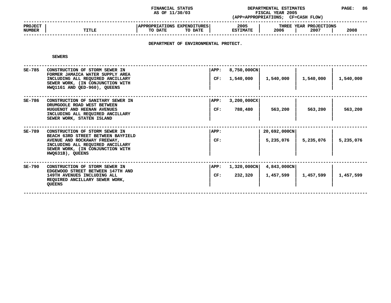### **STATUS DEPARTMENTAL ESTIMATES PAGE: <sup>86</sup> (APP=APPROPRIATIONS;**

|                                 |              | AS OF 11/30/03                                                                   | FISCAL YEAR 2005<br>(APP=APPROPRIATIONS;<br><b>CF=CASH FLOW)</b> |                                        |      |
|---------------------------------|--------------|----------------------------------------------------------------------------------|------------------------------------------------------------------|----------------------------------------|------|
| <b>PROJECT</b><br><b>NUMBER</b> | <b>TITLE</b> | <b>APPROPRIATIONS EXPENDITURES!</b><br>TO DATE<br>TO DATE                        | 2005<br><b>ESTIMATE</b>                                          | THREE YEAR PROJECTIONS<br>2006<br>2007 | 2008 |
|                                 |              | ,但是我们的人们都会不会不会。""我们的人们都会不会不会不会不会不会不会不会不会不会不会不会不会不会。""我们的人们就会不会不会不会不会不会不会不会不会不会不会 |                                                                  |                                        |      |

## **DEPARTMENT OF ENVIRONMENTAL PROTECT.**

**SEWERS**

| SE-785   | CONSTRUCTION OF STORM SEWER IN<br>FORMER JAMAICA WATER SUPPLY AREA<br>INCLUDING ALL REQUIRED ANCILLARY<br>SEWER WORK, (IN CONJUNCTION WITH<br>HWO1161 AND OED-960), OUEENS                       | APP:<br>CF: | $8,750,000$ CN<br>1,540,000      | 1,540,000                 | 1,540,000 | 1,540,000 |
|----------|--------------------------------------------------------------------------------------------------------------------------------------------------------------------------------------------------|-------------|----------------------------------|---------------------------|-----------|-----------|
| SE-786   | CONSTRUCTION OF SANITARY SEWER IN<br>DRUMGOOLE ROAD WEST BETWEEN<br>HUGUENOT AND HEENAN AVENUES<br>INCLUDING ALL REQUIRED ANCILLARY<br>SEWER WORK, STATEN ISLAND                                 | APP:<br>CF: | $3,200,000$ CX<br>788,480        | 563,200                   | 563,200   | 563,200   |
| SE-789   | CONSTRUCTION OF STORM SEWER IN<br>BEACH 63RD STREET BETWEEN BAYFIELD<br>AVENUE AND ROCKAWAY FREEWAY,<br>INCLUDING ALL REQUIRED ANCILLARY<br>SEWER WORK, (IN CONJUNCTION WITH<br>HWO631B), QUEENS | APP:<br>CF: |                                  | 20,692,000CN<br>5,235,076 | 5,235,076 | 5,235,076 |
| $SE-790$ | CONSTRUCTION OF STORM SEWER IN<br>EDGEWOOD STREET BETWEEN 147TH AND<br>149TH AVENUES INCLUDING ALL<br>REQUIRED ANCILLARY SEWER WORK,<br><b>QUEENS</b>                                            | APP:<br>CF: | $1,320,000 \text{CN}$<br>232,320 | 4,843,000CN<br>1,457,599  | 1,457,599 | 1,457,599 |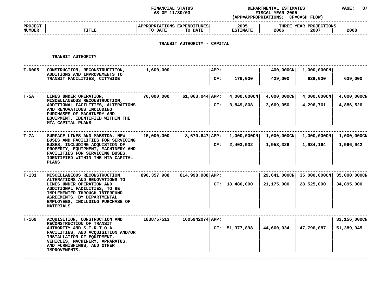### **STATUS DEPARTMENTAL ESTIMATES PAGE: <sup>87</sup> (APP=APPROPRIATIONS;**

|                                 |              | AS OF 11/30/03                                    | <b>FISCAL YEAR 2005</b><br>(APP=APPROPRIATIONS; |                                        |      |
|---------------------------------|--------------|---------------------------------------------------|-------------------------------------------------|----------------------------------------|------|
| <b>PROJECT</b><br><b>NUMBER</b> | <b>TITLE</b> | APPROPRIATIONS EXPENDITURES<br>TO DATE<br>TO DATE | 2005<br><b>ESTIMATE</b>                         | THREE YEAR PROJECTIONS<br>2006<br>2007 | 2008 |
|                                 |              |                                                   |                                                 |                                        |      |

## **TRANSIT AUTHORITY - CAPITAL**

#### **TRANSIT**

|        | TRANSIT AUTHORITY                                                                                                                                                                                                                    |                                 |                     |      |                       |                          |                           |              |
|--------|--------------------------------------------------------------------------------------------------------------------------------------------------------------------------------------------------------------------------------------|---------------------------------|---------------------|------|-----------------------|--------------------------|---------------------------|--------------|
| T-D005 | CONSTRUCTION, RECONSTRUCTIION,<br>ADDITIONS AND IMPROVEMENTS TO                                                                                                                                                                      | 1,600,000                       |                     | APP: |                       | 400,000CN<br>1,000,000CN |                           |              |
|        | TRANSIT FACILITIES, CITYWIDE                                                                                                                                                                                                         |                                 |                     | CF:  | 176,000               | 429,000                  | 639,000                   | 639,000      |
| Т-5А   | LINES UNDER OPERATION,<br>MISCELLANEOUS RECONSTRUCTION,                                                                                                                                                                              | 70,000,000                      | $61,063,044$ $APP:$ |      | $4,000,000 \text{CN}$ | $4,000,000 \text{CN}$    | 4,000,000CN               | 4,000,000CN  |
|        | ADDITIONAL FACILITIES, ALTERATIONS<br>AND RENOVATIONS INCLUDING<br>PURCHASES OF MACHINERY AND<br>EQUIPMENT, IDENTIFIED WITHIN THE<br>MTA CAPITAL PLANS                                                                               |                                 |                     | CF:  | 3,849,808             | 3,669,050                | 4,296,761                 | 4,886,526    |
| Т-7А   | SURFACE LINES AND MABSTOA, NEW<br>BUSES AND FACILITIES FOR SERVICING<br>BUSES, INCLUDING ACQUISTION OF<br>PROPERTY, EQUIPMENT, MACHINERY AND<br>FACILITIES FOR SERVICING BUSES,<br>IDENTIFIED WITHIN THE MTA CAPITAL<br><b>PLANS</b> | 15,000,000                      | $8,670,647$ $APP:$  |      | $1,000,000 \text{CN}$ | $1,000,000 \text{CN}$    | $1,000,000 \text{CN}$     | 1,000,000CN  |
|        |                                                                                                                                                                                                                                      |                                 |                     | CF:  | 2,403,932             | 1,953,326                | 1,934,164                 | 1,966,942    |
| T-131  | MISCELLANEOUS RECONSTRUCTION,<br>ALTERATIONS AND RENOVATIONS TO                                                                                                                                                                      | 890,357,988<br>814,998,988 APP: |                     |      |                       |                          | 29,641,000CN 35,000,000CN | 35,000,000CN |
|        | LINES UNDER OPERATION AND<br>ADDITIONAL FACILITIES, TO BE<br>IMPLEMENTED THROUGH INTERFUND<br>AGREEMENTS, BY DEPARTMENTAL<br>EMPLOYEES, INCLUDING PURCHASE OF<br><b>MATERIALS</b>                                                    |                                 |                     |      | CF: 18,480,000        | 21,175,000               | 28,525,000                | 34,895,000   |
| т-169  | ACQUISITION, CONSTRUCTION AND<br>RECONSTRUCTION OF TRANSIT                                                                                                                                                                           | 1838757513                      | 1605942074   APP:   |      |                       |                          |                           | 33,156,000CN |
|        | AUTHORITY AND S.I.R.T.O.A.<br>FACILITIES, AND ACQUISITION AND/OR<br>INSTALLATION OF EQUIPMENT,<br>VEHICLES, MACHINERY, APPARATUS,<br>AND FURNISHINGS, AND OTHER<br>IMPROVEMENTS.                                                     |                                 |                     |      | CF: 51,377,898        | 44,660,034               | 47,796,087                | 51,389,945   |
|        |                                                                                                                                                                                                                                      |                                 |                     |      |                       |                          |                           |              |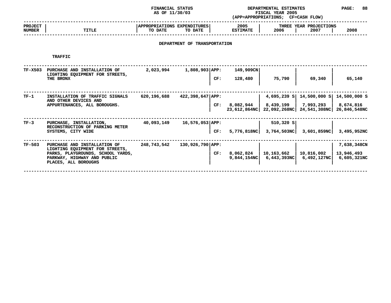### **STATUS DEPARTMENTAL ESTIMATES PAGE: <sup>88</sup> (APP=APPROPRIATIONS;**

|                          |              |                                                   | FISCAL YEAR 2005<br>(APP=APPROPRIATIONS;<br>CF=CASH FLOW) |                                        |      |  |
|--------------------------|--------------|---------------------------------------------------|-----------------------------------------------------------|----------------------------------------|------|--|
| <b>PROJECT</b><br>NUMBER | <b>TITLE</b> | APPROPRIATIONS EXPENDITURES<br>TO DATE<br>TO DATE | 2005<br><b>ESTIMATE</b>                                   | THREE YEAR PROJECTIONS<br>2006<br>2007 | 2008 |  |
|                          |              |                                                   |                                                           |                                        |      |  |

# **DEPARTMENT OF TRANSPORTATION**

**TRAFFIC**

| TF-X503  | PURCHASE AND INSTALLATION OF<br>LIGHTING EQUIPMENT FOR STREETS,<br>THE BRONX                                                                                | 2,023,994   | $1,808,903$ APP:<br>CF:  | 149,909CN<br>128,480                      | 75,790     | 69,340                                                                                       | 65,140                                   |
|----------|-------------------------------------------------------------------------------------------------------------------------------------------------------------|-------------|--------------------------|-------------------------------------------|------------|----------------------------------------------------------------------------------------------|------------------------------------------|
| $TF-1$   | INSTALLATION OF TRAFFIC SIGNALS<br>AND OTHER DEVICES AND<br>APPURTENANCES, ALL BOROUGHS.                                                                    | 620,196,688 | $422,398,647$ APP:       | CF: $8,082,944$   $8,439,199$   7,993,293 |            | 4,695,239 S 14,500,000 S 14,500,000 S<br>23,612,864NC 22,092,268NC 24,541,308NC 26,846,548NC | 8,674,816                                |
| $TF-3$   | PURCHASE, INSTALLATION,<br>RECONSTRUCTION OF PARKING METER<br>SYSTEMS, CITY WIDE                                                                            | 40,093,149  | $16,576,053$ APP:<br>CF: |                                           | 510,320 S  | $5,776,818NC$ 3,764,503NC 3,601,859NC                                                        | 3,495,952NC                              |
| $TF-503$ | PURCHASE AND INSTALLATION OF<br>LIGHTING EQUIPMENT FOR STREETS,<br>PARKS, PLAYGROUNDS, SCHOOL YARDS,<br>PARKWAY, HIGHWAY AND PUBLIC<br>PLACES, ALL BOROUGHS | 248,743,542 | 130,926,790 APP:<br>CF:  | 8,062,824                                 | 10,163,662 | 10,816,002<br>$9,844,154NC$ 6,443,393NC 6,492,127NC                                          | 7,638,348CN<br>13,946,493<br>6,605,321NC |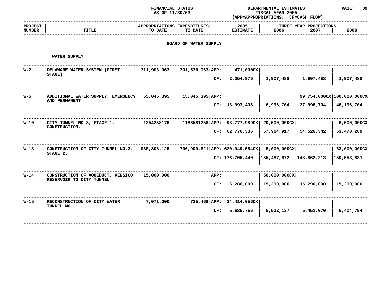## **STATUS DEPARTMENTAL ESTIMATES PAGE: <sup>89</sup>**

| AS OF 11/30/03                         |                                |                                  | FISCAL YEAR 2005<br>(APP=APPROPRIATIONS; CF=CASH FLOW) |                            |  |  |
|----------------------------------------|--------------------------------|----------------------------------|--------------------------------------------------------|----------------------------|--|--|
| APPROPRIATIONS EXPENDITURES<br>TO DATE | 2005<br><b>ESTIMATE</b>        | 2006                             | THREE YEAR PROJECTIONS<br>2007                         | 2008                       |  |  |
| BOARD OF WATER SUPPLY                  |                                |                                  |                                                        |                            |  |  |
|                                        |                                |                                  |                                                        |                            |  |  |
| 301,536,063 APP:                       | 471,000CX                      |                                  |                                                        |                            |  |  |
| CF:                                    | 2,054,976                      | 1,907,488                        | 1,907,488                                              | 1,907,488                  |  |  |
| $15,045,395  $ APP:                    |                                |                                  |                                                        | 99,754,000CX 100,000,000CX |  |  |
|                                        | CF: 13,993,408                 | 6,996,704                        | 27,996,704                                             | 46,196,704                 |  |  |
|                                        | 1186581258 APP: 98,777,989CX   | 20,500,000CX                     |                                                        | 6,500,000CX                |  |  |
|                                        | CF: 62,776,336                 | 57,964,917                       | 54,526,342                                             | 53,470,269                 |  |  |
|                                        | 796,909,621 APP: 620,949,554CX | 5,000,000CX                      |                                                        | 33,000,000CX               |  |  |
|                                        | CF: 176,705,440                | 155,487,872                      | 148,862,213                                            | 150,553,831                |  |  |
| APP:                                   |                                | 50,000,000CX                     |                                                        |                            |  |  |
| CF:                                    | 5,280,000                      | 15,290,000                       | 15,290,000                                             | 15,290,000                 |  |  |
|                                        |                                |                                  |                                                        |                            |  |  |
|                                        | 5,685,756                      | 5,522,137                        | 5,451,070                                              | 5,404,794                  |  |  |
|                                        |                                | 735,468 APP: 24,414,056CX<br>CF: |                                                        |                            |  |  |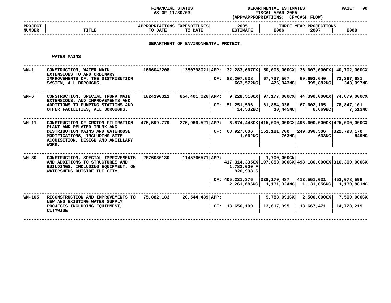**STATUS DEPARTMENTAL ESTIMATES PAGE: <sup>90</sup> (APP=APPROPRIATIONS;**

| PAGE |
|------|
|      |

|                                 |              | AS OF 11/30/03                                                                   | (APP=APPROPRIATIONS:    | FISCAL YEAR 2005<br><b>CF=CASH FLOW)</b> |      |
|---------------------------------|--------------|----------------------------------------------------------------------------------|-------------------------|------------------------------------------|------|
| <b>PROJECT</b><br><b>NUMBER</b> | <b>TITLE</b> | <b>APPROPRIATIONS EXPENDITURES!</b><br>TO DATE<br>TO DATE                        | 2005<br><b>ESTIMATE</b> | THREE YEAR PROJECTIONS<br>2007<br>2006   | 2008 |
|                                 |              | ,但是我们的人们都会不会不会。""我们的人们都会不会不会不会不会不会不会不会不会不会不会不会不会不会。""我们的人们就会不会不会不会不会不会不会不会不会不会不会 |                         |                                          |      |

## **DEPARTMENT OF ENVIRONMENTAL PROTECT.**

#### **WATER**

 **MAINS ------------------------------------------------------------------------------------------------------------------------------------ WM-1 CONSTRUCTION, WATER MAIN <sup>1666042208</sup> 1350798021|APP: 32,283,667CX| 50,005,000CX| 36,607,000CX| 40,702,000CX EXTENSIONS** $\begin{bmatrix} 1 & 0 & 0 & 0 \\ 0 & 0 & 0 & 0 \\ 0 & 0 & 0 & 0 \\ 0 & 0 & 0 & 0 \\ 0 & 0 & 0 & 0 \\ 0 & 0 & 0 & 0 \\ 0 & 0 & 0 & 0 \\ 0 & 0 & 0 & 0 \\ 0 & 0 & 0 & 0 \\ 0 & 0 & 0 & 0 \\ 0 & 0 & 0 & 0 \\ 0 & 0 & 0 & 0 \\ 0 & 0 & 0 & 0 \\ 0 & 0 & 0 & 0 \\ 0 & 0 & 0 & 0 \\ 0 & 0 & 0 & 0 \\ 0 & 0 & 0 & 0 \\ 0 & 0 & 0 & 0$ **IMPROVEMENTS OF, THE DISTRIBUTION <sup>|</sup> CF: 83,207,538 <sup>|</sup> 67,737,567 <sup>|</sup> 69,692,640 <sup>|</sup> 73,367,681** SYSTEM, ALL BOROUGHS. **ALL BOROUGHS. <sup>|</sup> 663,572NC| 476,943NC| 395,882NC| 343,097NC ------------------------------------------------------------------------------------------------------------------------------------ WM-6 CONSTRUCTION, SPECIAL TRUNK MAIN <sup>1024190311</sup> 854,401,026|APP: 9,228,510CX| 97,177,000CX| 44,390,000CX| 74,679,000CX EXTENSIONS,** $\textrm{CD}$  **IMPROVEMENTS** AND<br>TO PUMPING STATIONS AND **HOTAL CE:** 51,251,596 61,884,036 67,602,165<br>LITIES, ALL BOROUGHS. (8,669NC ADDITIONS TO PUMPING STATIONS AND **TO PUMPING STATIONS AND <sup>|</sup> CF: 51,251,596 <sup>|</sup> 61,884,036 <sup>|</sup> 67,602,165 <sup>|</sup> 78,847,101** OTHER FACILITIES, ALL BOROUGHS. **FACILITIES, ALL BOROUGHS. <sup>|</sup> 14,532NC| 10,445NC| 8,669NC| 7,513NC ------------------------------------------------------------------------------------------------------------------------------------ WM-11 CONSTRUCTION OF CROTON FILTRATION 475,599,779 275,966,521|APP: 6,874,448CX|415,000,000CX|496,600,000CX|425,000,000CX** PLANT AND RELATED TRUNK AND **AND RELATED TRUNK AND <sup>|</sup> <sup>|</sup> <sup>|</sup> <sup>|</sup> DISTRIBUTIONM** MAINS AND GATEHOUSE **ISLAM CREEN CREEN CREEN CREEN CREEN (151,181,700**  $\begin{bmatrix} 249,396,506 & 322,793,170 & 549 \\ 633NC & 633NC & 633NC \end{bmatrix}$ **MODIFICATIONS, INCLUDING SITE <sup>|</sup> 1,062NC| 763NC| 633NC| 549NC ACQUISITION, DESIGN AND ANCILLARY <sup>|</sup> <sup>|</sup> <sup>|</sup> <sup>|</sup> WORK. <sup>|</sup> <sup>|</sup> <sup>|</sup> <sup>|</sup> ------------------------------------------------------------------------------------------------------------------------------------WM-30** CONSTRUCTION, SPECIAL IMPROVEMENTS 2076030130 1145766571 APP:<br>
AND ADDITIONS TO STRUCTURES AND<br>
BUILDINGS, INCLUDING EQUIPMENT, ON 1,783,000 F<br>
WATERSHEDS OUTSIDE THE CITY. 2000 P 926,998 S **CONSTRUCTION, SPECIAL IMPROVEMENTS** 2076030130 1145766571 APP: **AND ADDITIONS TO STRUCTURES AND**<br> **EXECUTE:** AND ADDITIONS TO STRUCTURES AND<br>
BUILDINGS, INCLUDING EQUIPMENT, ON<br>
WATERSHEDS OUTSIDE THE CITY. 926,998 S AND ADDITIONS TO STRUCTURES AND BUILDINGS, INCLUDING EOUIPMENT, ON **INCLUDING EQUIPMENT,** ON  $\begin{bmatrix} 1,783,000 \text{ F} \\ 926,998 \text{ S} \end{bmatrix}$ <br> **EXECUTED BY THE CITY. WATERSHEDSOUTSIDE** THE CITY.<br> **E :** 405,231,376 338,170,487 413,551,031  $\left| \begin{array}{ccc} \texttt{CF:} & 405,231,376 \\ 2,261,686 \texttt{NC} & 1,131,324 \texttt{NC} \end{array} \right| \left. \begin{array}{c} 413,551,031 \\ 1,131,056 \texttt{NC} \end{array} \right|$  **CF: 405,231,376 |338,170,487 |413,551,031 |452,078,596 <sup>|</sup> 2,261,686NC| 1,131,324NC| 1,131,056NC| 1,130,881NC ------------------------------------------------------------------------------------------------------------------------------------ WM-105 RECONSTRUCTION AND IMPROVEMENTS TO 75,882,183 20,544,489|APP: <sup>|</sup> 9,783,091CX| 2,500,000CX| 7,500,000CX NEW AND EXISTING WATER SUPPLY AND EXISTING WATER SUPPLY <sup>|</sup> <sup>|</sup> <sup>|</sup> <sup>|</sup>** PROJECTS INCLUDING EQUIPMENT, **INCLUDING EQUIPMENT, <sup>|</sup> CF: 13,656,100 <sup>|</sup> 13,617,395 <sup>|</sup> 13,667,471 <sup>|</sup> 14,723,219 CITYWIDE<sup>|</sup> <sup>|</sup> <sup>|</sup> <sup>|</sup> ------------------------------------------------------------------------------------------------------------------------------------**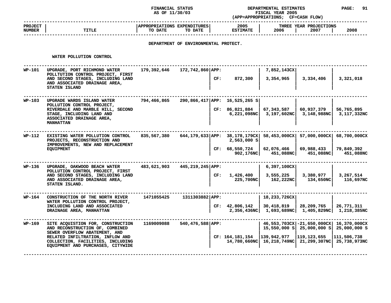**STATUS DEPARTMENTAL ESTIMATES PAGE: <sup>91</sup> (APP=APPROPRIATIONS;**

|                          |              | AS OF 11/30/03                                                                   | (APP=APPROPRIATIONS;    | <b>FISCAL YEAR 2005</b><br><b>CF=CASH FLOW)</b> |      |
|--------------------------|--------------|----------------------------------------------------------------------------------|-------------------------|-------------------------------------------------|------|
| <b>PROJECT</b><br>NUMBER | <b>TITLE</b> | APPROPRIATIONS EXPENDITURES<br>TO DATE<br>TO DATE                                | 2005<br><b>ESTIMATE</b> | THREE YEAR PROJECTIONS<br>2006<br>2007          | 2008 |
|                          |              | ,但是我们的人们都会不会不会。""我们的人们都会不会不会不会不会不会不会不会不会不会不会不会不会不会不会。""我们的人们就会不会不会不会不会不会不会不会不会不会 |                         |                                                 |      |

## **DEPARTMENT OF ENVIRONMENTAL PROTECT.**

**WATER**

|        | WATER POLLUTION CONTROL                                                                                                                                                                                             |             |                  |     |                                                                                                                    |                                                                   |                           |                                                                                        |
|--------|---------------------------------------------------------------------------------------------------------------------------------------------------------------------------------------------------------------------|-------------|------------------|-----|--------------------------------------------------------------------------------------------------------------------|-------------------------------------------------------------------|---------------------------|----------------------------------------------------------------------------------------|
| WP-101 | UPGRADE, PORT RICHMOND WATER<br>POLLTUTION CONTROL PROJECT, FIRST<br>AND SECOND STAGES, INCLUDING LAND<br>AND ASSOCIATED DRAINAGE AREA,<br>STATEN ISLAND                                                            | 179,392,646 | 172,742,860 APP: | CF: | 872,300                                                                                                            | 7,852,143CX<br>3,354,965                                          | 3,334,406                 | 3,321,018                                                                              |
| WP-103 | UPGRADE WARDS ISLAND WATER<br>POLLUTION CONTROL PROJECT,<br>RIVERDALE AND MARBLE HILL, SECOND<br>STAGE, INCLUDING LAND AND<br>ASSOCIATED DRAINAGE AREA,<br><b>MANHATTAN</b>                                         | 794,466,865 |                  |     | 290,866,417 APP: 16,525,265 S<br>CF: 86,821,884                                                                    | 67,343,587<br>$6,221,098\text{NC}$ 3,197,602NC 3,148,988NC        | 60,937,379                | 56,765,895<br>3,117,332NC                                                              |
| WP-112 | EXISTING WATER POLLUTION CONTROL<br>PROJECTS, RECONSTRUCTION AND<br>IMPROVEMENTS, NEW AND REPLACEMENT<br><b>EQUIPMENT</b>                                                                                           | 835,567,380 |                  |     | 644,179,633 APP: 38,178,179CX 58,453,000CX 57,000,000CX 68,700,000CX<br>2,563,000 S<br>CF: 68,550,724<br>902,176NC | 62,076,466<br>451,088NC                                           | 69,988,433<br>451,088NC   | 79,849,392<br>451,088NC                                                                |
| WP-136 | UPGRADE, OAKWOOD BEACH WATER<br>POLLUTION CONTROL PROJECT, FIRST<br>AND SECOND STAGES, INCLUDING LAND<br>AND ASSOCIATED DRAINAGE AREA,<br>STATEN ISLAND.                                                            | 483,621,903 | 445,219,245 APP: |     | CF: 1,426,400<br>225,700NC                                                                                         | $6,397,100$ CX<br>3,555,225<br>162,222NC                          | 3,380,977<br>134,650NC    | 3,267,514<br>116,697NC                                                                 |
| WP-164 | CONSTRUCTION OF THE NORTH RIVER<br>WATER POLLUTION CONTROL PROJECT,<br>INCLUDING LAND AND ASSOCIATED<br>DRAINAGE AREA, MANHATTAN                                                                                    | 1471055425  | 1311303882 APP:  |     | CF: 42,806,142                                                                                                     | 18,233,726CX<br>30,418,819<br>2,356,436NC 1,693,689NC 1,405,829NC | 28,209,765                | 26,771,311<br>1,218,385NC                                                              |
| WP-169 | SITE ACQUISTION FOR, CONSTRUCTION<br>AND RECONSTRUCTION OF, COMBINED<br>SEWER OVERFLOW ABATEMENT, AND<br>RELATED INFILTRATION, INFLOW AND<br>COLLECTION, FACILITIES, INCLUDING<br>EQUIPMENT AND PURCHASES, CITYWIDE | 1169009088  | 540,476,588 APP: |     | CF: $164, 181, 154$   139, 942, 977   119, 123, 655                                                                | 14,780,660NC 16,218,749NC 21,299,307NC                            | 15,550,000 S 25,000,000 S | 46,553,703CX -21,650,000CX 16,370,000CX<br>25,000,000 S<br>111,506,738<br>25,738,973NC |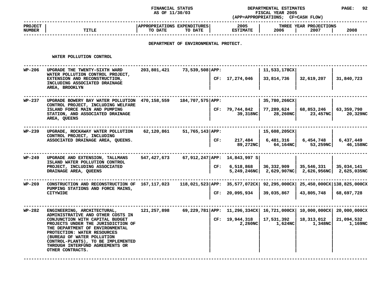**STATUS DEPARTMENTAL ESTIMATES PAGE: <sup>92</sup> (APP=APPROPRIATIONS;**

|                                 |              | AS OF 11/30/03                                    | (APP=APPROPRIATIONS;    | FISCAL YEAR 2005<br><b>CF=CASH FLOW)</b> |      |
|---------------------------------|--------------|---------------------------------------------------|-------------------------|------------------------------------------|------|
| <b>PROJECT</b><br><b>NUMBER</b> | <b>TITLE</b> | APPROPRIATIONS EXPENDITURES<br>TO DATE<br>TO DATE | 2005<br><b>ESTIMATE</b> | THREE YEAR PROJECTIONS<br>2006<br>2007   | 2008 |
|                                 |              |                                                   |                         |                                          |      |

## **DEPARTMENT OF ENVIRONMENTAL PROTECT.**

#### **WATER**

|        | WATER POLLUTION CONTROL                                                                                                                                                                                                                                                                                                                |             |                  |     |                                                                                                         |                                                                                         |                                |                        |
|--------|----------------------------------------------------------------------------------------------------------------------------------------------------------------------------------------------------------------------------------------------------------------------------------------------------------------------------------------|-------------|------------------|-----|---------------------------------------------------------------------------------------------------------|-----------------------------------------------------------------------------------------|--------------------------------|------------------------|
| WP-206 | UPGRADE THE TWENTY-SIXTH WARD<br>WATER POLLUTION CONTROL PROJECT,<br>EXTENSION AND RECONSTRUCTION,<br>INCLUDING ASSOCIATED DRAINAGE<br>AREA, BROOKLYN                                                                                                                                                                                  | 203,801,421 | 73,539,508 APP:  |     | CF: 17,274,046                                                                                          | 11,533,178CX<br>33,814,736                                                              | 32,619,207                     | 31,840,723             |
| WP-237 | UPGRADE BOWERY BAY WATER POLLUTION 470,158,559<br>CONTROL PROJECT, INCLUDING WELFARE<br>ISLAND FORCE MAIN AND PUMPING<br>STATION, AND ASSOCIATED DRAINAGE<br>AREA, QUEENS                                                                                                                                                              |             | 184,707,575 APP: |     | CF: 79,744,842<br>39,318NC                                                                              | 35,780,266CX<br>77,289,624<br>28,260NC                                                  | 68,853,246<br>23,457NC         | 63,359,790<br>20,329NC |
| WP-239 | UPGRADE, ROCKAWAY WATER POLLUTION<br>CONTROL PROJECT, INCLUDING<br>ASSOCIATED DRAINAGE AREA, QUEENS.                                                                                                                                                                                                                                   | 62,120,861  | 51,765,143 APP:  | CF: | 89,272NC O                                                                                              | 15,608,205CX <br>$217,484$ 6,481,316                                                    | 6,454,748<br>64,164NC 53,259NC | 6,437,449<br>46,158NC  |
| WP-249 | UPGRADE AND EXTENSION, TALLMANS<br>ISLAND WATER POLLUTION CONTROL<br>PROJECT, INCLUDING ASSOCIATED<br>DRAINAGE AREA, QUEENS                                                                                                                                                                                                            | 547,427,673 |                  |     | 67,912,247 APP: 14,843,997 S<br>CF: 6,518,868                                                           | 36,332,909   35,546,331   35,034,141<br>5,249,246NC 2,629,907NC 2,626,956NC 2,625,035NC |                                |                        |
| WP-269 | CONSTRUCTION AND RECONSTRUCTION OF 167, 117, 023<br>PUMPING STATIONS AND FORCE MAINS,<br>CITYWIDE                                                                                                                                                                                                                                      |             |                  |     | $118,021,523$ APP: $35,577,072$ CX $92,295,000$ CX $25,450,000$ CX $138,825,000$ CX<br>CF: 20,095,934   | 39,035,867                                                                              | 43,805,748                     | 68,697,728             |
| WP-282 | ENGINEERING, ARCHITECTURAL,<br>ADMINISTRATIVE AND OTHER COSTS IN<br>CONJUNCTION WITH CAPITAL BUDGET<br>PROJECTS UNDER THE JURISDICTION OF<br>THE DEPARTMENT OF ENVIRONMENTAL<br>PROTECTION: WATER RESOURCES<br>(BUREAU OF WATER POLLUTION<br>CONTROL-PLANTS), TO BE IMPLEMENTED<br>THROUGH INTERFUND AGREEMENTS OR<br>OTHER CONTRACTS. | 121,257,898 |                  |     | 69,229,781 APP: 11,296,334CX   16,721,000CX   10,000,000CX   20,000,000CX<br>CF: 19,944,318<br>2,260NCl | 17,531,392<br>1,624NC                                                                   | 18,313,012<br>1,348NC          | 21,094,532<br>1,169NC  |
|        |                                                                                                                                                                                                                                                                                                                                        |             |                  |     |                                                                                                         |                                                                                         |                                |                        |